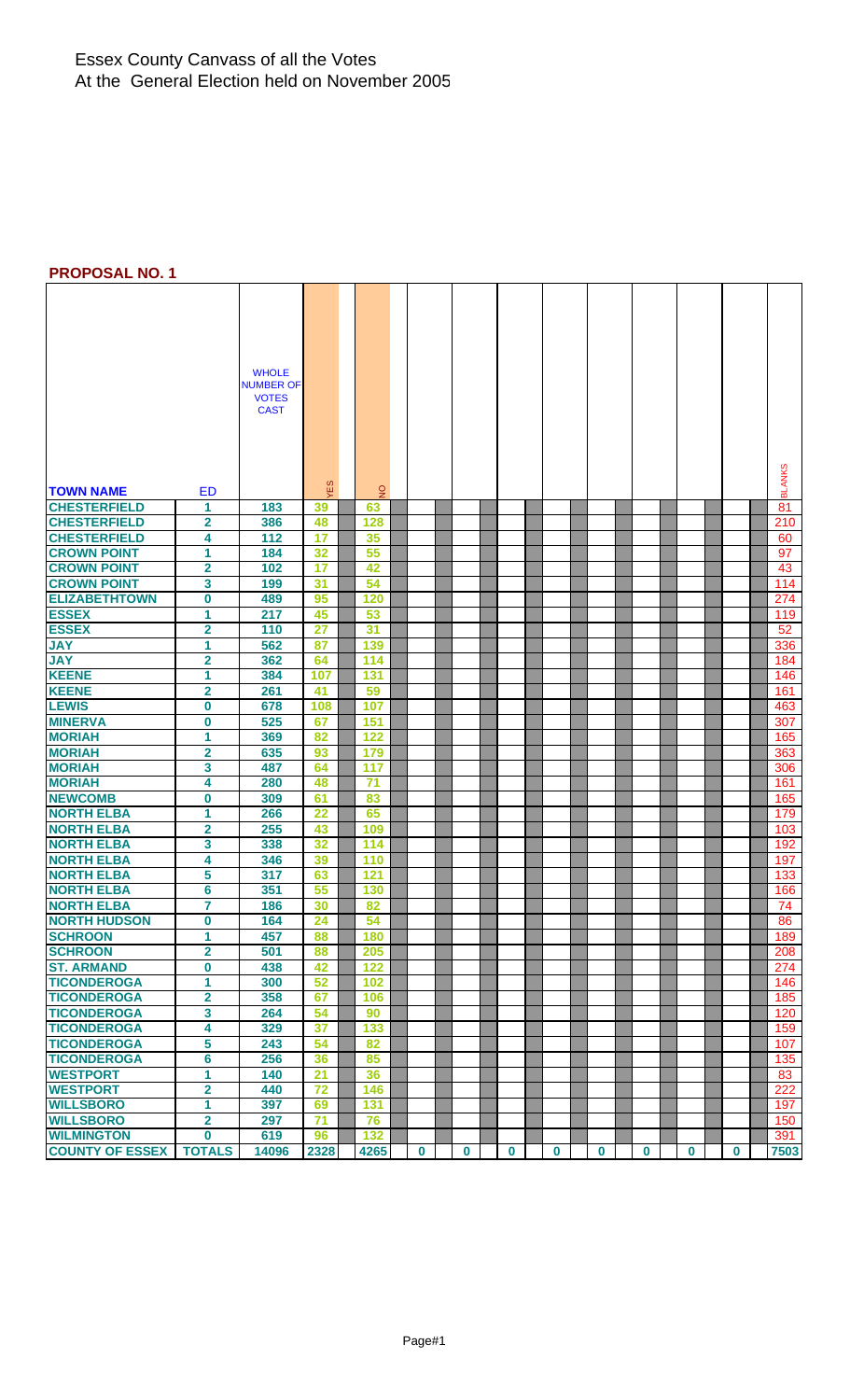### Essex County Canvass of all the Votes At the General Election held on November 2005

### **PROPOSAL NO. 1**

|                                 |                         | <b>WHOLE</b>                     |          |               |              |          |             |          |          |             |          |          |               |
|---------------------------------|-------------------------|----------------------------------|----------|---------------|--------------|----------|-------------|----------|----------|-------------|----------|----------|---------------|
|                                 |                         | <b>NUMBER OF</b><br><b>VOTES</b> |          |               |              |          |             |          |          |             |          |          |               |
|                                 |                         | <b>CAST</b>                      |          |               |              |          |             |          |          |             |          |          |               |
|                                 |                         |                                  |          |               |              |          |             |          |          |             |          |          |               |
|                                 |                         |                                  |          |               |              |          |             |          |          |             |          |          |               |
|                                 |                         |                                  |          |               |              |          |             |          |          |             |          |          |               |
|                                 |                         |                                  |          |               |              |          |             |          |          |             |          |          |               |
| <b>TOWN NAME</b>                | ED                      |                                  | ΈS       | $\frac{1}{2}$ |              |          |             |          |          |             |          |          | <b>BLANKS</b> |
| <b>CHESTERFIELD</b>             | 1                       | 183                              | 39       | 63            |              |          |             |          |          |             |          |          | 81            |
| <b>CHESTERFIELD</b>             | $\mathbf 2$             | 386                              | 48       | 128           |              |          |             |          |          |             |          |          | 210           |
| <b>CHESTERFIELD</b>             | 4                       | 112                              | 17       | 35            |              |          |             |          |          |             |          |          | 60            |
| <b>CROWN POINT</b>              | 1                       | 184                              | 32       | 55            |              |          |             |          |          |             |          |          | 97            |
| <b>CROWN POINT</b>              | $\overline{\mathbf{2}}$ | 102                              | 17       | 42            |              |          |             |          |          |             |          |          | 43            |
| <b>CROWN POINT</b>              | 3                       | 199                              | 31       | 54            |              |          |             |          |          |             |          |          | 114           |
| <b>ELIZABETHTOWN</b>            | 0                       | 489                              | 95       | 120           |              |          |             |          |          |             |          |          | 274           |
| <b>ESSEX</b>                    | 1                       | 217                              | 45       | 53            |              |          |             |          |          |             |          |          | 119           |
| <b>ESSEX</b>                    | $\overline{\mathbf{2}}$ | 110                              | 27       | 31            |              |          |             |          |          |             |          |          | 52            |
| <b>JAY</b>                      | 1                       | 562                              | 87       | 139           |              |          |             |          |          |             |          |          | 336           |
| <b>JAY</b>                      | $\overline{\mathbf{2}}$ | 362                              | 64       | 114           |              |          |             |          |          |             |          |          | 184           |
| <b>KEENE</b>                    | 1                       | 384                              | 107      | 131           |              |          |             |          |          |             |          |          | 146           |
| <b>KEENE</b>                    | $\overline{\mathbf{2}}$ | 261                              | 41       | 59            |              |          |             |          |          |             |          |          | 161           |
| <b>LEWIS</b>                    | 0                       | 678                              | 108      | 107           |              |          |             |          |          |             |          |          | 463           |
| <b>MINERVA</b>                  | 0                       | 525                              | 67       | 151           |              |          |             |          |          |             |          |          | 307           |
| <b>MORIAH</b>                   | 1                       | 369                              | 82       | 122           |              |          |             |          |          |             |          |          | 165           |
| <b>MORIAH</b>                   | $\overline{\mathbf{2}}$ | 635                              | 93       | 179           |              |          |             |          |          |             |          |          | 363           |
| <b>MORIAH</b>                   | 3                       | 487                              | 64       | 117           |              |          |             |          |          |             |          |          | 306           |
| <b>MORIAH</b><br><b>NEWCOMB</b> | 4                       | 280                              | 48       | 71            |              |          |             |          |          |             |          |          | 161           |
| <b>NORTH ELBA</b>               | 0<br>1                  | 309<br>266                       | 61<br>22 | 83<br>65      |              |          |             |          |          |             |          |          | 165<br>179    |
| <b>NORTH ELBA</b>               | $\overline{\mathbf{2}}$ | 255                              | 43       | 109           |              |          |             |          |          |             |          |          | 103           |
| <b>NORTH ELBA</b>               | 3                       | 338                              | 32       | 114           |              |          |             |          |          |             |          |          | 192           |
| <b>NORTH ELBA</b>               | 4                       | 346                              | 39       | 110           |              |          |             |          |          |             |          |          | 197           |
| <b>NORTH ELBA</b>               | 5                       | 317                              | 63       | 121           |              |          |             |          |          |             |          |          | 133           |
| <b>NORTH ELBA</b>               | 6                       | 351                              | 55       | 130           |              |          |             |          |          |             |          |          | 166           |
| <b>NORTH ELBA</b>               | 7                       | 186                              | 30       | 82            |              |          |             |          |          |             |          |          | 74            |
| <b>NORTH HUDSON</b>             | $\bf{0}$                | 164                              | 24       | 54            |              |          |             |          |          |             |          |          | 86            |
| <b>SCHROON</b>                  | 1                       | 457                              | 88       | 180           |              |          |             |          |          |             |          |          | 189           |
| <b>SCHROON</b>                  | $\overline{\mathbf{2}}$ | 501                              | 88       | 205           |              |          |             |          |          |             |          |          | 208           |
| <b>ST. ARMAND</b>               | 0                       | 438                              | 42       | 122           |              |          |             |          |          |             |          |          | 274           |
| <b>TICONDEROGA</b>              | 1                       | 300                              | 52       | 102           |              |          |             |          |          |             |          |          | 146           |
| <b>TICONDEROGA</b>              | $\overline{\mathbf{2}}$ | 358                              | 67       | 106           |              |          |             |          |          |             |          |          | 185           |
| <b>TICONDEROGA</b>              | 3                       | 264                              | 54       | 90            |              |          |             |          |          |             |          |          | 120           |
| <b>TICONDEROGA</b>              | 4                       | 329                              | 37       | 133           |              |          |             |          |          |             |          |          | 159           |
| <b>TICONDEROGA</b>              | 5                       | 243                              | 54       | 82            |              |          |             |          |          |             |          |          | 107           |
| <b>TICONDEROGA</b>              | $6\overline{6}$         | 256                              | 36       | 85            |              |          |             |          |          |             |          |          | 135           |
| <b>WESTPORT</b>                 | 1                       | 140                              | 21       | 36            |              |          |             |          |          |             |          |          | 83            |
| <b>WESTPORT</b>                 | 2                       | 440                              | 72       | 146           |              |          |             |          |          |             |          |          | 222           |
| <b>WILLSBORO</b>                | 1                       | 397                              | 69       | 131           |              |          |             |          |          |             |          |          | 197           |
| <b>WILLSBORO</b>                | $\overline{\mathbf{2}}$ | 297                              | 71       | 76            |              |          |             |          |          |             |          |          | 150           |
| <b>WILMINGTON</b>               | $\mathbf{0}$            | 619                              | 96       | 132           |              |          |             |          |          |             |          |          | 391           |
| <b>COUNTY OF ESSEX</b>          | <b>TOTALS</b>           | 14096                            | 2328     | 4265          | $\mathbf{0}$ | $\bf{0}$ | $\mathbf 0$ | $\bf{0}$ | $\bf{0}$ | $\mathbf 0$ | $\bf{0}$ | $\bf{0}$ | 7503          |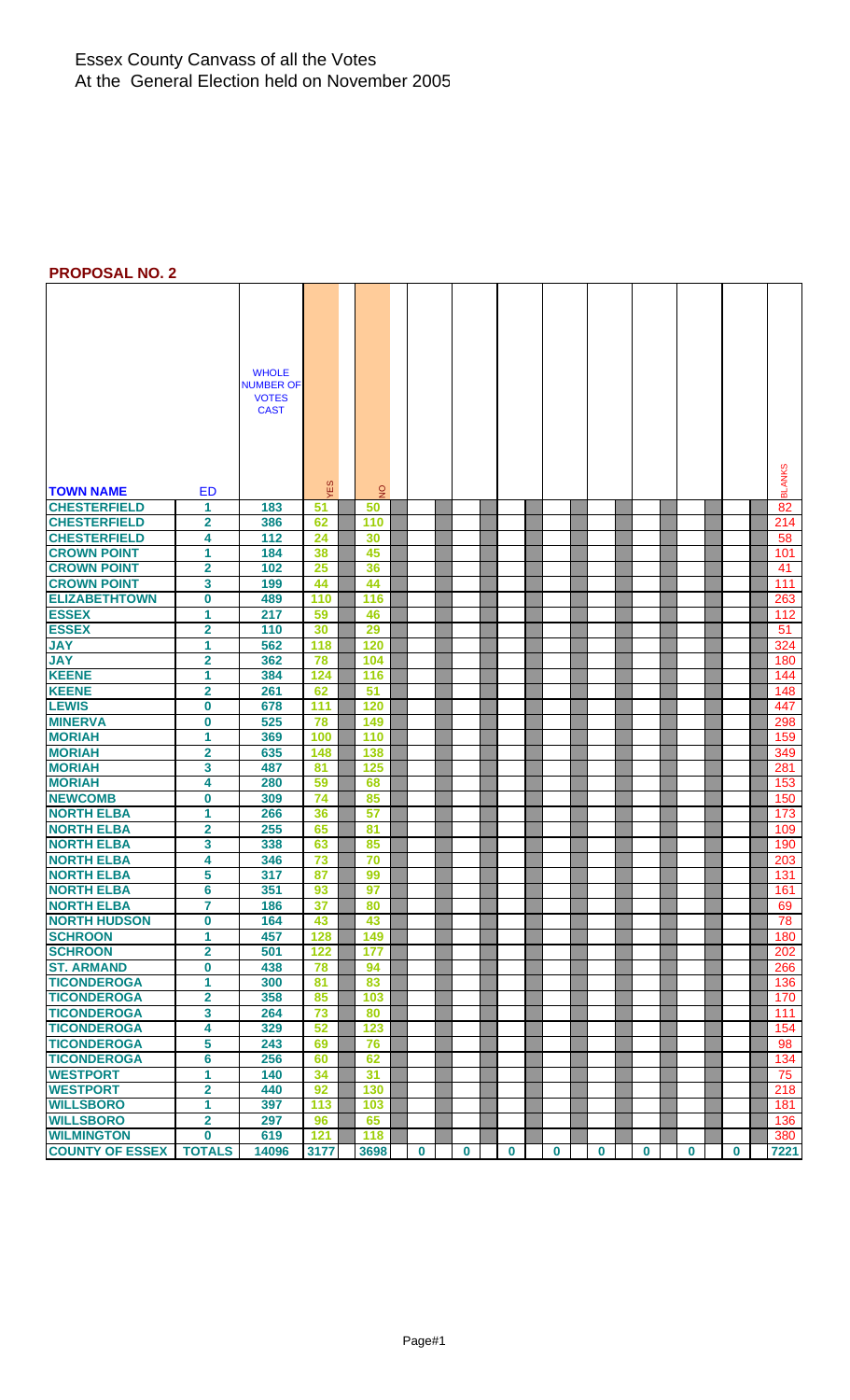### Essex County Canvass of all the Votes At the General Election held on November 2005

### **PROPOSAL NO. 2**

|                                      |                              | <b>WHOLE</b><br><b>NUMBER OF</b> |            |                |             |   |          |          |          |   |          |             |               |
|--------------------------------------|------------------------------|----------------------------------|------------|----------------|-------------|---|----------|----------|----------|---|----------|-------------|---------------|
|                                      |                              | <b>VOTES</b>                     |            |                |             |   |          |          |          |   |          |             |               |
|                                      |                              | <b>CAST</b>                      |            |                |             |   |          |          |          |   |          |             |               |
|                                      |                              |                                  |            |                |             |   |          |          |          |   |          |             |               |
|                                      |                              |                                  |            |                |             |   |          |          |          |   |          |             |               |
|                                      |                              |                                  |            |                |             |   |          |          |          |   |          |             |               |
|                                      |                              |                                  |            |                |             |   |          |          |          |   |          |             |               |
| <b>TOWN NAME</b>                     | ED                           |                                  | <b>VES</b> | $\overline{2}$ |             |   |          |          |          |   |          |             | <b>BLANKS</b> |
| <b>CHESTERFIELD</b>                  | 1                            | 183                              | 51         | 50             |             |   |          |          |          |   |          |             | 82            |
| <b>CHESTERFIELD</b>                  | $\overline{\mathbf{2}}$      | 386                              | 62         | 110            |             |   |          |          |          |   |          |             | 214           |
| <b>CHESTERFIELD</b>                  | 4                            | 112                              | 24         | 30             |             |   |          |          |          |   |          |             | 58            |
| <b>CROWN POINT</b>                   | 1                            | 184                              | 38         | 45             |             |   |          |          |          |   |          |             | 101           |
| <b>CROWN POINT</b>                   | $\overline{\mathbf{2}}$      | 102                              | 25         | 36             |             |   |          |          |          |   |          |             | 41            |
| <b>CROWN POINT</b>                   | 3                            | 199                              | 44         | 44             |             |   |          |          |          |   |          |             | 111           |
| <b>ELIZABETHTOWN</b>                 | 0                            | 489                              | 110        | 116            |             |   |          |          |          |   |          |             | 263           |
| <b>ESSEX</b>                         | 1                            | 217                              | 59         | 46             |             |   |          |          |          |   |          |             | 112           |
| <b>ESSEX</b>                         | $\overline{\mathbf{2}}$      | 110                              | 30         | 29             |             |   |          |          |          |   |          |             | 51            |
| <b>JAY</b>                           | 1                            | 562                              | 118        | 120            |             |   |          |          |          |   |          |             | 324           |
| <b>JAY</b>                           | 2                            | 362                              | 78         | 104            |             |   |          |          |          |   |          |             | 180           |
| <b>KEENE</b>                         | 1                            | 384                              | 124        | 116            |             |   |          |          |          |   |          |             | 144           |
| <b>KEENE</b>                         | 2                            | 261                              | 62         | 51             |             |   |          |          |          |   |          |             | 148           |
| <b>LEWIS</b>                         | 0                            | 678                              | 111        | 120            |             |   |          |          |          |   |          |             | 447           |
| <b>MINERVA</b>                       | 0                            | 525                              | 78         | 149            |             |   |          |          |          |   |          |             | 298           |
| <b>MORIAH</b>                        | 1                            | 369                              | 100        | 110            |             |   |          |          |          |   |          |             | 159           |
| <b>MORIAH</b>                        | $\overline{\mathbf{2}}$      | 635                              | 148        | 138            |             |   |          |          |          |   |          |             | 349           |
| <b>MORIAH</b>                        | 3                            | 487                              | 81         | 125            |             |   |          |          |          |   |          |             | 281           |
| <b>MORIAH</b>                        | 4                            | 280                              | 59         | 68             |             |   |          |          |          |   |          |             | 153           |
| <b>NEWCOMB</b>                       | 0                            | 309                              | 74         | 85             |             |   |          |          |          |   |          |             | 150           |
| <b>NORTH ELBA</b>                    | 1                            | 266                              | 36         | 57             |             |   |          |          |          |   |          |             | 173           |
| <b>NORTH ELBA</b>                    | $\mathbf 2$                  | 255                              | 65         | 81             |             |   |          |          |          |   |          |             | 109           |
| <b>NORTH ELBA</b>                    | 3                            | 338                              | 63         | 85             |             |   |          |          |          |   |          |             | 190           |
| <b>NORTH ELBA</b>                    | 4                            | 346                              | 73         | 70             |             |   |          |          |          |   |          |             | 203           |
| <b>NORTH ELBA</b>                    | 5                            | 317                              | 87         | 99             |             |   |          |          |          |   |          |             | 131           |
| <b>NORTH ELBA</b>                    | 6                            | 351                              | 93         | 97             |             |   |          |          |          |   |          |             | 161           |
| <b>NORTH ELBA</b>                    | 7                            | 186                              | 37         | 80             |             |   |          |          |          |   |          |             | 69            |
| <b>NORTH HUDSON</b>                  | $\bf{0}$                     | 164                              | 43         | 43             |             |   |          |          |          |   |          |             | 78            |
| <b>SCHROON</b>                       | 1                            | 457                              | 128        | 149            |             |   |          |          |          |   |          |             | 180           |
| <b>SCHROON</b>                       | $\overline{\mathbf{2}}$      | 501                              | 122        | 177            |             |   |          |          |          |   |          |             | 202           |
| <b>ST. ARMAND</b>                    | $\bf{0}$                     | 438                              | 78         | 94             |             |   |          |          |          |   |          |             | 266           |
| <b>TICONDEROGA</b>                   | 1                            | 300                              | 81         | 83             |             |   |          |          |          |   |          |             | 136           |
| <b>TICONDEROGA</b>                   | $\overline{\mathbf{2}}$      | 358                              | 85         | 103            |             |   |          |          |          |   |          |             | 170           |
| <b>TICONDEROGA</b>                   | $\overline{\mathbf{3}}$      | 264                              | 73         | 80             |             |   |          |          |          |   |          |             | 111           |
| <b>TICONDEROGA</b>                   | 4                            | 329                              | 52         | 123            |             |   |          |          |          |   |          |             | 154           |
| <b>TICONDEROGA</b>                   | 5                            | 243                              | 69         | 76             |             |   |          |          |          |   |          |             | 98            |
| <b>TICONDEROGA</b>                   | 6                            | 256                              | 60         | 62             |             |   |          |          |          |   |          |             | 134           |
| <b>WESTPORT</b>                      | 1                            | 140                              | 34         | 31             |             |   |          |          |          |   |          |             | 75            |
| <b>WESTPORT</b>                      | $\overline{\mathbf{2}}$      | 440                              | 92         | 130            |             |   |          |          |          |   |          |             | 218           |
| <b>WILLSBORO</b><br><b>WILLSBORO</b> | 1<br>$\overline{\mathbf{2}}$ | 397<br>297                       | 113<br>96  | 103<br>65      |             |   |          |          |          |   |          |             | 181<br>136    |
| <b>WILMINGTON</b>                    | O                            | 619                              | 121        | 118            |             |   |          |          |          |   |          |             | 380           |
| <b>COUNTY OF ESSEX</b>               | <b>TOTALS</b>                | 14096                            | 3177       | 3698           | $\mathbf 0$ | 0 | $\bf{0}$ | $\bf{0}$ | $\bf{0}$ | 0 | $\bf{0}$ | $\mathbf 0$ | 7221          |
|                                      |                              |                                  |            |                |             |   |          |          |          |   |          |             |               |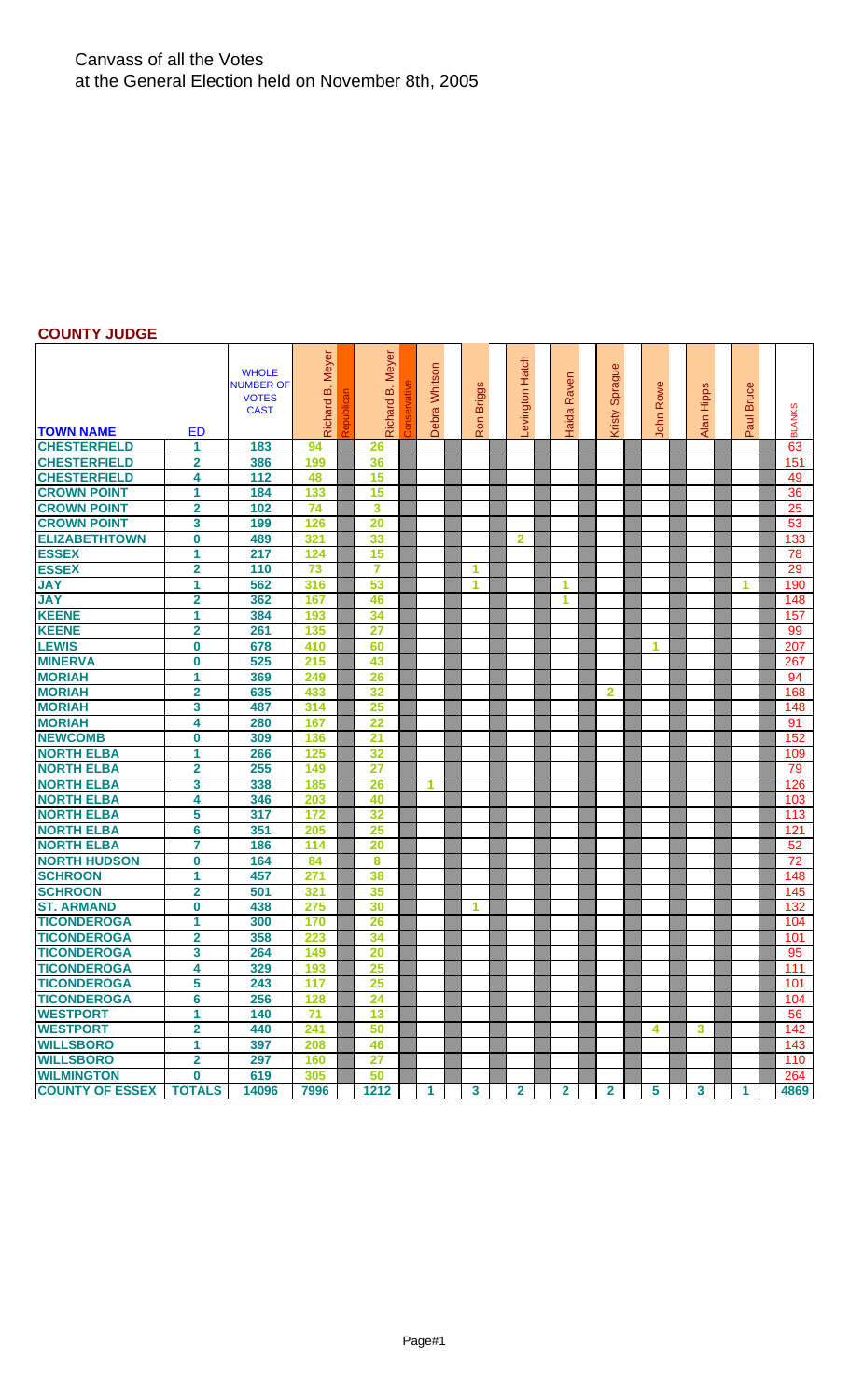## Canvass of all the Votes at the General Election held on November 8th, 2005

## **COUNTY JUDGE**

|                        |                         | <b>WHOLE</b><br><b>NUMBER OF</b><br><b>VOTES</b><br><b>CAST</b> | Meyer<br>മ<br>Richard | Meyer<br>ΔÖ<br>Richard | Debra Whitson | <b>Briggs</b> | evington Hatch | Raven<br>Haida | Sprague<br>Kristy | Rowe<br>John    | Alan Hipps | <b>Bruce</b> | <b>BLANKS</b> |
|------------------------|-------------------------|-----------------------------------------------------------------|-----------------------|------------------------|---------------|---------------|----------------|----------------|-------------------|-----------------|------------|--------------|---------------|
| <b>TOWN NAME</b>       | ED                      |                                                                 |                       |                        |               | Ron           |                |                |                   |                 |            | Paul         |               |
| <b>CHESTERFIELD</b>    | 1                       | 183                                                             | 94                    | 26                     |               |               |                |                |                   |                 |            |              | 63            |
| <b>CHESTERFIELD</b>    | $\overline{2}$          | 386                                                             | 199                   | 36                     |               |               |                |                |                   |                 |            |              | 151           |
| <b>CHESTERFIELD</b>    | 4                       | 112                                                             | 48                    | 15                     |               |               |                |                |                   |                 |            |              | 49            |
| <b>CROWN POINT</b>     | 1                       | 184                                                             | 133                   | 15                     |               |               |                |                |                   |                 |            |              | 36            |
| <b>CROWN POINT</b>     | $\overline{2}$          | 102                                                             | 74                    | 3                      |               |               |                |                |                   |                 |            |              | 25            |
| <b>CROWN POINT</b>     | 3                       | 199                                                             | 126                   | 20                     |               |               |                |                |                   |                 |            |              | 53            |
| <b>ELIZABETHTOWN</b>   | $\bf{0}$                | 489                                                             | 321                   | 33                     |               |               | $\mathbf{2}$   |                |                   |                 |            |              | 133           |
| <b>ESSEX</b>           | 1                       | 217                                                             | 124                   | 15                     |               |               |                |                |                   |                 |            |              | 78            |
| <b>ESSEX</b>           | $\overline{\mathbf{2}}$ | 110                                                             | 73                    | $\overline{7}$         |               | 1             |                |                |                   |                 |            |              | 29            |
| <b>JAY</b>             | 1                       | 562                                                             | 316                   | 53                     |               | 1             |                | 1              |                   |                 |            | 1            | 190           |
| <b>JAY</b>             | $\overline{2}$          | 362                                                             | 167                   | 46                     |               |               |                | 1              |                   |                 |            |              | 148           |
| <b>KEENE</b>           | 1                       | 384                                                             | 193                   | 34                     |               |               |                |                |                   |                 |            |              | 157           |
| <b>KEENE</b>           | $\overline{2}$          | 261                                                             | 135                   | 27                     |               |               |                |                |                   |                 |            |              | 99            |
| <b>LEWIS</b>           | $\bf{0}$                | 678                                                             | 410                   | 60                     |               |               |                |                |                   | 1               |            |              | 207           |
| <b>MINERVA</b>         | $\bf{0}$                | 525                                                             | 215                   | 43                     |               |               |                |                |                   |                 |            |              | 267           |
| <b>MORIAH</b>          | 1                       | 369                                                             | 249                   | 26                     |               |               |                |                |                   |                 |            |              | 94            |
| <b>MORIAH</b>          | $\overline{2}$          | 635                                                             | 433                   | 32                     |               |               |                |                | $\overline{2}$    |                 |            |              | 168           |
| <b>MORIAH</b>          | 3                       | 487                                                             | 314                   | 25                     |               |               |                |                |                   |                 |            |              | 148           |
| <b>MORIAH</b>          | 4                       | 280                                                             | 167                   | 22                     |               |               |                |                |                   |                 |            |              | 91            |
| <b>NEWCOMB</b>         | $\bf{0}$                | 309                                                             | 136                   | 21                     |               |               |                |                |                   |                 |            |              | 152           |
| <b>NORTH ELBA</b>      | 1                       | 266                                                             | 125                   | 32                     |               |               |                |                |                   |                 |            |              | 109           |
| <b>NORTH ELBA</b>      | $\overline{2}$          | 255                                                             | 149                   | 27                     |               |               |                |                |                   |                 |            |              | 79            |
| <b>NORTH ELBA</b>      | 3                       | 338                                                             | 185                   | 26                     | 1             |               |                |                |                   |                 |            |              | 126           |
| <b>NORTH ELBA</b>      | 4                       | 346                                                             | 203                   | 40                     |               |               |                |                |                   |                 |            |              | 103           |
| <b>NORTH ELBA</b>      | 5                       | 317                                                             | 172                   | 32                     |               |               |                |                |                   |                 |            |              | 113           |
| <b>NORTH ELBA</b>      | 6                       | 351                                                             | 205                   | 25                     |               |               |                |                |                   |                 |            |              | 121           |
| <b>NORTH ELBA</b>      | 7                       | 186                                                             | 114                   | 20                     |               |               |                |                |                   |                 |            |              | 52            |
| <b>NORTH HUDSON</b>    | $\bf{0}$                | 164                                                             | 84                    | 8                      |               |               |                |                |                   |                 |            |              | 72            |
| <b>SCHROON</b>         | 1                       | 457                                                             | 271                   | 38                     |               |               |                |                |                   |                 |            |              | 148           |
| <b>SCHROON</b>         | $\overline{\mathbf{2}}$ | 501                                                             | 321                   | 35                     |               |               |                |                |                   |                 |            |              | 145           |
| <b>ST. ARMAND</b>      | $\bf{0}$                | 438                                                             | 275                   | 30                     |               | 1             |                |                |                   |                 |            |              | 132           |
| <b>TICONDEROGA</b>     | 1                       | 300                                                             | 170                   | 26                     |               |               |                |                |                   |                 |            |              | 104           |
| <b>TICONDEROGA</b>     | $\overline{2}$          | 358                                                             | 223                   | 34                     |               |               |                |                |                   |                 |            |              | 101           |
| <b>TICONDEROGA</b>     | 3                       | 264                                                             | 149                   | 20                     |               |               |                |                |                   |                 |            |              | 95            |
| <b>TICONDEROGA</b>     | 4                       | 329                                                             | 193                   | 25                     |               |               |                |                |                   |                 |            |              | 111           |
| <b>TICONDEROGA</b>     | 5                       | 243                                                             | 117                   | 25                     |               |               |                |                |                   |                 |            |              | 101           |
| <b>TICONDEROGA</b>     | 6                       | 256                                                             | 128                   | 24                     |               |               |                |                |                   |                 |            |              | 104           |
| <b>WESTPORT</b>        | 1                       | 140                                                             | 71                    | 13                     |               |               |                |                |                   |                 |            |              | 56            |
| <b>WESTPORT</b>        | $\overline{\mathbf{2}}$ | 440                                                             | 241                   | 50                     |               |               |                |                |                   | 4               | 3.         |              | 142           |
| <b>WILLSBORO</b>       | 1                       | 397                                                             | 208                   | 46                     |               |               |                |                |                   |                 |            |              | 143           |
| <b>WILLSBORO</b>       | $\overline{2}$          | 297                                                             | 160                   | 27                     |               |               |                |                |                   |                 |            |              | 110           |
| <b>WILMINGTON</b>      | $\bf{0}$                | 619                                                             | 305                   | 50                     |               |               |                |                |                   |                 |            |              | 264           |
| <b>COUNTY OF ESSEX</b> | <b>TOTALS</b>           | 14096                                                           | 7996                  | 1212                   | 1             | $\mathbf{3}$  | $\mathbf{2}$   | $\mathbf{2}$   | $\overline{2}$    | $5\phantom{.0}$ | 3          | 1            | 4869          |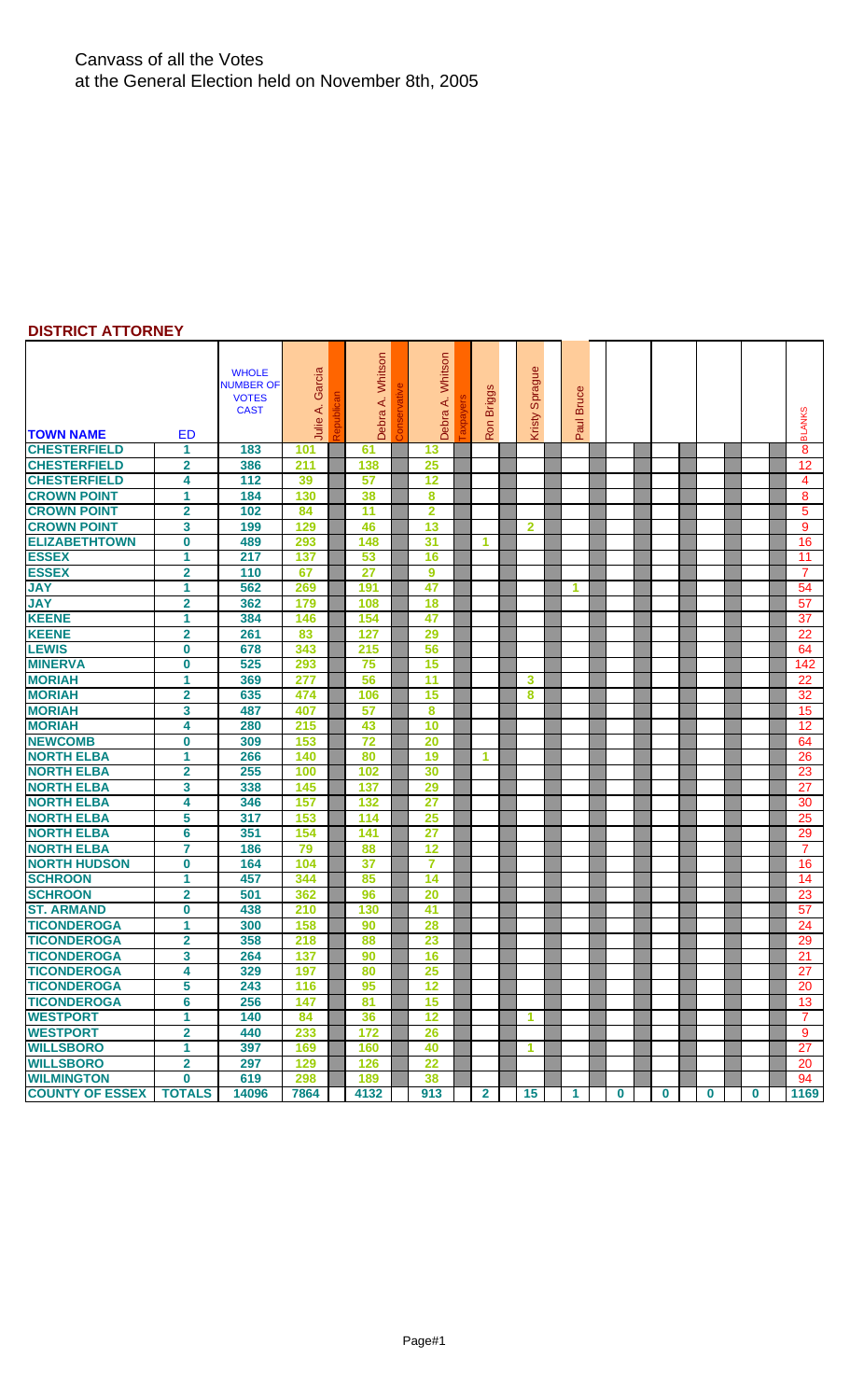## Canvass of all the Votes at the General Election held on November 8th, 2005

### **DISTRICT ATTORNEY**

|                        |                         | <b>WHOLE</b><br><b>NUMBER OF</b><br><b>VOTES</b><br><b>CAST</b> | Garcia<br>Julie A. | Whitson<br>₹<br>Debra | Whitson<br>∢<br>Debra | ဖ<br><b>Briggs</b><br>Ron | Φ<br>Spragu<br>Kristy   | <b>Bruce</b><br>Paul |          |   |          |   | <b>BLANKS</b>  |
|------------------------|-------------------------|-----------------------------------------------------------------|--------------------|-----------------------|-----------------------|---------------------------|-------------------------|----------------------|----------|---|----------|---|----------------|
| <b>TOWN NAME</b>       | <b>ED</b>               |                                                                 |                    |                       |                       |                           |                         |                      |          |   |          |   |                |
| <b>CHESTERFIELD</b>    | 1                       | 183                                                             | 101                | 61                    | 13                    |                           |                         |                      |          |   |          |   | 8              |
| <b>CHESTERFIELD</b>    | $\overline{2}$          | 386                                                             | 211                | 138                   | 25                    |                           |                         |                      |          |   |          |   | 12             |
| <b>CHESTERFIELD</b>    | 4                       | 112                                                             | 39                 | 57                    | 12                    |                           |                         |                      |          |   |          |   | 4              |
| <b>CROWN POINT</b>     | 1                       | 184                                                             | 130                | 38                    | 8                     |                           |                         |                      |          |   |          |   | 8              |
| <b>CROWN POINT</b>     | $\overline{\mathbf{2}}$ | 102                                                             | 84                 | 11                    | $\overline{2}$        |                           |                         |                      |          |   |          |   | 5              |
| <b>CROWN POINT</b>     | 3                       | 199                                                             | 129                | 46                    | 13                    |                           | $\overline{\mathbf{2}}$ |                      |          |   |          |   | 9              |
| <b>ELIZABETHTOWN</b>   | $\bf{0}$                | 489                                                             | 293                | 148                   | 31                    | 1                         |                         |                      |          |   |          |   | 16             |
| <b>ESSEX</b>           | 1                       | 217                                                             | 137                | 53                    | 16                    |                           |                         |                      |          |   |          |   | 11             |
| <b>ESSEX</b>           | $\overline{\mathbf{2}}$ | 110                                                             | 67                 | 27                    | 9                     |                           |                         |                      |          |   |          |   | $\overline{7}$ |
| <b>JAY</b>             | 1                       | 562                                                             | 269                | 191                   | 47                    |                           |                         | 1                    |          |   |          |   | 54             |
| <b>JAY</b>             | $\mathbf{2}$            | 362                                                             | 179                | 108                   | 18                    |                           |                         |                      |          |   |          |   | 57             |
| <b>KEENE</b>           | $\mathbf{1}$            | 384                                                             | 146                | 154                   | 47                    |                           |                         |                      |          |   |          |   | 37             |
| <b>KEENE</b>           | $\overline{2}$          | 261                                                             | 83                 | 127                   | 29                    |                           |                         |                      |          |   |          |   | 22             |
| <b>LEWIS</b>           | $\bf{0}$                | 678                                                             | 343                | 215                   | 56                    |                           |                         |                      |          |   |          |   | 64             |
| <b>MINERVA</b>         | $\bf{0}$                | 525                                                             | 293                | 75                    | 15                    |                           |                         |                      |          |   |          |   | 142            |
| <b>MORIAH</b>          | 1                       | 369                                                             | 277                | 56                    | $\overline{11}$       |                           | 3                       |                      |          |   |          |   | 22             |
| <b>MORIAH</b>          | $\mathbf{2}$            | 635                                                             | 474                | 106                   | 15                    |                           | 8                       |                      |          |   |          |   | 32             |
| <b>MORIAH</b>          | 3                       | 487                                                             | 407                | 57                    | 8                     |                           |                         |                      |          |   |          |   | 15             |
| <b>MORIAH</b>          | 4                       | 280                                                             | 215                | 43                    | 10                    |                           |                         |                      |          |   |          |   | 12             |
| <b>NEWCOMB</b>         | $\bf{0}$                | 309                                                             | 153                | 72                    | 20                    |                           |                         |                      |          |   |          |   | 64             |
| <b>NORTH ELBA</b>      | 1                       | 266                                                             | 140                | 80                    | 19                    | 1                         |                         |                      |          |   |          |   | 26             |
| <b>NORTH ELBA</b>      | $\overline{2}$          | 255                                                             | 100                | 102                   | 30                    |                           |                         |                      |          |   |          |   | 23             |
| <b>NORTH ELBA</b>      | 3                       | 338                                                             | 145                | 137                   | 29                    |                           |                         |                      |          |   |          |   | 27             |
| <b>NORTH ELBA</b>      | 4                       | 346                                                             | 157                | 132                   | 27                    |                           |                         |                      |          |   |          |   | 30             |
| <b>NORTH ELBA</b>      | 5                       | 317                                                             | 153                | 114                   | 25                    |                           |                         |                      |          |   |          |   | 25             |
| <b>NORTH ELBA</b>      | 6                       | 351                                                             | 154                | 141                   | 27                    |                           |                         |                      |          |   |          |   | 29             |
| <b>NORTH ELBA</b>      | 7                       | 186                                                             | 79                 | 88                    | 12                    |                           |                         |                      |          |   |          |   | 7              |
| <b>NORTH HUDSON</b>    | $\bf{0}$                | 164                                                             | 104                | 37                    | $\overline{7}$        |                           |                         |                      |          |   |          |   | 16             |
| <b>SCHROON</b>         | 1                       | 457                                                             | 344                | 85                    | 14                    |                           |                         |                      |          |   |          |   | 14             |
| <b>SCHROON</b>         | $\overline{2}$          | 501                                                             | 362                | 96                    | 20                    |                           |                         |                      |          |   |          |   | 23             |
| <b>ST. ARMAND</b>      | $\bf{0}$                | 438                                                             | 210                | 130                   | 41                    |                           |                         |                      |          |   |          |   | 57             |
| <b>TICONDEROGA</b>     | 1                       | 300                                                             | 158                | 90                    | 28                    |                           |                         |                      |          |   |          |   | 24             |
| <b>TICONDEROGA</b>     | $\mathbf{2}$            | 358                                                             | 218                | 88                    | 23                    |                           |                         |                      |          |   |          |   | 29             |
| <b>TICONDEROGA</b>     | 3                       | 264                                                             | 137                | 90                    | 16                    |                           |                         |                      |          |   |          |   | 21             |
| <b>TICONDEROGA</b>     | 4                       | 329                                                             | 197                | 80                    | 25                    |                           |                         |                      |          |   |          |   | 27             |
| <b>TICONDEROGA</b>     | 5                       | 243                                                             | 116                | 95                    | 12                    |                           |                         |                      |          |   |          |   | 20             |
| <b>TICONDEROGA</b>     | 6                       | 256                                                             | 147                | 81                    | 15                    |                           |                         |                      |          |   |          |   | 13             |
| <b>WESTPORT</b>        | 1                       | 140                                                             | 84                 | 36                    | 12                    |                           | 1                       |                      |          |   |          |   | 7              |
| <b>WESTPORT</b>        | $\overline{\mathbf{2}}$ | 440                                                             | 233                | 172                   | 26                    |                           |                         |                      |          |   |          |   | 9              |
| <b>WILLSBORO</b>       | 1.                      | 397                                                             | 169                | 160                   | 40                    |                           | 1                       |                      |          |   |          |   | 27             |
| <b>WILLSBORO</b>       | $\overline{\mathbf{2}}$ | 297                                                             | 129                | 126                   | $\overline{22}$       |                           |                         |                      |          |   |          |   | 20             |
| <b>WILMINGTON</b>      | $\bf{0}$                | 619                                                             | 298                | 189                   | 38                    |                           |                         |                      |          |   |          |   | 94             |
| <b>COUNTY OF ESSEX</b> | <b>TOTALS</b>           | 14096                                                           | 7864               | 4132                  | 913                   | $\mathbf{2}$              | 15                      | 1.                   | $\bf{0}$ | 0 | $\bf{0}$ | 0 | 1169           |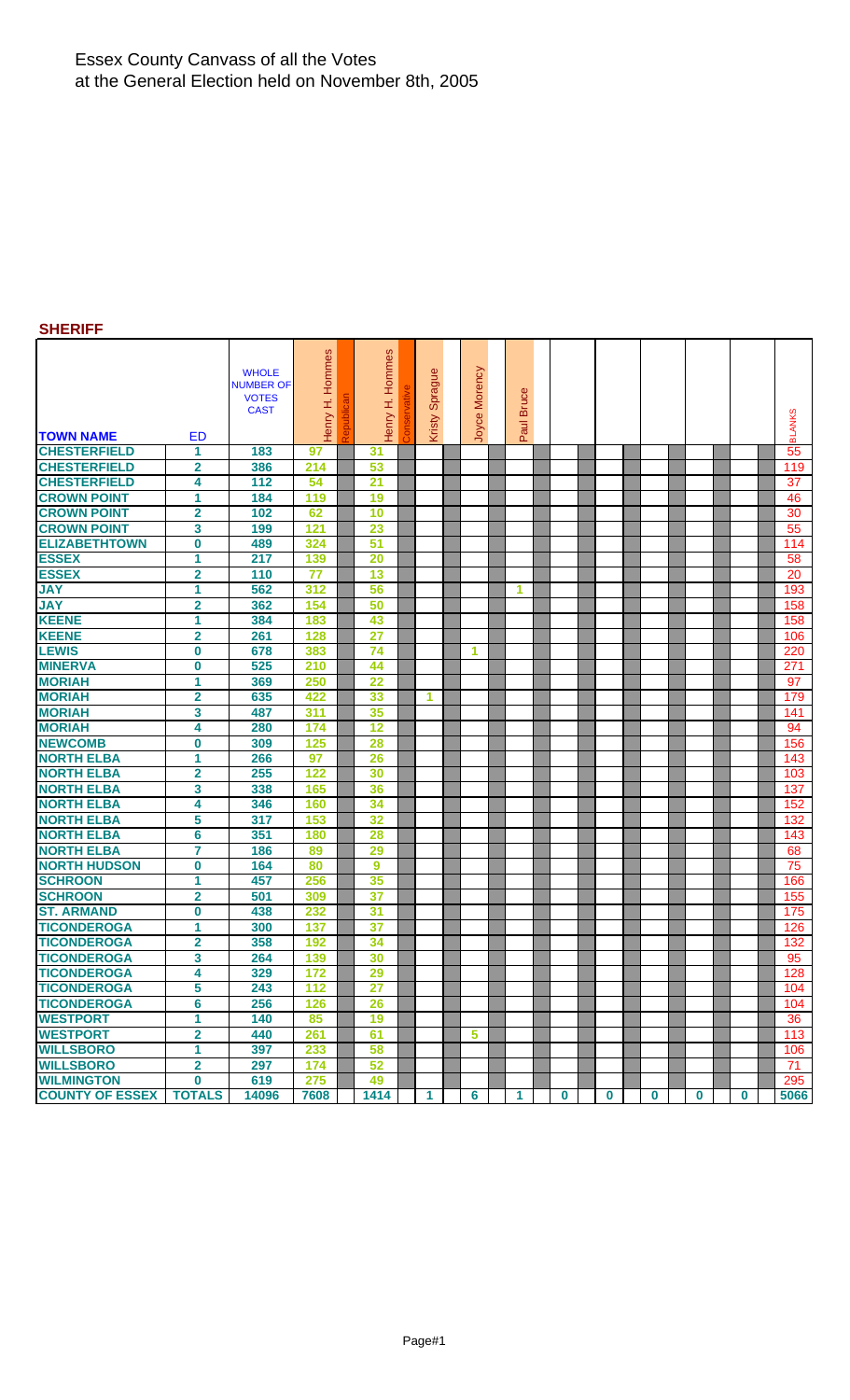### Essex County Canvass of all the Votes at the General Election held on November 8th, 2005

## **SHERIFF**

| <b>TOWN NAME</b>       | ED                      | <b>WHOLE</b><br>NUMBER OF<br><b>VOTES</b><br><b>CAST</b> | Henry H. Hommes | Hommes<br>Henry H. | Sprague<br>Kristy | Morency<br>Joyce | <b>Bruce</b><br>lure, |          |          |          |          |              | <b>BLANKS</b> |
|------------------------|-------------------------|----------------------------------------------------------|-----------------|--------------------|-------------------|------------------|-----------------------|----------|----------|----------|----------|--------------|---------------|
| <b>CHESTERFIELD</b>    | 1                       | 183                                                      | 97              | 31                 |                   |                  | ௳                     |          |          |          |          |              | 55            |
| <b>CHESTERFIELD</b>    | $\mathbf{2}$            | 386                                                      | 214             | 53                 |                   |                  |                       |          |          |          |          |              | 119           |
| <b>CHESTERFIELD</b>    | 4                       | 112                                                      | 54              | $\overline{21}$    |                   |                  |                       |          |          |          |          |              | 37            |
| <b>CROWN POINT</b>     | 1                       | 184                                                      | 119             | 19                 |                   |                  |                       |          |          |          |          |              | 46            |
| <b>CROWN POINT</b>     | $\overline{\mathbf{2}}$ | 102                                                      | 62              | 10                 |                   |                  |                       |          |          |          |          |              | 30            |
| <b>CROWN POINT</b>     | 3                       | 199                                                      | 121             | 23                 |                   |                  |                       |          |          |          |          |              | 55            |
| <b>ELIZABETHTOWN</b>   | $\bf{0}$                | 489                                                      | 324             | 51                 |                   |                  |                       |          |          |          |          |              | 114           |
| <b>ESSEX</b>           | 1                       | 217                                                      | 139             | 20                 |                   |                  |                       |          |          |          |          |              | 58            |
| <b>ESSEX</b>           | $\overline{2}$          | 110                                                      | 77              | 13                 |                   |                  |                       |          |          |          |          |              | 20            |
| <b>JAY</b>             | 1                       | 562                                                      | 312             | 56                 |                   |                  | 1                     |          |          |          |          |              | 193           |
| <b>JAY</b>             | $\overline{2}$          | 362                                                      | 154             | 50                 |                   |                  |                       |          |          |          |          |              | 158           |
| <b>KEENE</b>           | 1                       | 384                                                      | 183             | 43                 |                   |                  |                       |          |          |          |          |              | 158           |
| <b>KEENE</b>           | $\overline{2}$          | 261                                                      | 128             | 27                 |                   |                  |                       |          |          |          |          |              | 106           |
| <b>LEWIS</b>           | $\bf{0}$                | 678                                                      | 383             | 74                 |                   | 1                |                       |          |          |          |          |              | 220           |
| <b>MINERVA</b>         | $\bf{0}$                | 525                                                      | 210             | 44                 |                   |                  |                       |          |          |          |          |              | 271           |
| <b>MORIAH</b>          | 1                       | 369                                                      | 250             | 22                 |                   |                  |                       |          |          |          |          |              | 97            |
| <b>MORIAH</b>          | $\overline{\mathbf{2}}$ | 635                                                      | 422             | 33                 | 1                 |                  |                       |          |          |          |          |              | 179           |
| <b>MORIAH</b>          | 3                       | 487                                                      | 311             | 35                 |                   |                  |                       |          |          |          |          |              | 141           |
| <b>MORIAH</b>          | 4                       | 280                                                      | 174             | 12                 |                   |                  |                       |          |          |          |          |              | 94            |
| <b>NEWCOMB</b>         | $\bf{0}$                | 309                                                      | 125             | 28                 |                   |                  |                       |          |          |          |          |              | 156           |
| <b>NORTH ELBA</b>      | 1                       | 266                                                      | 97              | 26                 |                   |                  |                       |          |          |          |          |              | 143           |
| <b>NORTH ELBA</b>      | $\overline{2}$          | 255                                                      | 122             | 30                 |                   |                  |                       |          |          |          |          |              | 103           |
| <b>NORTH ELBA</b>      | 3                       | 338                                                      | 165             | 36                 |                   |                  |                       |          |          |          |          |              | 137           |
| <b>NORTH ELBA</b>      | 4                       | 346                                                      | 160             | 34                 |                   |                  |                       |          |          |          |          |              | 152           |
| <b>NORTH ELBA</b>      | 5                       | 317                                                      | 153             | 32                 |                   |                  |                       |          |          |          |          |              | 132           |
| <b>NORTH ELBA</b>      | 6                       | 351                                                      | 180             | 28                 |                   |                  |                       |          |          |          |          |              | 143           |
| <b>NORTH ELBA</b>      | $\overline{7}$          | 186                                                      | 89              | 29                 |                   |                  |                       |          |          |          |          |              | 68            |
| <b>NORTH HUDSON</b>    | $\bf{0}$                | 164                                                      | 80              | 9                  |                   |                  |                       |          |          |          |          |              | 75            |
| <b>SCHROON</b>         | 1                       | 457                                                      | 256             | 35                 |                   |                  |                       |          |          |          |          |              | 166           |
| <b>SCHROON</b>         | $\overline{2}$          | 501                                                      | 309             | 37                 |                   |                  |                       |          |          |          |          |              | 155           |
| <b>ST. ARMAND</b>      | $\bf{0}$                | 438                                                      | 232             | 31                 |                   |                  |                       |          |          |          |          |              | 175           |
| <b>TICONDEROGA</b>     | 1                       | 300                                                      | 137             | 37                 |                   |                  |                       |          |          |          |          |              | 126           |
| <b>TICONDEROGA</b>     | $\overline{2}$          | 358                                                      | 192             | 34                 |                   |                  |                       |          |          |          |          |              | 132           |
| <b>TICONDEROGA</b>     | 3                       | 264                                                      | 139             | 30                 |                   |                  |                       |          |          |          |          |              | 95            |
| <b>TICONDEROGA</b>     | 4                       | 329                                                      | 172             | 29                 |                   |                  |                       |          |          |          |          |              | 128           |
| <b>TICONDEROGA</b>     | 5                       | 243                                                      | 112             | 27                 |                   |                  |                       |          |          |          |          |              | 104           |
| <b>TICONDEROGA</b>     | 6                       | 256                                                      | 126             | 26                 |                   |                  |                       |          |          |          |          |              | 104           |
| <b>WESTPORT</b>        | 1                       | 140                                                      | 85              | 19                 |                   |                  |                       |          |          |          |          |              | 36            |
| <b>WESTPORT</b>        | $\mathbf 2$             | 440                                                      | 261             | 61                 |                   | 5                |                       |          |          |          |          |              | 113           |
| <b>WILLSBORO</b>       | 1                       | 397                                                      | 233             | 58                 |                   |                  |                       |          |          |          |          |              | 106           |
| <b>WILLSBORO</b>       | $\overline{2}$          | 297                                                      | 174             | 52                 |                   |                  |                       |          |          |          |          |              | 71            |
| <b>WILMINGTON</b>      | $\bf{0}$                | 619                                                      | 275             | 49                 |                   |                  |                       |          |          |          |          |              | 295           |
| <b>COUNTY OF ESSEX</b> | <b>TOTALS</b>           | 14096                                                    | 7608            | 1414               | 1                 | $6\phantom{a}$   | $\mathbf{1}$          | $\bf{0}$ | $\bf{0}$ | $\bf{0}$ | $\bf{0}$ | $\mathbf{0}$ | 5066          |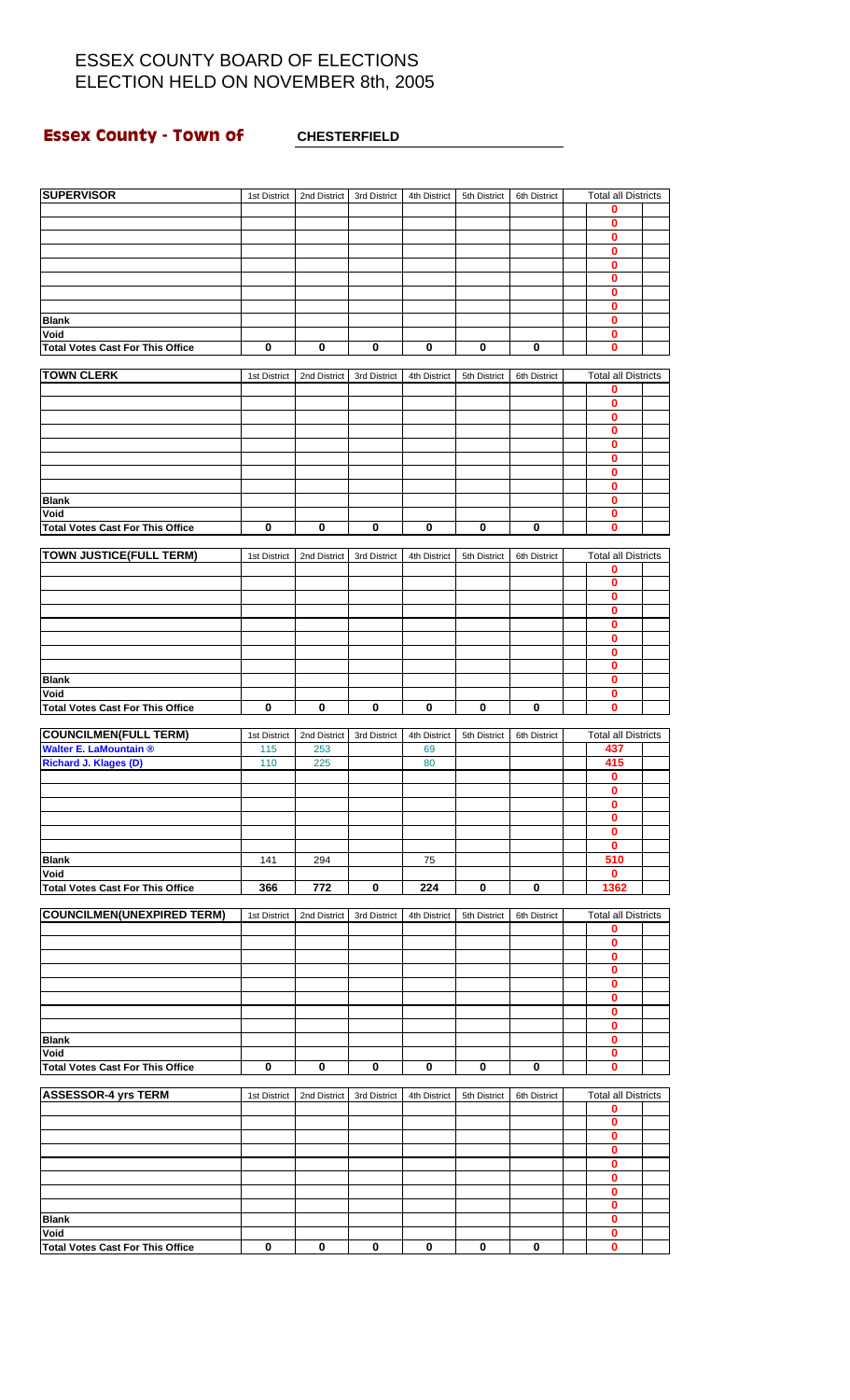# **Essex County - Town of CHESTERFIELD**

| <b>SUPERVISOR</b>                       | 1st District | 2nd District | 3rd District | 4th District | 5th District | 6th District | <b>Total all Districts</b> |  |
|-----------------------------------------|--------------|--------------|--------------|--------------|--------------|--------------|----------------------------|--|
|                                         |              |              |              |              |              |              | 0<br>0                     |  |
|                                         |              |              |              |              |              |              | $\bf{0}$                   |  |
|                                         |              |              |              |              |              |              |                            |  |
|                                         |              |              |              |              |              |              | $\bf{0}$                   |  |
|                                         |              |              |              |              |              |              | $\bf{0}$                   |  |
|                                         |              |              |              |              |              |              | $\bf{0}$                   |  |
|                                         |              |              |              |              |              |              | $\bf{0}$                   |  |
|                                         |              |              |              |              |              |              | 0                          |  |
| <b>Blank</b>                            |              |              |              |              |              |              | $\mathbf{0}$               |  |
| Void                                    |              |              |              |              |              |              | $\mathbf{0}$               |  |
| <b>Total Votes Cast For This Office</b> | 0            | 0            | 0            | 0            | 0            | 0            | 0                          |  |
|                                         |              |              |              |              |              |              |                            |  |
| <b>TOWN CLERK</b>                       | 1st District | 2nd District | 3rd District | 4th District | 5th District | 6th District | <b>Total all Districts</b> |  |
|                                         |              |              |              |              |              |              | 0                          |  |
|                                         |              |              |              |              |              |              | $\bf{0}$                   |  |
|                                         |              |              |              |              |              |              | $\overline{\mathbf{0}}$    |  |
|                                         |              |              |              |              |              |              | $\bf{0}$                   |  |
|                                         |              |              |              |              |              |              | $\bf{0}$                   |  |
|                                         |              |              |              |              |              |              | $\mathbf 0$                |  |
|                                         |              |              |              |              |              |              | $\bf{0}$                   |  |
|                                         |              |              |              |              |              |              | $\bf{0}$                   |  |
| <b>Blank</b>                            |              |              |              |              |              |              | $\bf{0}$                   |  |
| Void                                    |              |              |              |              |              |              | $\mathbf 0$                |  |
| <b>Total Votes Cast For This Office</b> | 0            | 0            | 0            | 0            | 0            | 0            | $\bf{0}$                   |  |
|                                         |              |              |              |              |              |              |                            |  |
| <b>TOWN JUSTICE(FULL TERM)</b>          | 1st District | 2nd District | 3rd District | 4th District | 5th District | 6th District | <b>Total all Districts</b> |  |
|                                         |              |              |              |              |              |              | 0                          |  |
|                                         |              |              |              |              |              |              | $\bf{0}$                   |  |
|                                         |              |              |              |              |              |              | $\bf{0}$                   |  |
|                                         |              |              |              |              |              |              | $\bf{0}$                   |  |
|                                         |              |              |              |              |              |              | $\bf{0}$                   |  |
|                                         |              |              |              |              |              |              | $\mathbf 0$                |  |
|                                         |              |              |              |              |              |              | $\bf{0}$                   |  |
|                                         |              |              |              |              |              |              | $\bf{0}$                   |  |
| <b>Blank</b>                            |              |              |              |              |              |              | $\mathbf{0}$               |  |
| Void                                    |              |              |              |              |              |              | 0                          |  |
| <b>Total Votes Cast For This Office</b> | $\mathbf 0$  | $\bf{0}$     | $\bf{0}$     | 0            | $\bf{0}$     | $\bf{0}$     | $\mathbf{0}$               |  |
|                                         |              |              |              |              |              |              |                            |  |
| <b>COUNCILMEN(FULL TERM)</b>            | 1st District | 2nd District | 3rd District | 4th District | 5th District | 6th District | <b>Total all Districts</b> |  |
| <b>Walter E. LaMountain ®</b>           | 115          | 253          |              | 69           |              |              | 437                        |  |
| Richard J. Klages (D)                   | 110          | 225          |              | 80           |              |              | 415                        |  |
|                                         |              |              |              |              |              |              | $\bf{0}$                   |  |
|                                         |              |              |              |              |              |              | $\bf{0}$                   |  |
|                                         |              |              |              |              |              |              | v                          |  |
|                                         |              |              |              |              |              |              | $\bf{0}$                   |  |
|                                         |              |              |              |              |              |              | 0                          |  |
|                                         |              |              |              |              |              |              | $\mathbf 0$                |  |
| <b>Blank</b>                            | 141          | 294          |              | 75           |              |              | 510                        |  |
| Void                                    |              |              |              |              |              |              | 0                          |  |
| <b>Total Votes Cast For This Office</b> | 366          | 772          | 0            | 224          | 0            | 0            | 1362                       |  |
|                                         |              |              |              |              |              |              |                            |  |
| <b>COUNCILMEN(UNEXPIRED TERM)</b>       | 1st District | 2nd District | 3rd District | 4th District | 5th District | 6th District | <b>Total all Districts</b> |  |
|                                         |              |              |              |              |              |              | 0                          |  |
|                                         |              |              |              |              |              |              | $\mathbf 0$                |  |
|                                         |              |              |              |              |              |              | 0                          |  |
|                                         |              |              |              |              |              |              | $\pmb{0}$                  |  |
|                                         |              |              |              |              |              |              | 0                          |  |
|                                         |              |              |              |              |              |              |                            |  |
|                                         |              |              |              |              |              |              | $\bf{0}$<br>$\bf{0}$       |  |
|                                         |              |              |              |              |              |              | $\pmb{0}$                  |  |
|                                         |              |              |              |              |              |              |                            |  |
| <b>Blank</b>                            |              |              |              |              |              |              | 0                          |  |
| Void                                    |              |              |              |              |              |              | $\mathbf{0}$               |  |
| <b>Total Votes Cast For This Office</b> | $\bf{0}$     | $\mathbf 0$  | $\bf{0}$     | $\mathbf 0$  | $\bf{0}$     | $\mathbf 0$  | $\mathbf{0}$               |  |
|                                         |              |              |              |              |              |              |                            |  |
| <b>ASSESSOR-4 yrs TERM</b>              | 1st District | 2nd District | 3rd District | 4th District | 5th District | 6th District | <b>Total all Districts</b> |  |
|                                         |              |              |              |              |              |              | 0                          |  |
|                                         |              |              |              |              |              |              | 0                          |  |
|                                         |              |              |              |              |              |              | $\bf{0}$                   |  |
|                                         |              |              |              |              |              |              | $\mathbf 0$                |  |
|                                         |              |              |              |              |              |              | 0                          |  |
|                                         |              |              |              |              |              |              | $\bf{0}$                   |  |
|                                         |              |              |              |              |              |              | $\mathbf 0$                |  |
|                                         |              |              |              |              |              |              | $\mathbf 0$                |  |
| <b>Blank</b>                            |              |              |              |              |              |              | $\mathbf{0}$               |  |
| Void                                    |              |              |              |              |              |              | $\pmb{0}$                  |  |
| <b>Total Votes Cast For This Office</b> | $\bf{0}$     | $\pmb{0}$    | $\bf{0}$     | $\bf{0}$     | 0            | $\bf{0}$     | $\mathbf{0}$               |  |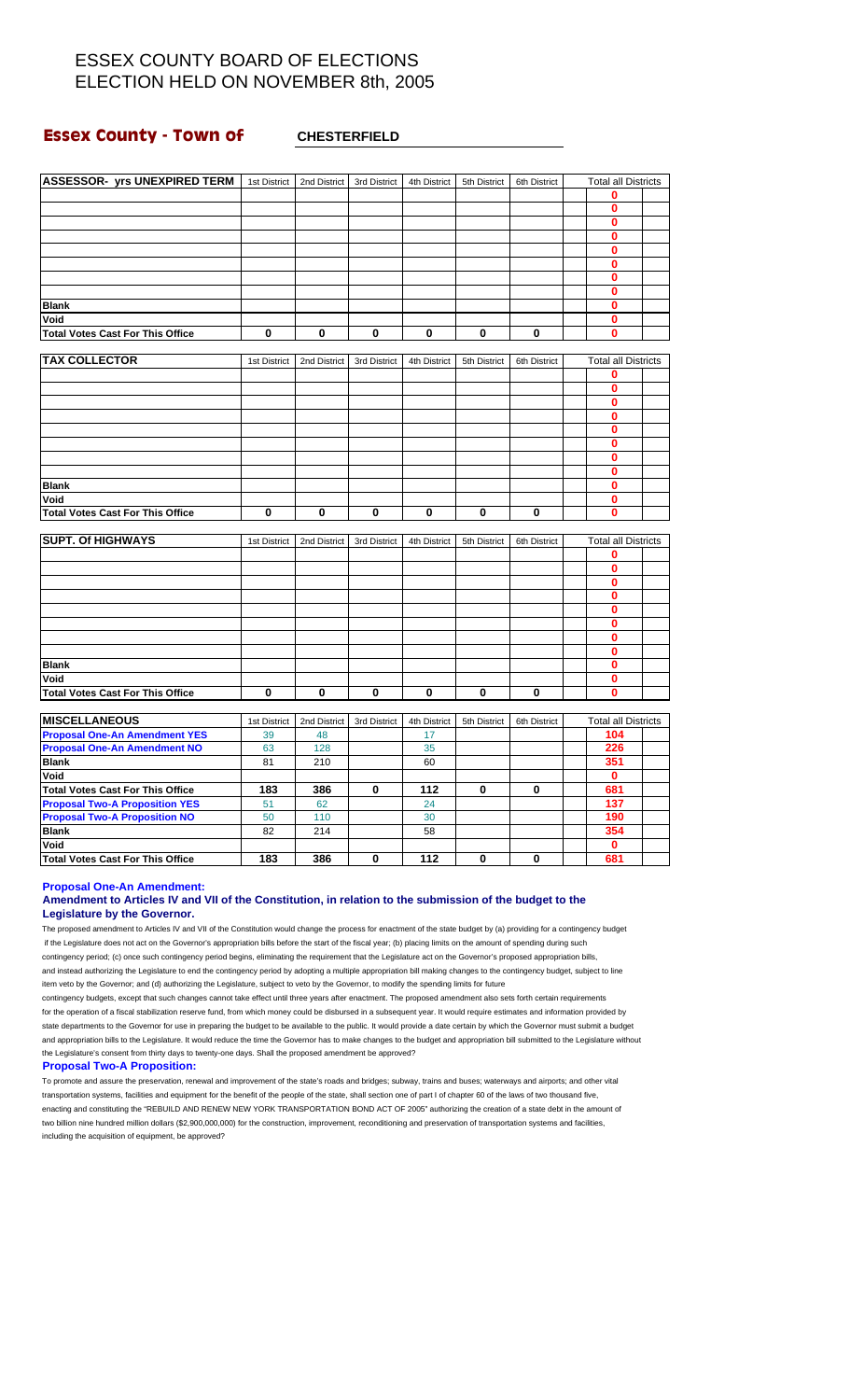### **Essex County - Town of CHESTERFIELD**

| <b>ASSESSOR- yrs UNEXPIRED TERM</b>     | 1st District | 2nd District | 3rd District | 4th District | 5th District | 6th District | <b>Total all Districts</b> |  |
|-----------------------------------------|--------------|--------------|--------------|--------------|--------------|--------------|----------------------------|--|
|                                         |              |              |              |              |              |              | 0                          |  |
|                                         |              |              |              |              |              |              | $\mathbf{0}$               |  |
|                                         |              |              |              |              |              |              | $\mathbf{0}$               |  |
|                                         |              |              |              |              |              |              | $\bf{0}$                   |  |
|                                         |              |              |              |              |              |              | $\bf{0}$                   |  |
|                                         |              |              |              |              |              |              | $\mathbf 0$                |  |
|                                         |              |              |              |              |              |              | $\mathbf 0$                |  |
|                                         |              |              |              |              |              |              | $\bf{0}$                   |  |
| <b>Blank</b>                            |              |              |              |              |              |              | $\bf{0}$                   |  |
| Void                                    |              |              |              |              |              |              | $\bf{0}$                   |  |
| <b>Total Votes Cast For This Office</b> | $\mathbf 0$  | 0            | $\bf{0}$     | 0            | $\mathbf 0$  | 0            | $\bf{0}$                   |  |
|                                         |              |              |              |              |              |              |                            |  |
| <b>TAX COLLECTOR</b>                    | 1st District | 2nd District | 3rd District | 4th District | 5th District | 6th District | <b>Total all Districts</b> |  |
|                                         |              |              |              |              |              |              | 0                          |  |
|                                         |              |              |              |              |              |              | $\mathbf 0$                |  |
|                                         |              |              |              |              |              |              | 0                          |  |
|                                         |              |              |              |              |              |              | 0                          |  |
|                                         |              |              |              |              |              |              | 0                          |  |
|                                         |              |              |              |              |              |              | $\bf{0}$                   |  |
|                                         |              |              |              |              |              |              | 0                          |  |
|                                         |              |              |              |              |              |              | 0                          |  |
| <b>Blank</b>                            |              |              |              |              |              |              | 0                          |  |
| Void                                    |              |              |              |              |              |              | $\mathbf{0}$               |  |
| <b>Total Votes Cast For This Office</b> | $\mathbf{0}$ | 0            | 0            | 0            | $\bf{0}$     | $\mathbf{0}$ | $\mathbf{0}$               |  |
| <b>SUPT. Of HIGHWAYS</b>                | 1st District | 2nd District | 3rd District | 4th District | 5th District | 6th District | <b>Total all Districts</b> |  |
|                                         |              |              |              |              |              |              | $\bf{0}$                   |  |
|                                         |              |              |              |              |              |              | $\mathbf 0$                |  |
|                                         |              |              |              |              |              |              | $\bf{0}$                   |  |
|                                         |              |              |              |              |              |              | $\bf{0}$                   |  |
|                                         |              |              |              |              |              |              | $\bf{0}$                   |  |
|                                         |              |              |              |              |              |              | $\bf{0}$                   |  |
|                                         |              |              |              |              |              |              | 0                          |  |
|                                         |              |              |              |              |              |              | $\mathbf 0$                |  |
| <b>Blank</b>                            |              |              |              |              |              |              | 0                          |  |
| Void                                    |              |              |              |              |              |              | 0                          |  |
| <b>Total Votes Cast For This Office</b> | 0            | 0            | 0            | 0            | 0            | 0            | 0                          |  |
| <b>MISCELLANEOUS</b>                    | 1st District | 2nd District | 3rd District | 4th District | 5th District | 6th District | <b>Total all Districts</b> |  |
| <b>Proposal One-An Amendment YES</b>    | 39           | 48           |              | 17           |              |              | 104                        |  |
| <b>Proposal One-An Amendment NO</b>     | 63           | 128          |              | 35           |              |              | 226                        |  |
| <b>Blank</b>                            | 81           | 210          |              | 60           |              |              | 351                        |  |
| Void                                    |              |              |              |              |              |              | $\mathbf 0$                |  |
| <b>Total Votes Cast For This Office</b> | 183          | 386          | 0            | 112          | $\bf{0}$     | $\mathbf{0}$ | 681                        |  |
| <b>Proposal Two-A Proposition YES</b>   | 51           | 62           |              | 24           |              |              | 137                        |  |
| <b>Proposal Two-A Proposition NO</b>    | 50           | 110          |              | 30           |              |              | 190                        |  |
| <b>Blank</b>                            | 82           | 214          |              | 58           |              |              | 354                        |  |
| Void                                    |              |              |              |              |              |              | $\mathbf 0$                |  |
| <b>Total Votes Cast For This Office</b> | 183          | 386          | 0            | 112          | 0            | 0            | 681                        |  |
|                                         |              |              |              |              |              |              |                            |  |

**Proposal One-An Amendment:**

### **Amendment to Articles IV and VII of the Constitution, in relation to the submission of the budget to the Legislature by the Governor.**

The proposed amendment to Articles IV and VII of the Constitution would change the process for enactment of the state budget by (a) providing for a contingency budget if the Legislature does not act on the Governor's appropriation bills before the start of the fiscal year; (b) placing limits on the amount of spending during such contingency period; (c) once such contingency period begins, eliminating the requirement that the Legislature act on the Governor's proposed appropriation bills, and instead authorizing the Legislature to end the contingency period by adopting a multiple appropriation bill making changes to the contingency budget, subject to line item veto by the Governor; and (d) authorizing the Legislature, subject to veto by the Governor, to modify the spending limits for future

contingency budgets, except that such changes cannot take effect until three years after enactment. The proposed amendment also sets forth certain requirements for the operation of a fiscal stabilization reserve fund, from which money could be disbursed in a subsequent year. It would require estimates and information provided by state departments to the Governor for use in preparing the budget to be available to the public. It would provide a date certain by which the Governor must submit a budget and appropriation bills to the Legislature. It would reduce the time the Governor has to make changes to the budget and appropriation bill submitted to the Legislature without the Legislature's consent from thirty days to twenty-one days. Shall the proposed amendment be approved?

#### **Proposal Two-A Proposition:**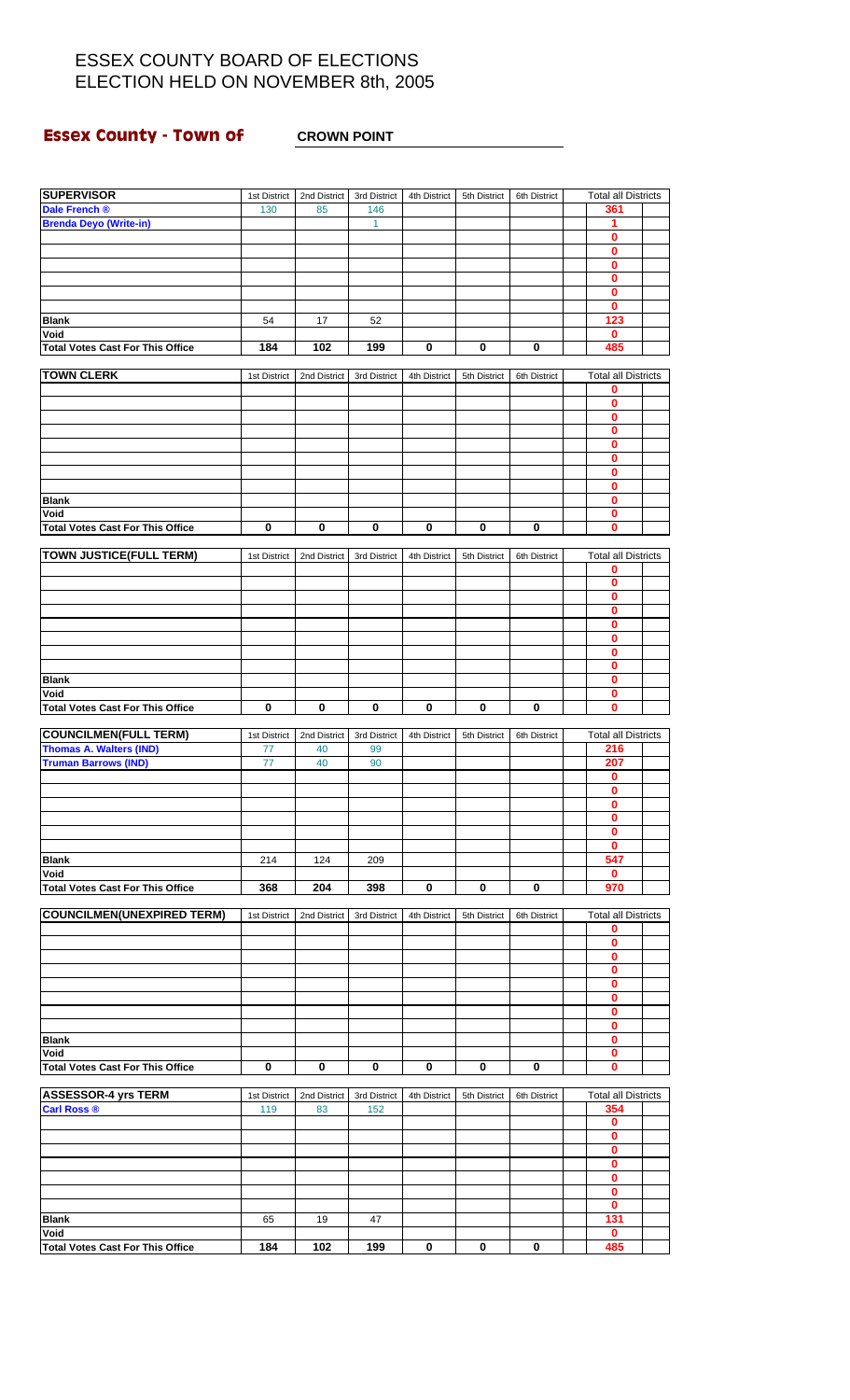# **Essex County - Town of CROWN POINT**

| <b>SUPERVISOR</b>                       | 1st District | 2nd District | 3rd District | 4th District | 5th District | 6th District | <b>Total all Districts</b> |  |
|-----------------------------------------|--------------|--------------|--------------|--------------|--------------|--------------|----------------------------|--|
| Dale French ®                           | 130          | 85           | 146          |              |              |              | 361                        |  |
| <b>Brenda Deyo (Write-in)</b>           |              |              | 1            |              |              |              | 1                          |  |
|                                         |              |              |              |              |              |              | $\bf{0}$                   |  |
|                                         |              |              |              |              |              |              | 0                          |  |
|                                         |              |              |              |              |              |              | $\bf{0}$                   |  |
|                                         |              |              |              |              |              |              | $\mathbf 0$                |  |
|                                         |              |              |              |              |              |              | $\mathbf 0$                |  |
|                                         |              |              |              |              |              |              | $\bf{0}$                   |  |
| <b>Blank</b>                            | 54           | 17           | 52           |              |              |              | 123                        |  |
| Void                                    |              |              |              |              |              |              | $\mathbf 0$                |  |
| <b>Total Votes Cast For This Office</b> | 184          | 102          | 199          | 0            | 0            | 0            | 485                        |  |
|                                         |              |              |              |              |              |              |                            |  |
| <b>TOWN CLERK</b>                       | 1st District | 2nd District | 3rd District | 4th District | 5th District | 6th District | <b>Total all Districts</b> |  |
|                                         |              |              |              |              |              |              | 0                          |  |
|                                         |              |              |              |              |              |              | 0                          |  |
|                                         |              |              |              |              |              |              | $\overline{\mathbf{0}}$    |  |
|                                         |              |              |              |              |              |              | $\bf{0}$                   |  |
|                                         |              |              |              |              |              |              | $\bf{0}$                   |  |
|                                         |              |              |              |              |              |              | $\bf{0}$                   |  |
|                                         |              |              |              |              |              |              | $\bf{0}$                   |  |
|                                         |              |              |              |              |              |              | 0                          |  |
| <b>Blank</b>                            |              |              |              |              |              |              | $\pmb{0}$                  |  |
| Void                                    |              |              |              |              |              |              | $\overline{\mathbf{0}}$    |  |
| <b>Total Votes Cast For This Office</b> | 0            | 0            | $\pmb{0}$    | 0            | 0            | $\mathbf 0$  | $\mathbf 0$                |  |
|                                         |              |              |              |              |              |              |                            |  |
| <b>TOWN JUSTICE(FULL TERM)</b>          | 1st District | 2nd District | 3rd District | 4th District | 5th District | 6th District | <b>Total all Districts</b> |  |
|                                         |              |              |              |              |              |              | 0                          |  |
|                                         |              |              |              |              |              |              | $\bf{0}$                   |  |
|                                         |              |              |              |              |              |              | $\mathbf 0$                |  |
|                                         |              |              |              |              |              |              | 0                          |  |
|                                         |              |              |              |              |              |              | $\pmb{0}$<br>$\mathbf 0$   |  |
|                                         |              |              |              |              |              |              |                            |  |
|                                         |              |              |              |              |              |              | 0<br>$\bf{0}$              |  |
| <b>Blank</b>                            |              |              |              |              |              |              | $\mathbf{0}$               |  |
| Void                                    |              |              |              |              |              |              | 0                          |  |
| <b>Total Votes Cast For This Office</b> | 0            | $\mathbf 0$  | $\bf{0}$     | 0            | $\bf{0}$     | $\mathbf 0$  | $\mathbf{0}$               |  |
|                                         |              |              |              |              |              |              |                            |  |
| <b>COUNCILMEN(FULL TERM)</b>            | 1st District | 2nd District | 3rd District | 4th District | 5th District | 6th District | <b>Total all Districts</b> |  |
| <b>Thomas A. Walters (IND)</b>          | 77           | 40           | 99           |              |              |              | 216                        |  |
| <b>Truman Barrows (IND)</b>             | 77           | 40           | 90           |              |              |              | 207                        |  |
|                                         |              |              |              |              |              |              | 0                          |  |
|                                         |              |              |              |              |              |              | $\bf{0}$                   |  |
|                                         |              |              |              |              |              |              | $\overline{\mathbf{0}}$    |  |
|                                         |              |              |              |              |              |              | $\mathbf 0$                |  |
|                                         |              |              |              |              |              |              | $\bf{0}$                   |  |
|                                         |              |              |              |              |              |              | 0                          |  |
| <b>Blank</b>                            | 214          | 124          | 209          |              |              |              | 547                        |  |
| Void                                    |              |              |              |              |              |              | 0                          |  |
| <b>Total Votes Cast For This Office</b> | 368          | 204          | 398          | $\mathbf 0$  | 0            | $\mathbf 0$  | 970                        |  |
|                                         |              |              |              |              |              |              |                            |  |
| <b>COUNCILMEN(UNEXPIRED TERM)</b>       | 1st District | 2nd District | 3rd District | 4th District | 5th District | 6th District | <b>Total all Districts</b> |  |
|                                         |              |              |              |              |              |              | 0                          |  |
|                                         |              |              |              |              |              |              | 0                          |  |
|                                         |              |              |              |              |              |              | $\bf{0}$                   |  |
|                                         |              |              |              |              |              |              | $\mathbf 0$                |  |
|                                         |              |              |              |              |              |              | $\mathbf 0$                |  |
|                                         |              |              |              |              |              |              | 0                          |  |
|                                         |              |              |              |              |              |              | $\bf{0}$                   |  |
|                                         |              |              |              |              |              |              | $\mathbf{0}$               |  |
| <b>Blank</b>                            |              |              |              |              |              |              | 0                          |  |
| Void                                    |              |              |              |              |              |              | 0                          |  |
| <b>Total Votes Cast For This Office</b> | 0            | 0            | $\mathbf 0$  | 0            | 0            | $\bf{0}$     | $\mathbf{0}$               |  |
|                                         |              |              |              |              |              |              |                            |  |
| <b>ASSESSOR-4 yrs TERM</b>              | 1st District | 2nd District | 3rd District | 4th District | 5th District | 6th District | <b>Total all Districts</b> |  |
| <b>Carl Ross ®</b>                      | 119          | 83           | 152          |              |              |              | 354                        |  |
|                                         |              |              |              |              |              |              | $\mathbf 0$                |  |
|                                         |              |              |              |              |              |              | 0<br>$\mathbf 0$           |  |
|                                         |              |              |              |              |              |              | $\bf{0}$                   |  |
|                                         |              |              |              |              |              |              | 0                          |  |
|                                         |              |              |              |              |              |              | $\mathbf 0$                |  |
|                                         |              |              |              |              |              |              | $\mathbf{0}$               |  |
| <b>Blank</b>                            | 65           | 19           | 47           |              |              |              | 131                        |  |
| Void                                    |              |              |              |              |              |              | 0                          |  |
| <b>Total Votes Cast For This Office</b> | 184          | 102          | 199          | 0            | 0            | 0            | 485                        |  |
|                                         |              |              |              |              |              |              |                            |  |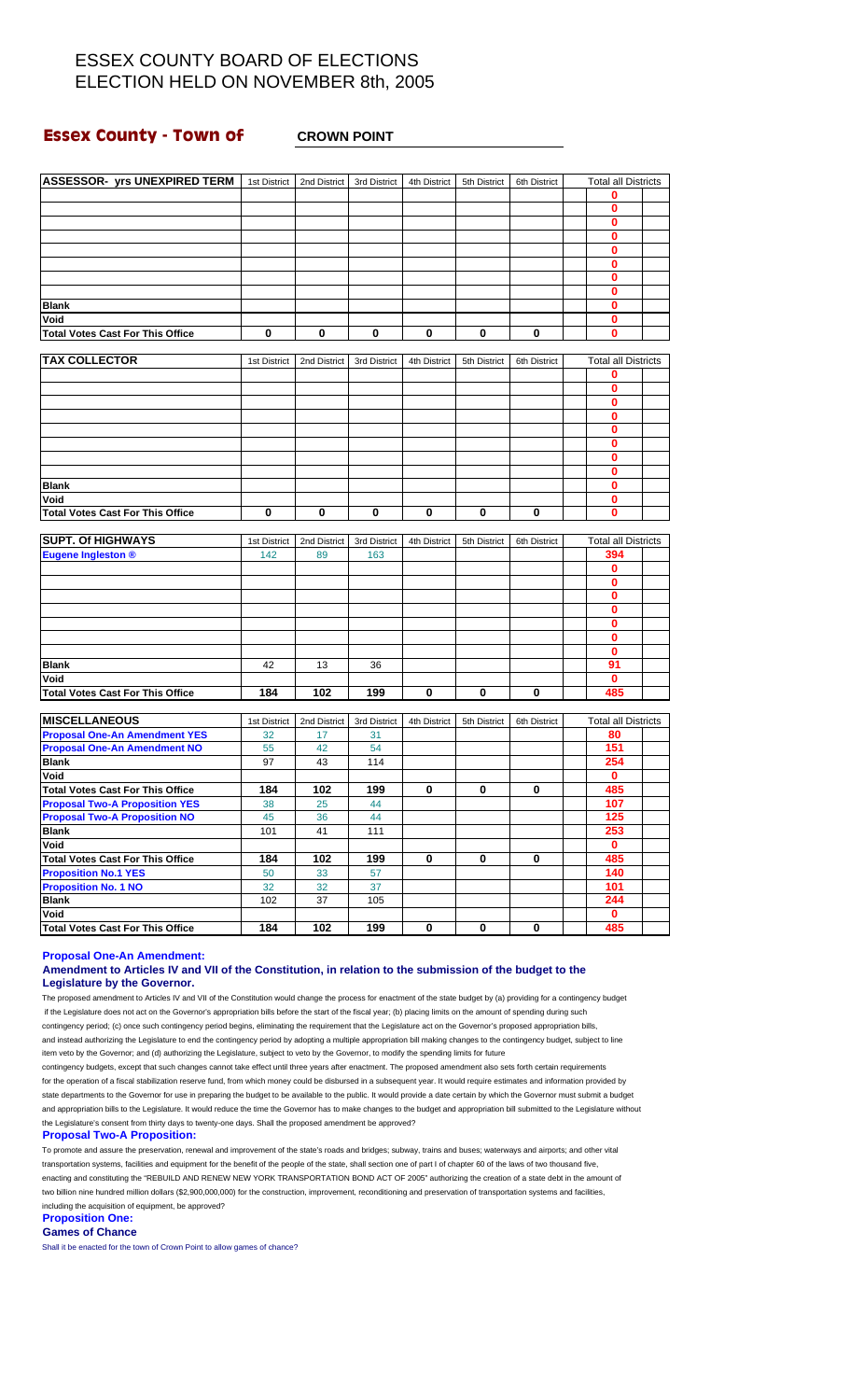### **Essex County - Town of CROWN POINT**

| <b>ASSESSOR- yrs UNEXPIRED TERM</b>                                              | 1st District | 2nd District    | 3rd District | 4th District | 5th District | 6th District | <b>Total all Districts</b> |  |
|----------------------------------------------------------------------------------|--------------|-----------------|--------------|--------------|--------------|--------------|----------------------------|--|
|                                                                                  |              |                 |              |              |              |              | 0                          |  |
|                                                                                  |              |                 |              |              |              |              | 0                          |  |
|                                                                                  |              |                 |              |              |              |              | 0                          |  |
|                                                                                  |              |                 |              |              |              |              | $\bf{0}$                   |  |
|                                                                                  |              |                 |              |              |              |              | $\mathbf 0$                |  |
|                                                                                  |              |                 |              |              |              |              | 0                          |  |
|                                                                                  |              |                 |              |              |              |              | $\bf{0}$                   |  |
|                                                                                  |              |                 |              |              |              |              | 0                          |  |
| <b>Blank</b>                                                                     |              |                 |              |              |              |              | $\mathbf 0$                |  |
| Void                                                                             |              |                 |              |              |              |              | $\bf{0}$                   |  |
|                                                                                  | 0            |                 |              |              |              |              | 0                          |  |
| <b>Total Votes Cast For This Office</b>                                          |              | 0               | 0            | 0            | 0            | 0            |                            |  |
| <b>TAX COLLECTOR</b>                                                             |              |                 |              |              |              |              |                            |  |
|                                                                                  | 1st District | 2nd District    | 3rd District | 4th District | 5th District | 6th District | <b>Total all Districts</b> |  |
|                                                                                  |              |                 |              |              |              |              | 0                          |  |
|                                                                                  |              |                 |              |              |              |              | 0                          |  |
|                                                                                  |              |                 |              |              |              |              | $\bf{0}$                   |  |
|                                                                                  |              |                 |              |              |              |              | 0                          |  |
|                                                                                  |              |                 |              |              |              |              | 0                          |  |
|                                                                                  |              |                 |              |              |              |              | 0                          |  |
|                                                                                  |              |                 |              |              |              |              | $\bf{0}$                   |  |
|                                                                                  |              |                 |              |              |              |              | $\mathbf 0$                |  |
| <b>Blank</b>                                                                     |              |                 |              |              |              |              | 0                          |  |
| Void                                                                             |              |                 |              |              |              |              | $\bf{0}$                   |  |
| <b>Total Votes Cast For This Office</b>                                          | $\bf{0}$     | 0               | $\mathbf 0$  | 0            | 0            | $\mathbf 0$  | 0                          |  |
|                                                                                  |              |                 |              |              |              |              |                            |  |
| <b>SUPT. Of HIGHWAYS</b>                                                         | 1st District | 2nd District    | 3rd District | 4th District | 5th District | 6th District | <b>Total all Districts</b> |  |
| <b>Eugene Ingleston ®</b>                                                        | 142          | 89              | 163          |              |              |              | 394                        |  |
|                                                                                  |              |                 |              |              |              |              | $\mathbf 0$                |  |
|                                                                                  |              |                 |              |              |              |              | 0                          |  |
|                                                                                  |              |                 |              |              |              |              | $\mathbf 0$                |  |
|                                                                                  |              |                 |              |              |              |              | $\bf{0}$                   |  |
|                                                                                  |              |                 |              |              |              |              | 0                          |  |
|                                                                                  |              |                 |              |              |              |              | 0                          |  |
|                                                                                  |              |                 |              |              |              |              | $\bf{0}$                   |  |
| <b>Blank</b>                                                                     | 42           | 13              | 36           |              |              |              | 91                         |  |
| Void                                                                             |              |                 |              |              |              |              | $\mathbf 0$                |  |
| <b>Total Votes Cast For This Office</b>                                          | 184          | 102             | 199          | 0            | 0            | 0            | 485                        |  |
|                                                                                  |              |                 |              |              |              |              |                            |  |
| <b>MISCELLANEOUS</b>                                                             | 1st District | 2nd District    | 3rd District | 4th District | 5th District | 6th District | <b>Total all Districts</b> |  |
| <b>Proposal One-An Amendment YES</b>                                             | 32           | 17              | 31           |              |              |              | 80                         |  |
| <b>Proposal One-An Amendment NO</b>                                              | 55           | 42              | 54           |              |              |              | 151                        |  |
| <b>Blank</b>                                                                     | 97           | 43              | 114          |              |              |              | 254                        |  |
| Void                                                                             |              |                 |              |              |              |              | $\mathbf 0$                |  |
|                                                                                  |              |                 |              |              |              |              |                            |  |
| <b>Total Votes Cast For This Office</b><br><b>Proposal Two-A Proposition YES</b> | 184          | 102             | 199          | 0            | 0            | 0            | 485                        |  |
|                                                                                  | 38           | 25              | 44           |              |              |              | 107                        |  |
| <b>Proposal Two-A Proposition NO</b>                                             | 45           | 36              | 44           |              |              |              | 125                        |  |
| <b>Blank</b>                                                                     | 101          | 41              | 111          |              |              |              | 253                        |  |
| Void                                                                             |              |                 |              |              |              |              | $\mathbf{0}$               |  |
| <b>Total Votes Cast For This Office</b>                                          | 184          | 102             | 199          | $\pmb{0}$    | $\mathbf 0$  | 0            | 485                        |  |
| <b>Proposition No.1 YES</b>                                                      | 50           | 33              | 57           |              |              |              | 140                        |  |
| <b>Proposition No. 1 NO</b>                                                      | 32           | 32              | 37           |              |              |              | 101                        |  |
| <b>Blank</b>                                                                     | 102          | 37              | 105          |              |              |              | 244                        |  |
| Void                                                                             |              |                 |              |              |              |              | 0                          |  |
| <b>Total Votes Cast For This Office</b>                                          | 184          | $\frac{1}{102}$ | 199          | 0            | 0            | $\pmb{0}$    | 485                        |  |

#### **Proposal One-An Amendment:**

#### **Amendment to Articles IV and VII of the Constitution, in relation to the submission of the budget to the Legislature by the Governor.**

The proposed amendment to Articles IV and VII of the Constitution would change the process for enactment of the state budget by (a) providing for a contingency budget if the Legislature does not act on the Governor's appropriation bills before the start of the fiscal year; (b) placing limits on the amount of spending during such contingency period; (c) once such contingency period begins, eliminating the requirement that the Legislature act on the Governor's proposed appropriation bills, and instead authorizing the Legislature to end the contingency period by adopting a multiple appropriation bill making changes to the contingency budget, subject to line item veto by the Governor; and (d) authorizing the Legislature, subject to veto by the Governor, to modify the spending limits for future contingency budgets, except that such changes cannot take effect until three years after enactment. The proposed amendment also sets forth certain requirements

for the operation of a fiscal stabilization reserve fund, from which money could be disbursed in a subsequent year. It would require estimates and information provided by state departments to the Governor for use in preparing the budget to be available to the public. It would provide a date certain by which the Governor must submit a budget and appropriation bills to the Legislature. It would reduce the time the Governor has to make changes to the budget and appropriation bill submitted to the Legislature without the Legislature's consent from thirty days to twenty-one days. Shall the proposed amendment be approved?

**Proposal Two-A Proposition:**

To promote and assure the preservation, renewal and improvement of the state's roads and bridges; subway, trains and buses; waterways and airports; and other vital transportation systems, facilities and equipment for the benefit of the people of the state, shall section one of part I of chapter 60 of the laws of two thousand five, enacting and constituting the "REBUILD AND RENEW NEW YORK TRANSPORTATION BOND ACT OF 2005" authorizing the creation of a state debt in the amount of two billion nine hundred million dollars (\$2,900,000,000) for the construction, improvement, reconditioning and preservation of transportation systems and facilities, including the acquisition of equipment, be approved?

#### **Proposition One:**

**Games of Chance**

Shall it be enacted for the town of Crown Point to allow games of chance?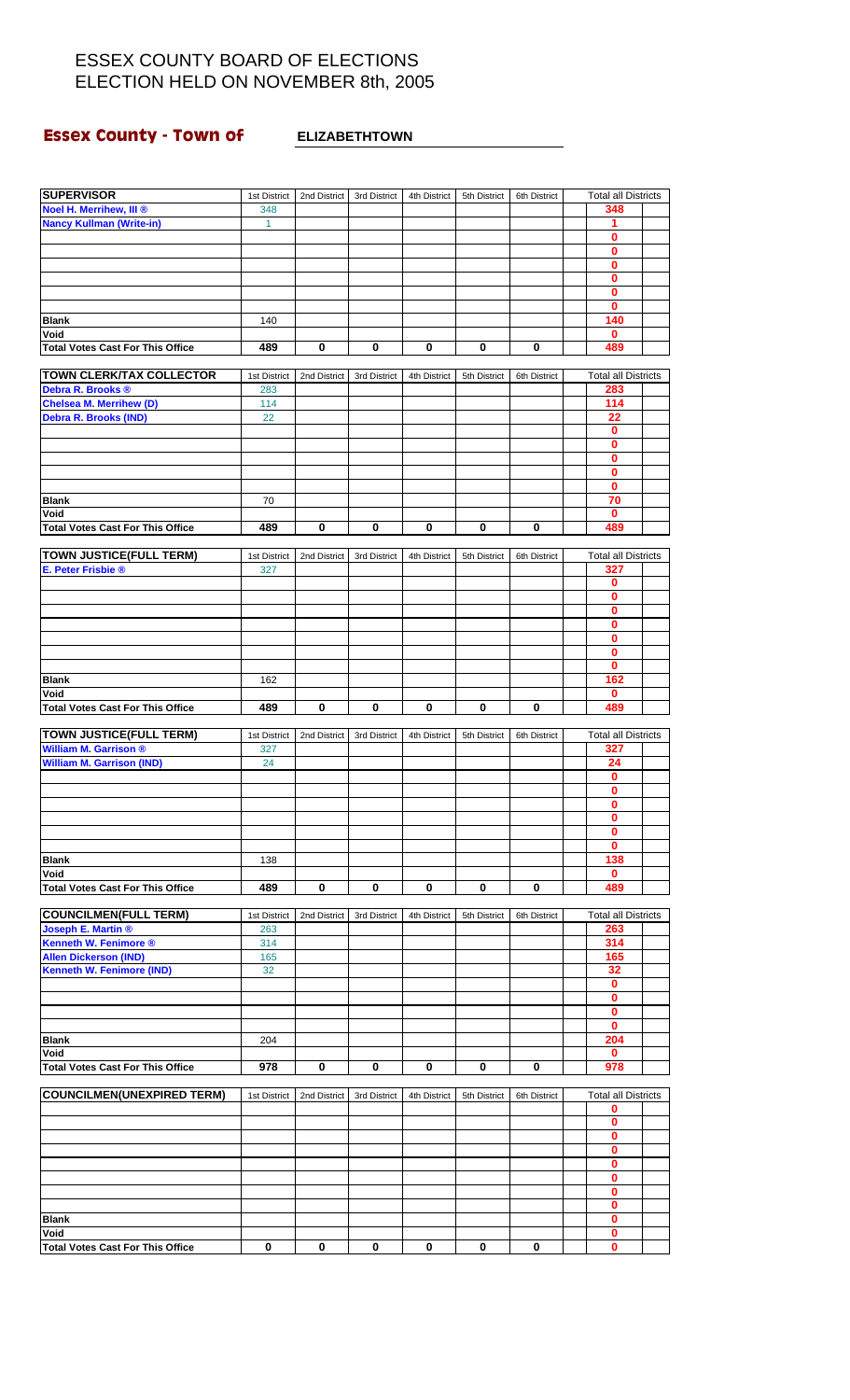# **Essex County - Town of ELIZABETHTOWN**

| <b>SUPERVISOR</b>                                              | 1st District | 2nd District | 3rd District | 4th District | 5th District | 6th District | <b>Total all Districts</b> |  |
|----------------------------------------------------------------|--------------|--------------|--------------|--------------|--------------|--------------|----------------------------|--|
| Noel H. Merrihew, III ®                                        | 348          |              |              |              |              |              | 348                        |  |
| <b>Nancy Kullman (Write-in)</b>                                | $\mathbf{1}$ |              |              |              |              |              | 1<br>0                     |  |
|                                                                |              |              |              |              |              |              | 0                          |  |
|                                                                |              |              |              |              |              |              | 0                          |  |
|                                                                |              |              |              |              |              |              | $\mathbf{0}$               |  |
|                                                                |              |              |              |              |              |              | 0                          |  |
|                                                                |              |              |              |              |              |              | 0                          |  |
| <b>Blank</b>                                                   | 140          |              |              |              |              |              | 140                        |  |
| Void                                                           |              |              |              |              |              |              | 0                          |  |
| <b>Total Votes Cast For This Office</b>                        | 489          | 0            | 0            | 0            | 0            | 0            | 489                        |  |
| <b>TOWN CLERK/TAX COLLECTOR</b>                                | 1st District | 2nd District | 3rd District | 4th District | 5th District | 6th District | <b>Total all Districts</b> |  |
| Debra R. Brooks ®                                              | 283          |              |              |              |              |              | 283                        |  |
| <b>Chelsea M. Merrihew (D)</b>                                 | 114          |              |              |              |              |              | 114                        |  |
| <b>Debra R. Brooks (IND)</b>                                   | 22           |              |              |              |              |              | 22                         |  |
|                                                                |              |              |              |              |              |              | 0                          |  |
|                                                                |              |              |              |              |              |              | 0                          |  |
|                                                                |              |              |              |              |              |              | 0                          |  |
|                                                                |              |              |              |              |              |              | 0<br>$\mathbf 0$           |  |
| <b>Blank</b>                                                   | 70           |              |              |              |              |              | 70                         |  |
| Void                                                           |              |              |              |              |              |              | $\bf{0}$                   |  |
| <b>Total Votes Cast For This Office</b>                        | 489          | $\bf{0}$     | 0            | $\pmb{0}$    | 0            | 0            | 489                        |  |
|                                                                |              |              |              |              |              |              |                            |  |
| <b>TOWN JUSTICE(FULL TERM)</b>                                 | 1st District | 2nd District | 3rd District | 4th District | 5th District | 6th District | <b>Total all Districts</b> |  |
| E. Peter Frisbie ®                                             | 327          |              |              |              |              |              | 327                        |  |
|                                                                |              |              |              |              |              |              | 0<br>0                     |  |
|                                                                |              |              |              |              |              |              | 0                          |  |
|                                                                |              |              |              |              |              |              | 0                          |  |
|                                                                |              |              |              |              |              |              | 0                          |  |
|                                                                |              |              |              |              |              |              | 0                          |  |
|                                                                |              |              |              |              |              |              | 0                          |  |
| <b>Blank</b>                                                   | 162          |              |              |              |              |              | 162                        |  |
| Void<br><b>Total Votes Cast For This Office</b>                | 489          | 0            | 0            | 0            | 0            | 0            | 0<br>489                   |  |
|                                                                |              |              |              |              |              |              |                            |  |
|                                                                |              |              |              |              |              |              |                            |  |
|                                                                | 1st District | 2nd District | 3rd District | 4th District | 5th District | 6th District | <b>Total all Districts</b> |  |
| <b>TOWN JUSTICE(FULL TERM)</b><br><b>William M. Garrison ®</b> | 327          |              |              |              |              |              | 327                        |  |
| <b>William M. Garrison (IND)</b>                               | 24           |              |              |              |              |              | 24                         |  |
|                                                                |              |              |              |              |              |              | $\mathbf 0$                |  |
|                                                                |              |              |              |              |              |              | 0                          |  |
|                                                                |              |              |              |              |              |              | O                          |  |
|                                                                |              |              |              |              |              |              | 0                          |  |
|                                                                |              |              |              |              |              |              | 0                          |  |
| <b>Blank</b>                                                   | 138          |              |              |              |              |              | 0                          |  |
| Void                                                           |              |              |              |              |              |              | 138<br>0                   |  |
| <b>Total Votes Cast For This Office</b>                        | 489          | 0            | 0            | 0            | 0            | 0            | 489                        |  |
|                                                                |              |              |              |              |              |              |                            |  |
| <b>COUNCILMEN(FULL TERM)</b>                                   | 1st District | 2nd District | 3rd District | 4th District | 5th District | 6th District | <b>Total all Districts</b> |  |
| <b>Joseph E. Martin ®</b>                                      | 263          |              |              |              |              |              | 263                        |  |
| <b>Kenneth W. Fenimore ®</b><br><b>Allen Dickerson (IND)</b>   | 314<br>165   |              |              |              |              |              | 314<br>165                 |  |
| <b>Kenneth W. Fenimore (IND)</b>                               | 32           |              |              |              |              |              | 32                         |  |
|                                                                |              |              |              |              |              |              | 0                          |  |
|                                                                |              |              |              |              |              |              | 0                          |  |
|                                                                |              |              |              |              |              |              | 0                          |  |
|                                                                |              |              |              |              |              |              | 0                          |  |
| <b>Blank</b>                                                   | 204          |              |              |              |              |              | 204<br>0                   |  |
| Void<br><b>Total Votes Cast For This Office</b>                | 978          | 0            | 0            | 0            | 0            | 0            | 978                        |  |
|                                                                |              |              |              |              |              |              |                            |  |
| COUNCILMEN(UNEXPIRED TERM)                                     | 1st District | 2nd District | 3rd District | 4th District | 5th District | 6th District | <b>Total all Districts</b> |  |
|                                                                |              |              |              |              |              |              | 0                          |  |
|                                                                |              |              |              |              |              |              | 0<br>0                     |  |
|                                                                |              |              |              |              |              |              | 0                          |  |
|                                                                |              |              |              |              |              |              | 0                          |  |
|                                                                |              |              |              |              |              |              | 0                          |  |
|                                                                |              |              |              |              |              |              | 0                          |  |
|                                                                |              |              |              |              |              |              | 0                          |  |
| <b>Blank</b>                                                   |              |              |              |              |              |              | 0                          |  |
| Void<br><b>Total Votes Cast For This Office</b>                | 0            | 0            | 0            | 0            | 0            | 0            | 0<br>0                     |  |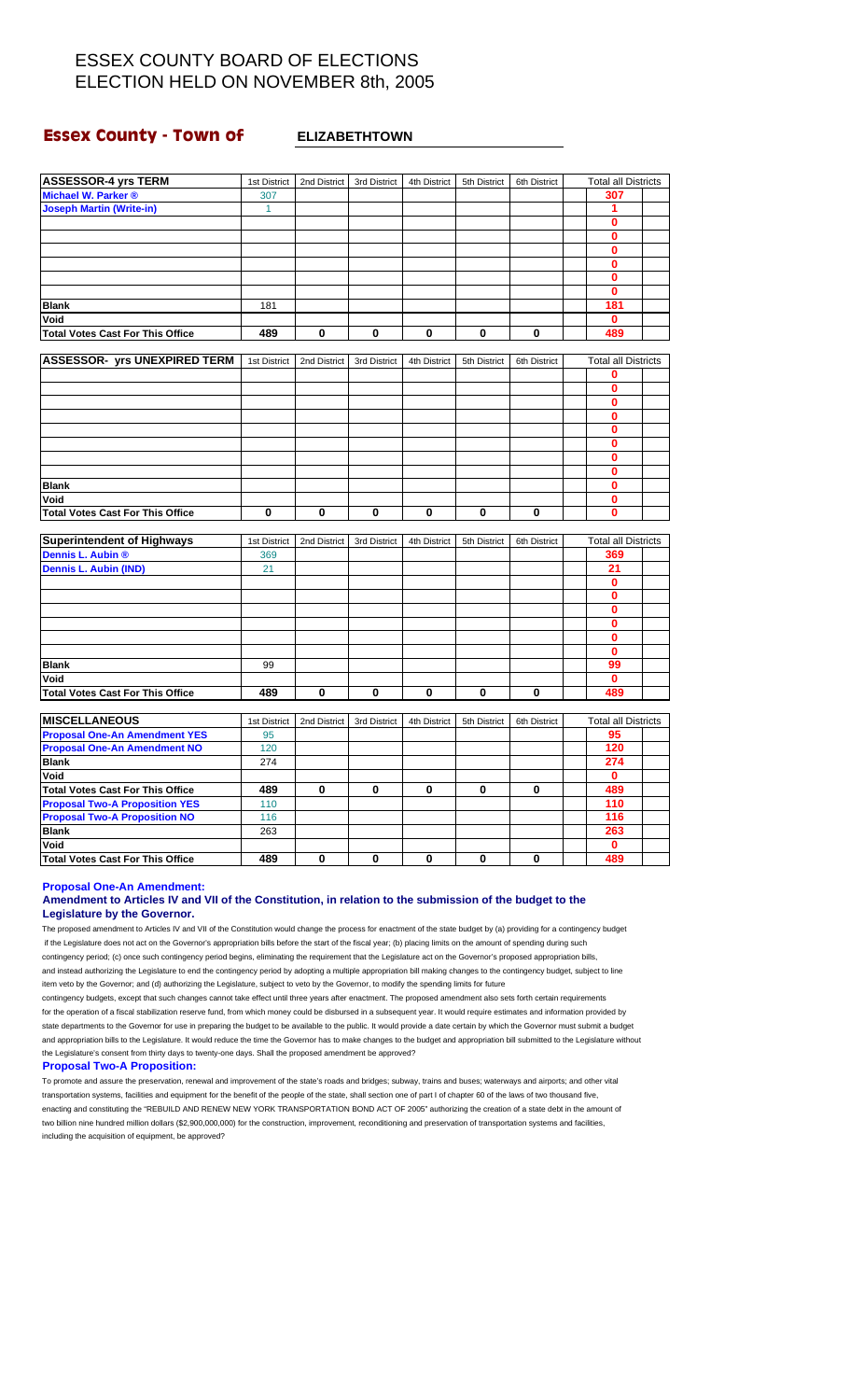### **Essex County - Town of ELIZABETHTOWN**

| <b>ASSESSOR-4 yrs TERM</b>              | 1st District | 2nd District | 3rd District | 4th District | 5th District | 6th District | <b>Total all Districts</b> |  |
|-----------------------------------------|--------------|--------------|--------------|--------------|--------------|--------------|----------------------------|--|
| Michael W. Parker ®                     | 307          |              |              |              |              |              | 307                        |  |
| <b>Joseph Martin (Write-in)</b>         | $\mathbf{1}$ |              |              |              |              |              | 1                          |  |
|                                         |              |              |              |              |              |              | $\bf{0}$                   |  |
|                                         |              |              |              |              |              |              | $\mathbf{0}$               |  |
|                                         |              |              |              |              |              |              | 0                          |  |
|                                         |              |              |              |              |              |              | $\mathbf{0}$               |  |
|                                         |              |              |              |              |              |              | $\bf{0}$                   |  |
|                                         |              |              |              |              |              |              | $\mathbf{0}$               |  |
|                                         |              |              |              |              |              |              | 181                        |  |
| <b>Blank</b>                            | 181          |              |              |              |              |              |                            |  |
| Void                                    |              |              |              |              |              |              | $\mathbf{0}$               |  |
| <b>Total Votes Cast For This Office</b> | 489          | 0            | 0            | 0            | 0            | 0            | 489                        |  |
|                                         |              |              |              |              |              |              |                            |  |
| <b>ASSESSOR- yrs UNEXPIRED TERM</b>     | 1st District | 2nd District | 3rd District | 4th District | 5th District | 6th District | <b>Total all Districts</b> |  |
|                                         |              |              |              |              |              |              | 0                          |  |
|                                         |              |              |              |              |              |              | $\bf{0}$                   |  |
|                                         |              |              |              |              |              |              | 0                          |  |
|                                         |              |              |              |              |              |              | 0                          |  |
|                                         |              |              |              |              |              |              | 0                          |  |
|                                         |              |              |              |              |              |              | 0                          |  |
|                                         |              |              |              |              |              |              | 0                          |  |
|                                         |              |              |              |              |              |              | 0                          |  |
| <b>Blank</b>                            |              |              |              |              |              |              | 0                          |  |
| Void                                    |              |              |              |              |              |              | $\mathbf{0}$               |  |
| <b>Total Votes Cast For This Office</b> | 0            | $\bf{0}$     | $\mathbf 0$  | 0            | 0            | 0            | 0                          |  |
| <b>Superintendent of Highways</b>       | 1st District | 2nd District | 3rd District | 4th District | 5th District | 6th District | <b>Total all Districts</b> |  |
| Dennis L. Aubin ®                       | 369          |              |              |              |              |              | 369                        |  |
| <b>Dennis L. Aubin (IND)</b>            | 21           |              |              |              |              |              | 21                         |  |
|                                         |              |              |              |              |              |              | 0                          |  |
|                                         |              |              |              |              |              |              |                            |  |
|                                         |              |              |              |              |              |              | 0                          |  |
|                                         |              |              |              |              |              |              | 0                          |  |
|                                         |              |              |              |              |              |              | 0                          |  |
|                                         |              |              |              |              |              |              | $\mathbf{0}$               |  |
|                                         |              |              |              |              |              |              | 0                          |  |
| <b>Blank</b>                            | 99           |              |              |              |              |              | 99                         |  |
| Void                                    |              |              |              |              |              |              | 0                          |  |
| <b>Total Votes Cast For This Office</b> | 489          | 0            | 0            | $\mathbf 0$  | 0            | 0            | 489                        |  |
|                                         |              |              |              |              |              |              |                            |  |
| <b>MISCELLANEOUS</b>                    | 1st District | 2nd District | 3rd District | 4th District | 5th District | 6th District | <b>Total all Districts</b> |  |
| <b>Proposal One-An Amendment YES</b>    | 95           |              |              |              |              |              | 95                         |  |
| <b>Proposal One-An Amendment NO</b>     | 120          |              |              |              |              |              | 120                        |  |
| <b>Blank</b>                            | 274          |              |              |              |              |              | 274                        |  |
| Void                                    |              |              |              |              |              |              | $\mathbf{0}$               |  |
| <b>Total Votes Cast For This Office</b> | 489          | $\bf{0}$     | $\bf{0}$     | $\bf{0}$     | 0            | $\bf{0}$     | 489                        |  |
| <b>Proposal Two-A Proposition YES</b>   | 110          |              |              |              |              |              | 110                        |  |
| <b>Proposal Two-A Proposition NO</b>    | 116          |              |              |              |              |              | 116                        |  |
| <b>Blank</b>                            | 263          |              |              |              |              |              | 263                        |  |
| Void                                    |              |              |              |              |              |              | $\mathbf 0$                |  |
| <b>Total Votes Cast For This Office</b> | 489          | $\mathbf 0$  | $\bf{0}$     | $\mathbf 0$  | 0            | 0            | 489                        |  |

**Proposal One-An Amendment:**

### **Amendment to Articles IV and VII of the Constitution, in relation to the submission of the budget to the Legislature by the Governor.**

The proposed amendment to Articles IV and VII of the Constitution would change the process for enactment of the state budget by (a) providing for a contingency budget if the Legislature does not act on the Governor's appropriation bills before the start of the fiscal year; (b) placing limits on the amount of spending during such contingency period; (c) once such contingency period begins, eliminating the requirement that the Legislature act on the Governor's proposed appropriation bills, and instead authorizing the Legislature to end the contingency period by adopting a multiple appropriation bill making changes to the contingency budget, subject to line item veto by the Governor; and (d) authorizing the Legislature, subject to veto by the Governor, to modify the spending limits for future

contingency budgets, except that such changes cannot take effect until three years after enactment. The proposed amendment also sets forth certain requirements for the operation of a fiscal stabilization reserve fund, from which money could be disbursed in a subsequent year. It would require estimates and information provided by state departments to the Governor for use in preparing the budget to be available to the public. It would provide a date certain by which the Governor must submit a budget and appropriation bills to the Legislature. It would reduce the time the Governor has to make changes to the budget and appropriation bill submitted to the Legislature without the Legislature's consent from thirty days to twenty-one days. Shall the proposed amendment be approved?

#### **Proposal Two-A Proposition:**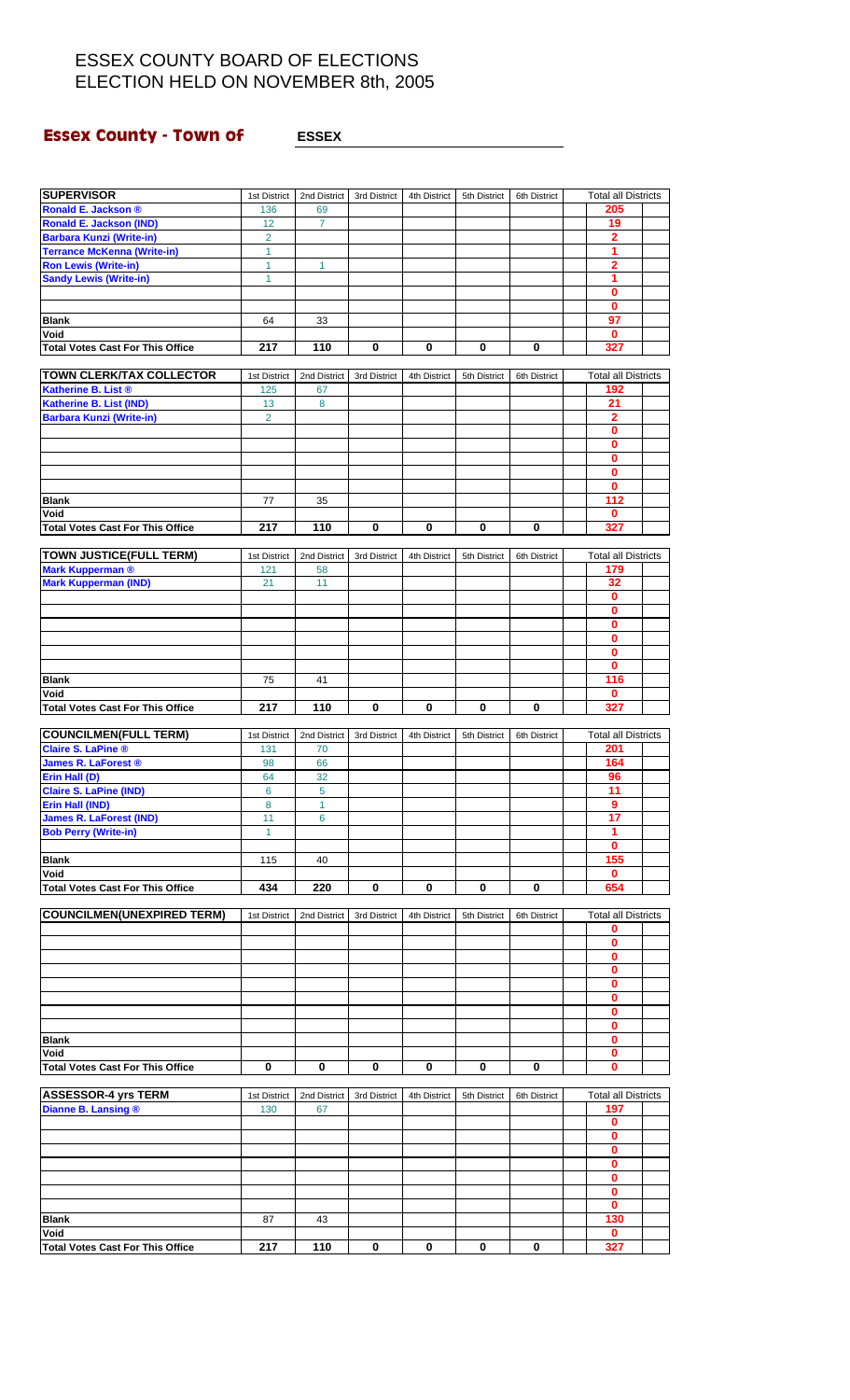# **Essex County - Town of ESSEX Propose ASSEX**

| <b>SUPERVISOR</b>                       | 1st District   | 2nd District | 3rd District | 4th District |              |              | <b>Total all Districts</b> |  |
|-----------------------------------------|----------------|--------------|--------------|--------------|--------------|--------------|----------------------------|--|
| <b>Ronald E. Jackson ®</b>              | 136            | 69           |              |              | 5th District | 6th District | 205                        |  |
| <b>Ronald E. Jackson (IND)</b>          | 12             | 7            |              |              |              |              | 19                         |  |
| <b>Barbara Kunzi (Write-in)</b>         | $\overline{2}$ |              |              |              |              |              | 2                          |  |
| <b>Terrance McKenna (Write-in)</b>      | $\mathbf{1}$   |              |              |              |              |              | 1                          |  |
| <b>Ron Lewis (Write-in)</b>             | 1              | 1            |              |              |              |              | 2                          |  |
| <b>Sandy Lewis (Write-in)</b>           | $\mathbf{1}$   |              |              |              |              |              | 1                          |  |
|                                         |                |              |              |              |              |              | 0                          |  |
|                                         |                |              |              |              |              |              | 0                          |  |
| <b>Blank</b>                            | 64             | 33           |              |              |              |              | 97                         |  |
| Void                                    |                |              |              |              |              |              | $\bf{0}$                   |  |
| <b>Total Votes Cast For This Office</b> | 217            | 110          | 0            | 0            | 0            | 0            | 327                        |  |
|                                         |                |              |              |              |              |              |                            |  |
| <b>TOWN CLERK/TAX COLLECTOR</b>         | 1st District   | 2nd District | 3rd District | 4th District | 5th District | 6th District | <b>Total all Districts</b> |  |
| Katherine B. List ®                     | 125            | 67           |              |              |              |              | 192                        |  |
| <b>Katherine B. List (IND)</b>          | 13             | 8            |              |              |              |              | 21                         |  |
| <b>Barbara Kunzi (Write-in)</b>         | $\overline{2}$ |              |              |              |              |              | $\overline{2}$             |  |
|                                         |                |              |              |              |              |              | 0                          |  |
|                                         |                |              |              |              |              |              | $\bf{0}$                   |  |
|                                         |                |              |              |              |              |              | 0                          |  |
|                                         |                |              |              |              |              |              | 0                          |  |
|                                         |                |              |              |              |              |              | 0                          |  |
| <b>Blank</b>                            | 77             | 35           |              |              |              |              | 112                        |  |
| Void                                    |                |              |              |              |              |              | 0                          |  |
| <b>Total Votes Cast For This Office</b> | 217            | 110          | 0            | 0            | 0            | 0            | 327                        |  |
|                                         |                |              |              |              |              |              |                            |  |
| <b>TOWN JUSTICE(FULL TERM)</b>          | 1st District   | 2nd District | 3rd District | 4th District | 5th District | 6th District | <b>Total all Districts</b> |  |
| <b>Mark Kupperman ®</b>                 | 121            | 58           |              |              |              |              | 179                        |  |
| <b>Mark Kupperman (IND)</b>             | 21             | 11           |              |              |              |              | 32                         |  |
|                                         |                |              |              |              |              |              | $\mathbf 0$                |  |
|                                         |                |              |              |              |              |              | 0                          |  |
|                                         |                |              |              |              |              |              | 0                          |  |
|                                         |                |              |              |              |              |              | 0                          |  |
|                                         |                |              |              |              |              |              | $\mathbf 0$                |  |
|                                         |                |              |              |              |              |              | 0                          |  |
| <b>Blank</b>                            | 75             | 41           |              |              |              |              | 116                        |  |
| Void                                    |                |              |              |              |              |              | 0                          |  |
| <b>Total Votes Cast For This Office</b> | 217            | 110          | $\bf{0}$     | 0            | 0            | $\bf{0}$     | 327                        |  |
|                                         |                |              |              |              |              |              |                            |  |
| <b>COUNCILMEN(FULL TERM)</b>            | 1st District   | 2nd District | 3rd District | 4th District | 5th District | 6th District | <b>Total all Districts</b> |  |
| <b>Claire S. LaPine ®</b>               | 131            | 70           |              |              |              |              | 201                        |  |
| <b>James R. LaForest ®</b>              | 98             | 66           |              |              |              |              | 164                        |  |
| Erin Hall (D)                           | 64             | 32           |              |              |              |              | 96                         |  |
| <b>Claire S. LaPine (IND)</b>           | 6              | 5            |              |              |              |              | 11                         |  |
| Erin Hall (IND)                         | 8              | 1.           |              |              |              |              | 9.                         |  |
| <b>James R. LaForest (IND)</b>          | 11             | 6            |              |              |              |              | 17                         |  |
| <b>Bob Perry (Write-in)</b>             | 1              |              |              |              |              |              | 1                          |  |
|                                         |                |              |              |              |              |              | 0                          |  |
| <b>Blank</b>                            | 115            | 40           |              |              |              |              | 155                        |  |
| Void                                    |                |              |              |              |              |              | 0                          |  |
| <b>Total Votes Cast For This Office</b> | 434            | 220          | 0            | 0            | 0            | 0            | 654                        |  |
|                                         |                |              |              |              |              |              |                            |  |
| <b>COUNCILMEN(UNEXPIRED TERM)</b>       | 1st District   | 2nd District | 3rd District | 4th District | 5th District | 6th District | <b>Total all Districts</b> |  |
|                                         |                |              |              |              |              |              | 0                          |  |
|                                         |                |              |              |              |              |              | 0                          |  |
|                                         |                |              |              |              |              |              | 0                          |  |
|                                         |                |              |              |              |              |              | 0                          |  |
|                                         |                |              |              |              |              |              | $\mathbf 0$                |  |
|                                         |                |              |              |              |              |              | 0                          |  |
|                                         |                |              |              |              |              |              | 0                          |  |
|                                         |                |              |              |              |              |              | 0                          |  |
| <b>Blank</b>                            |                |              |              |              |              |              | 0                          |  |
| Void                                    |                |              |              |              |              |              | $\mathbf 0$                |  |
| <b>Total Votes Cast For This Office</b> | $\mathbf 0$    | 0            | $\mathbf 0$  | 0            | 0            | $\mathbf 0$  | $\bf{0}$                   |  |
|                                         |                |              |              |              |              |              |                            |  |
| <b>ASSESSOR-4 yrs TERM</b>              | 1st District   | 2nd District | 3rd District | 4th District | 5th District | 6th District | <b>Total all Districts</b> |  |
| Dianne B. Lansing ®                     | 130            | 67           |              |              |              |              | 197                        |  |
|                                         |                |              |              |              |              |              | 0                          |  |
|                                         |                |              |              |              |              |              | 0                          |  |
|                                         |                |              |              |              |              |              | 0                          |  |
|                                         |                |              |              |              |              |              | $\mathbf 0$                |  |
|                                         |                |              |              |              |              |              | 0                          |  |
|                                         |                |              |              |              |              |              | 0                          |  |
|                                         |                |              |              |              |              |              | 0                          |  |
| <b>Blank</b>                            | 87             | 43           |              |              |              |              | 130                        |  |
| Void                                    |                |              |              |              |              |              | 0                          |  |
| <b>Total Votes Cast For This Office</b> | 217            | 110          | $\bf{0}$     | 0            | 0            | 0            | 327                        |  |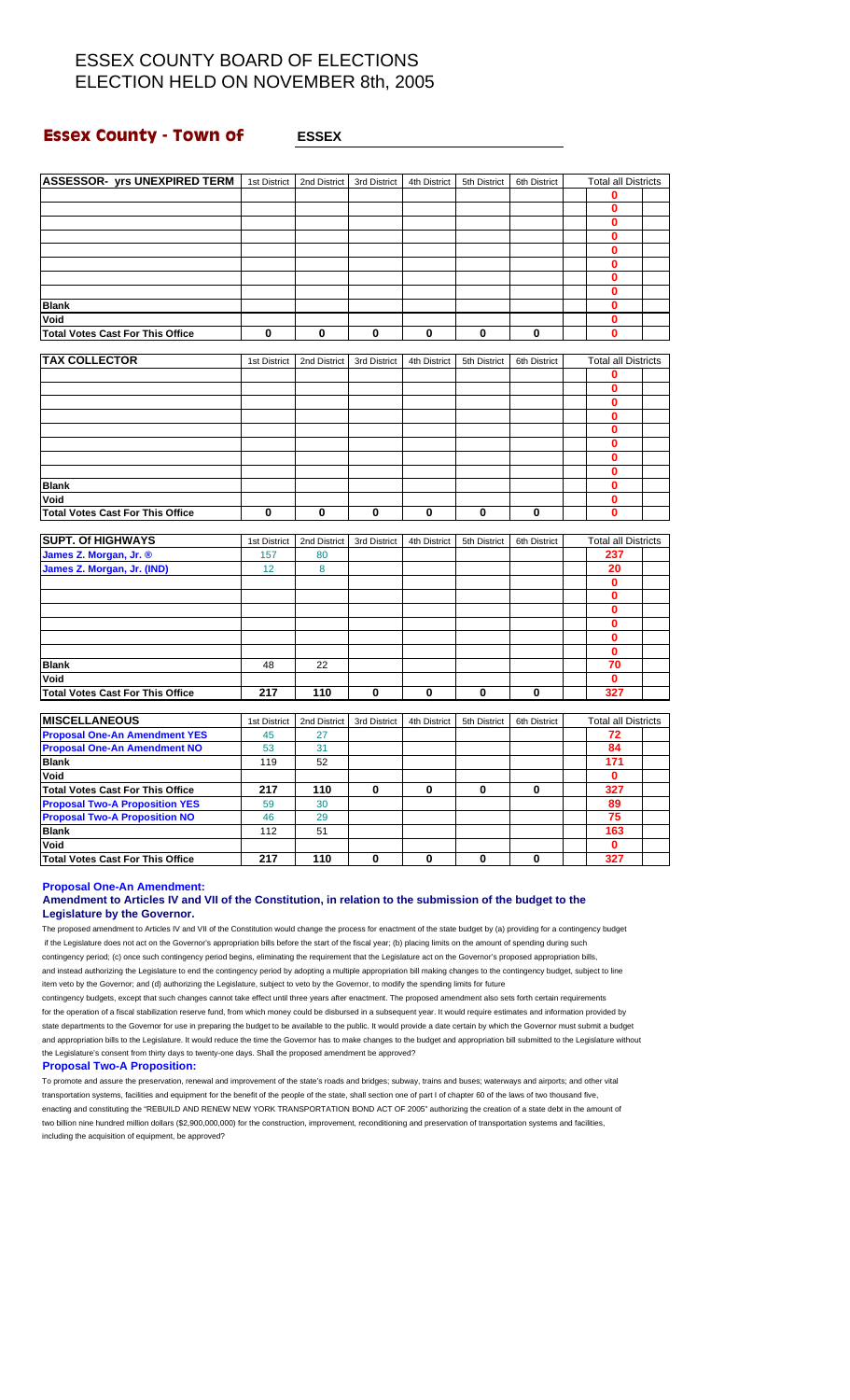### **Essex County - Town of <b>ESSEX**

| 0<br>$\mathbf{0}$<br>$\mathbf{0}$<br>$\mathbf{0}$<br>$\bf{0}$<br>0<br>$\bf{0}$<br>$\mathbf 0$<br>0<br><b>Blank</b><br>Void<br>0<br>0<br>0<br>0<br>$\bf{0}$<br>0<br>$\mathbf{0}$<br>0<br><b>Total Votes Cast For This Office</b><br><b>TAX COLLECTOR</b><br><b>Total all Districts</b><br>1st District<br>2nd District<br>3rd District<br>4th District<br>5th District<br>6th District<br>0<br>$\mathbf 0$<br>0<br>$\bf{0}$<br>0<br>0<br>$\bf{0}$<br>$\bf{0}$<br>$\mathbf{0}$<br><b>Blank</b><br>Void<br>$\bf{0}$<br><b>Total Votes Cast For This Office</b><br>$\mathbf 0$<br>0<br>$\mathbf 0$<br>0<br>$\mathbf 0$<br>0<br>$\bf{0}$<br><b>SUPT. Of HIGHWAYS</b><br><b>Total all Districts</b><br>1st District<br>2nd District<br>3rd District<br>4th District<br>5th District<br>6th District<br>James Z. Morgan, Jr. ®<br>157<br>80<br>237<br>James Z. Morgan, Jr. (IND)<br>12<br>8<br>20<br>$\mathbf 0$<br>$\bf{0}$<br>$\mathbf 0$<br>$\bf{0}$<br>$\bf{0}$<br>$\bf{0}$<br>22<br>70<br><b>Blank</b><br>48<br>Void<br>$\mathbf 0$<br>217<br>110<br>0<br>0<br>$\mathbf 0$<br>0<br><b>Total Votes Cast For This Office</b><br>327<br><b>MISCELLANEOUS</b><br>1st District<br>2nd District<br>3rd District<br>4th District<br>5th District<br>6th District<br><b>Total all Districts</b><br><b>Proposal One-An Amendment YES</b><br>45<br>72<br>27<br><b>Proposal One-An Amendment NO</b><br>84<br>31<br>53<br>52<br>171<br><b>Blank</b><br>119<br>Void<br>$\mathbf 0$ | <b>ASSESSOR- yrs UNEXPIRED TERM</b> | 1st District | 2nd District | 3rd District | 4th District | 5th District | 6th District | <b>Total all Districts</b> |  |
|---------------------------------------------------------------------------------------------------------------------------------------------------------------------------------------------------------------------------------------------------------------------------------------------------------------------------------------------------------------------------------------------------------------------------------------------------------------------------------------------------------------------------------------------------------------------------------------------------------------------------------------------------------------------------------------------------------------------------------------------------------------------------------------------------------------------------------------------------------------------------------------------------------------------------------------------------------------------------------------------------------------------------------------------------------------------------------------------------------------------------------------------------------------------------------------------------------------------------------------------------------------------------------------------------------------------------------------------------------------------------------------------------------------------------------------------------------------------|-------------------------------------|--------------|--------------|--------------|--------------|--------------|--------------|----------------------------|--|
|                                                                                                                                                                                                                                                                                                                                                                                                                                                                                                                                                                                                                                                                                                                                                                                                                                                                                                                                                                                                                                                                                                                                                                                                                                                                                                                                                                                                                                                                     |                                     |              |              |              |              |              |              |                            |  |
|                                                                                                                                                                                                                                                                                                                                                                                                                                                                                                                                                                                                                                                                                                                                                                                                                                                                                                                                                                                                                                                                                                                                                                                                                                                                                                                                                                                                                                                                     |                                     |              |              |              |              |              |              |                            |  |
|                                                                                                                                                                                                                                                                                                                                                                                                                                                                                                                                                                                                                                                                                                                                                                                                                                                                                                                                                                                                                                                                                                                                                                                                                                                                                                                                                                                                                                                                     |                                     |              |              |              |              |              |              |                            |  |
|                                                                                                                                                                                                                                                                                                                                                                                                                                                                                                                                                                                                                                                                                                                                                                                                                                                                                                                                                                                                                                                                                                                                                                                                                                                                                                                                                                                                                                                                     |                                     |              |              |              |              |              |              |                            |  |
|                                                                                                                                                                                                                                                                                                                                                                                                                                                                                                                                                                                                                                                                                                                                                                                                                                                                                                                                                                                                                                                                                                                                                                                                                                                                                                                                                                                                                                                                     |                                     |              |              |              |              |              |              |                            |  |
|                                                                                                                                                                                                                                                                                                                                                                                                                                                                                                                                                                                                                                                                                                                                                                                                                                                                                                                                                                                                                                                                                                                                                                                                                                                                                                                                                                                                                                                                     |                                     |              |              |              |              |              |              |                            |  |
|                                                                                                                                                                                                                                                                                                                                                                                                                                                                                                                                                                                                                                                                                                                                                                                                                                                                                                                                                                                                                                                                                                                                                                                                                                                                                                                                                                                                                                                                     |                                     |              |              |              |              |              |              |                            |  |
|                                                                                                                                                                                                                                                                                                                                                                                                                                                                                                                                                                                                                                                                                                                                                                                                                                                                                                                                                                                                                                                                                                                                                                                                                                                                                                                                                                                                                                                                     |                                     |              |              |              |              |              |              |                            |  |
|                                                                                                                                                                                                                                                                                                                                                                                                                                                                                                                                                                                                                                                                                                                                                                                                                                                                                                                                                                                                                                                                                                                                                                                                                                                                                                                                                                                                                                                                     |                                     |              |              |              |              |              |              |                            |  |
|                                                                                                                                                                                                                                                                                                                                                                                                                                                                                                                                                                                                                                                                                                                                                                                                                                                                                                                                                                                                                                                                                                                                                                                                                                                                                                                                                                                                                                                                     |                                     |              |              |              |              |              |              |                            |  |
|                                                                                                                                                                                                                                                                                                                                                                                                                                                                                                                                                                                                                                                                                                                                                                                                                                                                                                                                                                                                                                                                                                                                                                                                                                                                                                                                                                                                                                                                     |                                     |              |              |              |              |              |              |                            |  |
|                                                                                                                                                                                                                                                                                                                                                                                                                                                                                                                                                                                                                                                                                                                                                                                                                                                                                                                                                                                                                                                                                                                                                                                                                                                                                                                                                                                                                                                                     |                                     |              |              |              |              |              |              |                            |  |
|                                                                                                                                                                                                                                                                                                                                                                                                                                                                                                                                                                                                                                                                                                                                                                                                                                                                                                                                                                                                                                                                                                                                                                                                                                                                                                                                                                                                                                                                     |                                     |              |              |              |              |              |              |                            |  |
|                                                                                                                                                                                                                                                                                                                                                                                                                                                                                                                                                                                                                                                                                                                                                                                                                                                                                                                                                                                                                                                                                                                                                                                                                                                                                                                                                                                                                                                                     |                                     |              |              |              |              |              |              |                            |  |
|                                                                                                                                                                                                                                                                                                                                                                                                                                                                                                                                                                                                                                                                                                                                                                                                                                                                                                                                                                                                                                                                                                                                                                                                                                                                                                                                                                                                                                                                     |                                     |              |              |              |              |              |              |                            |  |
|                                                                                                                                                                                                                                                                                                                                                                                                                                                                                                                                                                                                                                                                                                                                                                                                                                                                                                                                                                                                                                                                                                                                                                                                                                                                                                                                                                                                                                                                     |                                     |              |              |              |              |              |              |                            |  |
|                                                                                                                                                                                                                                                                                                                                                                                                                                                                                                                                                                                                                                                                                                                                                                                                                                                                                                                                                                                                                                                                                                                                                                                                                                                                                                                                                                                                                                                                     |                                     |              |              |              |              |              |              |                            |  |
|                                                                                                                                                                                                                                                                                                                                                                                                                                                                                                                                                                                                                                                                                                                                                                                                                                                                                                                                                                                                                                                                                                                                                                                                                                                                                                                                                                                                                                                                     |                                     |              |              |              |              |              |              |                            |  |
|                                                                                                                                                                                                                                                                                                                                                                                                                                                                                                                                                                                                                                                                                                                                                                                                                                                                                                                                                                                                                                                                                                                                                                                                                                                                                                                                                                                                                                                                     |                                     |              |              |              |              |              |              |                            |  |
|                                                                                                                                                                                                                                                                                                                                                                                                                                                                                                                                                                                                                                                                                                                                                                                                                                                                                                                                                                                                                                                                                                                                                                                                                                                                                                                                                                                                                                                                     |                                     |              |              |              |              |              |              |                            |  |
|                                                                                                                                                                                                                                                                                                                                                                                                                                                                                                                                                                                                                                                                                                                                                                                                                                                                                                                                                                                                                                                                                                                                                                                                                                                                                                                                                                                                                                                                     |                                     |              |              |              |              |              |              |                            |  |
|                                                                                                                                                                                                                                                                                                                                                                                                                                                                                                                                                                                                                                                                                                                                                                                                                                                                                                                                                                                                                                                                                                                                                                                                                                                                                                                                                                                                                                                                     |                                     |              |              |              |              |              |              |                            |  |
|                                                                                                                                                                                                                                                                                                                                                                                                                                                                                                                                                                                                                                                                                                                                                                                                                                                                                                                                                                                                                                                                                                                                                                                                                                                                                                                                                                                                                                                                     |                                     |              |              |              |              |              |              |                            |  |
|                                                                                                                                                                                                                                                                                                                                                                                                                                                                                                                                                                                                                                                                                                                                                                                                                                                                                                                                                                                                                                                                                                                                                                                                                                                                                                                                                                                                                                                                     |                                     |              |              |              |              |              |              |                            |  |
|                                                                                                                                                                                                                                                                                                                                                                                                                                                                                                                                                                                                                                                                                                                                                                                                                                                                                                                                                                                                                                                                                                                                                                                                                                                                                                                                                                                                                                                                     |                                     |              |              |              |              |              |              |                            |  |
|                                                                                                                                                                                                                                                                                                                                                                                                                                                                                                                                                                                                                                                                                                                                                                                                                                                                                                                                                                                                                                                                                                                                                                                                                                                                                                                                                                                                                                                                     |                                     |              |              |              |              |              |              |                            |  |
|                                                                                                                                                                                                                                                                                                                                                                                                                                                                                                                                                                                                                                                                                                                                                                                                                                                                                                                                                                                                                                                                                                                                                                                                                                                                                                                                                                                                                                                                     |                                     |              |              |              |              |              |              |                            |  |
|                                                                                                                                                                                                                                                                                                                                                                                                                                                                                                                                                                                                                                                                                                                                                                                                                                                                                                                                                                                                                                                                                                                                                                                                                                                                                                                                                                                                                                                                     |                                     |              |              |              |              |              |              |                            |  |
|                                                                                                                                                                                                                                                                                                                                                                                                                                                                                                                                                                                                                                                                                                                                                                                                                                                                                                                                                                                                                                                                                                                                                                                                                                                                                                                                                                                                                                                                     |                                     |              |              |              |              |              |              |                            |  |
|                                                                                                                                                                                                                                                                                                                                                                                                                                                                                                                                                                                                                                                                                                                                                                                                                                                                                                                                                                                                                                                                                                                                                                                                                                                                                                                                                                                                                                                                     |                                     |              |              |              |              |              |              |                            |  |
|                                                                                                                                                                                                                                                                                                                                                                                                                                                                                                                                                                                                                                                                                                                                                                                                                                                                                                                                                                                                                                                                                                                                                                                                                                                                                                                                                                                                                                                                     |                                     |              |              |              |              |              |              |                            |  |
|                                                                                                                                                                                                                                                                                                                                                                                                                                                                                                                                                                                                                                                                                                                                                                                                                                                                                                                                                                                                                                                                                                                                                                                                                                                                                                                                                                                                                                                                     |                                     |              |              |              |              |              |              |                            |  |
|                                                                                                                                                                                                                                                                                                                                                                                                                                                                                                                                                                                                                                                                                                                                                                                                                                                                                                                                                                                                                                                                                                                                                                                                                                                                                                                                                                                                                                                                     |                                     |              |              |              |              |              |              |                            |  |
|                                                                                                                                                                                                                                                                                                                                                                                                                                                                                                                                                                                                                                                                                                                                                                                                                                                                                                                                                                                                                                                                                                                                                                                                                                                                                                                                                                                                                                                                     |                                     |              |              |              |              |              |              |                            |  |
|                                                                                                                                                                                                                                                                                                                                                                                                                                                                                                                                                                                                                                                                                                                                                                                                                                                                                                                                                                                                                                                                                                                                                                                                                                                                                                                                                                                                                                                                     |                                     |              |              |              |              |              |              |                            |  |
|                                                                                                                                                                                                                                                                                                                                                                                                                                                                                                                                                                                                                                                                                                                                                                                                                                                                                                                                                                                                                                                                                                                                                                                                                                                                                                                                                                                                                                                                     |                                     |              |              |              |              |              |              |                            |  |
|                                                                                                                                                                                                                                                                                                                                                                                                                                                                                                                                                                                                                                                                                                                                                                                                                                                                                                                                                                                                                                                                                                                                                                                                                                                                                                                                                                                                                                                                     |                                     |              |              |              |              |              |              |                            |  |
|                                                                                                                                                                                                                                                                                                                                                                                                                                                                                                                                                                                                                                                                                                                                                                                                                                                                                                                                                                                                                                                                                                                                                                                                                                                                                                                                                                                                                                                                     |                                     |              |              |              |              |              |              |                            |  |
|                                                                                                                                                                                                                                                                                                                                                                                                                                                                                                                                                                                                                                                                                                                                                                                                                                                                                                                                                                                                                                                                                                                                                                                                                                                                                                                                                                                                                                                                     |                                     |              |              |              |              |              |              |                            |  |
|                                                                                                                                                                                                                                                                                                                                                                                                                                                                                                                                                                                                                                                                                                                                                                                                                                                                                                                                                                                                                                                                                                                                                                                                                                                                                                                                                                                                                                                                     |                                     |              |              |              |              |              |              |                            |  |
|                                                                                                                                                                                                                                                                                                                                                                                                                                                                                                                                                                                                                                                                                                                                                                                                                                                                                                                                                                                                                                                                                                                                                                                                                                                                                                                                                                                                                                                                     |                                     |              |              |              |              |              |              |                            |  |
| <b>Total Votes Cast For This Office</b><br>217<br>110<br>0<br>327<br>0<br>0<br>0                                                                                                                                                                                                                                                                                                                                                                                                                                                                                                                                                                                                                                                                                                                                                                                                                                                                                                                                                                                                                                                                                                                                                                                                                                                                                                                                                                                    |                                     |              |              |              |              |              |              |                            |  |
| <b>Proposal Two-A Proposition YES</b><br>59<br>30<br>89                                                                                                                                                                                                                                                                                                                                                                                                                                                                                                                                                                                                                                                                                                                                                                                                                                                                                                                                                                                                                                                                                                                                                                                                                                                                                                                                                                                                             |                                     |              |              |              |              |              |              |                            |  |
| <b>Proposal Two-A Proposition NO</b><br>46<br>29<br>75                                                                                                                                                                                                                                                                                                                                                                                                                                                                                                                                                                                                                                                                                                                                                                                                                                                                                                                                                                                                                                                                                                                                                                                                                                                                                                                                                                                                              |                                     |              |              |              |              |              |              |                            |  |
| <b>Blank</b><br>112<br>51<br>163                                                                                                                                                                                                                                                                                                                                                                                                                                                                                                                                                                                                                                                                                                                                                                                                                                                                                                                                                                                                                                                                                                                                                                                                                                                                                                                                                                                                                                    |                                     |              |              |              |              |              |              |                            |  |
| Void<br>0                                                                                                                                                                                                                                                                                                                                                                                                                                                                                                                                                                                                                                                                                                                                                                                                                                                                                                                                                                                                                                                                                                                                                                                                                                                                                                                                                                                                                                                           |                                     |              |              |              |              |              |              |                            |  |
| 217<br>110<br>327<br><b>Total Votes Cast For This Office</b><br>0<br>0<br>0<br>0                                                                                                                                                                                                                                                                                                                                                                                                                                                                                                                                                                                                                                                                                                                                                                                                                                                                                                                                                                                                                                                                                                                                                                                                                                                                                                                                                                                    |                                     |              |              |              |              |              |              |                            |  |

**Proposal One-An Amendment:**

### **Amendment to Articles IV and VII of the Constitution, in relation to the submission of the budget to the Legislature by the Governor.**

The proposed amendment to Articles IV and VII of the Constitution would change the process for enactment of the state budget by (a) providing for a contingency budget if the Legislature does not act on the Governor's appropriation bills before the start of the fiscal year; (b) placing limits on the amount of spending during such contingency period; (c) once such contingency period begins, eliminating the requirement that the Legislature act on the Governor's proposed appropriation bills, and instead authorizing the Legislature to end the contingency period by adopting a multiple appropriation bill making changes to the contingency budget, subject to line item veto by the Governor; and (d) authorizing the Legislature, subject to veto by the Governor, to modify the spending limits for future

contingency budgets, except that such changes cannot take effect until three years after enactment. The proposed amendment also sets forth certain requirements for the operation of a fiscal stabilization reserve fund, from which money could be disbursed in a subsequent year. It would require estimates and information provided by state departments to the Governor for use in preparing the budget to be available to the public. It would provide a date certain by which the Governor must submit a budget and appropriation bills to the Legislature. It would reduce the time the Governor has to make changes to the budget and appropriation bill submitted to the Legislature without the Legislature's consent from thirty days to twenty-one days. Shall the proposed amendment be approved?

#### **Proposal Two-A Proposition:**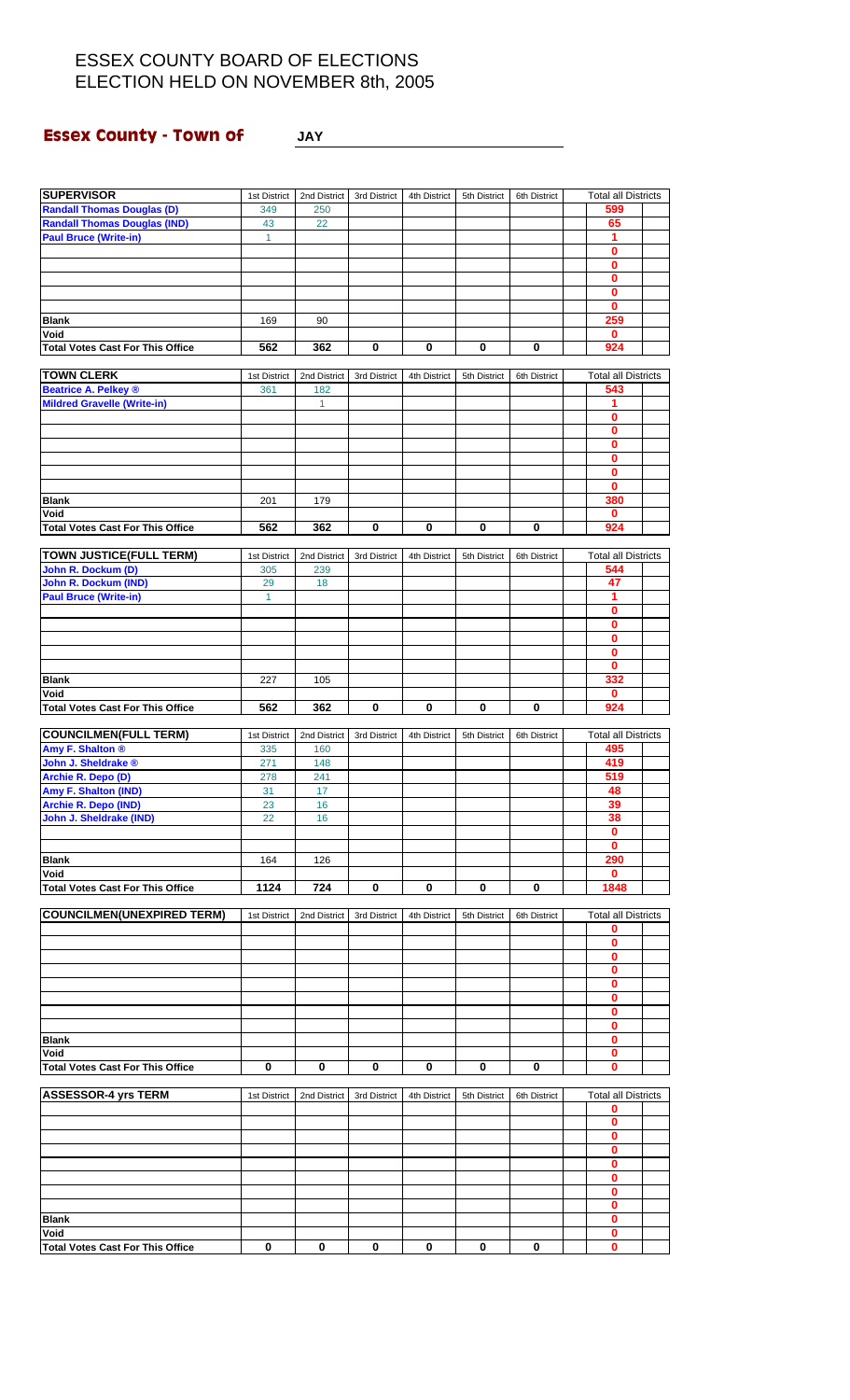**Essex County - Town of JAY**

| <b>SUPERVISOR</b>                       |              |                |              |              |              |              |                            |  |
|-----------------------------------------|--------------|----------------|--------------|--------------|--------------|--------------|----------------------------|--|
|                                         | 1st District | 2nd District   | 3rd District | 4th District | 5th District | 6th District | <b>Total all Districts</b> |  |
| <b>Randall Thomas Douglas (D)</b>       | 349          | 250            |              |              |              |              | 599                        |  |
| <b>Randall Thomas Douglas (IND)</b>     | 43           | 22             |              |              |              |              | 65                         |  |
| <b>Paul Bruce (Write-in)</b>            | $\mathbf{1}$ |                |              |              |              |              | 1                          |  |
|                                         |              |                |              |              |              |              | $\bf{0}$                   |  |
|                                         |              |                |              |              |              |              | $\mathbf 0$                |  |
|                                         |              |                |              |              |              |              | 0                          |  |
|                                         |              |                |              |              |              |              | $\bf{0}$                   |  |
|                                         |              |                |              |              |              |              | $\bf{0}$                   |  |
| <b>Blank</b>                            | 169          | 90             |              |              |              |              | 259                        |  |
| Void                                    |              |                |              |              |              |              | $\mathbf 0$                |  |
| <b>Total Votes Cast For This Office</b> | 562          | 362            | 0            | 0            | 0            | 0            | 924                        |  |
|                                         |              |                |              |              |              |              |                            |  |
| <b>TOWN CLERK</b>                       | 1st District | 2nd District   | 3rd District | 4th District | 5th District | 6th District | <b>Total all Districts</b> |  |
| <b>Beatrice A. Pelkey ®</b>             | 361          | 182            |              |              |              |              | 543                        |  |
| <b>Mildred Gravelle (Write-in)</b>      |              | $\overline{1}$ |              |              |              |              | 1                          |  |
|                                         |              |                |              |              |              |              | $\bf{0}$                   |  |
|                                         |              |                |              |              |              |              | 0                          |  |
|                                         |              |                |              |              |              |              | $\bf{0}$                   |  |
|                                         |              |                |              |              |              |              | $\bf{0}$                   |  |
|                                         |              |                |              |              |              |              | 0                          |  |
|                                         |              |                |              |              |              |              | $\bf{0}$                   |  |
| <b>Blank</b>                            | 201          | 179            |              |              |              |              | 380                        |  |
| Void                                    |              |                |              |              |              |              | $\mathbf 0$                |  |
| <b>Total Votes Cast For This Office</b> | 562          | 362            | 0            | 0            | 0            | 0            | 924                        |  |
|                                         |              |                |              |              |              |              |                            |  |
| <b>TOWN JUSTICE(FULL TERM)</b>          | 1st District | 2nd District   | 3rd District | 4th District | 5th District | 6th District | <b>Total all Districts</b> |  |
| John R. Dockum (D)                      | 305          | 239            |              |              |              |              | 544                        |  |
| John R. Dockum (IND)                    | 29           | 18             |              |              |              |              | 47                         |  |
| <b>Paul Bruce (Write-in)</b>            | $\mathbf{1}$ |                |              |              |              |              | 1                          |  |
|                                         |              |                |              |              |              |              |                            |  |
|                                         |              |                |              |              |              |              | $\mathbf 0$                |  |
|                                         |              |                |              |              |              |              | 0                          |  |
|                                         |              |                |              |              |              |              | $\bf{0}$                   |  |
|                                         |              |                |              |              |              |              | 0                          |  |
|                                         |              |                |              |              |              |              | 0                          |  |
| <b>Blank</b>                            | 227          | 105            |              |              |              |              | 332                        |  |
| Void                                    |              |                |              |              |              |              | $\mathbf 0$                |  |
| <b>Total Votes Cast For This Office</b> | 562          | 362            | 0            | $\bf{0}$     | 0            | 0            | 924                        |  |
|                                         |              |                |              |              |              |              |                            |  |
| <b>COUNCILMEN(FULL TERM)</b>            | 1st District | 2nd District   | 3rd District | 4th District | 5th District | 6th District | <b>Total all Districts</b> |  |
| Amy F. Shalton ®                        | 335          | 160            |              |              |              |              | 495                        |  |
| John J. Sheldrake ®                     | 271          | 148            |              |              |              |              | 419                        |  |
| Archie R. Depo (D)                      | 278          | 241            |              |              |              |              | 519                        |  |
| Amy F. Shalton (IND)                    | 31           | 17             |              |              |              |              | 48                         |  |
| Archie R. Depo (IND)                    | 23           | 16             |              |              |              |              | 39                         |  |
| John J. Sheldrake (IND)                 | 22           | 16             |              |              |              |              | 38                         |  |
|                                         |              |                |              |              |              |              | 0                          |  |
|                                         |              |                |              |              |              |              | 0                          |  |
| <b>Blank</b>                            | 164          | 126            |              |              |              |              | 290                        |  |
| Void                                    |              |                |              |              |              |              | 0                          |  |
| <b>Total Votes Cast For This Office</b> | 1124         | 724            | 0            | 0            | 0            | 0            | 1848                       |  |
|                                         |              |                |              |              |              |              |                            |  |
| <b>COUNCILMEN(UNEXPIRED TERM)</b>       | 1st District | 2nd District   | 3rd District | 4th District | 5th District | 6th District | <b>Total all Districts</b> |  |
|                                         |              |                |              |              |              |              | 0                          |  |
|                                         |              |                |              |              |              |              | $\bf{0}$                   |  |
|                                         |              |                |              |              |              |              | 0                          |  |
|                                         |              |                |              |              |              |              | 0                          |  |
|                                         |              |                |              |              |              |              | 0                          |  |
|                                         |              |                |              |              |              |              | 0                          |  |
|                                         |              |                |              |              |              |              | 0                          |  |
|                                         |              |                |              |              |              |              | 0                          |  |
| <b>Blank</b>                            |              |                |              |              |              |              | 0                          |  |
| Void                                    |              |                |              |              |              |              | 0                          |  |
| <b>Total Votes Cast For This Office</b> | 0            | $\pmb{0}$      | 0            | 0            | 0            | 0            | $\mathbf 0$                |  |
|                                         |              |                |              |              |              |              |                            |  |
| <b>ASSESSOR-4 yrs TERM</b>              |              |                |              |              |              |              | <b>Total all Districts</b> |  |
|                                         | 1st District | 2nd District   | 3rd District | 4th District | 5th District | 6th District | 0                          |  |
|                                         |              |                |              |              |              |              |                            |  |
|                                         |              |                |              |              |              |              | 0<br>$\bf{0}$              |  |
|                                         |              |                |              |              |              |              |                            |  |
|                                         |              |                |              |              |              |              | 0                          |  |
|                                         |              |                |              |              |              |              | 0                          |  |
|                                         |              |                |              |              |              |              | 0                          |  |
|                                         |              |                |              |              |              |              | 0                          |  |
|                                         |              |                |              |              |              |              | 0                          |  |
| <b>Blank</b>                            |              |                |              |              |              |              | 0                          |  |
| Void                                    |              |                |              |              |              |              | 0                          |  |
| <b>Total Votes Cast For This Office</b> | $\mathbf 0$  | $\bf{0}$       | $\bf{0}$     | $\mathbf 0$  | 0            | 0            | 0                          |  |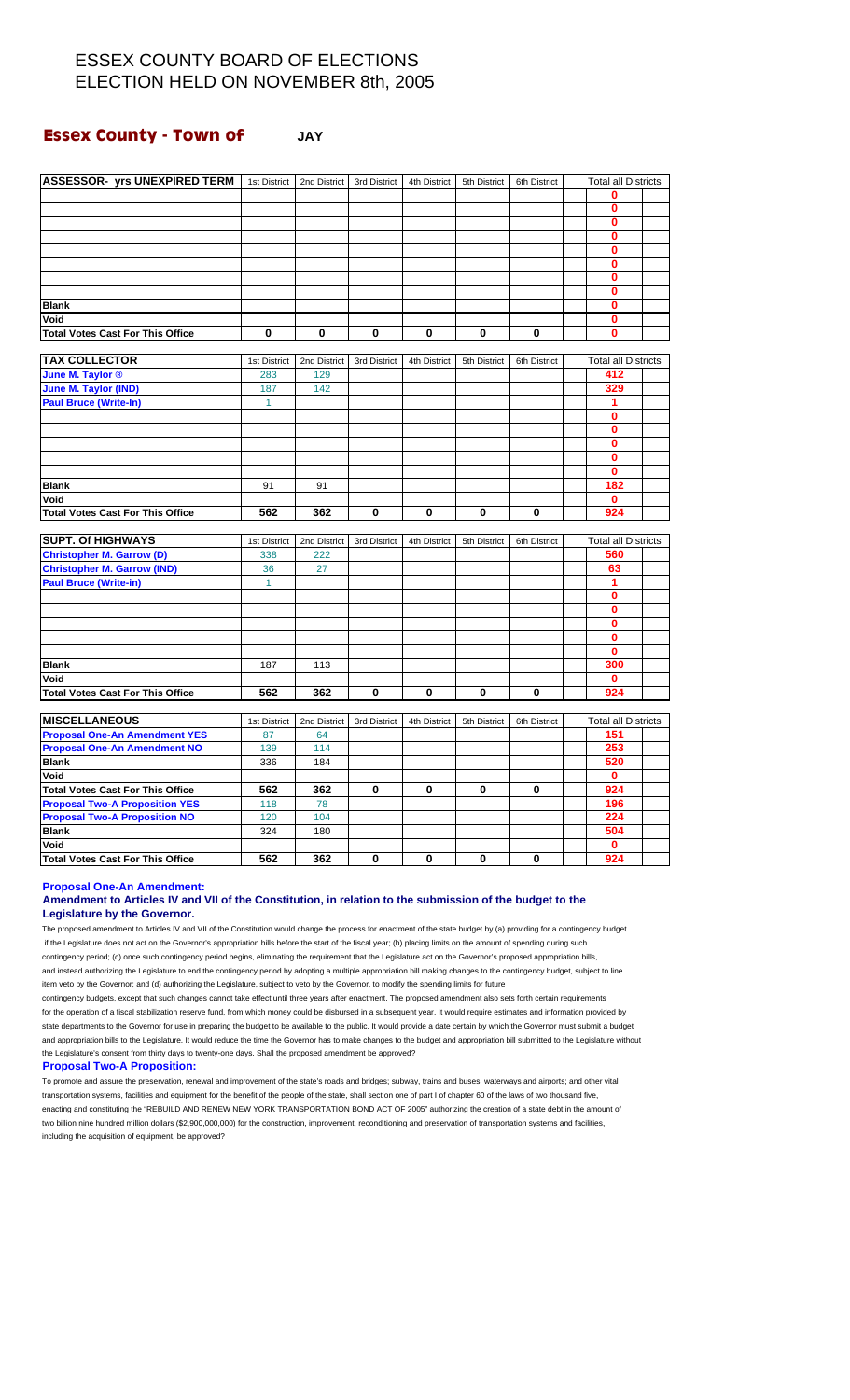### **Essex County - Town of JAY**

| <b>ASSESSOR- yrs UNEXPIRED TERM</b>     | 1st District | 2nd District | 3rd District | 4th District | 5th District | 6th District | <b>Total all Districts</b> |  |
|-----------------------------------------|--------------|--------------|--------------|--------------|--------------|--------------|----------------------------|--|
|                                         |              |              |              |              |              |              | 0                          |  |
|                                         |              |              |              |              |              |              | 0                          |  |
|                                         |              |              |              |              |              |              | 0                          |  |
|                                         |              |              |              |              |              |              | $\bf{0}$                   |  |
|                                         |              |              |              |              |              |              | 0                          |  |
|                                         |              |              |              |              |              |              | 0                          |  |
|                                         |              |              |              |              |              |              | 0                          |  |
|                                         |              |              |              |              |              |              | $\bf{0}$                   |  |
| <b>Blank</b>                            |              |              |              |              |              |              | $\bf{0}$                   |  |
| Void                                    |              |              |              |              |              |              | 0                          |  |
| <b>Total Votes Cast For This Office</b> | 0            | 0            | 0            | 0            | $\mathbf 0$  | 0            | 0                          |  |
|                                         |              |              |              |              |              |              |                            |  |
| <b>TAX COLLECTOR</b>                    | 1st District | 2nd District | 3rd District | 4th District | 5th District | 6th District | <b>Total all Districts</b> |  |
| June M. Taylor ®                        | 283          | 129          |              |              |              |              | 412                        |  |
| June M. Taylor (IND)                    | 187          | 142          |              |              |              |              | 329                        |  |
| <b>Paul Bruce (Write-In)</b>            | 1            |              |              |              |              |              | 1                          |  |
|                                         |              |              |              |              |              |              | 0                          |  |
|                                         |              |              |              |              |              |              | 0                          |  |
|                                         |              |              |              |              |              |              | $\bf{0}$                   |  |
|                                         |              |              |              |              |              |              | $\bf{0}$                   |  |
|                                         |              |              |              |              |              |              | 0                          |  |
| <b>Blank</b>                            | 91           | 91           |              |              |              |              | 182                        |  |
| Void                                    |              |              |              |              |              |              | 0                          |  |
| <b>Total Votes Cast For This Office</b> | 562          | 362          | $\bf{0}$     | $\bf{0}$     | $\bf{0}$     | 0            | 924                        |  |
|                                         |              |              |              |              |              |              |                            |  |
| <b>SUPT. Of HIGHWAYS</b>                | 1st District | 2nd District | 3rd District | 4th District | 5th District | 6th District | <b>Total all Districts</b> |  |
| <b>Christopher M. Garrow (D)</b>        | 338          | 222          |              |              |              |              | 560                        |  |
| <b>Christopher M. Garrow (IND)</b>      | 36           | 27           |              |              |              |              | 63                         |  |
| <b>Paul Bruce (Write-in)</b>            | $\mathbf{1}$ |              |              |              |              |              | 1                          |  |
|                                         |              |              |              |              |              |              | 0                          |  |
|                                         |              |              |              |              |              |              | 0                          |  |
|                                         |              |              |              |              |              |              | 0                          |  |
|                                         |              |              |              |              |              |              | 0                          |  |
|                                         |              |              |              |              |              |              | 0                          |  |
| <b>Blank</b>                            | 187          | 113          |              |              |              |              | 300                        |  |
| Void                                    |              |              |              |              |              |              | 0                          |  |
| <b>Total Votes Cast For This Office</b> | 562          | 362          | 0            | 0            | $\bf{0}$     | 0            | 924                        |  |
|                                         |              |              |              |              |              |              |                            |  |
| <b>MISCELLANEOUS</b>                    | 1st District | 2nd District | 3rd District | 4th District | 5th District | 6th District | <b>Total all Districts</b> |  |
| <b>Proposal One-An Amendment YES</b>    | 87           | 64           |              |              |              |              | 151                        |  |
|                                         |              |              |              |              |              |              |                            |  |

| <b>Proposal One-An Amendment YES</b>    | 87  | 64  |  |  | 151 |  |
|-----------------------------------------|-----|-----|--|--|-----|--|
| <b>Proposal One-An Amendment NO</b>     | 139 | 114 |  |  | 253 |  |
| <b>Blank</b>                            | 336 | 184 |  |  | 520 |  |
| Void                                    |     |     |  |  |     |  |
| <b>Total Votes Cast For This Office</b> | 562 | 362 |  |  | 924 |  |
| <b>Proposal Two-A Proposition YES</b>   | 118 | 78  |  |  | 196 |  |
| <b>Proposal Two-A Proposition NO</b>    | 120 | 104 |  |  | 224 |  |
| <b>Blank</b>                            | 324 | 180 |  |  | 504 |  |
| Void                                    |     |     |  |  |     |  |
| <b>Total Votes Cast For This Office</b> | 562 | 362 |  |  | 924 |  |

**Proposal One-An Amendment:**

### **Amendment to Articles IV and VII of the Constitution, in relation to the submission of the budget to the Legislature by the Governor.**

The proposed amendment to Articles IV and VII of the Constitution would change the process for enactment of the state budget by (a) providing for a contingency budget if the Legislature does not act on the Governor's appropriation bills before the start of the fiscal year; (b) placing limits on the amount of spending during such contingency period; (c) once such contingency period begins, eliminating the requirement that the Legislature act on the Governor's proposed appropriation bills, and instead authorizing the Legislature to end the contingency period by adopting a multiple appropriation bill making changes to the contingency budget, subject to line item veto by the Governor; and (d) authorizing the Legislature, subject to veto by the Governor, to modify the spending limits for future

contingency budgets, except that such changes cannot take effect until three years after enactment. The proposed amendment also sets forth certain requirements for the operation of a fiscal stabilization reserve fund, from which money could be disbursed in a subsequent year. It would require estimates and information provided by state departments to the Governor for use in preparing the budget to be available to the public. It would provide a date certain by which the Governor must submit a budget and appropriation bills to the Legislature. It would reduce the time the Governor has to make changes to the budget and appropriation bill submitted to the Legislature without the Legislature's consent from thirty days to twenty-one days. Shall the proposed amendment be approved?

#### **Proposal Two-A Proposition:**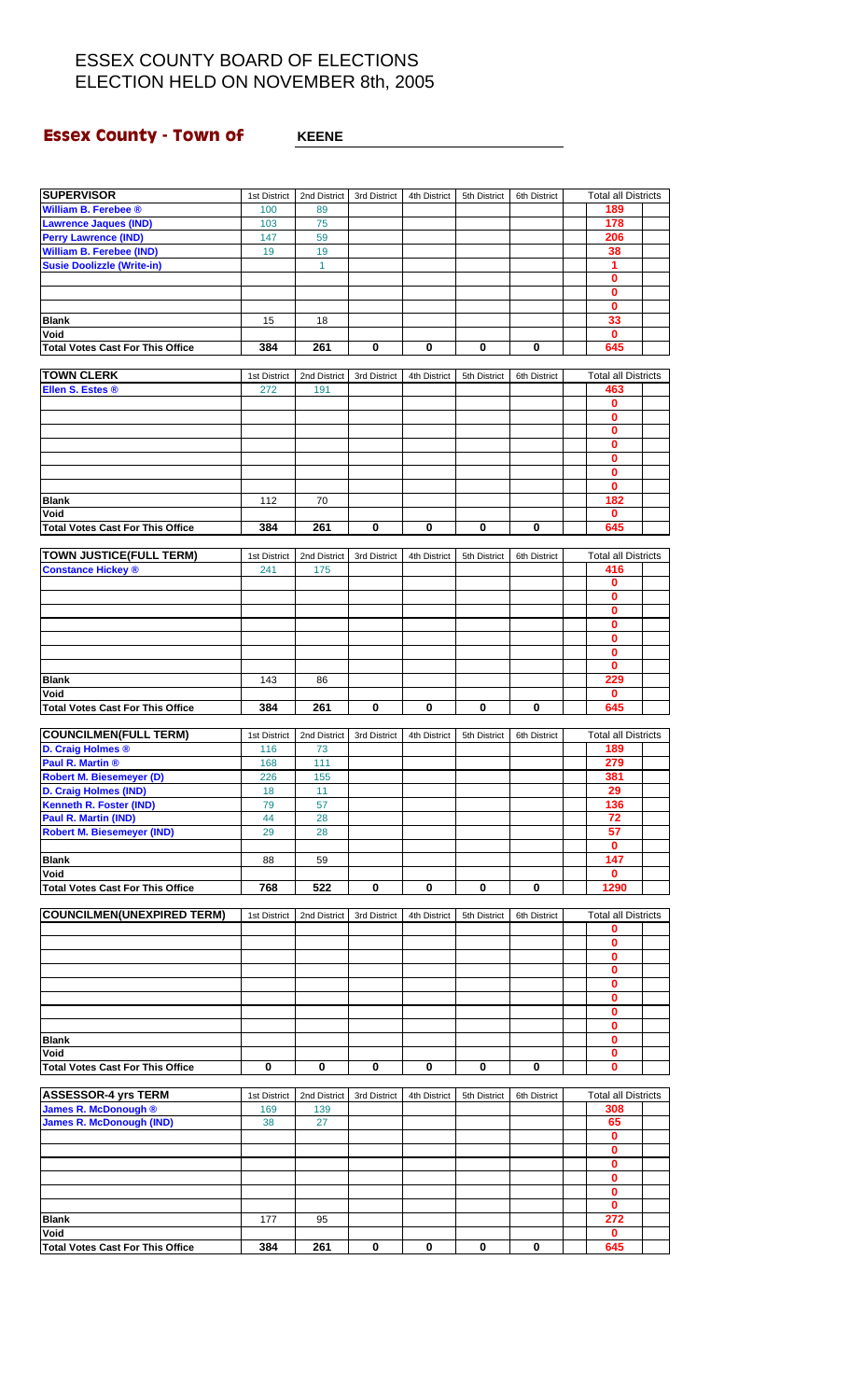# **Essex County - Town of** <br>**KEENE**

| <b>SUPERVISOR</b>                                      | 1st District        | 2nd District        | 3rd District | 4th District | 5th District | 6th District | <b>Total all Districts</b> |  |
|--------------------------------------------------------|---------------------|---------------------|--------------|--------------|--------------|--------------|----------------------------|--|
| William B. Ferebee ®                                   | 100                 | 89                  |              |              |              |              | 189                        |  |
| <b>Lawrence Jaques (IND)</b>                           | 103                 | 75                  |              |              |              |              | 178                        |  |
| <b>Perry Lawrence (IND)</b>                            | 147                 | 59                  |              |              |              |              | 206                        |  |
| <b>William B. Ferebee (IND)</b>                        | 19                  | 19                  |              |              |              |              | 38                         |  |
| <b>Susie Doolizzle (Write-in)</b>                      |                     | $\mathbf{1}$        |              |              |              |              | 1                          |  |
|                                                        |                     |                     |              |              |              |              | $\bf{0}$                   |  |
|                                                        |                     |                     |              |              |              |              | $\bf{0}$                   |  |
|                                                        |                     |                     |              |              |              |              | $\mathbf 0$                |  |
| <b>Blank</b>                                           | 15                  | 18                  |              |              |              |              | 33                         |  |
| Void                                                   |                     |                     |              |              |              |              | $\mathbf 0$                |  |
| <b>Total Votes Cast For This Office</b>                | 384                 | 261                 | $\pmb{0}$    | 0            | $\mathbf 0$  | $\pmb{0}$    | 645                        |  |
|                                                        |                     |                     |              |              |              |              |                            |  |
| <b>TOWN CLERK</b>                                      | 1st District        | 2nd District        | 3rd District | 4th District | 5th District | 6th District | <b>Total all Districts</b> |  |
| Ellen S. Estes ®                                       | 272                 | 191                 |              |              |              |              | 463                        |  |
|                                                        |                     |                     |              |              |              |              | $\mathbf 0$                |  |
|                                                        |                     |                     |              |              |              |              | $\mathbf 0$                |  |
|                                                        |                     |                     |              |              |              |              | $\mathbf 0$                |  |
|                                                        |                     |                     |              |              |              |              | $\bf{0}$                   |  |
|                                                        |                     |                     |              |              |              |              | $\mathbf 0$                |  |
|                                                        |                     |                     |              |              |              |              | $\mathbf 0$                |  |
|                                                        |                     |                     |              |              |              |              | $\mathbf 0$                |  |
| <b>Blank</b>                                           | 112                 | 70                  |              |              |              |              | 182                        |  |
| Void<br><b>Total Votes Cast For This Office</b>        | 384                 | 261                 | $\bf{0}$     | 0            | 0            | 0            | 0<br>645                   |  |
|                                                        |                     |                     |              |              |              |              |                            |  |
| <b>TOWN JUSTICE(FULL TERM)</b>                         | 1st District        | 2nd District        | 3rd District | 4th District | 5th District | 6th District | <b>Total all Districts</b> |  |
| <b>Constance Hickey ®</b>                              | 241                 | 175                 |              |              |              |              | 416                        |  |
|                                                        |                     |                     |              |              |              |              | $\mathbf 0$                |  |
|                                                        |                     |                     |              |              |              |              | $\mathbf 0$                |  |
|                                                        |                     |                     |              |              |              |              | $\bf{0}$                   |  |
|                                                        |                     |                     |              |              |              |              | $\mathbf 0$                |  |
|                                                        |                     |                     |              |              |              |              | $\mathbf 0$                |  |
|                                                        |                     |                     |              |              |              |              | $\bf{0}$                   |  |
|                                                        |                     |                     |              |              |              |              | 0                          |  |
| <b>Blank</b>                                           | 143                 | 86                  |              |              |              |              | 229                        |  |
| Void                                                   |                     |                     |              |              |              |              | $\bf{0}$                   |  |
| <b>Total Votes Cast For This Office</b>                | 384                 | 261                 | 0            | 0            | 0            | 0            | 645                        |  |
|                                                        |                     |                     |              |              |              |              |                            |  |
| <b>COUNCILMEN(FULL TERM)</b>                           | 1st District        | 2nd District        | 3rd District | 4th District | 5th District | 6th District | <b>Total all Districts</b> |  |
| D. Craig Holmes ®                                      | 116                 | 73                  |              |              |              |              | 189                        |  |
| Paul R. Martin ®                                       | 168                 | 111                 |              |              |              |              | 279                        |  |
| <b>Robert M. Biesemeyer (D)</b>                        | 226                 | 155                 |              |              |              |              | 381                        |  |
| D. Craig Holmes (IND)                                  | 18<br>79            | 11                  |              |              |              |              | 29<br>136                  |  |
| <b>Kenneth R. Foster (IND)</b><br>Paul R. Martin (IND) | 44                  | 57                  |              |              |              |              | 72                         |  |
| <b>Robert M. Biesemeyer (IND)</b>                      | 29                  | 28<br>28            |              |              |              |              | 57                         |  |
|                                                        |                     |                     |              |              |              |              | 0                          |  |
| <b>Blank</b>                                           | 88                  | 59                  |              |              |              |              | 147                        |  |
| Void                                                   |                     |                     |              |              |              |              | $\mathbf 0$                |  |
| <b>Total Votes Cast For This Office</b>                | 768                 | 522                 | 0            | 0            | 0            | 0            | 1290                       |  |
|                                                        |                     |                     |              |              |              |              |                            |  |
| <b>COUNCILMEN(UNEXPIRED TERM)</b>                      | 1st District        | 2nd District        | 3rd District | 4th District | 5th District | 6th District | <b>Total all Districts</b> |  |
|                                                        |                     |                     |              |              |              |              | 0                          |  |
|                                                        |                     |                     |              |              |              |              | $\mathbf 0$                |  |
|                                                        |                     |                     |              |              |              |              | 0                          |  |
|                                                        |                     |                     |              |              |              |              | 0                          |  |
|                                                        |                     |                     |              |              |              |              | $\bf{0}$                   |  |
|                                                        |                     |                     |              |              |              |              | 0                          |  |
|                                                        |                     |                     |              |              |              |              | 0                          |  |
|                                                        |                     |                     |              |              |              |              | $\bf{0}$                   |  |
| <b>Blank</b>                                           |                     |                     |              |              |              |              | 0                          |  |
| Void                                                   |                     |                     |              |              |              |              | 0                          |  |
| <b>Total Votes Cast For This Office</b>                | 0                   | 0                   | 0            | 0            | 0            | 0            | $\bf{0}$                   |  |
| <b>ASSESSOR-4 yrs TERM</b>                             |                     |                     |              |              |              |              | <b>Total all Districts</b> |  |
| James R. McDonough ®                                   | 1st District<br>169 | 2nd District<br>139 | 3rd District | 4th District | 5th District | 6th District | 308                        |  |
| <b>James R. McDonough (IND)</b>                        | 38                  | 27                  |              |              |              |              | 65                         |  |
|                                                        |                     |                     |              |              |              |              | $\mathbf 0$                |  |
|                                                        |                     |                     |              |              |              |              | $\mathbf 0$                |  |
|                                                        |                     |                     |              |              |              |              | 0                          |  |
|                                                        |                     |                     |              |              |              |              | $\mathbf 0$                |  |
|                                                        |                     |                     |              |              |              |              | $\mathbf 0$                |  |
|                                                        |                     |                     |              |              |              |              | $\mathbf 0$                |  |
| <b>Blank</b>                                           |                     |                     |              |              |              |              |                            |  |
|                                                        | 177                 | 95                  |              |              |              |              | 272                        |  |
| Void                                                   |                     |                     |              |              |              |              | $\mathbf{0}$               |  |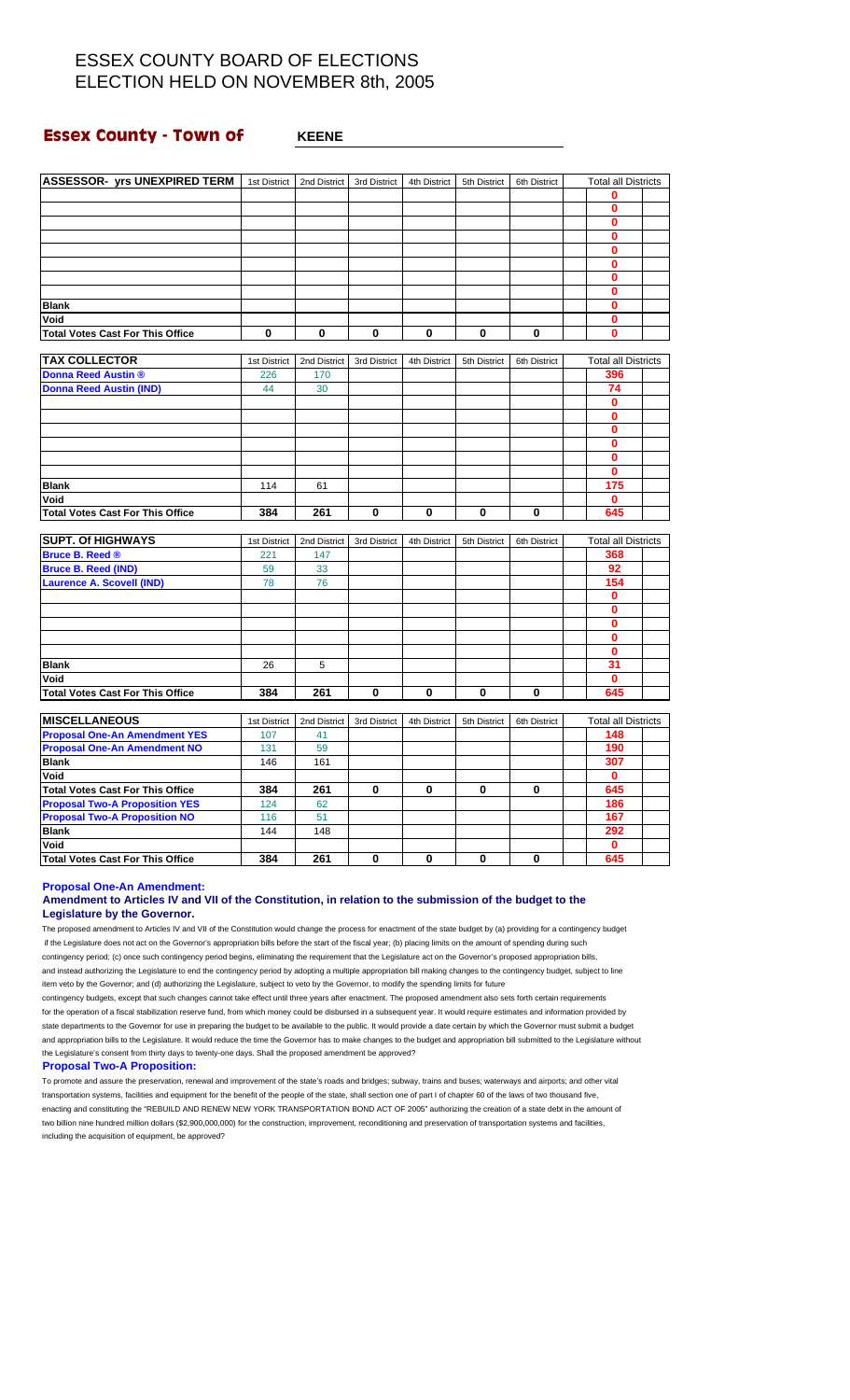### **Essex County - Town of WHEENE**

| <b>ASSESSOR- yrs UNEXPIRED TERM</b>     | 1st District | 2nd District | 3rd District | 4th District | 5th District | 6th District | <b>Total all Districts</b> |  |
|-----------------------------------------|--------------|--------------|--------------|--------------|--------------|--------------|----------------------------|--|
|                                         |              |              |              |              |              |              | 0                          |  |
|                                         |              |              |              |              |              |              | 0                          |  |
|                                         |              |              |              |              |              |              | $\bf{0}$                   |  |
|                                         |              |              |              |              |              |              | $\bf{0}$                   |  |
|                                         |              |              |              |              |              |              | 0                          |  |
|                                         |              |              |              |              |              |              | $\bf{0}$                   |  |
|                                         |              |              |              |              |              |              | $\bf{0}$                   |  |
|                                         |              |              |              |              |              |              | 0                          |  |
| <b>Blank</b>                            |              |              |              |              |              |              | 0                          |  |
| Void                                    |              |              |              |              |              |              | $\bf{0}$                   |  |
| <b>Total Votes Cast For This Office</b> | 0            | $\bf{0}$     | 0            | $\bf{0}$     | $\bf{0}$     | $\bf{0}$     | $\bf{0}$                   |  |
|                                         |              |              |              |              |              |              |                            |  |
| <b>TAX COLLECTOR</b>                    | 1st District | 2nd District | 3rd District | 4th District | 5th District | 6th District | <b>Total all Districts</b> |  |
| <b>Donna Reed Austin ®</b>              | 226          | 170          |              |              |              |              | 396                        |  |
| <b>Donna Reed Austin (IND)</b>          | 44           | 30           |              |              |              |              | 74                         |  |
|                                         |              |              |              |              |              |              | $\bf{0}$                   |  |
|                                         |              |              |              |              |              |              | $\bf{0}$                   |  |
|                                         |              |              |              |              |              |              | 0                          |  |
|                                         |              |              |              |              |              |              | $\bf{0}$                   |  |
|                                         |              |              |              |              |              |              | $\bf{0}$                   |  |
|                                         |              |              |              |              |              |              | $\bf{0}$                   |  |
| <b>Blank</b>                            | 114          | 61           |              |              |              |              | 175                        |  |
| Void                                    |              |              |              |              |              |              | $\mathbf{0}$               |  |
| <b>Total Votes Cast For This Office</b> | 384          | 261          | 0            | $\bf{0}$     | $\bf{0}$     | $\bf{0}$     | 645                        |  |
|                                         |              |              |              |              |              |              |                            |  |
| <b>SUPT. Of HIGHWAYS</b>                | 1st District | 2nd District | 3rd District | 4th District | 5th District | 6th District | <b>Total all Districts</b> |  |
| <b>Rruce R. Reed ®</b>                  | つつ1          | $147$        |              |              |              |              | 368                        |  |

| <b>Bruce B. Reed ®</b>                  | 221 | 147 |   |   |   |   | 368 |
|-----------------------------------------|-----|-----|---|---|---|---|-----|
| <b>Bruce B. Reed (IND)</b>              | 59  | 33  |   |   |   |   | 92  |
| <b>Laurence A. Scovell (IND)</b>        | 78  | 76  |   |   |   |   | 154 |
|                                         |     |     |   |   |   |   |     |
|                                         |     |     |   |   |   |   |     |
|                                         |     |     |   |   |   |   |     |
|                                         |     |     |   |   |   |   |     |
|                                         |     |     |   |   |   |   |     |
| <b>Blank</b>                            | 26  | 5   |   |   |   |   | 31  |
| Void                                    |     |     |   |   |   |   |     |
| <b>Total Votes Cast For This Office</b> | 384 | 261 | 0 | 0 | 0 | ŋ | 645 |

| <b>MISCELLANEOUS</b>                    | 1st District | 2nd District | 3rd District | 4th District | 5th District | 6th District | <b>Total all Districts</b> |  |
|-----------------------------------------|--------------|--------------|--------------|--------------|--------------|--------------|----------------------------|--|
| <b>Proposal One-An Amendment YES</b>    | 107          | 41           |              |              |              |              | 148                        |  |
| <b>Proposal One-An Amendment NO</b>     | 131          | 59           |              |              |              |              | 190                        |  |
| <b>Blank</b>                            | 146          | 161          |              |              |              |              | 307                        |  |
| Void                                    |              |              |              |              |              |              | 0                          |  |
| <b>Total Votes Cast For This Office</b> | 384          | 261          | 0            | 0            | 0            |              | 645                        |  |
| <b>Proposal Two-A Proposition YES</b>   | 124          | 62           |              |              |              |              | 186                        |  |
| <b>Proposal Two-A Proposition NO</b>    | 116          | 51           |              |              |              |              | 167                        |  |
| <b>Blank</b>                            | 144          | 148          |              |              |              |              | 292                        |  |
| Void                                    |              |              |              |              |              |              | О                          |  |
| Total Votes Cast For This Office        | 384          | 261          | 0            | 0            | 0            |              | 645                        |  |

**Proposal One-An Amendment:**

#### **Amendment to Articles IV and VII of the Constitution, in relation to the submission of the budget to the Legislature by the Governor.**

The proposed amendment to Articles IV and VII of the Constitution would change the process for enactment of the state budget by (a) providing for a contingency budget if the Legislature does not act on the Governor's appropriation bills before the start of the fiscal year; (b) placing limits on the amount of spending during such contingency period; (c) once such contingency period begins, eliminating the requirement that the Legislature act on the Governor's proposed appropriation bills, and instead authorizing the Legislature to end the contingency period by adopting a multiple appropriation bill making changes to the contingency budget, subject to line item veto by the Governor; and (d) authorizing the Legislature, subject to veto by the Governor, to modify the spending limits for future

contingency budgets, except that such changes cannot take effect until three years after enactment. The proposed amendment also sets forth certain requirements for the operation of a fiscal stabilization reserve fund, from which money could be disbursed in a subsequent year. It would require estimates and information provided by state departments to the Governor for use in preparing the budget to be available to the public. It would provide a date certain by which the Governor must submit a budget and appropriation bills to the Legislature. It would reduce the time the Governor has to make changes to the budget and appropriation bill submitted to the Legislature without the Legislature's consent from thirty days to twenty-one days. Shall the proposed amendment be approved?

#### **Proposal Two-A Proposition:**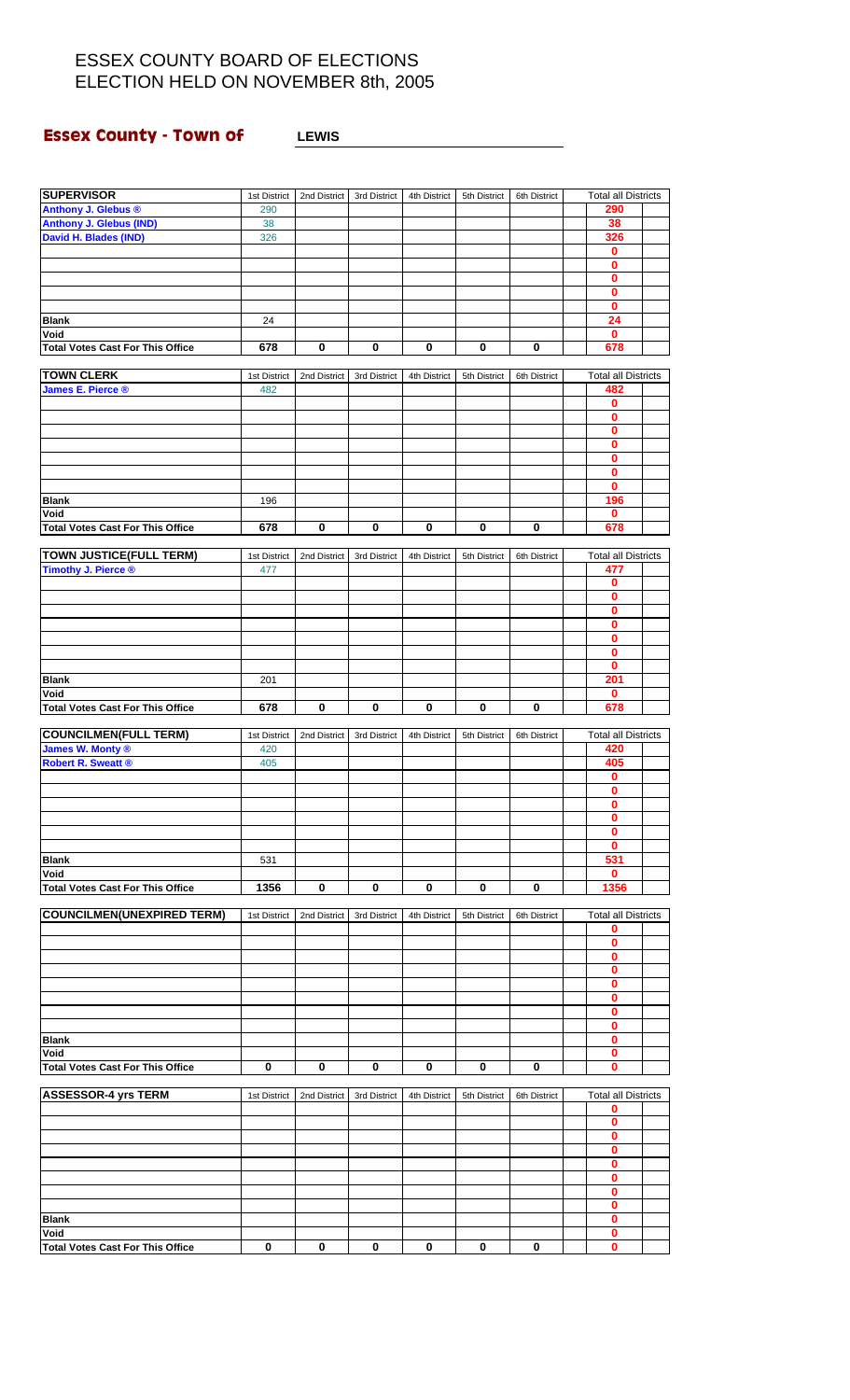## **Essex County - Town of LEWIS**

| <b>SUPERVISOR</b>                       | 1st District | 2nd District | 3rd District | 4th District | 5th District | 6th District | <b>Total all Districts</b> |  |
|-----------------------------------------|--------------|--------------|--------------|--------------|--------------|--------------|----------------------------|--|
| Anthony J. Glebus ®                     | 290          |              |              |              |              |              | 290                        |  |
| <b>Anthony J. Glebus (IND)</b>          | 38           |              |              |              |              |              | 38                         |  |
| David H. Blades (IND)                   | 326          |              |              |              |              |              | 326                        |  |
|                                         |              |              |              |              |              |              | $\bf{0}$                   |  |
|                                         |              |              |              |              |              |              | $\mathbf 0$                |  |
|                                         |              |              |              |              |              |              | 0                          |  |
|                                         |              |              |              |              |              |              | $\bf{0}$                   |  |
|                                         |              |              |              |              |              |              | 0                          |  |
| Blank                                   | 24           |              |              |              |              |              | 24                         |  |
| Void                                    |              |              |              |              |              |              | 0                          |  |
| <b>Total Votes Cast For This Office</b> | 678          | 0            | 0            | 0            | 0            | 0            | 678                        |  |
|                                         |              |              |              |              |              |              |                            |  |
| <b>TOWN CLERK</b>                       | 1st District | 2nd District | 3rd District | 4th District | 5th District | 6th District | <b>Total all Districts</b> |  |
| <b>James E. Pierce ®</b>                | 482          |              |              |              |              |              | 482                        |  |
|                                         |              |              |              |              |              |              | 0                          |  |
|                                         |              |              |              |              |              |              | 0                          |  |
|                                         |              |              |              |              |              |              | 0                          |  |
|                                         |              |              |              |              |              |              | 0                          |  |
|                                         |              |              |              |              |              |              | 0                          |  |
|                                         |              |              |              |              |              |              | 0                          |  |
|                                         |              |              |              |              |              |              | 0                          |  |
| Blank                                   | 196          |              |              |              |              |              | 196                        |  |
| Void                                    |              |              |              |              |              |              | 0                          |  |
|                                         |              |              |              |              |              |              |                            |  |
| <b>Total Votes Cast For This Office</b> | 678          | 0            | 0            | 0            | 0            | 0            | 678                        |  |
| <b>TOWN JUSTICE(FULL TERM)</b>          | 1st District | 2nd District | 3rd District | 4th District | 5th District | 6th District | <b>Total all Districts</b> |  |
| Timothy J. Pierce ®                     | 477          |              |              |              |              |              | 477                        |  |
|                                         |              |              |              |              |              |              | 0                          |  |
|                                         |              |              |              |              |              |              | 0                          |  |
|                                         |              |              |              |              |              |              | 0                          |  |
|                                         |              |              |              |              |              |              |                            |  |
|                                         |              |              |              |              |              |              | 0<br>0                     |  |
|                                         |              |              |              |              |              |              |                            |  |
|                                         |              |              |              |              |              |              | 0<br>0                     |  |
|                                         |              |              |              |              |              |              |                            |  |
| Blank                                   | 201          |              |              |              |              |              | 201                        |  |
| Void                                    |              |              |              |              |              |              | $\mathbf 0$                |  |
| <b>Total Votes Cast For This Office</b> | 678          | 0            | 0            | 0            | 0            | 0            | 678                        |  |
| <b>COUNCILMEN(FULL TERM)</b>            |              |              |              |              |              |              |                            |  |
|                                         | 1st District | 2nd District | 3rd District | 4th District | 5th District | 6th District | <b>Total all Districts</b> |  |
| James W. Monty ®                        | 420          |              |              |              |              |              | 420<br>405                 |  |
| <b>Robert R. Sweatt ®</b>               | 405          |              |              |              |              |              | $\bf{0}$                   |  |
|                                         |              |              |              |              |              |              |                            |  |
|                                         |              |              |              |              |              |              | 0                          |  |
|                                         |              |              |              |              |              |              | 0                          |  |
|                                         |              |              |              |              |              |              | 0                          |  |
|                                         |              |              |              |              |              |              | 0                          |  |
|                                         |              |              |              |              |              |              | 0                          |  |
| Blank                                   | 531          |              |              |              |              |              | 531                        |  |
| Void                                    |              |              |              |              |              |              | 0                          |  |
| <b>Total Votes Cast For This Office</b> | 1356         | 0            | 0            | 0            | 0            | 0            | 1356                       |  |

| <b>COUNCILMEN(UNEXPIRED TERM)</b>       | 1st District | 2nd District                                                                              | 3rd District | 4th District | 5th District | 6th District | <b>Total all Districts</b> |  |
|-----------------------------------------|--------------|-------------------------------------------------------------------------------------------|--------------|--------------|--------------|--------------|----------------------------|--|
|                                         |              |                                                                                           |              |              |              |              | 0                          |  |
|                                         |              |                                                                                           |              |              |              |              | 0                          |  |
|                                         |              |                                                                                           |              |              |              |              | 0                          |  |
|                                         |              |                                                                                           |              |              |              |              | 0                          |  |
|                                         |              |                                                                                           |              |              |              |              | 0                          |  |
|                                         |              |                                                                                           |              |              |              |              | 0                          |  |
|                                         |              |                                                                                           |              |              |              |              | 0                          |  |
|                                         |              |                                                                                           |              |              |              |              | 0                          |  |
| <b>Blank</b>                            |              |                                                                                           |              |              |              |              | 0                          |  |
| Void                                    |              |                                                                                           |              |              |              |              | Ω                          |  |
| <b>Total Votes Cast For This Office</b> | 0            | 0                                                                                         | $\bf{0}$     | 0            | 0            | $\mathbf{0}$ | 0                          |  |
| ACCECCOD A WA TEDM                      |              | Ant District   Onel District   Onel District   Ath District   Pth District   Oth District |              |              |              |              | Total all Diotricts        |  |

| <b>ASSESSOR-4 yrs TERM</b>              | 1st District | 2nd District | 3rd District | 4th District | 5th District | 6th District | <b>Total all Districts</b> |  |
|-----------------------------------------|--------------|--------------|--------------|--------------|--------------|--------------|----------------------------|--|
|                                         |              |              |              |              |              |              |                            |  |
|                                         |              |              |              |              |              |              |                            |  |
|                                         |              |              |              |              |              |              |                            |  |
|                                         |              |              |              |              |              |              |                            |  |
|                                         |              |              |              |              |              |              |                            |  |
|                                         |              |              |              |              |              |              |                            |  |
|                                         |              |              |              |              |              |              |                            |  |
|                                         |              |              |              |              |              |              |                            |  |
| <b>Blank</b>                            |              |              |              |              |              |              |                            |  |
| Void                                    |              |              |              |              |              |              |                            |  |
| <b>Total Votes Cast For This Office</b> |              | 0            | 0            | 0            | 0            | 0            |                            |  |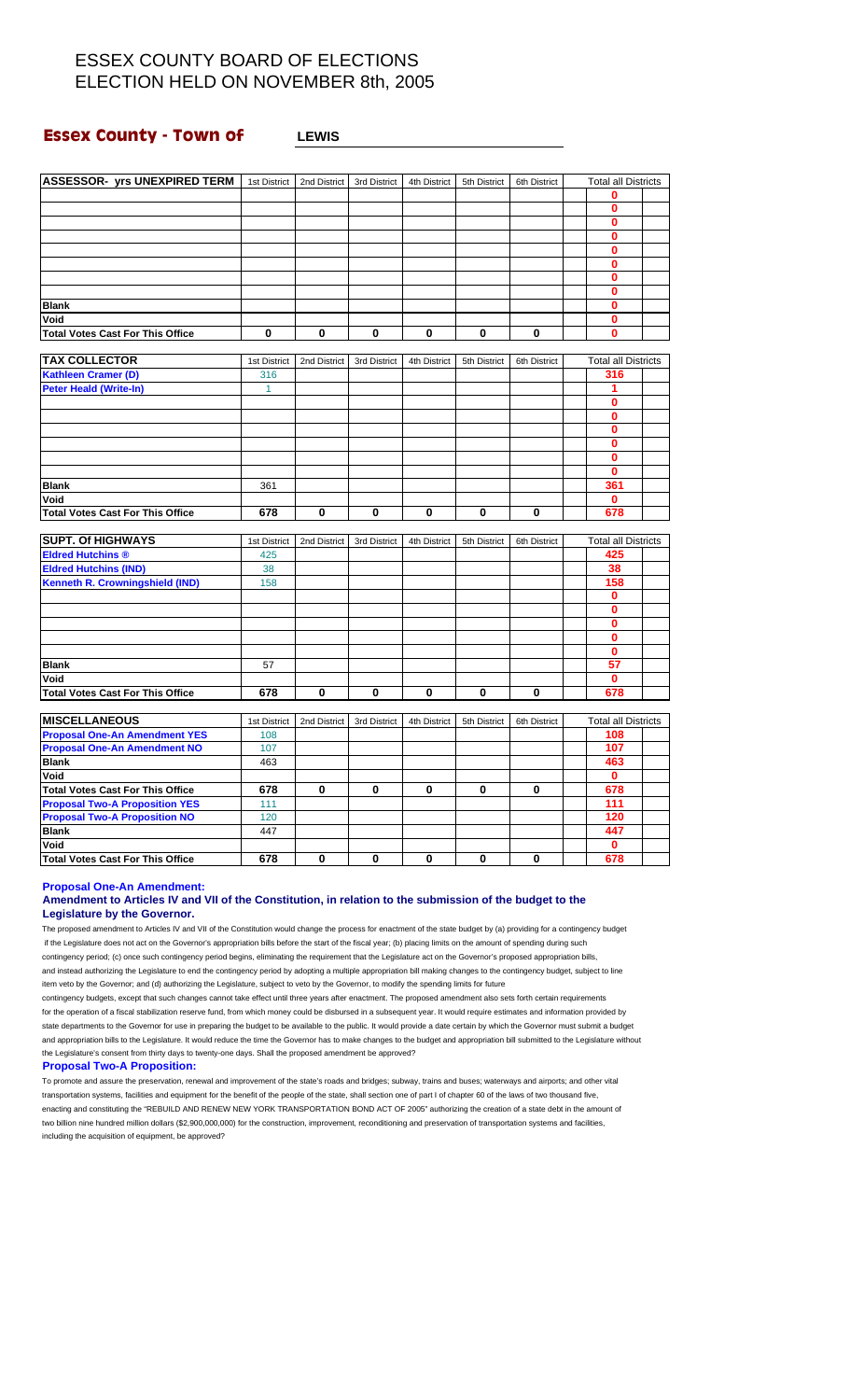### **Essex County - Town of LEWIS**

| <b>ASSESSOR- yrs UNEXPIRED TERM</b>     | 1st District | 2nd District | 3rd District | 4th District | 5th District | 6th District | <b>Total all Districts</b> |  |
|-----------------------------------------|--------------|--------------|--------------|--------------|--------------|--------------|----------------------------|--|
|                                         |              |              |              |              |              |              | 0                          |  |
|                                         |              |              |              |              |              |              | $\bf{0}$                   |  |
|                                         |              |              |              |              |              |              | $\bf{0}$                   |  |
|                                         |              |              |              |              |              |              | $\bf{0}$                   |  |
|                                         |              |              |              |              |              |              |                            |  |
|                                         |              |              |              |              |              |              | 0                          |  |
|                                         |              |              |              |              |              |              | 0                          |  |
|                                         |              |              |              |              |              |              | 0                          |  |
|                                         |              |              |              |              |              |              | 0<br>0                     |  |
| <b>Blank</b>                            |              |              |              |              |              |              |                            |  |
| Void                                    | 0            | 0            | 0            | 0            | 0            | 0            | 0<br>$\bf{0}$              |  |
| <b>Total Votes Cast For This Office</b> |              |              |              |              |              |              |                            |  |
| <b>TAX COLLECTOR</b>                    | 1st District | 2nd District | 3rd District | 4th District | 5th District | 6th District | <b>Total all Districts</b> |  |
| <b>Kathleen Cramer (D)</b>              | 316          |              |              |              |              |              | 316                        |  |
| <b>Peter Heald (Write-In)</b>           | $\mathbf{1}$ |              |              |              |              |              | 1                          |  |
|                                         |              |              |              |              |              |              | 0                          |  |
|                                         |              |              |              |              |              |              | $\bf{0}$                   |  |
|                                         |              |              |              |              |              |              | 0                          |  |
|                                         |              |              |              |              |              |              | $\bf{0}$                   |  |
|                                         |              |              |              |              |              |              | 0                          |  |
|                                         |              |              |              |              |              |              | $\bf{0}$                   |  |
| <b>Blank</b>                            | 361          |              |              |              |              |              | 361                        |  |
| Void                                    |              |              |              |              |              |              | $\mathbf 0$                |  |
| <b>Total Votes Cast For This Office</b> | 678          | $\bf{0}$     | 0            | 0            | 0            | $\bf{0}$     | 678                        |  |
|                                         |              |              |              |              |              |              |                            |  |
| <b>SUPT. Of HIGHWAYS</b>                | 1st District | 2nd District | 3rd District | 4th District | 5th District | 6th District | <b>Total all Districts</b> |  |
| <b>Eldred Hutchins ®</b>                | 425          |              |              |              |              |              | 425                        |  |
| <b>Eldred Hutchins (IND)</b>            | 38           |              |              |              |              |              | 38                         |  |
| <b>Kenneth R. Crowningshield (IND)</b>  | 158          |              |              |              |              |              | 158                        |  |
|                                         |              |              |              |              |              |              | $\bf{0}$                   |  |
|                                         |              |              |              |              |              |              | $\mathbf 0$                |  |
|                                         |              |              |              |              |              |              | $\bf{0}$                   |  |
|                                         |              |              |              |              |              |              | 0                          |  |
|                                         |              |              |              |              |              |              | $\bf{0}$                   |  |
| <b>Blank</b>                            | 57           |              |              |              |              |              | 57                         |  |
| Void                                    |              |              |              |              |              |              | $\bf{0}$                   |  |
| <b>Total Votes Cast For This Office</b> | 678          | $\bf{0}$     | 0            | 0            | $\mathbf 0$  | $\bf{0}$     | 678                        |  |
|                                         |              |              |              |              |              |              |                            |  |
| <b>MISCELLANEOUS</b>                    | 1st District | 2nd District | 3rd District | 4th District | 5th District | 6th District | <b>Total all Districts</b> |  |
| <b>Proposal One-An Amendment YES</b>    | 108          |              |              |              |              |              | 108                        |  |
| <b>Proposal One-An Amendment NO</b>     | 107          |              |              |              |              |              | 107                        |  |
| <b>Blank</b>                            | 463          |              |              |              |              |              | 463                        |  |
| Void                                    |              |              |              |              |              |              | 0                          |  |
| <b>Total Votes Cast For This Office</b> | 678          | 0            | 0            | 0            | 0            | 0            | 678                        |  |
| <b>Proposal Two-A Proposition YES</b>   | 111          |              |              |              |              |              | 111                        |  |
| <b>Proposal Two-A Proposition NO</b>    | 120          |              |              |              |              |              | 120                        |  |
| <b>Blank</b>                            | 447          |              |              |              |              |              | 447                        |  |
| Void                                    |              |              |              |              |              |              | $\mathbf 0$                |  |
| <b>Total Votes Cast For This Office</b> | 678          | 0            | 0            | 0            | 0            | 0            | 678                        |  |

**Proposal One-An Amendment:**

#### **Amendment to Articles IV and VII of the Constitution, in relation to the submission of the budget to the Legislature by the Governor.**

The proposed amendment to Articles IV and VII of the Constitution would change the process for enactment of the state budget by (a) providing for a contingency budget if the Legislature does not act on the Governor's appropriation bills before the start of the fiscal year; (b) placing limits on the amount of spending during such contingency period; (c) once such contingency period begins, eliminating the requirement that the Legislature act on the Governor's proposed appropriation bills, and instead authorizing the Legislature to end the contingency period by adopting a multiple appropriation bill making changes to the contingency budget, subject to line item veto by the Governor; and (d) authorizing the Legislature, subject to veto by the Governor, to modify the spending limits for future

contingency budgets, except that such changes cannot take effect until three years after enactment. The proposed amendment also sets forth certain requirements for the operation of a fiscal stabilization reserve fund, from which money could be disbursed in a subsequent year. It would require estimates and information provided by state departments to the Governor for use in preparing the budget to be available to the public. It would provide a date certain by which the Governor must submit a budget and appropriation bills to the Legislature. It would reduce the time the Governor has to make changes to the budget and appropriation bill submitted to the Legislature without the Legislature's consent from thirty days to twenty-one days. Shall the proposed amendment be approved?

#### **Proposal Two-A Proposition:**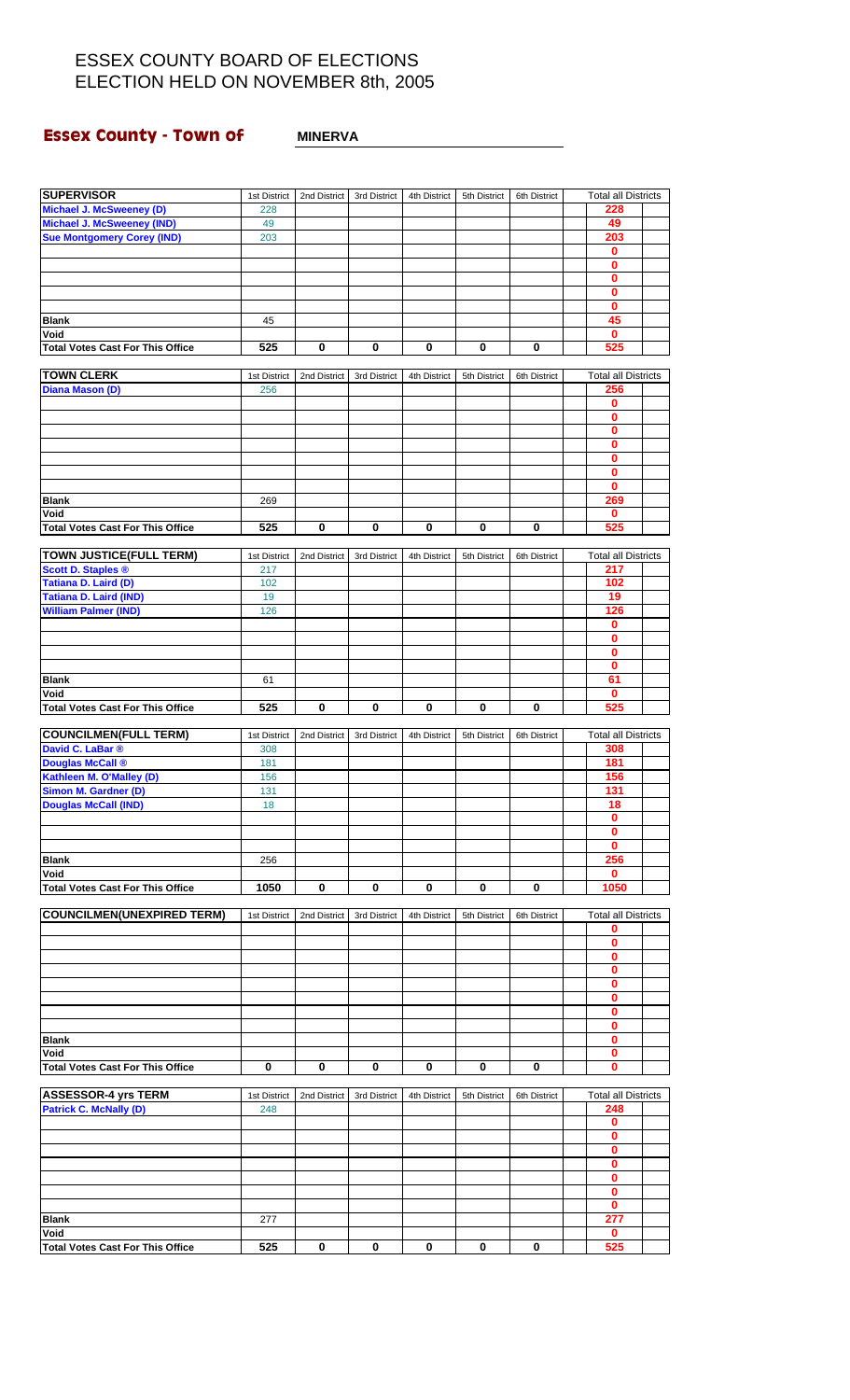### **Essex County - Town of MINERVA**

| <b>SUPERVISOR</b>                               | 1st District | 2nd District | 3rd District | 4th District | 5th District | 6th District | <b>Total all Districts</b>      |  |
|-------------------------------------------------|--------------|--------------|--------------|--------------|--------------|--------------|---------------------------------|--|
| Michael J. McSweeney (D)                        | 228          |              |              |              |              |              | 228                             |  |
| <b>Michael J. McSweeney (IND)</b>               | 49           |              |              |              |              |              | 49                              |  |
| <b>Sue Montgomery Corey (IND)</b>               | 203          |              |              |              |              |              | 203                             |  |
|                                                 |              |              |              |              |              |              | $\bf{0}$                        |  |
|                                                 |              |              |              |              |              |              | 0                               |  |
|                                                 |              |              |              |              |              |              | 0                               |  |
|                                                 |              |              |              |              |              |              | 0                               |  |
|                                                 |              |              |              |              |              |              | $\mathbf 0$                     |  |
| <b>Blank</b>                                    | 45           |              |              |              |              |              | 45                              |  |
| Void                                            |              |              |              |              |              |              | $\mathbf 0$                     |  |
| <b>Total Votes Cast For This Office</b>         | 525          | 0            | 0            | $\bf{0}$     | $\pmb{0}$    | $\bf{0}$     | 525                             |  |
|                                                 |              |              |              |              |              |              |                                 |  |
| <b>TOWN CLERK</b>                               | 1st District | 2nd District | 3rd District | 4th District | 5th District | 6th District | <b>Total all Districts</b>      |  |
| Diana Mason (D)                                 | 256          |              |              |              |              |              | 256                             |  |
|                                                 |              |              |              |              |              |              | 0                               |  |
|                                                 |              |              |              |              |              |              | 0                               |  |
|                                                 |              |              |              |              |              |              | 0                               |  |
|                                                 |              |              |              |              |              |              | 0                               |  |
|                                                 |              |              |              |              |              |              | 0                               |  |
|                                                 |              |              |              |              |              |              | 0                               |  |
|                                                 |              |              |              |              |              |              | $\bf{0}$                        |  |
| <b>Blank</b>                                    | 269          |              |              |              |              |              | 269                             |  |
| Void                                            |              |              |              |              |              |              | $\mathbf{0}$                    |  |
| <b>Total Votes Cast For This Office</b>         | 525          | 0            | 0            | 0            | 0            | 0            | 525                             |  |
|                                                 |              |              |              |              |              |              |                                 |  |
| <b>TOWN JUSTICE(FULL TERM)</b>                  | 1st District | 2nd District | 3rd District | 4th District | 5th District | 6th District | <b>Total all Districts</b>      |  |
| <b>Scott D. Staples ®</b>                       | 217          |              |              |              |              |              | 217                             |  |
| Tatiana D. Laird (D)                            | 102          |              |              |              |              |              | 102                             |  |
| Tatiana D. Laird (IND)                          | 19           |              |              |              |              |              | 19                              |  |
| <b>William Palmer (IND)</b>                     | 126          |              |              |              |              |              | 126                             |  |
|                                                 |              |              |              |              |              |              | 0                               |  |
|                                                 |              |              |              |              |              |              | $\bf{0}$                        |  |
|                                                 |              |              |              |              |              |              | 0                               |  |
|                                                 |              |              |              |              |              |              | $\bf{0}$                        |  |
| <b>Blank</b>                                    | 61           |              |              |              |              |              | 61                              |  |
| Void                                            |              |              |              |              |              |              | $\mathbf 0$                     |  |
| <b>Total Votes Cast For This Office</b>         | 525          | 0            | 0            | 0            | 0            | 0            | 525                             |  |
|                                                 |              |              |              |              |              |              |                                 |  |
|                                                 |              |              |              |              |              |              |                                 |  |
|                                                 |              |              |              |              |              |              |                                 |  |
| <b>COUNCILMEN(FULL TERM)</b>                    | 1st District | 2nd District | 3rd District | 4th District | 5th District | 6th District | <b>Total all Districts</b>      |  |
| David C. LaBar ®                                | 308          |              |              |              |              |              | 308                             |  |
| <b>Douglas McCall ®</b>                         | 181          |              |              |              |              |              | 181                             |  |
| Kathleen M. O'Malley (D)                        | 156          |              |              |              |              |              | 156                             |  |
| Simon M. Gardner (D)                            | 131          |              |              |              |              |              | 131                             |  |
| <b>Douglas McCall (IND)</b>                     | 18           |              |              |              |              |              | 18                              |  |
|                                                 |              |              |              |              |              |              | 0                               |  |
|                                                 |              |              |              |              |              |              | 0                               |  |
|                                                 |              |              |              |              |              |              | $\bf{0}$                        |  |
| <b>Blank</b>                                    | 256          |              |              |              |              |              | 256                             |  |
| Void                                            |              |              |              |              |              |              | 0                               |  |
| <b>Total Votes Cast For This Office</b>         | 1050         | 0            | 0            | 0            | 0            | 0            | 1050                            |  |
|                                                 |              |              |              |              |              |              |                                 |  |
| <b>COUNCILMEN(UNEXPIRED TERM)</b>               | 1st District | 2nd District | 3rd District | 4th District | 5th District | 6th District | <b>Total all Districts</b><br>0 |  |
|                                                 |              |              |              |              |              |              |                                 |  |
|                                                 |              |              |              |              |              |              | 0                               |  |
|                                                 |              |              |              |              |              |              | 0                               |  |
|                                                 |              |              |              |              |              |              | 0<br>0                          |  |
|                                                 |              |              |              |              |              |              |                                 |  |
|                                                 |              |              |              |              |              |              | 0<br>0                          |  |
|                                                 |              |              |              |              |              |              |                                 |  |
|                                                 |              |              |              |              |              |              | 0                               |  |
| <b>Blank</b>                                    |              |              |              |              |              |              | 0                               |  |
| Void                                            |              |              |              |              |              |              | 0                               |  |
| <b>Total Votes Cast For This Office</b>         | 0            | 0            | 0            | 0            | 0            | 0            | 0                               |  |
|                                                 |              |              |              |              |              |              |                                 |  |
| <b>ASSESSOR-4 yrs TERM</b>                      | 1st District | 2nd District | 3rd District | 4th District | 5th District | 6th District | <b>Total all Districts</b>      |  |
| <b>Patrick C. McNally (D)</b>                   | 248          |              |              |              |              |              | 248                             |  |
|                                                 |              |              |              |              |              |              | 0                               |  |
|                                                 |              |              |              |              |              |              | 0                               |  |
|                                                 |              |              |              |              |              |              | 0                               |  |
|                                                 |              |              |              |              |              |              | 0                               |  |
|                                                 |              |              |              |              |              |              | 0                               |  |
|                                                 |              |              |              |              |              |              | 0                               |  |
|                                                 |              |              |              |              |              |              | 0                               |  |
| <b>Blank</b>                                    | 277          |              |              |              |              |              | 277                             |  |
| Void<br><b>Total Votes Cast For This Office</b> | 525          | 0            | 0            | 0            | 0            | 0            | $\mathbf 0$<br>525              |  |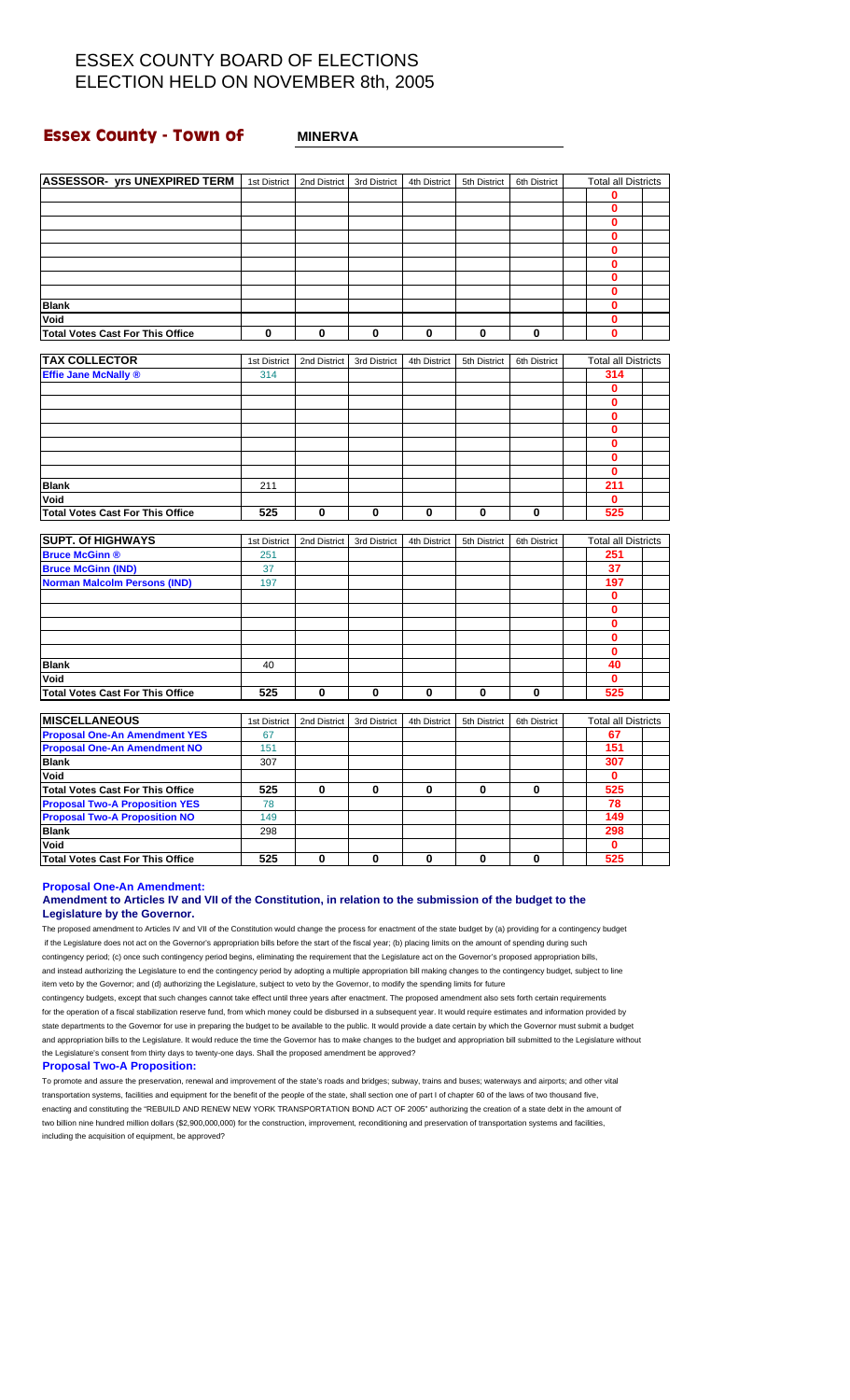### **Essex County - Town of MINERVA**

| <b>ASSESSOR- yrs UNEXPIRED TERM</b>     | 1st District | 2nd District | 3rd District | 4th District | 5th District | 6th District | <b>Total all Districts</b> |  |
|-----------------------------------------|--------------|--------------|--------------|--------------|--------------|--------------|----------------------------|--|
|                                         |              |              |              |              |              |              | 0                          |  |
|                                         |              |              |              |              |              |              | $\mathbf 0$                |  |
|                                         |              |              |              |              |              |              | $\bf{0}$                   |  |
|                                         |              |              |              |              |              |              | $\bf{0}$                   |  |
|                                         |              |              |              |              |              |              |                            |  |
|                                         |              |              |              |              |              |              | 0                          |  |
|                                         |              |              |              |              |              |              | $\bf{0}$                   |  |
|                                         |              |              |              |              |              |              | $\bf{0}$                   |  |
|                                         |              |              |              |              |              |              | $\bf{0}$                   |  |
| <b>Blank</b>                            |              |              |              |              |              |              | 0                          |  |
| Void                                    |              |              |              |              |              |              | 0                          |  |
| <b>Total Votes Cast For This Office</b> | 0            | 0            | 0            | $\mathbf 0$  | $\bf{0}$     | 0            | 0                          |  |
| <b>TAX COLLECTOR</b>                    | 1st District | 2nd District | 3rd District | 4th District | 5th District | 6th District | <b>Total all Districts</b> |  |
| <b>Effie Jane McNally ®</b>             | 314          |              |              |              |              |              | 314                        |  |
|                                         |              |              |              |              |              |              | $\mathbf 0$                |  |
|                                         |              |              |              |              |              |              | $\bf{0}$                   |  |
|                                         |              |              |              |              |              |              | $\bf{0}$                   |  |
|                                         |              |              |              |              |              |              | $\mathbf 0$                |  |
|                                         |              |              |              |              |              |              | $\bf{0}$                   |  |
|                                         |              |              |              |              |              |              | $\bf{0}$                   |  |
|                                         |              |              |              |              |              |              | $\bf{0}$                   |  |
|                                         |              |              |              |              |              |              |                            |  |
| <b>Blank</b>                            | 211          |              |              |              |              |              | 211<br>$\mathbf{0}$        |  |
| Void                                    | 525          | 0            | 0            | $\bf{0}$     | $\bf{0}$     | $\bf{0}$     |                            |  |
| <b>Total Votes Cast For This Office</b> |              |              |              |              |              |              | 525                        |  |
| <b>SUPT. Of HIGHWAYS</b>                | 1st District | 2nd District | 3rd District | 4th District | 5th District | 6th District | <b>Total all Districts</b> |  |
| <b>Bruce McGinn ®</b>                   | 251          |              |              |              |              |              | 251                        |  |
| <b>Bruce McGinn (IND)</b>               | 37           |              |              |              |              |              | 37                         |  |
| <b>Norman Malcolm Persons (IND)</b>     | 197          |              |              |              |              |              | 197                        |  |
|                                         |              |              |              |              |              |              | 0                          |  |
|                                         |              |              |              |              |              |              | 0                          |  |
|                                         |              |              |              |              |              |              | 0                          |  |
|                                         |              |              |              |              |              |              | $\bf{0}$                   |  |
|                                         |              |              |              |              |              |              | $\bf{0}$                   |  |
| <b>Blank</b>                            | 40           |              |              |              |              |              | 40                         |  |
| Void                                    |              |              |              |              |              |              | $\bf{0}$                   |  |
| <b>Total Votes Cast For This Office</b> | 525          | 0            | 0            | 0            | $\bf{0}$     | 0            | 525                        |  |
|                                         |              |              |              |              |              |              |                            |  |
| <b>MISCELLANEOUS</b>                    | 1st District | 2nd District | 3rd District | 4th District | 5th District | 6th District | <b>Total all Districts</b> |  |
| <b>Proposal One-An Amendment YES</b>    | 67           |              |              |              |              |              | 67                         |  |
| <b>Proposal One-An Amendment NO</b>     | 151          |              |              |              |              |              | 151                        |  |
| <b>Blank</b>                            | 307          |              |              |              |              |              | 307                        |  |
| Void                                    |              |              |              |              |              |              | $\mathbf 0$                |  |
| <b>Total Votes Cast For This Office</b> | 525          | 0            | 0            | $\bf{0}$     | $\bf{0}$     | 0            | 525                        |  |
| <b>Proposal Two-A Proposition YES</b>   | 78           |              |              |              |              |              | 78                         |  |
| <b>Proposal Two-A Proposition NO</b>    | 149          |              |              |              |              |              | 149                        |  |
| <b>Blank</b>                            | 298          |              |              |              |              |              | 298                        |  |
| Void                                    |              |              |              |              |              |              | $\bf{0}$                   |  |
| <b>Total Votes Cast For This Office</b> | 525          | 0            | 0            | 0            | $\bf{0}$     | 0            | 525                        |  |

### **Proposal One-An Amendment:**

#### **Amendment to Articles IV and VII of the Constitution, in relation to the submission of the budget to the Legislature by the Governor.**

The proposed amendment to Articles IV and VII of the Constitution would change the process for enactment of the state budget by (a) providing for a contingency budget if the Legislature does not act on the Governor's appropriation bills before the start of the fiscal year; (b) placing limits on the amount of spending during such contingency period; (c) once such contingency period begins, eliminating the requirement that the Legislature act on the Governor's proposed appropriation bills, and instead authorizing the Legislature to end the contingency period by adopting a multiple appropriation bill making changes to the contingency budget, subject to line item veto by the Governor; and (d) authorizing the Legislature, subject to veto by the Governor, to modify the spending limits for future contingency budgets, except that such changes cannot take effect until three years after enactment. The proposed amendment also sets forth certain requirements

for the operation of a fiscal stabilization reserve fund, from which money could be disbursed in a subsequent year. It would require estimates and information provided by state departments to the Governor for use in preparing the budget to be available to the public. It would provide a date certain by which the Governor must submit a budget and appropriation bills to the Legislature. It would reduce the time the Governor has to make changes to the budget and appropriation bill submitted to the Legislature without the Legislature's consent from thirty days to twenty-one days. Shall the proposed amendment be approved?

#### **Proposal Two-A Proposition:**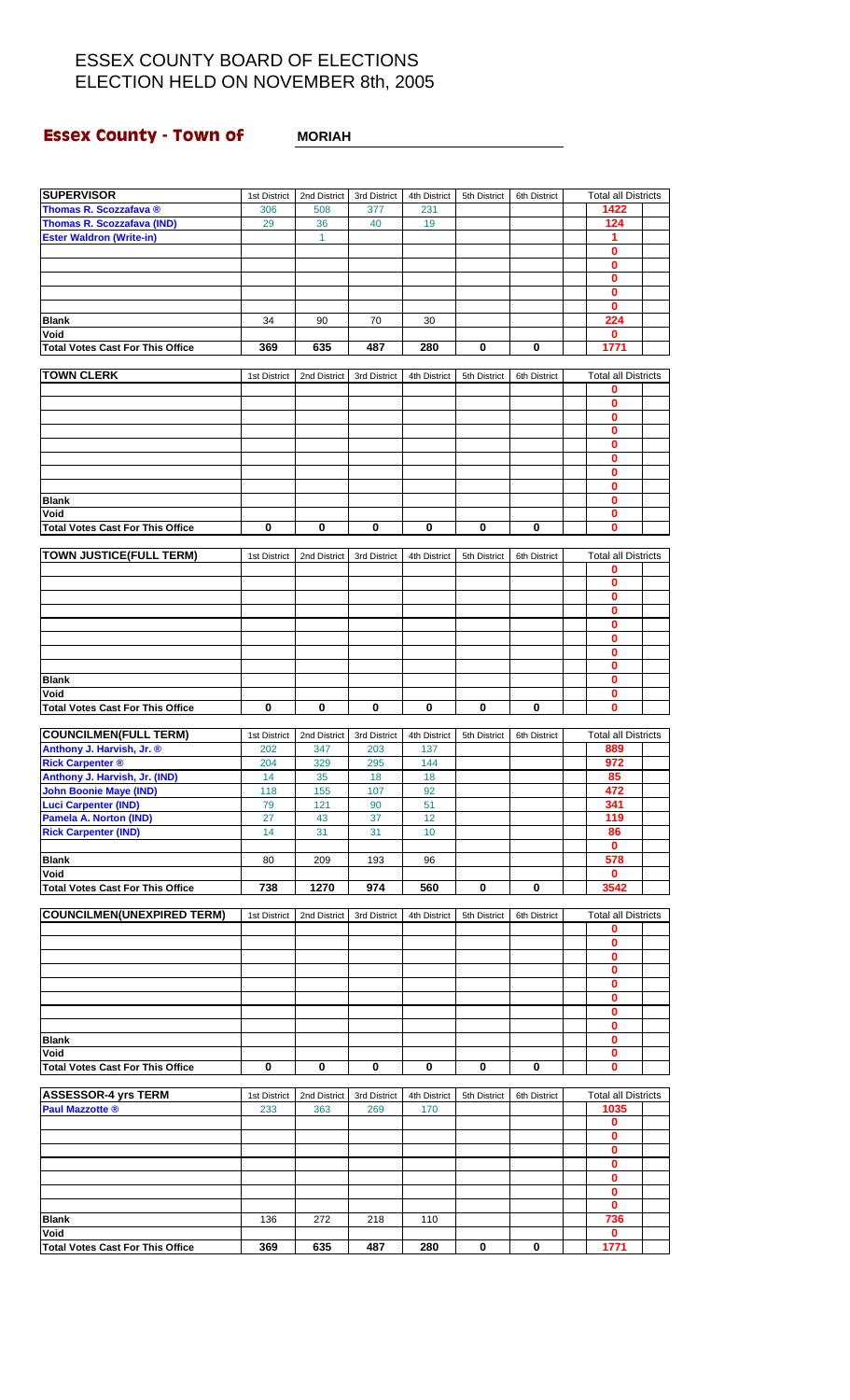### **Essex County - Town of**

| <b>MORIAH</b> |
|---------------|
|---------------|

| <b>SUPERVISOR</b>                                              | 1st District | 2nd District | 3rd District | 4th District    | 5th District | 6th District | <b>Total all Districts</b>      |  |
|----------------------------------------------------------------|--------------|--------------|--------------|-----------------|--------------|--------------|---------------------------------|--|
| Thomas R. Scozzafava ®                                         | 306          | 508          | 377          | 231             |              |              | 1422                            |  |
| Thomas R. Scozzafava (IND)                                     | 29           | 36           | 40           | 19              |              |              | 124                             |  |
| <b>Ester Waldron (Write-in)</b>                                |              | $\mathbf{1}$ |              |                 |              |              | 1                               |  |
|                                                                |              |              |              |                 |              |              | 0                               |  |
|                                                                |              |              |              |                 |              |              | $\bf{0}$                        |  |
|                                                                |              |              |              |                 |              |              | $\bf{0}$                        |  |
|                                                                |              |              |              |                 |              |              | $\bf{0}$                        |  |
|                                                                |              |              |              |                 |              |              | $\bf{0}$                        |  |
| <b>Blank</b>                                                   | 34           | 90           | 70           | 30              |              |              | 224                             |  |
| Void                                                           |              |              |              |                 |              |              | 0                               |  |
| <b>Total Votes Cast For This Office</b>                        | 369          | 635          | 487          | 280             | 0            | 0            | 1771                            |  |
|                                                                |              |              |              |                 |              |              |                                 |  |
| <b>TOWN CLERK</b>                                              | 1st District | 2nd District | 3rd District | 4th District    | 5th District | 6th District | <b>Total all Districts</b><br>0 |  |
|                                                                |              |              |              |                 |              |              | $\mathbf 0$                     |  |
|                                                                |              |              |              |                 |              |              | $\bf{0}$                        |  |
|                                                                |              |              |              |                 |              |              | $\bf{0}$                        |  |
|                                                                |              |              |              |                 |              |              | $\bf{0}$                        |  |
|                                                                |              |              |              |                 |              |              | $\bf{0}$                        |  |
|                                                                |              |              |              |                 |              |              | $\bf{0}$                        |  |
|                                                                |              |              |              |                 |              |              | $\bf{0}$                        |  |
| <b>Blank</b>                                                   |              |              |              |                 |              |              | $\bf{0}$                        |  |
| Void                                                           |              |              |              |                 |              |              | 0                               |  |
| <b>Total Votes Cast For This Office</b>                        | $\bf{0}$     | $\bf{0}$     | $\bf{0}$     | $\bf{0}$        | 0            | 0            | $\mathbf{0}$                    |  |
|                                                                |              |              |              |                 |              |              |                                 |  |
| <b>TOWN JUSTICE(FULL TERM)</b>                                 | 1st District | 2nd District | 3rd District | 4th District    | 5th District | 6th District | <b>Total all Districts</b>      |  |
|                                                                |              |              |              |                 |              |              | 0                               |  |
|                                                                |              |              |              |                 |              |              | $\mathbf 0$                     |  |
|                                                                |              |              |              |                 |              |              | 0                               |  |
|                                                                |              |              |              |                 |              |              | $\bf{0}$                        |  |
|                                                                |              |              |              |                 |              |              | $\bf{0}$                        |  |
|                                                                |              |              |              |                 |              |              | 0                               |  |
|                                                                |              |              |              |                 |              |              | $\bf{0}$                        |  |
|                                                                |              |              |              |                 |              |              | $\bf{0}$                        |  |
| <b>Blank</b>                                                   |              |              |              |                 |              |              | 0                               |  |
| Void                                                           |              |              |              |                 |              |              | $\bf{0}$<br>$\mathbf{0}$        |  |
| <b>Total Votes Cast For This Office</b>                        | $\bf{0}$     | $\bf{0}$     | $\bf{0}$     | $\mathbf 0$     | 0            | 0            |                                 |  |
| <b>COUNCILMEN(FULL TERM)</b>                                   | 1st District | 2nd District | 3rd District |                 | 5th District | 6th District | <b>Total all Districts</b>      |  |
|                                                                |              |              |              |                 |              |              |                                 |  |
|                                                                |              |              |              | 4th District    |              |              |                                 |  |
| Anthony J. Harvish, Jr. ®                                      | 202          | 347          | 203          | 137             |              |              | 889<br>972                      |  |
| <b>Rick Carpenter ®</b>                                        | 204<br>14    | 329<br>35    | 295<br>18    | 144<br>18       |              |              | 85                              |  |
| Anthony J. Harvish, Jr. (IND)<br><b>John Boonie Maye (IND)</b> | 118          | 155          | 107          | 92              |              |              | 472                             |  |
| <b>Luci Carpenter (IND)</b>                                    | 79           | 121          | 90           | 51              |              |              | 341                             |  |
| <b>Pamela A. Norton (IND)</b>                                  | 27           | 43           | 37           | 12              |              |              | 119                             |  |
| <b>Rick Carpenter (IND)</b>                                    | 14           | 31           | 31           | 10 <sup>°</sup> |              |              | 86                              |  |
|                                                                |              |              |              |                 |              |              | $\mathbf 0$                     |  |
| <b>Blank</b>                                                   | 80           | 209          | 193          | 96              |              |              | 578                             |  |
| Void                                                           |              |              |              |                 |              |              | $\mathbf{0}$                    |  |
| <b>Total Votes Cast For This Office</b>                        | 738          | 1270         | 974          | 560             | 0            | 0            | 3542                            |  |
|                                                                |              |              |              |                 |              |              |                                 |  |
| <b>COUNCILMEN(UNEXPIRED TERM)</b>                              | 1st District | 2nd District | 3rd District | 4th District    | 5th District | 6th District | <b>Total all Districts</b>      |  |
|                                                                |              |              |              |                 |              |              | 0                               |  |
|                                                                |              |              |              |                 |              |              | 0                               |  |
|                                                                |              |              |              |                 |              |              | 0<br>$\bf{0}$                   |  |
|                                                                |              |              |              |                 |              |              | $\bf{0}$                        |  |
|                                                                |              |              |              |                 |              |              | 0                               |  |
|                                                                |              |              |              |                 |              |              | $\bf{0}$                        |  |
|                                                                |              |              |              |                 |              |              | $\bf{0}$                        |  |
| <b>Blank</b>                                                   |              |              |              |                 |              |              | 0                               |  |
| Void                                                           |              |              |              |                 |              |              | 0                               |  |
| <b>Total Votes Cast For This Office</b>                        | $\bf{0}$     | $\mathbf 0$  | $\bf{0}$     | $\mathbf 0$     | 0            | 0            | $\bf{0}$                        |  |
|                                                                |              |              |              |                 |              |              |                                 |  |
| <b>ASSESSOR-4 yrs TERM</b>                                     | 1st District | 2nd District | 3rd District | 4th District    | 5th District | 6th District | <b>Total all Districts</b>      |  |
| <b>Paul Mazzotte ®</b>                                         | 233          | 363          | 269          | 170             |              |              | 1035                            |  |
|                                                                |              |              |              |                 |              |              | 0                               |  |
|                                                                |              |              |              |                 |              |              | $\bf{0}$                        |  |
|                                                                |              |              |              |                 |              |              | $\mathbf{0}$                    |  |
|                                                                |              |              |              |                 |              |              | $\bf{0}$                        |  |
|                                                                |              |              |              |                 |              |              | $\bf{0}$                        |  |
|                                                                |              |              |              |                 |              |              | $\mathbf 0$                     |  |
|                                                                |              |              |              |                 |              |              | 0                               |  |
| <b>Blank</b>                                                   | 136          | 272          | 218          | 110             |              |              | 736                             |  |
| Void<br><b>Total Votes Cast For This Office</b>                | 369          | 635          | 487          | 280             | 0            | 0            | $\mathbf{0}$<br>1771            |  |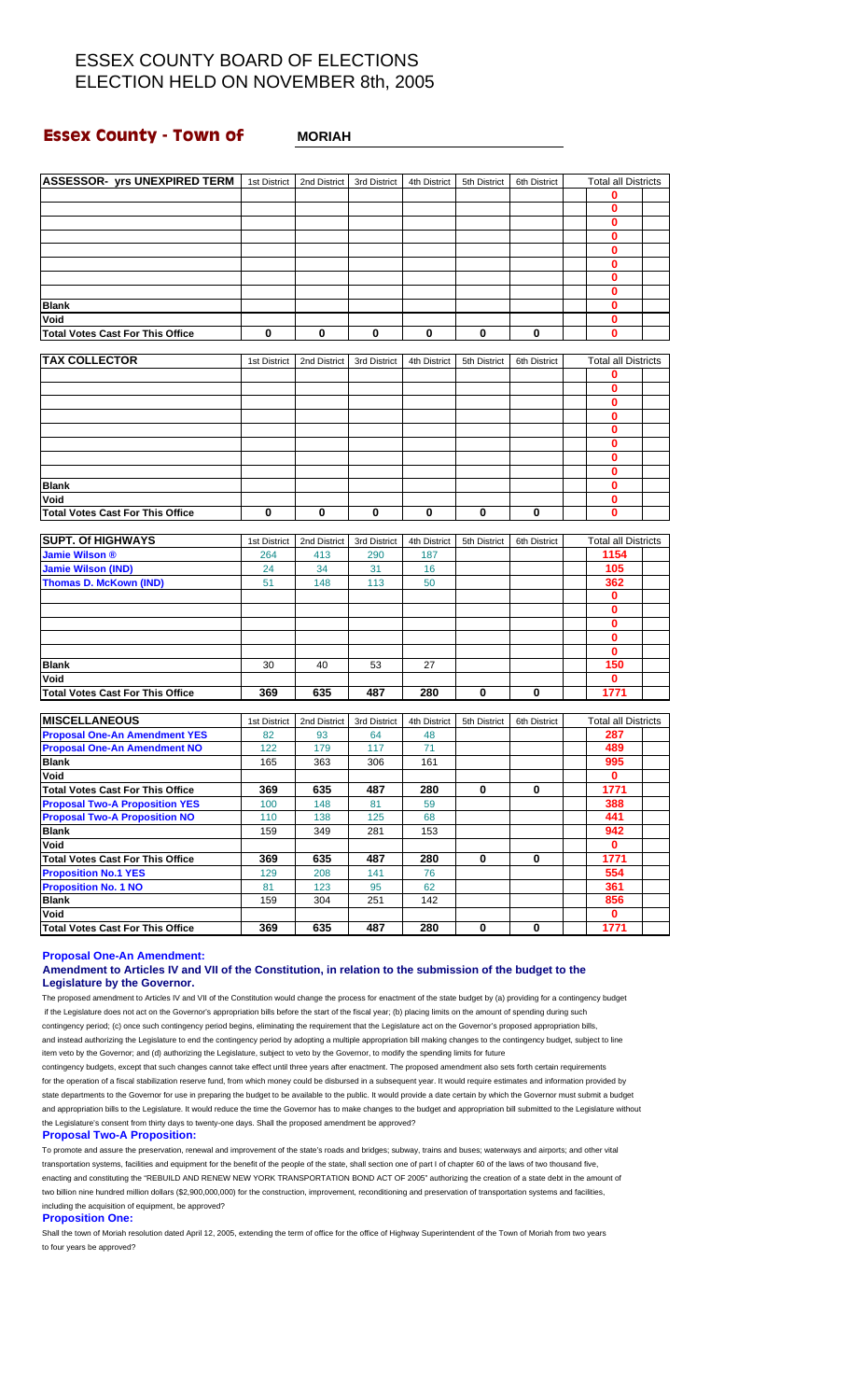### **Essex County - Town of MORIAH**

| <b>ASSESSOR- yrs UNEXPIRED TERM</b>                                    | 1st District | 2nd District | 3rd District | 4th District | 5th District | 6th District | <b>Total all Districts</b> |  |
|------------------------------------------------------------------------|--------------|--------------|--------------|--------------|--------------|--------------|----------------------------|--|
|                                                                        |              |              |              |              |              |              | 0                          |  |
|                                                                        |              |              |              |              |              |              | 0                          |  |
|                                                                        |              |              |              |              |              |              | 0                          |  |
|                                                                        |              |              |              |              |              |              | 0                          |  |
|                                                                        |              |              |              |              |              |              | 0                          |  |
|                                                                        |              |              |              |              |              |              | 0                          |  |
|                                                                        |              |              |              |              |              |              | 0                          |  |
|                                                                        |              |              |              |              |              |              | 0<br>0                     |  |
| <b>Blank</b><br>Void                                                   |              |              |              |              |              |              | 0                          |  |
| <b>Total Votes Cast For This Office</b>                                | 0            | 0            | 0            | 0            | 0            | 0            | 0                          |  |
|                                                                        |              |              |              |              |              |              |                            |  |
| <b>TAX COLLECTOR</b>                                                   | 1st District | 2nd District | 3rd District | 4th District | 5th District | 6th District | <b>Total all Districts</b> |  |
|                                                                        |              |              |              |              |              |              | 0                          |  |
|                                                                        |              |              |              |              |              |              | 0                          |  |
|                                                                        |              |              |              |              |              |              | 0                          |  |
|                                                                        |              |              |              |              |              |              | 0                          |  |
|                                                                        |              |              |              |              |              |              | 0                          |  |
|                                                                        |              |              |              |              |              |              | 0                          |  |
|                                                                        |              |              |              |              |              |              | 0                          |  |
|                                                                        |              |              |              |              |              |              | 0                          |  |
| <b>Blank</b>                                                           |              |              |              |              |              |              | 0                          |  |
| Void                                                                   |              |              |              |              |              |              | 0                          |  |
| <b>Total Votes Cast For This Office</b>                                | $\bf{0}$     | 0            | 0            | 0            | 0            | 0            | 0                          |  |
|                                                                        |              |              |              |              |              |              |                            |  |
| <b>SUPT. Of HIGHWAYS</b>                                               | 1st District | 2nd District | 3rd District | 4th District | 5th District | 6th District | <b>Total all Districts</b> |  |
| <b>Jamie Wilson ®</b>                                                  | 264          | 413          | 290          | 187          |              |              | 1154                       |  |
| <b>Jamie Wilson (IND)</b>                                              | 24           | 34           | 31           | 16           |              |              | 105                        |  |
| <b>Thomas D. McKown (IND)</b>                                          | 51           | 148          | 113          | 50           |              |              | 362                        |  |
|                                                                        |              |              |              |              |              |              | 0                          |  |
|                                                                        |              |              |              |              |              |              | 0<br>0                     |  |
|                                                                        |              |              |              |              |              |              | 0                          |  |
|                                                                        |              |              |              |              |              |              | 0                          |  |
| <b>Blank</b>                                                           | 30           | 40           | 53           | 27           |              |              | 150                        |  |
| Void                                                                   |              |              |              |              |              |              | 0                          |  |
| <b>Total Votes Cast For This Office</b>                                | 369          | 635          | 487          | 280          | 0            | 0            | 1771                       |  |
|                                                                        |              |              |              |              |              |              |                            |  |
| <b>MISCELLANEOUS</b>                                                   | 1st District | 2nd District | 3rd District | 4th District | 5th District | 6th District | <b>Total all Districts</b> |  |
| <b>Proposal One-An Amendment YES</b>                                   | 82           | 93           | 64           | 48           |              |              | 287                        |  |
| <b>Proposal One-An Amendment NO</b>                                    | 122          | 179          | 117          | 71           |              |              | 489                        |  |
| <b>Blank</b>                                                           | 165          | 363          | 306          | 161          |              |              | 995                        |  |
| Void                                                                   |              |              |              |              |              |              | $\mathbf 0$                |  |
| <b>Total Votes Cast For This Office</b>                                | 369          | 635          | 487          | 280          | 0            | 0            | 1771                       |  |
| <b>Proposal Two-A Proposition YES</b>                                  | 100          | 148          | 81           | 59           |              |              | 388                        |  |
| <b>Proposal Two-A Proposition NO</b>                                   | 110          | 138          | 125          | 68           |              |              | 441                        |  |
| <b>Blank</b><br>Void                                                   | 159          | 349          | 281          | 153          |              |              | 942<br>0                   |  |
|                                                                        |              |              |              |              |              |              |                            |  |
| <b>Total Votes Cast For This Office</b><br><b>Proposition No.1 YES</b> | 369<br>129   | 635<br>208   | 487<br>141   | 280<br>76    | 0            | 0            | 1771<br>554                |  |
| <b>Proposition No. 1 NO</b>                                            | 81           | 123          | 95           | 62           |              |              | 361                        |  |
| <b>Blank</b>                                                           | 159          | 304          | 251          | 142          |              |              | 856                        |  |
| Void                                                                   |              |              |              |              |              |              | $\mathbf 0$                |  |
| <b>Total Votes Cast For This Office</b>                                | 369          | 635          | 487          | 280          | 0            | 0            | 1771                       |  |
|                                                                        |              |              |              |              |              |              |                            |  |

#### **Proposal One-An Amendment:**

#### **Amendment to Articles IV and VII of the Constitution, in relation to the submission of the budget to the Legislature by the Governor.**

The proposed amendment to Articles IV and VII of the Constitution would change the process for enactment of the state budget by (a) providing for a contingency budget if the Legislature does not act on the Governor's appropriation bills before the start of the fiscal year; (b) placing limits on the amount of spending during such contingency period; (c) once such contingency period begins, eliminating the requirement that the Legislature act on the Governor's proposed appropriation bills, and instead authorizing the Legislature to end the contingency period by adopting a multiple appropriation bill making changes to the contingency budget, subject to line item veto by the Governor; and (d) authorizing the Legislature, subject to veto by the Governor, to modify the spending limits for future contingency budgets, except that such changes cannot take effect until three years after enactment. The proposed amendment also sets forth certain requirements

for the operation of a fiscal stabilization reserve fund, from which money could be disbursed in a subsequent year. It would require estimates and information provided by state departments to the Governor for use in preparing the budget to be available to the public. It would provide a date certain by which the Governor must submit a budget and appropriation bills to the Legislature. It would reduce the time the Governor has to make changes to the budget and appropriation bill submitted to the Legislature without the Legislature's consent from thirty days to twenty-one days. Shall the proposed amendment be approved?

### **Proposal Two-A Proposition:**

To promote and assure the preservation, renewal and improvement of the state's roads and bridges; subway, trains and buses; waterways and airports; and other vital transportation systems, facilities and equipment for the benefit of the people of the state, shall section one of part I of chapter 60 of the laws of two thousand five, enacting and constituting the "REBUILD AND RENEW NEW YORK TRANSPORTATION BOND ACT OF 2005" authorizing the creation of a state debt in the amount of two billion nine hundred million dollars (\$2,900,000,000) for the construction, improvement, reconditioning and preservation of transportation systems and facilities, including the acquisition of equipment, be approved?

**Proposition One:**

Shall the town of Moriah resolution dated April 12, 2005, extending the term of office for the office of Highway Superintendent of the Town of Moriah from two years to four years be approved?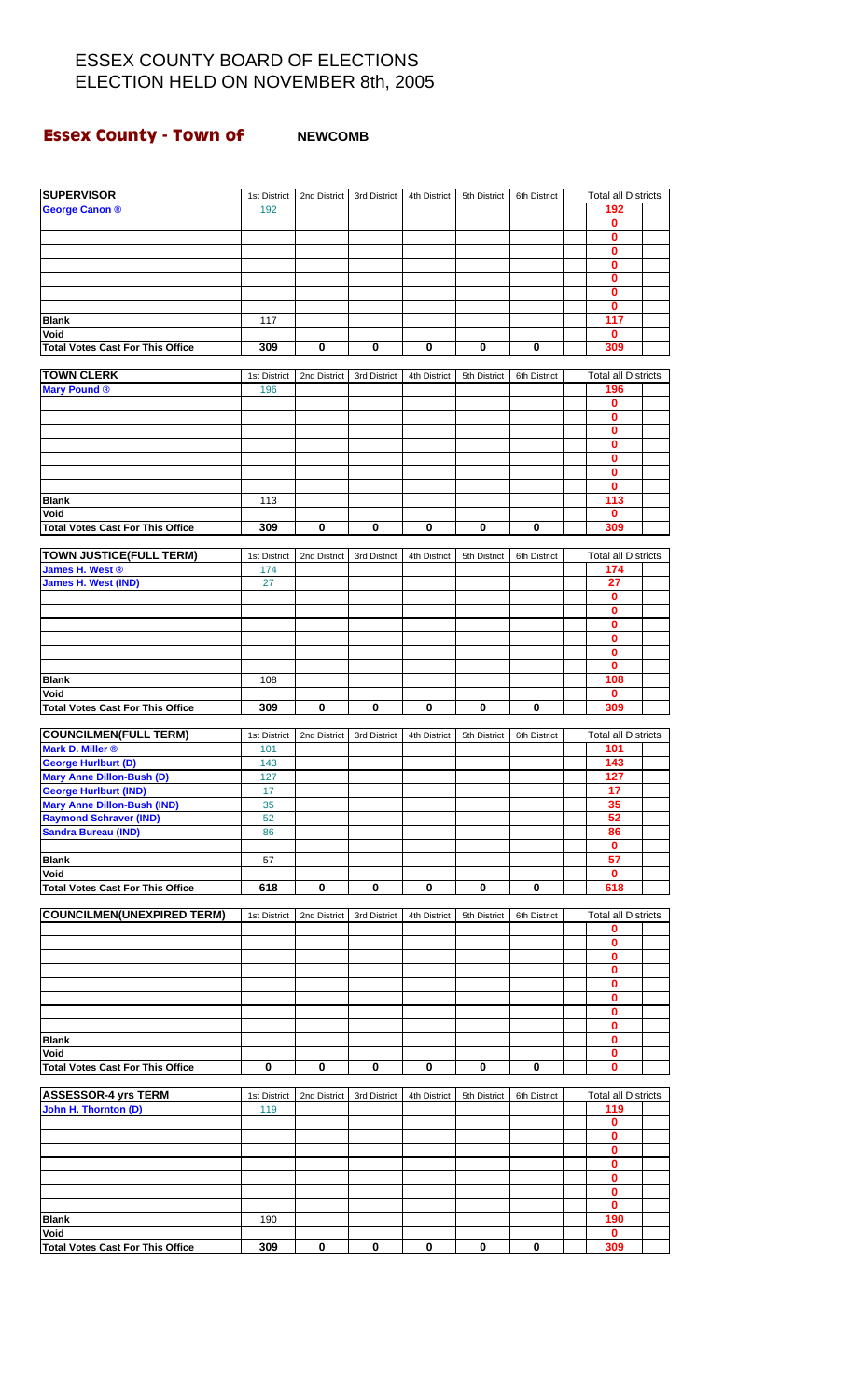## **Essex County - Town of MEWCOMB**

| <b>SUPERVISOR</b>                                                  | 1st District | 2nd District | 3rd District | 4th District | 5th District | 6th District | <b>Total all Districts</b>   |  |
|--------------------------------------------------------------------|--------------|--------------|--------------|--------------|--------------|--------------|------------------------------|--|
| George Canon ®                                                     | 192          |              |              |              |              |              | 192                          |  |
|                                                                    |              |              |              |              |              |              | 0                            |  |
|                                                                    |              |              |              |              |              |              | 0                            |  |
|                                                                    |              |              |              |              |              |              | 0                            |  |
|                                                                    |              |              |              |              |              |              | $\overline{\mathbf{0}}$<br>0 |  |
|                                                                    |              |              |              |              |              |              | $\bf{0}$                     |  |
|                                                                    |              |              |              |              |              |              | 0                            |  |
| <b>Blank</b>                                                       | 117          |              |              |              |              |              | 117                          |  |
| Void                                                               |              |              |              |              |              |              | 0                            |  |
| <b>Total Votes Cast For This Office</b>                            | 309          | 0            | 0            | 0            | 0            | 0            | 309                          |  |
| <b>TOWN CLERK</b>                                                  | 1st District | 2nd District | 3rd District | 4th District | 5th District | 6th District | <b>Total all Districts</b>   |  |
| <b>Mary Pound ®</b>                                                | 196          |              |              |              |              |              | 196                          |  |
|                                                                    |              |              |              |              |              |              | 0                            |  |
|                                                                    |              |              |              |              |              |              | $\mathbf 0$                  |  |
|                                                                    |              |              |              |              |              |              | $\mathbf 0$                  |  |
|                                                                    |              |              |              |              |              |              | 0<br>$\mathbf{0}$            |  |
|                                                                    |              |              |              |              |              |              | 0                            |  |
|                                                                    |              |              |              |              |              |              | 0                            |  |
| <b>Blank</b>                                                       | 113          |              |              |              |              |              | 113                          |  |
| Void                                                               |              |              |              |              |              |              | $\mathbf 0$                  |  |
| <b>Total Votes Cast For This Office</b>                            | 309          | 0            | $\mathbf 0$  | 0            | 0            | $\mathbf 0$  | 309                          |  |
| <b>TOWN JUSTICE(FULL TERM)</b>                                     | 1st District | 2nd District | 3rd District | 4th District | 5th District | 6th District | <b>Total all Districts</b>   |  |
| James H. West ®                                                    | 174          |              |              |              |              |              | 174                          |  |
| <b>James H. West (IND)</b>                                         | 27           |              |              |              |              |              | 27                           |  |
|                                                                    |              |              |              |              |              |              | 0                            |  |
|                                                                    |              |              |              |              |              |              | $\overline{\mathbf{0}}$<br>0 |  |
|                                                                    |              |              |              |              |              |              | 0                            |  |
|                                                                    |              |              |              |              |              |              | 0                            |  |
|                                                                    |              |              |              |              |              |              | 0                            |  |
| <b>Blank</b>                                                       | 108          |              |              |              |              |              | 108                          |  |
| Void                                                               |              |              |              |              |              |              | 0                            |  |
| <b>Total Votes Cast For This Office</b>                            | 309          | $\bf{0}$     | $\bf{0}$     | 0            | $\bf{0}$     | $\mathbf 0$  | 309                          |  |
| <b>COUNCILMEN(FULL TERM)</b>                                       | 1st District | 2nd District | 3rd District | 4th District | 5th District | 6th District | <b>Total all Districts</b>   |  |
| Mark D. Miller ®                                                   | 101          |              |              |              |              |              | 101                          |  |
| <b>George Hurlburt (D)</b>                                         | 143          |              |              |              |              |              | 143                          |  |
| <b>Mary Anne Dillon-Bush (D)</b>                                   | 127          |              |              |              |              |              | 127                          |  |
| <b>George Hurlburt (IND)</b><br><b>Mary Anne Dillon-Bush (IND)</b> | 17<br>35     |              |              |              |              |              | 17<br>35                     |  |
| <b>Raymond Schraver (IND)</b>                                      | 52           |              |              |              |              |              | 52                           |  |
| <b>Sandra Bureau (IND)</b>                                         | 86           |              |              |              |              |              | 86                           |  |
|                                                                    |              |              |              |              |              |              | 0                            |  |
| <b>Blank</b>                                                       | 57           |              |              |              |              |              | 57                           |  |
| Void<br><b>Total Votes Cast For This Office</b>                    | 618          | 0            | 0            |              | 0            | 0            | 0<br>618                     |  |
|                                                                    |              |              |              | 0            |              |              |                              |  |
| <b>COUNCILMEN(UNEXPIRED TERM)</b>                                  | 1st District | 2nd District | 3rd District | 4th District | 5th District | 6th District | <b>Total all Districts</b>   |  |
|                                                                    |              |              |              |              |              |              | 0                            |  |
|                                                                    |              |              |              |              |              |              | 0                            |  |
|                                                                    |              |              |              |              |              |              | $\overline{\mathbf{0}}$<br>0 |  |
|                                                                    |              |              |              |              |              |              | 0                            |  |
|                                                                    |              |              |              |              |              |              | 0                            |  |
|                                                                    |              |              |              |              |              |              | $\mathbf 0$                  |  |
|                                                                    |              |              |              |              |              |              | 0                            |  |
| <b>Blank</b><br>Void                                               |              |              |              |              |              |              | $\mathbf 0$<br>$\mathbf 0$   |  |
| <b>Total Votes Cast For This Office</b>                            | 0            | 0            | 0            | 0            | 0            | 0            | $\mathbf{0}$                 |  |
|                                                                    |              |              |              |              |              |              |                              |  |
| <b>ASSESSOR-4 yrs TERM</b>                                         | 1st District | 2nd District | 3rd District | 4th District | 5th District | 6th District | <b>Total all Districts</b>   |  |
| John H. Thornton (D)                                               | 119          |              |              |              |              |              | 119                          |  |
|                                                                    |              |              |              |              |              |              | 0<br>0                       |  |
|                                                                    |              |              |              |              |              |              | 0                            |  |
|                                                                    |              |              |              |              |              |              | $\mathbf 0$                  |  |
|                                                                    |              |              |              |              |              |              | 0                            |  |
|                                                                    |              |              |              |              |              |              | $\mathbf 0$                  |  |
|                                                                    |              |              |              |              |              |              | 0<br>190                     |  |
| <b>Blank</b><br>Void                                               | 190          |              |              |              |              |              | 0                            |  |
| <b>Total Votes Cast For This Office</b>                            | 309          | 0            | $\bf{0}$     | 0            | 0            | 0            | 309                          |  |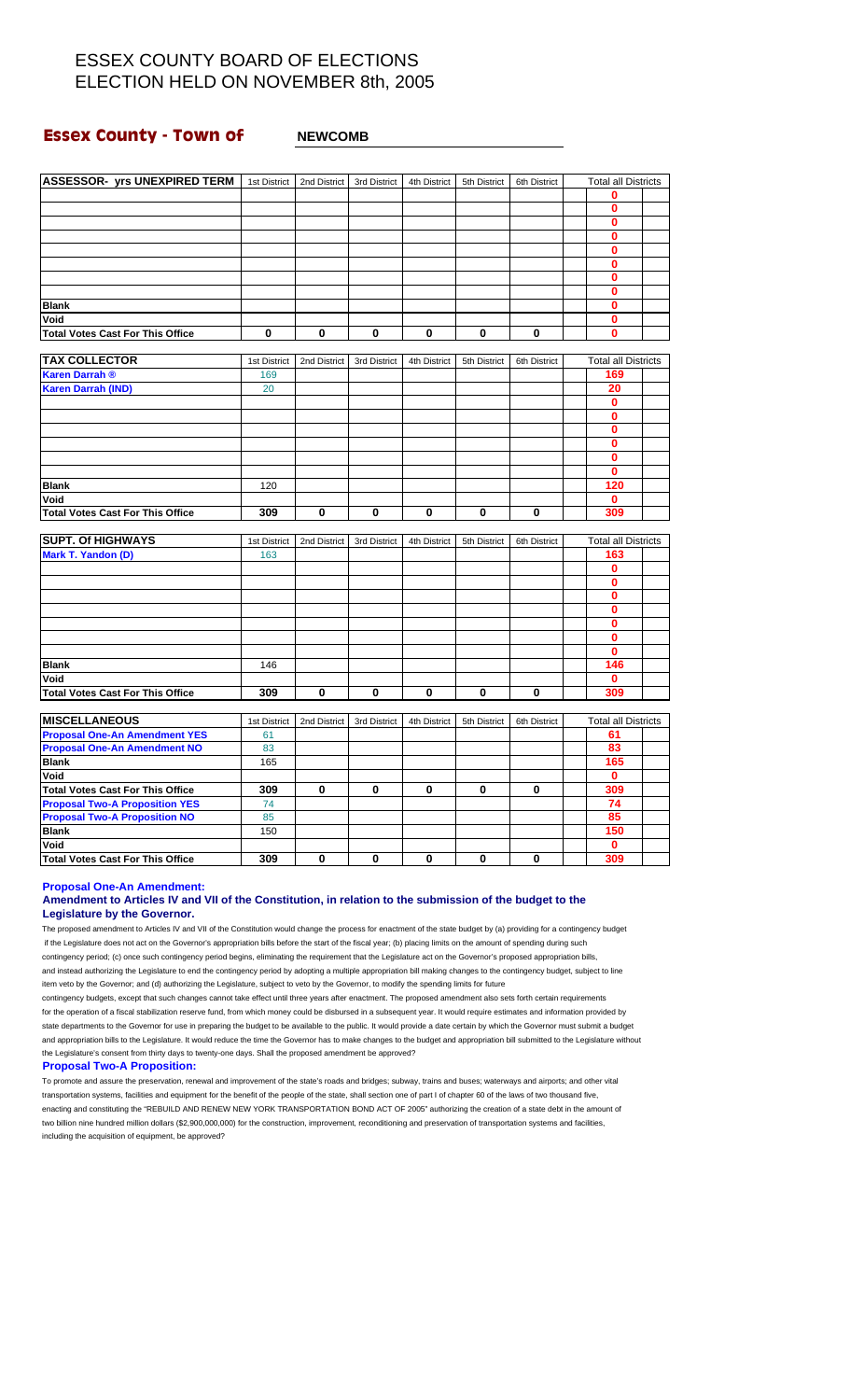### **Essex County - Town of MEWCOMB**

| <b>ASSESSOR- yrs UNEXPIRED TERM</b>     | 1st District        |              | 2nd District 3rd District | 4th District | 5th District | 6th District | <b>Total all Districts</b>        |  |
|-----------------------------------------|---------------------|--------------|---------------------------|--------------|--------------|--------------|-----------------------------------|--|
|                                         |                     |              |                           |              |              |              | 0                                 |  |
|                                         |                     |              |                           |              |              |              | $\bf{0}$                          |  |
|                                         |                     |              |                           |              |              |              | 0                                 |  |
|                                         |                     |              |                           |              |              |              | $\mathbf{0}$                      |  |
|                                         |                     |              |                           |              |              |              | 0                                 |  |
|                                         |                     |              |                           |              |              |              | $\mathbf{0}$                      |  |
|                                         |                     |              |                           |              |              |              | $\bf{0}$                          |  |
|                                         |                     |              |                           |              |              |              | $\mathbf{0}$                      |  |
| <b>Blank</b>                            |                     |              |                           |              |              |              | 0                                 |  |
| Void                                    |                     |              |                           |              |              |              | 0                                 |  |
| <b>Total Votes Cast For This Office</b> | 0                   | 0            | 0                         | 0            | 0            | 0            | 0                                 |  |
|                                         |                     |              |                           |              |              |              |                                   |  |
| <b>TAX COLLECTOR</b>                    | 1st District        | 2nd District | 3rd District              | 4th District | 5th District | 6th District | <b>Total all Districts</b>        |  |
| <b>Karen Darrah ®</b>                   | 169                 |              |                           |              |              |              | 169                               |  |
| <b>Karen Darrah (IND)</b>               | 20                  |              |                           |              |              |              | 20                                |  |
|                                         |                     |              |                           |              |              |              | $\mathbf{0}$                      |  |
|                                         |                     |              |                           |              |              |              | $\mathbf{0}$                      |  |
|                                         |                     |              |                           |              |              |              | $\bf{0}$                          |  |
|                                         |                     |              |                           |              |              |              | $\bf{0}$                          |  |
|                                         |                     |              |                           |              |              |              | $\bf{0}$                          |  |
|                                         |                     |              |                           |              |              |              | $\bf{0}$                          |  |
| <b>Blank</b>                            | 120                 |              |                           |              |              |              | 120                               |  |
| Void                                    |                     |              |                           |              |              |              | $\mathbf{0}$                      |  |
| <b>Total Votes Cast For This Office</b> | 309                 | $\bf{0}$     | $\bf{0}$                  | 0            | 0            | 0            | 309                               |  |
| <b>SUPT. Of HIGHWAYS</b>                |                     |              |                           |              |              |              |                                   |  |
| <b>Mark T. Yandon (D)</b>               | 1st District<br>163 | 2nd District | 3rd District              | 4th District | 5th District | 6th District | <b>Total all Districts</b><br>163 |  |
|                                         |                     |              |                           |              |              |              | 0                                 |  |
|                                         |                     |              |                           |              |              |              | 0                                 |  |
|                                         |                     |              |                           |              |              |              | 0                                 |  |
|                                         |                     |              |                           |              |              |              | $\mathbf{0}$                      |  |
|                                         |                     |              |                           |              |              |              |                                   |  |
|                                         |                     |              |                           |              |              |              | 0                                 |  |
|                                         |                     |              |                           |              |              |              | 0                                 |  |
|                                         |                     |              |                           |              |              |              | $\bf{0}$                          |  |
| <b>Blank</b>                            | 146                 |              |                           |              |              |              | 146                               |  |
| Void                                    |                     |              |                           |              |              |              | $\bf{0}$                          |  |
| <b>Total Votes Cast For This Office</b> | 309                 | $\bf{0}$     | $\bf{0}$                  | 0            | 0            | 0            | 309                               |  |
| <b>MISCELLANEOUS</b>                    | 1st District        | 2nd District | 3rd District              | 4th District | 5th District | 6th District | <b>Total all Districts</b>        |  |
| <b>Proposal One-An Amendment YES</b>    | 61                  |              |                           |              |              |              | 61                                |  |
| <b>Proposal One-An Amendment NO</b>     | 83                  |              |                           |              |              |              | 83                                |  |
| <b>Blank</b>                            | 165                 |              |                           |              |              |              | 165                               |  |
| Void                                    |                     |              |                           |              |              |              | $\mathbf 0$                       |  |
| <b>Total Votes Cast For This Office</b> | 309                 | $\bf{0}$     | $\bf{0}$                  | 0            | 0            | 0            | 309                               |  |
| <b>Proposal Two-A Proposition YES</b>   | 74                  |              |                           |              |              |              | 74                                |  |
| <b>Proposal Two-A Proposition NO</b>    | 85                  |              |                           |              |              |              | 85                                |  |
| <b>Blank</b>                            | 150                 |              |                           |              |              |              | 150                               |  |
| Void                                    |                     |              |                           |              |              |              | $\bf{0}$                          |  |
| <b>Total Votes Cast For This Office</b> | 309                 | $\mathbf 0$  | $\bf{0}$                  | 0            | 0            | 0            | 309                               |  |
|                                         |                     |              |                           |              |              |              |                                   |  |

### **Proposal One-An Amendment:**

#### **Amendment to Articles IV and VII of the Constitution, in relation to the submission of the budget to the Legislature by the Governor.**

The proposed amendment to Articles IV and VII of the Constitution would change the process for enactment of the state budget by (a) providing for a contingency budget if the Legislature does not act on the Governor's appropriation bills before the start of the fiscal year; (b) placing limits on the amount of spending during such contingency period; (c) once such contingency period begins, eliminating the requirement that the Legislature act on the Governor's proposed appropriation bills, and instead authorizing the Legislature to end the contingency period by adopting a multiple appropriation bill making changes to the contingency budget, subject to line item veto by the Governor; and (d) authorizing the Legislature, subject to veto by the Governor, to modify the spending limits for future

contingency budgets, except that such changes cannot take effect until three years after enactment. The proposed amendment also sets forth certain requirements for the operation of a fiscal stabilization reserve fund, from which money could be disbursed in a subsequent year. It would require estimates and information provided by state departments to the Governor for use in preparing the budget to be available to the public. It would provide a date certain by which the Governor must submit a budget and appropriation bills to the Legislature. It would reduce the time the Governor has to make changes to the budget and appropriation bill submitted to the Legislature without the Legislature's consent from thirty days to twenty-one days. Shall the proposed amendment be approved?

#### **Proposal Two-A Proposition:**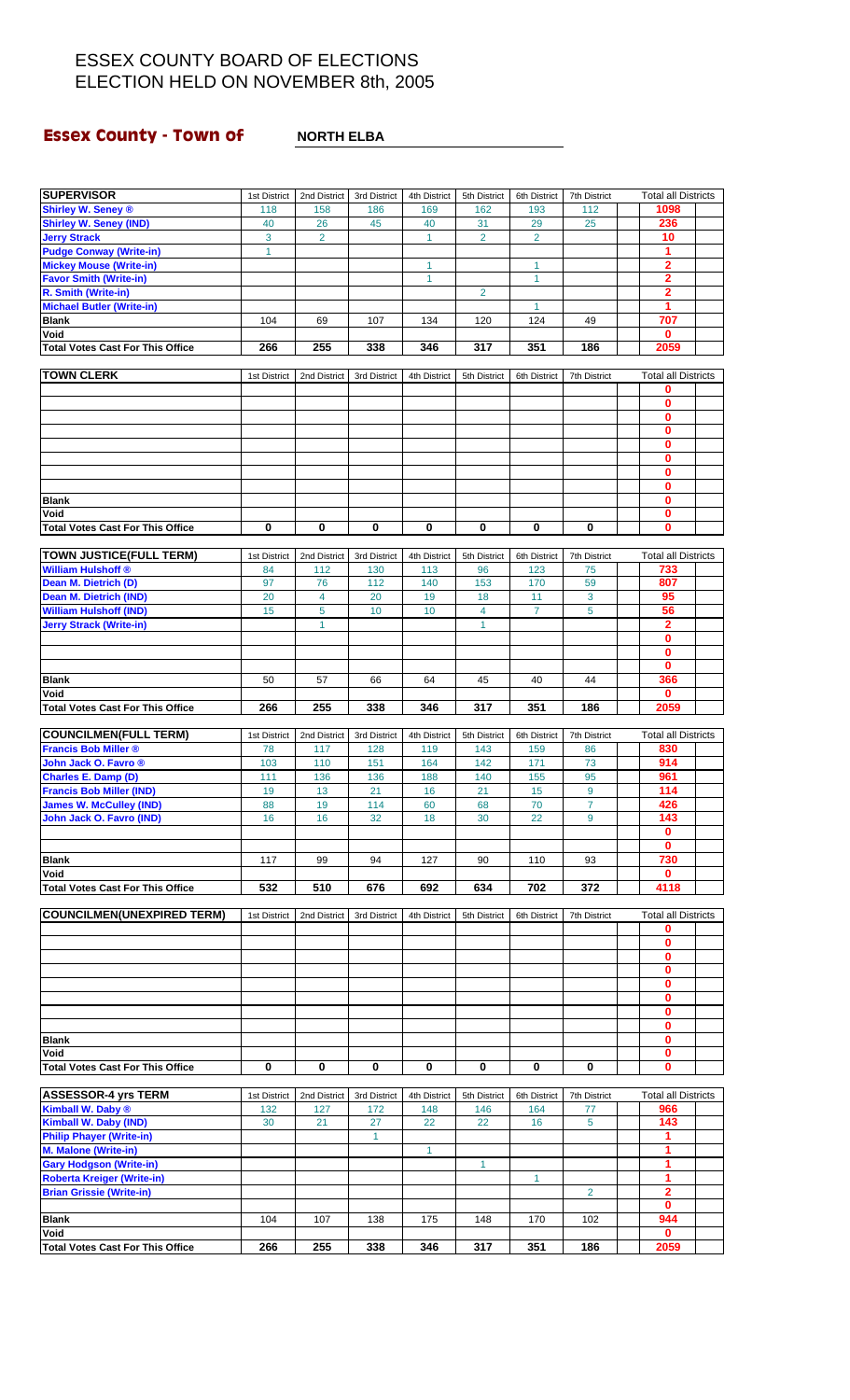# **Essex County - Town of NORTH ELBA**

| <b>SUPERVISOR</b>                                                   | 1st District | 2nd District   | 3rd District       | 4th District | 5th District   | 6th District   | 7th District   | <b>Total all Districts</b> |  |
|---------------------------------------------------------------------|--------------|----------------|--------------------|--------------|----------------|----------------|----------------|----------------------------|--|
| <b>Shirley W. Seney ®</b>                                           | 118          | 158            | 186                | 169          | 162            | 193            | 112            | 1098                       |  |
| <b>Shirley W. Seney (IND)</b>                                       | 40           | 26             | 45                 | 40           | 31             | 29             | 25             | 236                        |  |
| <b>Jerry Strack</b>                                                 | 3            | $\overline{2}$ |                    | $\mathbf{1}$ | $\overline{2}$ | $\overline{2}$ |                | 10                         |  |
| <b>Pudge Conway (Write-in)</b>                                      | $\mathbf{1}$ |                |                    |              |                |                |                | 1                          |  |
| <b>Mickey Mouse (Write-in)</b>                                      |              |                |                    | 1            |                | 1              |                | 2                          |  |
| <b>Favor Smith (Write-in)</b>                                       |              |                |                    | $\mathbf{1}$ |                | $\mathbf{1}$   |                | $\overline{\mathbf{2}}$    |  |
| R. Smith (Write-in)                                                 |              |                |                    |              | $\overline{2}$ |                |                | $\overline{2}$             |  |
| <b>Michael Butler (Write-in)</b>                                    |              |                |                    |              |                | $\mathbf{1}$   |                | 1                          |  |
| <b>Blank</b>                                                        | 104          | 69             | 107                | 134          | 120            | 124            | 49             | 707                        |  |
| Void                                                                |              |                |                    |              |                |                |                | $\mathbf 0$                |  |
| <b>Total Votes Cast For This Office</b>                             | 266          | 255            | 338                | 346          | 317            | 351            | 186            | 2059                       |  |
|                                                                     |              |                |                    |              |                |                |                |                            |  |
| <b>TOWN CLERK</b>                                                   | 1st District | 2nd District   | 3rd District       | 4th District | 5th District   | 6th District   | 7th District   | <b>Total all Districts</b> |  |
|                                                                     |              |                |                    |              |                |                |                | $\mathbf 0$                |  |
|                                                                     |              |                |                    |              |                |                |                | $\bf{0}$                   |  |
|                                                                     |              |                |                    |              |                |                |                | $\bf{0}$                   |  |
|                                                                     |              |                |                    |              |                |                |                | $\mathbf 0$<br>$\bf{0}$    |  |
|                                                                     |              |                |                    |              |                |                |                | $\bf{0}$                   |  |
|                                                                     |              |                |                    |              |                |                |                | $\mathbf 0$                |  |
|                                                                     |              |                |                    |              |                |                |                | $\bf{0}$                   |  |
| <b>Blank</b>                                                        |              |                |                    |              |                |                |                | $\bf{0}$                   |  |
| Void                                                                |              |                |                    |              |                |                |                | $\mathbf 0$                |  |
| <b>Total Votes Cast For This Office</b>                             | $\mathbf 0$  | 0              | 0                  | 0            | 0              | 0              | $\bf{0}$       | $\bf{0}$                   |  |
|                                                                     |              |                |                    |              |                |                |                |                            |  |
| <b>TOWN JUSTICE(FULL TERM)</b>                                      | 1st District | 2nd District   | 3rd District       | 4th District | 5th District   | 6th District   | 7th District   | <b>Total all Districts</b> |  |
| <b>William Hulshoff ®</b>                                           | 84           | 112            | 130                | 113          | 96             | 123            | 75             | 733                        |  |
| Dean M. Dietrich (D)                                                | 97           | 76             | 112                | 140          | 153            | 170            | 59             | 807                        |  |
| Dean M. Dietrich (IND)                                              | 20           | $\overline{4}$ | 20                 | 19           | 18             | 11             | 3              | 95                         |  |
| <b>William Hulshoff (IND)</b>                                       | 15           | 5              | 10                 | 10           | 4              | $\overline{7}$ | 5              | 56                         |  |
| <b>Jerry Strack (Write-in)</b>                                      |              | 1              |                    |              | 1              |                |                | $\mathbf{2}$               |  |
|                                                                     |              |                |                    |              |                |                |                | $\bf{0}$                   |  |
|                                                                     |              |                |                    |              |                |                |                | $\bf{0}$                   |  |
|                                                                     |              |                |                    |              |                |                |                | $\bf{0}$                   |  |
| <b>Blank</b>                                                        | 50           | 57             | 66                 | 64           | 45             | 40             | 44             | 366                        |  |
| Void                                                                |              |                |                    |              |                |                |                | $\mathbf{0}$               |  |
| <b>Total Votes Cast For This Office</b>                             | 266          | 255            | 338                | 346          | 317            | 351            | 186            | 2059                       |  |
|                                                                     |              |                |                    |              |                |                |                |                            |  |
| <b>COUNCILMEN(FULL TERM)</b>                                        | 1st District | 2nd District   | 3rd District       | 4th District | 5th District   | 6th District   | 7th District   | <b>Total all Districts</b> |  |
| <b>Francis Bob Miller ®</b>                                         | 78           | 117            | 128                | 119          | 143            | 159            | 86             | 830                        |  |
| John Jack O. Favro ®                                                | 103          | 110            | 151                | 164          | 142            | 171            | 73             | 914                        |  |
| Charles E. Damp (D)<br><b>Francis Bob Miller (IND)</b>              | 111<br>19    | 136            | 136<br>21          | 188<br>16    | 140<br>21      | 155<br>15      | 95<br>9        | 961<br>114                 |  |
| <b>James W. McCulley (IND)</b>                                      | 88           | 13<br>19       | 114                | 60           | 68             | 70             | $\overline{7}$ | 426                        |  |
| John Jack O. Favro (IND)                                            | 16           | 16             | 32                 |              | 30             |                | 9              | 143                        |  |
|                                                                     |              |                |                    | 18           |                | 22             |                | 0                          |  |
|                                                                     |              |                |                    |              |                |                |                | $\mathbf{0}$               |  |
| <b>Blank</b>                                                        | 117          | 99             | 94                 | 127          | 90             | 110            | 93             | 730                        |  |
| Void                                                                |              |                |                    |              |                |                |                | 0                          |  |
| <b>Total Votes Cast For This Office</b>                             | 532          | 510            | 676                | 692          | 634            | 702            | 372            | 4118                       |  |
|                                                                     |              |                |                    |              |                |                |                |                            |  |
| <b>COUNCILMEN(UNEXPIRED TERM)</b>                                   | 1st District | 2nd District   | 3rd District       | 4th District | 5th District   | 6th District   | 7th District   | <b>Total all Districts</b> |  |
|                                                                     |              |                |                    |              |                |                |                | 0                          |  |
|                                                                     |              |                |                    |              |                |                |                | $\mathbf{0}$               |  |
|                                                                     |              |                |                    |              |                |                |                | 0                          |  |
|                                                                     |              |                |                    |              |                |                |                | $\bf{0}$                   |  |
|                                                                     |              |                |                    |              |                |                |                | $\mathbf{0}$               |  |
|                                                                     |              |                |                    |              |                |                |                | $\mathbf 0$                |  |
|                                                                     |              |                |                    |              |                |                |                |                            |  |
|                                                                     |              |                |                    |              |                |                |                | $\bf{0}$                   |  |
|                                                                     |              |                |                    |              |                |                |                | $\mathbf 0$                |  |
| <b>Blank</b>                                                        |              |                |                    |              |                |                |                | $\mathbf 0$                |  |
| Void                                                                |              |                |                    |              |                |                |                | $\bf{0}$                   |  |
| <b>Total Votes Cast For This Office</b>                             | 0            | 0              | 0                  | 0            | 0              | 0              | 0              | $\mathbf 0$                |  |
|                                                                     |              |                |                    |              |                |                |                |                            |  |
| <b>ASSESSOR-4 yrs TERM</b>                                          | 1st District | 2nd District   | 3rd District       | 4th District | 5th District   | 6th District   | 7th District   | <b>Total all Districts</b> |  |
| Kimball W. Daby ®                                                   | 132          | 127            | 172                | 148          | 146            | 164            | 77             | 966                        |  |
| <b>Kimball W. Daby (IND)</b>                                        | 30           | 21             | 27<br>$\mathbf{1}$ | 22           | 22             | 16             | 5              | 143<br>1                   |  |
| <b>Philip Phayer (Write-in)</b><br><b>M. Malone (Write-in)</b>      |              |                |                    | 1            |                |                |                | 1                          |  |
|                                                                     |              |                |                    |              | 1              |                |                | 1                          |  |
| <b>Gary Hodgson (Write-in)</b><br><b>Roberta Kreiger (Write-in)</b> |              |                |                    |              |                | $\mathbf{1}$   |                | 1                          |  |
| <b>Brian Grissie (Write-in)</b>                                     |              |                |                    |              |                |                | $\overline{2}$ | $\overline{\mathbf{2}}$    |  |
|                                                                     |              |                |                    |              |                |                |                | $\mathbf 0$                |  |
| <b>Blank</b>                                                        | 104          | 107            | 138                | 175          | 148            | 170            | 102            | 944                        |  |
| Void                                                                |              | 255            | 338                | 346          | 317            | 351            |                | $\mathbf{0}$               |  |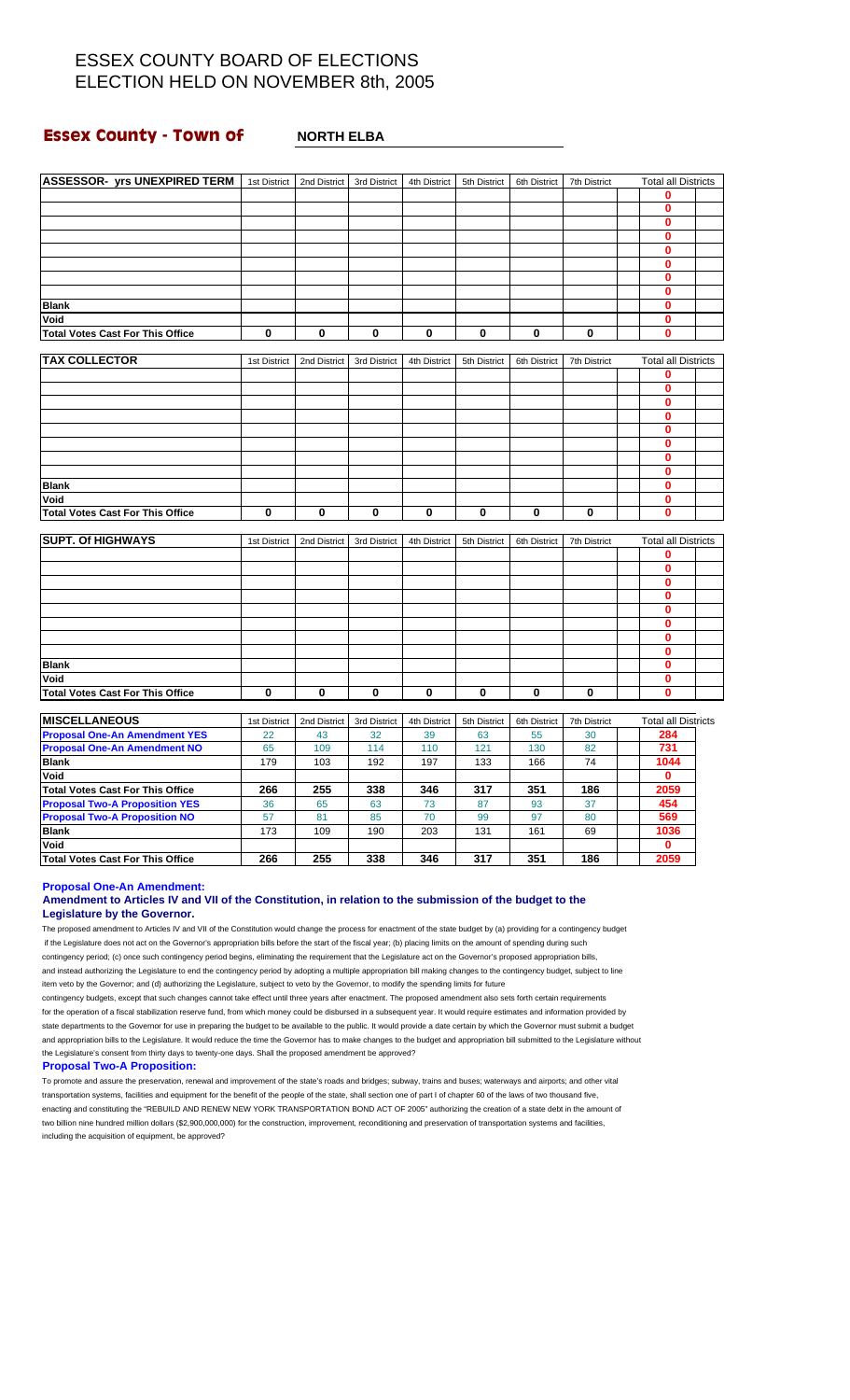### **Essex County - Town of MORTH ELBA**

| <b>ASSESSOR- yrs UNEXPIRED TERM</b>     | 1st District | 2nd District | 3rd District | 4th District | 5th District | 6th District | 7th District | <b>Total all Districts</b> |  |
|-----------------------------------------|--------------|--------------|--------------|--------------|--------------|--------------|--------------|----------------------------|--|
|                                         |              |              |              |              |              |              |              | 0                          |  |
|                                         |              |              |              |              |              |              |              | $\mathbf 0$                |  |
|                                         |              |              |              |              |              |              |              | $\bf{0}$                   |  |
|                                         |              |              |              |              |              |              |              | 0                          |  |
|                                         |              |              |              |              |              |              |              | 0                          |  |
|                                         |              |              |              |              |              |              |              | $\mathbf{0}$               |  |
|                                         |              |              |              |              |              |              |              | $\mathbf{0}$               |  |
|                                         |              |              |              |              |              |              |              | 0                          |  |
| <b>Blank</b>                            |              |              |              |              |              |              |              | 0                          |  |
| Void                                    |              |              |              |              |              |              |              | $\mathbf 0$                |  |
| <b>Total Votes Cast For This Office</b> | $\mathbf 0$  | 0            | $\mathbf 0$  | $\bf{0}$     | 0            | 0            | 0            | 0                          |  |
|                                         |              |              |              |              |              |              |              |                            |  |
| <b>TAX COLLECTOR</b>                    | 1st District | 2nd District | 3rd District | 4th District | 5th District | 6th District | 7th District | <b>Total all Districts</b> |  |
|                                         |              |              |              |              |              |              |              | 0                          |  |
|                                         |              |              |              |              |              |              |              | $\mathbf{0}$               |  |
|                                         |              |              |              |              |              |              |              | $\mathbf 0$                |  |
|                                         |              |              |              |              |              |              |              | $\mathbf{0}$               |  |
|                                         |              |              |              |              |              |              |              | 0                          |  |
|                                         |              |              |              |              |              |              |              | 0                          |  |
|                                         |              |              |              |              |              |              |              | 0                          |  |
|                                         |              |              |              |              |              |              |              |                            |  |
|                                         |              |              |              |              |              |              |              | $\mathbf 0$                |  |
| <b>Blank</b>                            |              |              |              |              |              |              |              | 0                          |  |
| Void                                    |              |              |              |              |              |              |              | 0                          |  |
| <b>Total Votes Cast For This Office</b> | $\bf{0}$     | 0            | 0            | 0            | 0            | 0            | 0            | 0                          |  |
| <b>SUPT. Of HIGHWAYS</b>                |              |              | 3rd District |              |              |              |              | <b>Total all Districts</b> |  |
|                                         | 1st District | 2nd District |              | 4th District | 5th District | 6th District | 7th District | 0                          |  |
|                                         |              |              |              |              |              |              |              | $\bf{0}$                   |  |
|                                         |              |              |              |              |              |              |              | 0                          |  |
|                                         |              |              |              |              |              |              |              |                            |  |
|                                         |              |              |              |              |              |              |              | $\mathbf 0$                |  |
|                                         |              |              |              |              |              |              |              | $\mathbf 0$                |  |
|                                         |              |              |              |              |              |              |              | $\mathbf{0}$               |  |
|                                         |              |              |              |              |              |              |              | 0                          |  |
|                                         |              |              |              |              |              |              |              | 0                          |  |
| <b>Blank</b>                            |              |              |              |              |              |              |              | $\mathbf 0$                |  |
| Void                                    |              |              |              |              |              |              |              | $\mathbf{0}$               |  |
| <b>Total Votes Cast For This Office</b> | $\bf{0}$     | 0            | 0            | $\bf{0}$     | 0            | $\bf{0}$     | 0            | $\bf{0}$                   |  |
|                                         |              |              |              |              |              |              |              |                            |  |
| <b>MISCELLANEOUS</b>                    | 1st District | 2nd District | 3rd District | 4th District | 5th District | 6th District | 7th District | <b>Total all Districts</b> |  |
| <b>Proposal One-An Amendment YES</b>    | 22           | 43           | 32           | 39           | 63           | 55           | 30           | 284                        |  |
| <b>Proposal One-An Amendment NO</b>     | 65           | 109          | 114          | 110          | 121          | 130          | 82           | 731                        |  |
| <b>Blank</b>                            | 179          | 103          | 192          | 197          | 133          | 166          | 74           | 1044                       |  |
| Void                                    |              |              |              |              |              |              |              | $\mathbf 0$                |  |
| <b>Total Votes Cast For This Office</b> | 266          | 255          | 338          | 346          | 317          | 351          | 186          | 2059                       |  |
| <b>Proposal Two-A Proposition YES</b>   | 36           | 65           | 63           | 73           | 87           | 93           | 37           | 454                        |  |
| <b>Proposal Two-A Proposition NO</b>    | 57           | 81           | 85           | 70           | 99           | 97           | 80           | 569                        |  |
| <b>Blank</b>                            | 173          | 109          | 190          | 203          | 131          | 161          | 69           | 1036                       |  |

**Proposal One-An Amendment:**

### **Amendment to Articles IV and VII of the Constitution, in relation to the submission of the budget to the Legislature by the Governor.**

**Total Votes Cast For This Office 266 255 338 346 317 351 186 2059**

The proposed amendment to Articles IV and VII of the Constitution would change the process for enactment of the state budget by (a) providing for a contingency budget if the Legislature does not act on the Governor's appropriation bills before the start of the fiscal year; (b) placing limits on the amount of spending during such contingency period; (c) once such contingency period begins, eliminating the requirement that the Legislature act on the Governor's proposed appropriation bills, and instead authorizing the Legislature to end the contingency period by adopting a multiple appropriation bill making changes to the contingency budget, subject to line item veto by the Governor; and (d) authorizing the Legislature, subject to veto by the Governor, to modify the spending limits for future

**Void 0**

contingency budgets, except that such changes cannot take effect until three years after enactment. The proposed amendment also sets forth certain requirements for the operation of a fiscal stabilization reserve fund, from which money could be disbursed in a subsequent year. It would require estimates and information provided by state departments to the Governor for use in preparing the budget to be available to the public. It would provide a date certain by which the Governor must submit a budget and appropriation bills to the Legislature. It would reduce the time the Governor has to make changes to the budget and appropriation bill submitted to the Legislature without the Legislature's consent from thirty days to twenty-one days. Shall the proposed amendment be approved?

#### **Proposal Two-A Proposition:**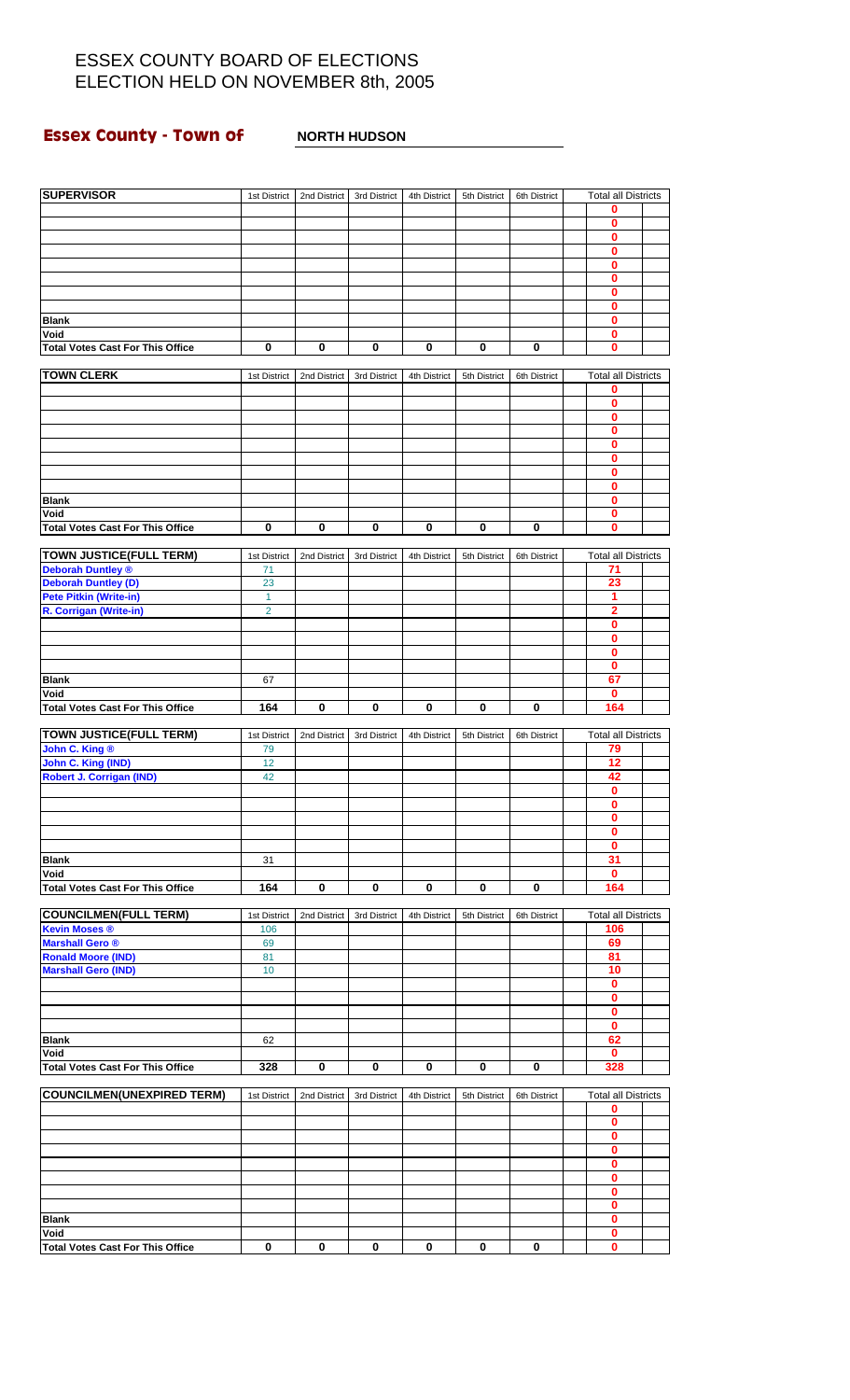### **Essex County - Town of MORTH HUDSON**

| <b>SUPERVISOR</b>                                       | 1st District                   | 2nd District | 3rd District | 4th District | 5th District | 6th District | <b>Total all Districts</b>   |  |
|---------------------------------------------------------|--------------------------------|--------------|--------------|--------------|--------------|--------------|------------------------------|--|
|                                                         |                                |              |              |              |              |              | 0                            |  |
|                                                         |                                |              |              |              |              |              | 0                            |  |
|                                                         |                                |              |              |              |              |              | 0                            |  |
|                                                         |                                |              |              |              |              |              | 0<br>0                       |  |
|                                                         |                                |              |              |              |              |              | 0                            |  |
|                                                         |                                |              |              |              |              |              | 0                            |  |
|                                                         |                                |              |              |              |              |              | 0                            |  |
| <b>Blank</b>                                            |                                |              |              |              |              |              | 0                            |  |
| Void                                                    |                                |              |              |              |              |              | 0                            |  |
| <b>Total Votes Cast For This Office</b>                 | 0                              | 0            | 0            | 0            | 0            | 0            | 0                            |  |
| <b>TOWN CLERK</b>                                       | 1st District                   | 2nd District | 3rd District | 4th District | 5th District | 6th District | <b>Total all Districts</b>   |  |
|                                                         |                                |              |              |              |              |              | 0                            |  |
|                                                         |                                |              |              |              |              |              | 0                            |  |
|                                                         |                                |              |              |              |              |              | 0<br>0                       |  |
|                                                         |                                |              |              |              |              |              | 0                            |  |
|                                                         |                                |              |              |              |              |              | 0                            |  |
|                                                         |                                |              |              |              |              |              | 0                            |  |
|                                                         |                                |              |              |              |              |              | 0                            |  |
| <b>Blank</b>                                            |                                |              |              |              |              |              | 0                            |  |
| Void<br><b>Total Votes Cast For This Office</b>         | $\bf{0}$                       | 0            | 0            | 0            | 0            | 0            | 0<br>0                       |  |
|                                                         |                                |              |              |              |              |              |                              |  |
| <b>TOWN JUSTICE(FULL TERM)</b>                          | 1st District                   | 2nd District | 3rd District | 4th District | 5th District | 6th District | <b>Total all Districts</b>   |  |
| <b>Deborah Duntley ®</b>                                | 71                             |              |              |              |              |              | 71                           |  |
| <b>Deborah Duntley (D)</b>                              | 23                             |              |              |              |              |              | 23                           |  |
| <b>Pete Pitkin (Write-in)</b><br>R. Corrigan (Write-in) | $\mathbf{1}$<br>$\overline{2}$ |              |              |              |              |              | 1<br>$\overline{\mathbf{2}}$ |  |
|                                                         |                                |              |              |              |              |              | 0                            |  |
|                                                         |                                |              |              |              |              |              | 0                            |  |
|                                                         |                                |              |              |              |              |              | 0                            |  |
|                                                         |                                |              |              |              |              |              | 0                            |  |
| <b>Blank</b><br>Void                                    | 67                             |              |              |              |              |              | 67<br>$\mathbf 0$            |  |
| <b>Total Votes Cast For This Office</b>                 | 164                            | $\bf{0}$     | $\mathbf 0$  | 0            | $\mathbf 0$  | $\mathbf 0$  | 164                          |  |
|                                                         |                                |              |              |              |              |              |                              |  |
| <b>TOWN JUSTICE(FULL TERM)</b>                          | 1st District                   | 2nd District | 3rd District | 4th District | 5th District | 6th District | <b>Total all Districts</b>   |  |
| John C. King ®                                          | 79                             |              |              |              |              |              | 79<br>12                     |  |
| John C. King (IND)<br><b>Robert J. Corrigan (IND)</b>   | 12<br>42                       |              |              |              |              |              | 42                           |  |
|                                                         |                                |              |              |              |              |              | $\bf{0}$                     |  |
|                                                         |                                |              |              |              |              |              | 0                            |  |
|                                                         |                                |              |              |              |              |              | $\mathbf 0$                  |  |
|                                                         |                                |              |              |              |              |              | 0                            |  |
| <b>Blank</b>                                            | 31                             |              |              |              |              |              | 0<br>31                      |  |
| Void                                                    |                                |              |              |              |              |              | $\mathbf 0$                  |  |
| <b>Total Votes Cast For This Office</b>                 | 164                            | 0            | 0            | 0            | 0            | 0            | 164                          |  |
|                                                         |                                |              |              |              |              |              |                              |  |
| <b>COUNCILMEN(FULL TERM)</b>                            | 1st District                   | 2nd District | 3rd District | 4th District | 5th District | 6th District | <b>Total all Districts</b>   |  |
| <b>Kevin Moses ®</b><br><b>Marshall Gero ®</b>          | 106                            |              |              |              |              |              | 106<br>69                    |  |
| <b>Ronald Moore (IND)</b>                               | 69<br>81                       |              |              |              |              |              | 81                           |  |
| <b>Marshall Gero (IND)</b>                              | 10                             |              |              |              |              |              | 10                           |  |
|                                                         |                                |              |              |              |              |              | 0                            |  |
|                                                         |                                |              |              |              |              |              | 0                            |  |
|                                                         |                                |              |              |              |              |              | 0<br>0                       |  |
| <b>Blank</b>                                            | 62                             |              |              |              |              |              | 62                           |  |
| Void                                                    |                                |              |              |              |              |              | $\mathbf 0$                  |  |
| <b>Total Votes Cast For This Office</b>                 | 328                            | 0            | 0            | 0            | 0            | 0            | 328                          |  |
|                                                         |                                |              |              |              |              |              |                              |  |
| <b>COUNCILMEN(UNEXPIRED TERM)</b>                       | 1st District                   | 2nd District | 3rd District | 4th District | 5th District | 6th District | <b>Total all Districts</b>   |  |
|                                                         |                                |              |              |              |              |              | 0<br>0                       |  |
|                                                         |                                |              |              |              |              |              | 0                            |  |
|                                                         |                                |              |              |              |              |              | 0                            |  |
|                                                         |                                |              |              |              |              |              |                              |  |
|                                                         |                                |              |              |              |              |              | 0                            |  |
|                                                         |                                |              |              |              |              |              | 0                            |  |
|                                                         |                                |              |              |              |              |              | 0                            |  |
| <b>Blank</b>                                            |                                |              |              |              |              |              | 0<br>0                       |  |
| Void<br><b>Total Votes Cast For This Office</b>         | 0                              | 0            | 0            | 0            | 0            | 0            | 0<br>0                       |  |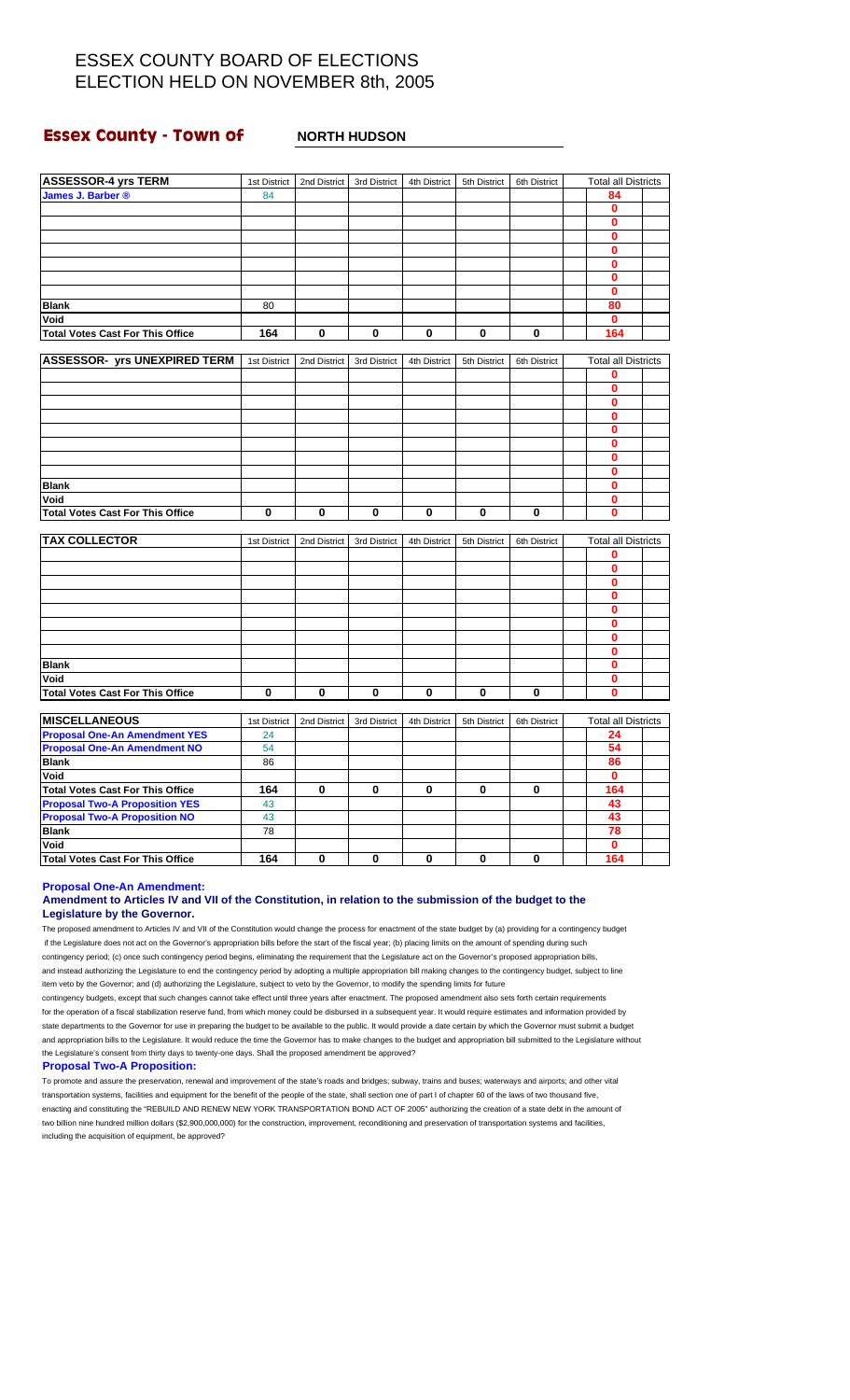### **Essex County - Town of MORTH HUDSON**

| <b>ASSESSOR-4 yrs TERM</b>              | 1st District | 2nd District | 3rd District | 4th District | 5th District | 6th District | <b>Total all Districts</b> |  |
|-----------------------------------------|--------------|--------------|--------------|--------------|--------------|--------------|----------------------------|--|
| James J. Barber ®                       | 84           |              |              |              |              |              | 84                         |  |
|                                         |              |              |              |              |              |              | $\mathbf 0$                |  |
|                                         |              |              |              |              |              |              | $\mathbf 0$                |  |
|                                         |              |              |              |              |              |              | $\mathbf 0$                |  |
|                                         |              |              |              |              |              |              | $\mathbf 0$                |  |
|                                         |              |              |              |              |              |              | $\mathbf{0}$               |  |
|                                         |              |              |              |              |              |              | $\mathbf{0}$               |  |
|                                         |              |              |              |              |              |              | $\mathbf 0$                |  |
| <b>Blank</b>                            | 80           |              |              |              |              |              | 80                         |  |
| Void                                    |              |              |              |              |              |              | $\bf{0}$                   |  |
| <b>Total Votes Cast For This Office</b> | 164          | 0            | 0            | 0            | 0            | 0            | 164                        |  |
|                                         |              |              |              |              |              |              |                            |  |
| <b>ASSESSOR- yrs UNEXPIRED TERM</b>     | 1st District | 2nd District | 3rd District | 4th District | 5th District | 6th District | <b>Total all Districts</b> |  |
|                                         |              |              |              |              |              |              | 0                          |  |
|                                         |              |              |              |              |              |              | $\mathbf{0}$               |  |
|                                         |              |              |              |              |              |              | $\mathbf 0$                |  |
|                                         |              |              |              |              |              |              | $\mathbf 0$                |  |
|                                         |              |              |              |              |              |              | $\bf{0}$                   |  |
|                                         |              |              |              |              |              |              | $\bf{0}$                   |  |
|                                         |              |              |              |              |              |              | $\mathbf 0$                |  |
|                                         |              |              |              |              |              |              | $\mathbf 0$                |  |
| <b>Blank</b>                            |              |              |              |              |              |              | $\mathbf 0$                |  |
| Void                                    |              |              |              |              |              |              | $\bf{0}$                   |  |
| <b>Total Votes Cast For This Office</b> | 0            | 0            | 0            | 0            | 0            | 0            | $\mathbf 0$                |  |
| <b>TAX COLLECTOR</b>                    | 1st District | 2nd District | 3rd District | 4th District | 5th District | 6th District | <b>Total all Districts</b> |  |
|                                         |              |              |              |              |              |              | 0                          |  |
|                                         |              |              |              |              |              |              | $\mathbf 0$                |  |
|                                         |              |              |              |              |              |              | $\mathbf{0}$               |  |
|                                         |              |              |              |              |              |              | $\bf{0}$                   |  |
|                                         |              |              |              |              |              |              | $\bf{0}$                   |  |
|                                         |              |              |              |              |              |              | $\bf{0}$                   |  |
|                                         |              |              |              |              |              |              | $\mathbf{0}$               |  |
|                                         |              |              |              |              |              |              | $\mathbf 0$                |  |
| <b>Blank</b>                            |              |              |              |              |              |              | $\mathbf 0$                |  |
| Void                                    |              |              |              |              |              |              | $\mathbf 0$                |  |
| <b>Total Votes Cast For This Office</b> | 0            | 0            | 0            | 0            | 0            | 0            | $\mathbf 0$                |  |
|                                         |              |              |              |              |              |              |                            |  |
| <b>MISCELLANEOUS</b>                    | 1st District | 2nd District | 3rd District | 4th District | 5th District | 6th District | <b>Total all Districts</b> |  |
| <b>Proposal One-An Amendment YES</b>    | 24           |              |              |              |              |              | 24                         |  |
| <b>Proposal One-An Amendment NO</b>     | 54           |              |              |              |              |              | 54                         |  |
| <b>Blank</b>                            | 86           |              |              |              |              |              | 86                         |  |
| Void                                    |              |              |              |              |              |              | $\mathbf 0$                |  |
| <b>Total Votes Cast For This Office</b> | 164          | 0            | 0            | 0            | 0            | 0            | 164                        |  |
| <b>Proposal Two-A Proposition YES</b>   | 43           |              |              |              |              |              | 43                         |  |
| <b>Proposal Two-A Proposition NO</b>    | 43           |              |              |              |              |              | 43                         |  |
| <b>Blank</b>                            | 78           |              |              |              |              |              | 78                         |  |
| Void                                    |              |              |              |              |              |              | $\mathbf{0}$               |  |
| <b>Total Votes Cast For This Office</b> | 164          | $\mathbf 0$  | $\mathbf 0$  | $\mathbf 0$  | 0            | $\mathbf 0$  | 164                        |  |

#### **Proposal One-An Amendment:**

#### **Amendment to Articles IV and VII of the Constitution, in relation to the submission of the budget to the Legislature by the Governor.**

The proposed amendment to Articles IV and VII of the Constitution would change the process for enactment of the state budget by (a) providing for a contingency budget if the Legislature does not act on the Governor's appropriation bills before the start of the fiscal year; (b) placing limits on the amount of spending during such contingency period; (c) once such contingency period begins, eliminating the requirement that the Legislature act on the Governor's proposed appropriation bills, and instead authorizing the Legislature to end the contingency period by adopting a multiple appropriation bill making changes to the contingency budget, subject to line item veto by the Governor; and (d) authorizing the Legislature, subject to veto by the Governor, to modify the spending limits for future

contingency budgets, except that such changes cannot take effect until three years after enactment. The proposed amendment also sets forth certain requirements for the operation of a fiscal stabilization reserve fund, from which money could be disbursed in a subsequent year. It would require estimates and information provided by state departments to the Governor for use in preparing the budget to be available to the public. It would provide a date certain by which the Governor must submit a budget and appropriation bills to the Legislature. It would reduce the time the Governor has to make changes to the budget and appropriation bill submitted to the Legislature without the Legislature's consent from thirty days to twenty-one days. Shall the proposed amendment be approved?

#### **Proposal Two-A Proposition:**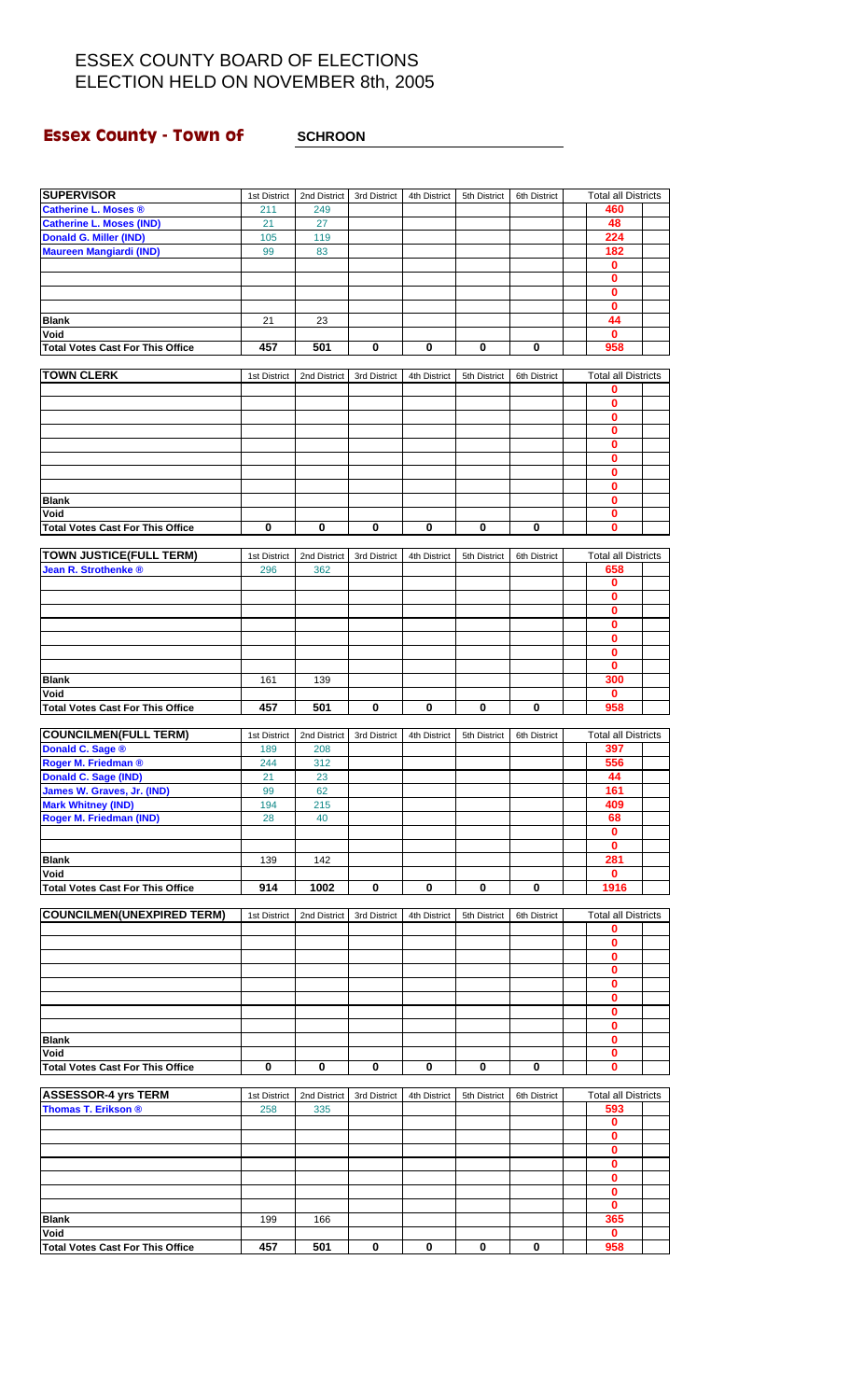### **Essex County - Town of SCHROON**

| <b>SUPERVISOR</b>                               | 1st District        | 2nd District        | 3rd District | 4th District | 5th District | 6th District | <b>Total all Districts</b>        |  |
|-------------------------------------------------|---------------------|---------------------|--------------|--------------|--------------|--------------|-----------------------------------|--|
| <b>Catherine L. Moses ®</b>                     | 211                 | 249                 |              |              |              |              | 460                               |  |
| <b>Catherine L. Moses (IND)</b>                 | 21                  | 27                  |              |              |              |              | 48                                |  |
| <b>Donald G. Miller (IND)</b>                   | 105                 | 119                 |              |              |              |              | 224                               |  |
| <b>Maureen Mangiardi (IND)</b>                  | 99                  | 83                  |              |              |              |              | 182                               |  |
|                                                 |                     |                     |              |              |              |              | 0                                 |  |
|                                                 |                     |                     |              |              |              |              | $\bf{0}$                          |  |
|                                                 |                     |                     |              |              |              |              | 0                                 |  |
|                                                 |                     |                     |              |              |              |              | 0                                 |  |
| <b>Blank</b>                                    | 21                  | 23                  |              |              |              |              | 44                                |  |
| Void                                            |                     |                     |              |              |              |              | $\mathbf{0}$                      |  |
| <b>Total Votes Cast For This Office</b>         | 457                 | 501                 | 0            | 0            | 0            | 0            | 958                               |  |
|                                                 |                     |                     |              |              |              |              |                                   |  |
| <b>TOWN CLERK</b>                               | 1st District        | 2nd District        | 3rd District | 4th District | 5th District | 6th District | <b>Total all Districts</b>        |  |
|                                                 |                     |                     |              |              |              |              | 0                                 |  |
|                                                 |                     |                     |              |              |              |              | 0                                 |  |
|                                                 |                     |                     |              |              |              |              | 0                                 |  |
|                                                 |                     |                     |              |              |              |              | 0                                 |  |
|                                                 |                     |                     |              |              |              |              | 0                                 |  |
|                                                 |                     |                     |              |              |              |              | 0                                 |  |
|                                                 |                     |                     |              |              |              |              | 0                                 |  |
|                                                 |                     |                     |              |              |              |              | 0                                 |  |
| <b>Blank</b>                                    |                     |                     |              |              |              |              | 0                                 |  |
| Void                                            |                     |                     |              |              |              |              | 0                                 |  |
| <b>Total Votes Cast For This Office</b>         | $\bf{0}$            | 0                   | $\mathbf 0$  | $\bf{0}$     | 0            | $\mathbf 0$  | $\bf{0}$                          |  |
|                                                 |                     |                     |              |              |              |              |                                   |  |
| TOWN JUSTICE(FULL TERM)                         | 1st District        | 2nd District        | 3rd District | 4th District | 5th District | 6th District | <b>Total all Districts</b>        |  |
| Jean R. Strothenke ®                            | 296                 | 362                 |              |              |              |              | 658                               |  |
|                                                 |                     |                     |              |              |              |              | 0                                 |  |
|                                                 |                     |                     |              |              |              |              | 0                                 |  |
|                                                 |                     |                     |              |              |              |              | 0                                 |  |
|                                                 |                     |                     |              |              |              |              | 0                                 |  |
|                                                 |                     |                     |              |              |              |              | 0                                 |  |
|                                                 |                     |                     |              |              |              |              | 0                                 |  |
|                                                 |                     |                     |              |              |              |              | $\bf{0}$                          |  |
| <b>Blank</b>                                    | 161                 | 139                 |              |              |              |              | 300                               |  |
| Void                                            |                     |                     |              |              |              |              | 0                                 |  |
| <b>Total Votes Cast For This Office</b>         | 457                 | 501                 | 0            | 0            | 0            | 0            | 958                               |  |
|                                                 |                     |                     |              |              |              |              |                                   |  |
|                                                 |                     |                     |              |              |              |              |                                   |  |
| <b>COUNCILMEN(FULL TERM)</b>                    | 1st District        | 2nd District        | 3rd District | 4th District | 5th District | 6th District | <b>Total all Districts</b>        |  |
|                                                 | 189                 | 208                 |              |              |              |              | 397                               |  |
| Donald C. Sage ®                                | 244                 | 312                 |              |              |              |              | 556                               |  |
| Roger M. Friedman ®<br>Donald C. Sage (IND)     | 21                  | 23                  |              |              |              |              | 44                                |  |
|                                                 | 99                  | 62                  |              |              |              |              | 161                               |  |
| James W. Graves, Jr. (IND)                      | 194                 | 215                 |              |              |              |              | 409                               |  |
| <b>Mark Whitney (IND)</b>                       |                     |                     |              |              |              |              |                                   |  |
| Roger M. Friedman (IND)                         | 28                  | 40                  |              |              |              |              | 68<br>0                           |  |
|                                                 |                     |                     |              |              |              |              | 0                                 |  |
|                                                 |                     | 142                 |              |              |              |              |                                   |  |
| <b>Blank</b>                                    | 139                 |                     |              |              |              |              | 281<br>$\mathbf 0$                |  |
| Void                                            |                     |                     |              |              |              | 0            |                                   |  |
| <b>Total Votes Cast For This Office</b>         | 914                 | 1002                | 0            | 0            | 0            |              | 1916                              |  |
|                                                 |                     |                     | 3rd District | 4th District | 5th District | 6th District | <b>Total all Districts</b>        |  |
| <b>COUNCILMEN(UNEXPIRED TERM)</b>               | 1st District        | 2nd District        |              |              |              |              | 0                                 |  |
|                                                 |                     |                     |              |              |              |              | 0                                 |  |
|                                                 |                     |                     |              |              |              |              | 0                                 |  |
|                                                 |                     |                     |              |              |              |              | 0                                 |  |
|                                                 |                     |                     |              |              |              |              | 0                                 |  |
|                                                 |                     |                     |              |              |              |              | 0                                 |  |
|                                                 |                     |                     |              |              |              |              | 0                                 |  |
|                                                 |                     |                     |              |              |              |              | 0                                 |  |
| <b>Blank</b>                                    |                     |                     |              |              |              |              | 0                                 |  |
| Void                                            |                     |                     |              |              |              |              | 0                                 |  |
|                                                 | 0                   | 0                   | 0            | 0            | 0            | 0            | 0                                 |  |
| <b>Total Votes Cast For This Office</b>         |                     |                     |              |              |              |              |                                   |  |
|                                                 |                     |                     |              |              |              |              |                                   |  |
| <b>ASSESSOR-4 yrs TERM</b>                      | 1st District<br>258 | 2nd District<br>335 | 3rd District | 4th District | 5th District | 6th District | <b>Total all Districts</b><br>593 |  |
| Thomas T. Erikson ®                             |                     |                     |              |              |              |              |                                   |  |
|                                                 |                     |                     |              |              |              |              | 0<br>0                            |  |
|                                                 |                     |                     |              |              |              |              |                                   |  |
|                                                 |                     |                     |              |              |              |              | 0                                 |  |
|                                                 |                     |                     |              |              |              |              | 0                                 |  |
|                                                 |                     |                     |              |              |              |              | 0                                 |  |
|                                                 |                     |                     |              |              |              |              | 0                                 |  |
|                                                 |                     |                     |              |              |              |              | $\mathbf 0$                       |  |
| <b>Blank</b>                                    | 199                 | 166                 |              |              |              |              | 365                               |  |
| Void<br><b>Total Votes Cast For This Office</b> | 457                 | 501                 | 0            | 0            | 0            | 0            | $\mathbf 0$<br>958                |  |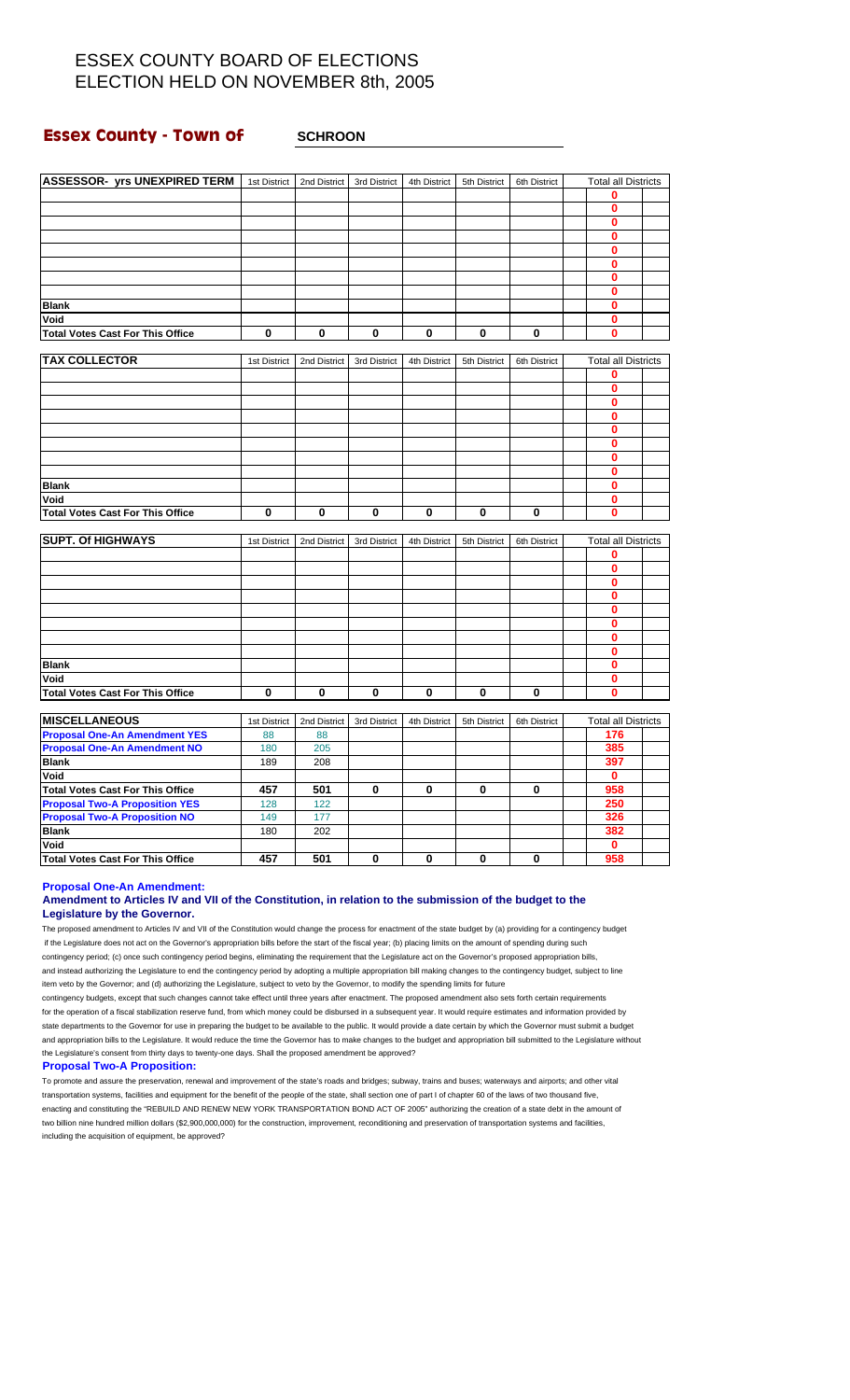### **Essex County - Town of**  $\qquad$  **SCHROON**

| ASSESSOR- yrs UNEXPIRED TERM            |              |                             |              |              |              |              |                                 |  |
|-----------------------------------------|--------------|-----------------------------|--------------|--------------|--------------|--------------|---------------------------------|--|
|                                         |              | 1st District   2nd District | 3rd District | 4th District | 5th District | 6th District | <b>Total all Districts</b><br>0 |  |
|                                         |              |                             |              |              |              |              | $\mathbf 0$                     |  |
|                                         |              |                             |              |              |              |              |                                 |  |
|                                         |              |                             |              |              |              |              | 0                               |  |
|                                         |              |                             |              |              |              |              | $\bf{0}$                        |  |
|                                         |              |                             |              |              |              |              | 0                               |  |
|                                         |              |                             |              |              |              |              | $\bf{0}$                        |  |
|                                         |              |                             |              |              |              |              | 0                               |  |
|                                         |              |                             |              |              |              |              | $\bf{0}$                        |  |
| <b>Blank</b>                            |              |                             |              |              |              |              | 0                               |  |
| Void                                    |              |                             |              |              |              |              | $\bf{0}$                        |  |
| <b>Total Votes Cast For This Office</b> | 0            | 0                           | 0            | $\bf{0}$     | 0            | 0            | $\bf{0}$                        |  |
|                                         |              |                             |              |              |              |              |                                 |  |
| <b>TAX COLLECTOR</b>                    | 1st District | 2nd District                | 3rd District | 4th District | 5th District | 6th District | <b>Total all Districts</b>      |  |
|                                         |              |                             |              |              |              |              | 0                               |  |
|                                         |              |                             |              |              |              |              | 0                               |  |
|                                         |              |                             |              |              |              |              | $\bf{0}$                        |  |
|                                         |              |                             |              |              |              |              | $\bf{0}$                        |  |
|                                         |              |                             |              |              |              |              | 0                               |  |
|                                         |              |                             |              |              |              |              | $\bf{0}$                        |  |
|                                         |              |                             |              |              |              |              | 0                               |  |
|                                         |              |                             |              |              |              |              | $\mathbf{0}$                    |  |
| <b>Blank</b>                            |              |                             |              |              |              |              | $\bf{0}$                        |  |
| Void                                    |              |                             |              |              |              |              | $\bf{0}$                        |  |
| <b>Total Votes Cast For This Office</b> | $\bf{0}$     | $\mathbf 0$                 | $\bf{0}$     | $\bf{0}$     | 0            | $\mathbf 0$  | $\bf{0}$                        |  |
| <b>SUPT. Of HIGHWAYS</b>                | 1st District | 2nd District                | 3rd District | 4th District | 5th District | 6th District | <b>Total all Districts</b>      |  |
|                                         |              |                             |              |              |              |              | 0                               |  |
|                                         |              |                             |              |              |              |              | $\bf{0}$                        |  |
|                                         |              |                             |              |              |              |              | $\mathbf{0}$                    |  |
|                                         |              |                             |              |              |              |              | $\bf{0}$                        |  |
|                                         |              |                             |              |              |              |              | $\bf{0}$                        |  |
|                                         |              |                             |              |              |              |              | $\bf{0}$                        |  |
|                                         |              |                             |              |              |              |              | $\bf{0}$                        |  |
|                                         |              |                             |              |              |              |              | $\bf{0}$                        |  |
| <b>Blank</b>                            |              |                             |              |              |              |              | $\bf{0}$                        |  |
| Void                                    |              |                             |              |              |              |              | $\bf{0}$                        |  |
| <b>Total Votes Cast For This Office</b> | 0            | 0                           | 0            | 0            | 0            | $\bf{0}$     | $\bf{0}$                        |  |
|                                         |              |                             |              |              |              |              |                                 |  |
| <b>MISCELLANEOUS</b>                    | 1st District | 2nd District                | 3rd District | 4th District | 5th District | 6th District | <b>Total all Districts</b>      |  |
| <b>Proposal One-An Amendment YES</b>    | 88           | 88                          |              |              |              |              | 176                             |  |
| <b>Proposal One-An Amendment NO</b>     | 180          | 205                         |              |              |              |              | 385                             |  |
| <b>Blank</b>                            | 189          | 208                         |              |              |              |              | 397                             |  |
| Void                                    |              |                             |              |              |              |              | 0                               |  |
| <b>Total Votes Cast For This Office</b> | 457          | 501                         | 0            | 0            | 0            | 0            | 958                             |  |
| <b>Proposal Two-A Proposition YES</b>   | 128          | 122                         |              |              |              |              | 250                             |  |
| <b>Proposal Two-A Proposition NO</b>    | 149          | 177                         |              |              |              |              | 326                             |  |
| <b>Blank</b>                            | 180          | 202                         |              |              |              |              | 382                             |  |
| Void                                    |              |                             |              |              |              |              |                                 |  |
|                                         |              |                             |              |              |              |              | $\mathbf 0$                     |  |

**Proposal One-An Amendment:**

### **Amendment to Articles IV and VII of the Constitution, in relation to the submission of the budget to the Legislature by the Governor.**

The proposed amendment to Articles IV and VII of the Constitution would change the process for enactment of the state budget by (a) providing for a contingency budget if the Legislature does not act on the Governor's appropriation bills before the start of the fiscal year; (b) placing limits on the amount of spending during such contingency period; (c) once such contingency period begins, eliminating the requirement that the Legislature act on the Governor's proposed appropriation bills, and instead authorizing the Legislature to end the contingency period by adopting a multiple appropriation bill making changes to the contingency budget, subject to line item veto by the Governor; and (d) authorizing the Legislature, subject to veto by the Governor, to modify the spending limits for future

contingency budgets, except that such changes cannot take effect until three years after enactment. The proposed amendment also sets forth certain requirements for the operation of a fiscal stabilization reserve fund, from which money could be disbursed in a subsequent year. It would require estimates and information provided by state departments to the Governor for use in preparing the budget to be available to the public. It would provide a date certain by which the Governor must submit a budget and appropriation bills to the Legislature. It would reduce the time the Governor has to make changes to the budget and appropriation bill submitted to the Legislature without the Legislature's consent from thirty days to twenty-one days. Shall the proposed amendment be approved?

#### **Proposal Two-A Proposition:**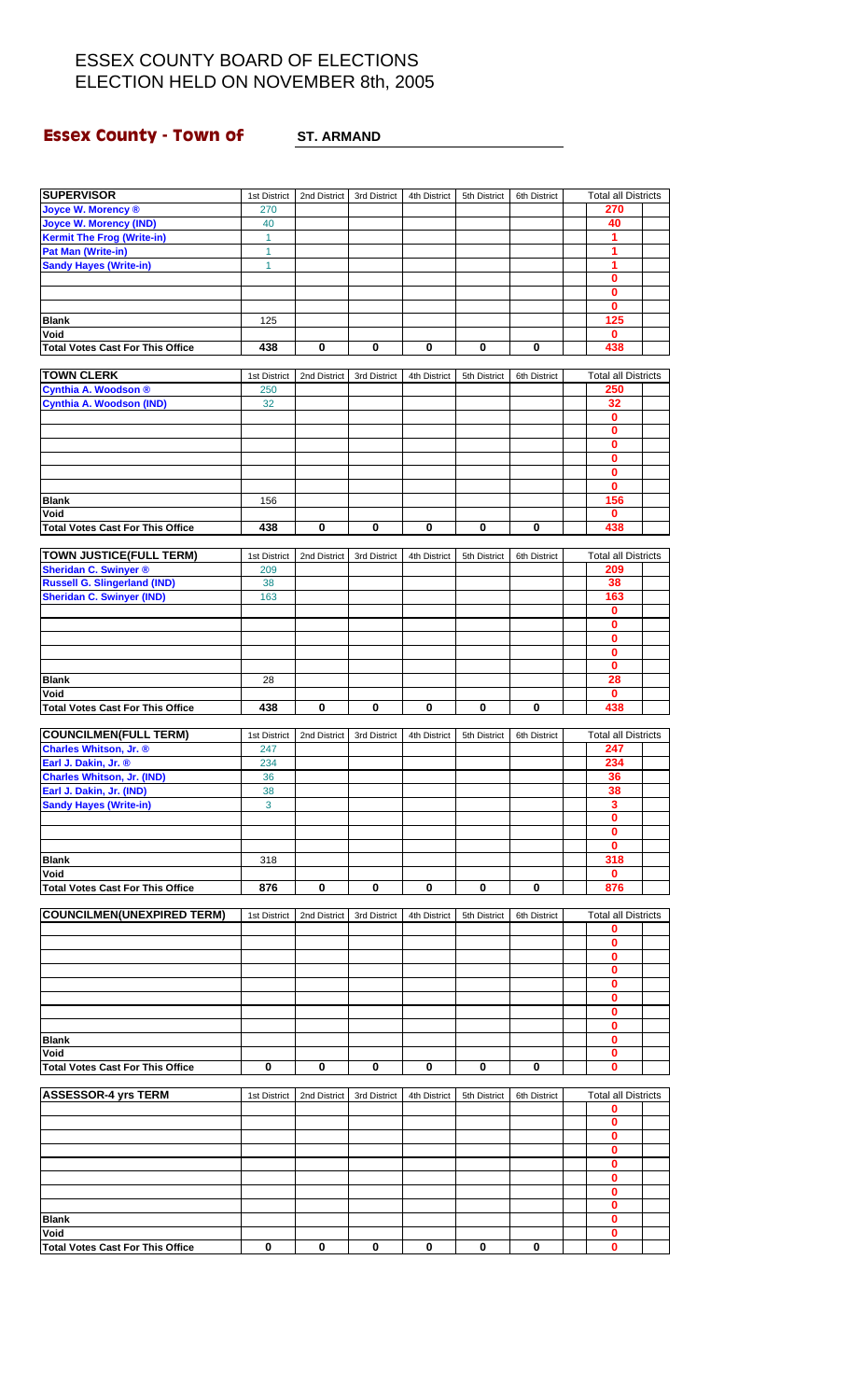# **Essex County - Town of ST. ARMAND**

| <b>SUPERVISOR</b>                       | 1st District | 2nd District | 3rd District | 4th District | 5th District | 6th District | <b>Total all Districts</b> |  |
|-----------------------------------------|--------------|--------------|--------------|--------------|--------------|--------------|----------------------------|--|
| <b>Joyce W. Morency ®</b>               | 270          |              |              |              |              |              | 270                        |  |
| <b>Joyce W. Morency (IND)</b>           | 40           |              |              |              |              |              | 40                         |  |
| <b>Kermit The Frog (Write-in)</b>       | 1            |              |              |              |              |              | 1                          |  |
| <b>Pat Man (Write-in)</b>               | 1            |              |              |              |              |              | 1                          |  |
| <b>Sandy Hayes (Write-in)</b>           | 1            |              |              |              |              |              | 1                          |  |
|                                         |              |              |              |              |              |              | $\bf{0}$                   |  |
|                                         |              |              |              |              |              |              | $\mathbf 0$                |  |
|                                         |              |              |              |              |              |              | 0                          |  |
| <b>Blank</b>                            | 125          |              |              |              |              |              | 125                        |  |
| Void                                    |              |              |              |              |              |              | 0                          |  |
| <b>Total Votes Cast For This Office</b> | 438          | 0            | 0            | 0            | 0            | 0            | 438                        |  |
|                                         |              |              |              |              |              |              |                            |  |
| <b>TOWN CLERK</b>                       | 1st District | 2nd District | 3rd District | 4th District | 5th District | 6th District | <b>Total all Districts</b> |  |
| Cynthia A. Woodson ®                    | 250          |              |              |              |              |              | 250                        |  |
| <b>Cynthia A. Woodson (IND)</b>         | 32           |              |              |              |              |              | 32                         |  |
|                                         |              |              |              |              |              |              | $\mathbf 0$                |  |
|                                         |              |              |              |              |              |              | $\mathbf 0$                |  |
|                                         |              |              |              |              |              |              | $\bf{0}$                   |  |
|                                         |              |              |              |              |              |              | $\mathbf 0$                |  |
|                                         |              |              |              |              |              |              | $\mathbf 0$                |  |
|                                         |              |              |              |              |              |              | $\bf{0}$                   |  |
| <b>Blank</b>                            | 156          |              |              |              |              |              | 156                        |  |
| Void                                    |              |              |              |              |              |              | 0                          |  |
| <b>Total Votes Cast For This Office</b> | 438          | 0            | 0            | 0            | 0            | 0            | 438                        |  |
|                                         |              |              |              |              |              |              |                            |  |
| <b>TOWN JUSTICE(FULL TERM)</b>          | 1st District | 2nd District | 3rd District | 4th District | 5th District | 6th District | <b>Total all Districts</b> |  |
| <b>Sheridan C. Swinyer ®</b>            | 209          |              |              |              |              |              | 209                        |  |
| <b>Russell G. Slingerland (IND)</b>     | 38           |              |              |              |              |              | 38                         |  |
| <b>Sheridan C. Swinyer (IND)</b>        | 163          |              |              |              |              |              | 163                        |  |
|                                         |              |              |              |              |              |              | $\mathbf 0$                |  |
|                                         |              |              |              |              |              |              | 0                          |  |
|                                         |              |              |              |              |              |              | $\mathbf 0$                |  |
|                                         |              |              |              |              |              |              | $\bf{0}$                   |  |
|                                         |              |              |              |              |              |              | 0                          |  |
| <b>Blank</b>                            | 28           |              |              |              |              |              | 28                         |  |
| Void                                    |              |              |              |              |              |              | 0                          |  |
| <b>Total Votes Cast For This Office</b> | 438          | 0            | $\bf{0}$     | 0            | 0            | $\bf{0}$     | 438                        |  |
|                                         |              |              |              |              |              |              |                            |  |
| <b>COUNCILMEN(FULL TERM)</b>            | 1st District | 2nd District | 3rd District | 4th District | 5th District | 6th District | <b>Total all Districts</b> |  |
| Charles Whitson, Jr. ®                  | 247          |              |              |              |              |              | 247                        |  |
| Earl J. Dakin, Jr. ®                    | 234          |              |              |              |              |              | 234                        |  |
| <b>Charles Whitson, Jr. (IND)</b>       | 36           |              |              |              |              |              | 36                         |  |
| Earl J. Dakin, Jr. (IND)                | 38           |              |              |              |              |              | 38                         |  |
| <b>Sandy Hayes (Write-in)</b>           | 3            |              |              |              |              |              | з                          |  |
|                                         |              |              |              |              |              |              | $\bf{0}$                   |  |
|                                         |              |              |              |              |              |              | 0                          |  |
|                                         |              |              |              |              |              |              | 0                          |  |
| <b>Blank</b>                            | 318          |              |              |              |              |              | 318                        |  |
| Void                                    |              |              |              |              |              |              | 0                          |  |
| <b>Total Votes Cast For This Office</b> | 876          | 0            | 0            | 0            | 0            | 0            | 876                        |  |
|                                         |              |              |              |              |              |              |                            |  |
| <b>COUNCILMEN(UNEXPIRED TERM)</b>       | 1st District | 2nd District | 3rd District | 4th District | 5th District | 6th District | <b>Total all Districts</b> |  |
|                                         |              |              |              |              |              |              | 0                          |  |
|                                         |              |              |              |              |              |              | $\mathbf 0$                |  |
|                                         |              |              |              |              |              |              | 0<br>0                     |  |
|                                         |              |              |              |              |              |              | 0                          |  |
|                                         |              |              |              |              |              |              |                            |  |
|                                         |              |              |              |              |              |              | 0<br>0                     |  |
|                                         |              |              |              |              |              |              | 0                          |  |
| <b>Blank</b>                            |              |              |              |              |              |              | 0                          |  |
| Void                                    |              |              |              |              |              |              | $\bf{0}$                   |  |
| <b>Total Votes Cast For This Office</b> | 0            | 0            | $\mathbf 0$  | 0            | 0            | 0            | $\bf{0}$                   |  |
|                                         |              |              |              |              |              |              |                            |  |
| <b>ASSESSOR-4 yrs TERM</b>              | 1st District | 2nd District | 3rd District | 4th District | 5th District | 6th District | <b>Total all Districts</b> |  |
|                                         |              |              |              |              |              |              | 0                          |  |
|                                         |              |              |              |              |              |              | 0                          |  |
|                                         |              |              |              |              |              |              | $\bf{0}$                   |  |
|                                         |              |              |              |              |              |              | 0                          |  |
|                                         |              |              |              |              |              |              | 0                          |  |
|                                         |              |              |              |              |              |              | 0                          |  |
|                                         |              |              |              |              |              |              | 0                          |  |
|                                         |              |              |              |              |              |              | 0                          |  |
| <b>Blank</b>                            |              |              |              |              |              |              | 0                          |  |
| Void                                    |              |              |              |              |              |              | $\mathbf 0$                |  |
| <b>Total Votes Cast For This Office</b> | 0            | 0            | 0            | 0            | 0            | 0            | 0                          |  |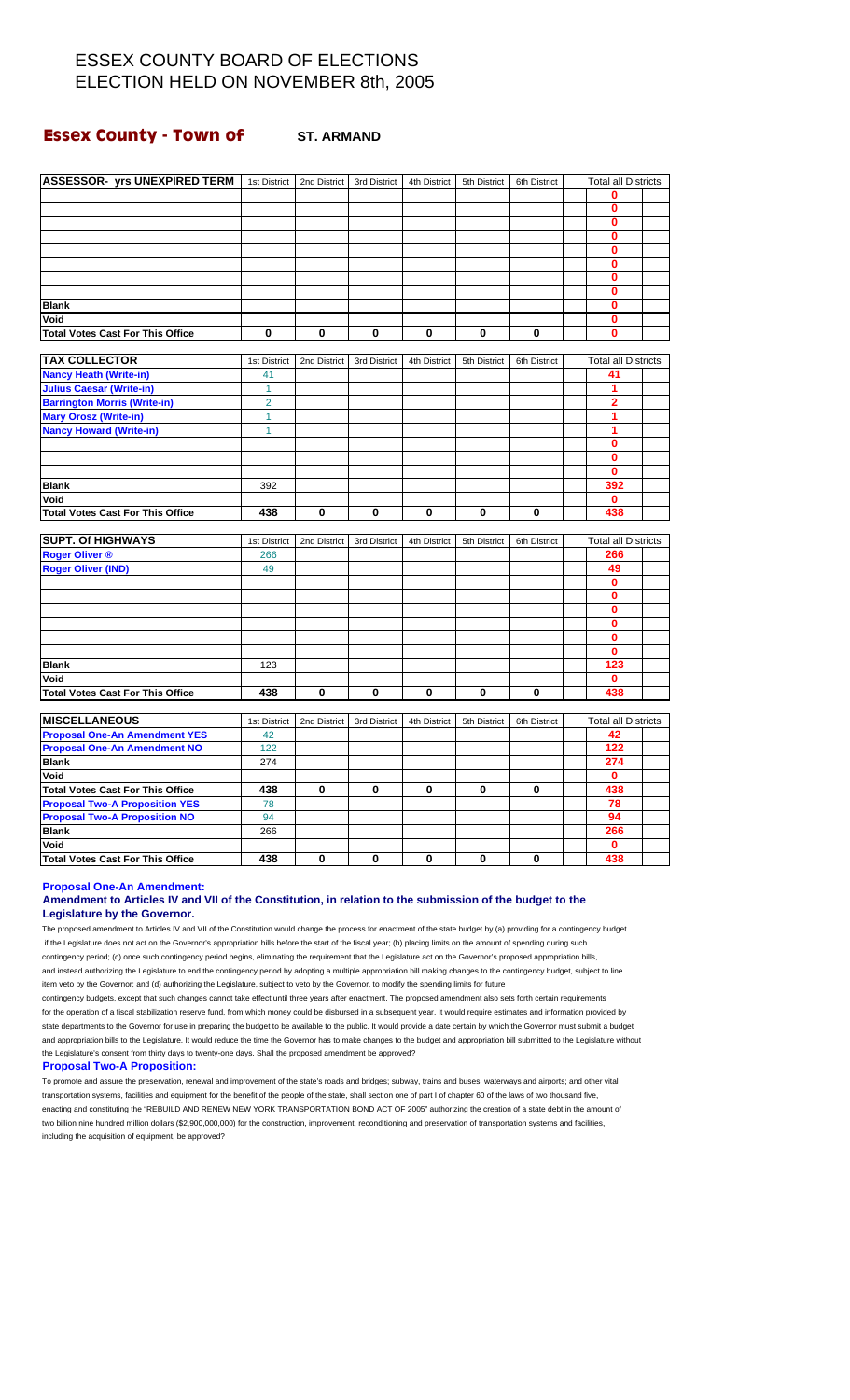### **Essex County - Town of ST. ARMAND**

| ASSESSOR- yrs UNEXPIRED TERM   1st District |                | 2nd District | 3rd District | 4th District | 5th District | 6th District | <b>Total all Districts</b> |  |
|---------------------------------------------|----------------|--------------|--------------|--------------|--------------|--------------|----------------------------|--|
|                                             |                |              |              |              |              |              | 0                          |  |
|                                             |                |              |              |              |              |              | $\bf{0}$                   |  |
|                                             |                |              |              |              |              |              | $\bf{0}$                   |  |
|                                             |                |              |              |              |              |              | $\mathbf{0}$               |  |
|                                             |                |              |              |              |              |              |                            |  |
|                                             |                |              |              |              |              |              | 0                          |  |
|                                             |                |              |              |              |              |              | $\bf{0}$                   |  |
|                                             |                |              |              |              |              |              | 0                          |  |
|                                             |                |              |              |              |              |              | $\mathbf 0$                |  |
| <b>Blank</b>                                |                |              |              |              |              |              | 0                          |  |
| Void                                        |                |              |              |              |              |              | 0                          |  |
| <b>Total Votes Cast For This Office</b>     | $\bf{0}$       | 0            | $\bf{0}$     | 0            | $\bf{0}$     | 0            | 0                          |  |
| <b>TAX COLLECTOR</b>                        | 1st District   | 2nd District | 3rd District | 4th District | 5th District | 6th District | <b>Total all Districts</b> |  |
| <b>Nancy Heath (Write-in)</b>               | 41             |              |              |              |              |              | 41                         |  |
| <b>Julius Caesar (Write-in)</b>             | $\mathbf{1}$   |              |              |              |              |              | 1                          |  |
| <b>Barrington Morris (Write-in)</b>         | $\overline{2}$ |              |              |              |              |              | $\overline{\mathbf{2}}$    |  |
|                                             | $\mathbf{1}$   |              |              |              |              |              | $\blacktriangleleft$       |  |
| Mary Orosz (Write-in)                       | 1              |              |              |              |              |              | 1                          |  |
| <b>Nancy Howard (Write-in)</b>              |                |              |              |              |              |              | $\bf{0}$                   |  |
|                                             |                |              |              |              |              |              | 0                          |  |
|                                             |                |              |              |              |              |              | $\mathbf{0}$               |  |
|                                             |                |              |              |              |              |              |                            |  |
| <b>Blank</b>                                | 392            |              |              |              |              |              | 392                        |  |
| Void                                        |                |              |              |              |              |              | 0                          |  |
| <b>Total Votes Cast For This Office</b>     | 438            | 0            | 0            | 0            | 0            | 0            | 438                        |  |
| <b>SUPT. Of HIGHWAYS</b>                    | 1st District   | 2nd District | 3rd District | 4th District | 5th District | 6th District | <b>Total all Districts</b> |  |
| <b>Roger Oliver ®</b>                       | 266            |              |              |              |              |              | 266                        |  |
| <b>Roger Oliver (IND)</b>                   | 49             |              |              |              |              |              | 49                         |  |
|                                             |                |              |              |              |              |              | $\bf{0}$                   |  |
|                                             |                |              |              |              |              |              | $\bf{0}$                   |  |
|                                             |                |              |              |              |              |              | $\mathbf 0$                |  |
|                                             |                |              |              |              |              |              | $\mathbf 0$                |  |
|                                             |                |              |              |              |              |              | $\bf{0}$                   |  |
|                                             |                |              |              |              |              |              | $\bf{0}$                   |  |
| <b>Blank</b>                                | 123            |              |              |              |              |              | 123                        |  |
| Void                                        |                |              |              |              |              |              | 0                          |  |
| <b>Total Votes Cast For This Office</b>     | 438            | 0            | $\bf{0}$     | 0            | $\bf{0}$     | 0            | 438                        |  |
|                                             |                |              |              |              |              |              |                            |  |
| <b>MISCELLANEOUS</b>                        | 1st District   | 2nd District | 3rd District | 4th District | 5th District | 6th District | <b>Total all Districts</b> |  |
| <b>Proposal One-An Amendment YES</b>        | 42             |              |              |              |              |              | 42                         |  |
| <b>Proposal One-An Amendment NO</b>         | 122            |              |              |              |              |              | 122                        |  |
| <b>Blank</b>                                | 274            |              |              |              |              |              | 274                        |  |
| Void                                        |                |              |              |              |              |              | 0                          |  |
| <b>Total Votes Cast For This Office</b>     | 438            | 0            | 0            | 0            | 0            | 0            | 438                        |  |
| <b>Proposal Two-A Proposition YES</b>       | 78             |              |              |              |              |              | 78                         |  |
| <b>Proposal Two-A Proposition NO</b>        | 94             |              |              |              |              |              | 94                         |  |
| <b>Blank</b>                                | 266            |              |              |              |              |              | 266                        |  |
| Void                                        |                |              |              |              |              |              | $\mathbf 0$                |  |
| <b>Total Votes Cast For This Office</b>     | 438            | 0            | 0            | 0            | 0            | 0            | 438                        |  |

**Proposal One-An Amendment:**

### **Amendment to Articles IV and VII of the Constitution, in relation to the submission of the budget to the Legislature by the Governor.**

The proposed amendment to Articles IV and VII of the Constitution would change the process for enactment of the state budget by (a) providing for a contingency budget if the Legislature does not act on the Governor's appropriation bills before the start of the fiscal year; (b) placing limits on the amount of spending during such contingency period; (c) once such contingency period begins, eliminating the requirement that the Legislature act on the Governor's proposed appropriation bills, and instead authorizing the Legislature to end the contingency period by adopting a multiple appropriation bill making changes to the contingency budget, subject to line item veto by the Governor; and (d) authorizing the Legislature, subject to veto by the Governor, to modify the spending limits for future

contingency budgets, except that such changes cannot take effect until three years after enactment. The proposed amendment also sets forth certain requirements for the operation of a fiscal stabilization reserve fund, from which money could be disbursed in a subsequent year. It would require estimates and information provided by state departments to the Governor for use in preparing the budget to be available to the public. It would provide a date certain by which the Governor must submit a budget and appropriation bills to the Legislature. It would reduce the time the Governor has to make changes to the budget and appropriation bill submitted to the Legislature without the Legislature's consent from thirty days to twenty-one days. Shall the proposed amendment be approved?

#### **Proposal Two-A Proposition:**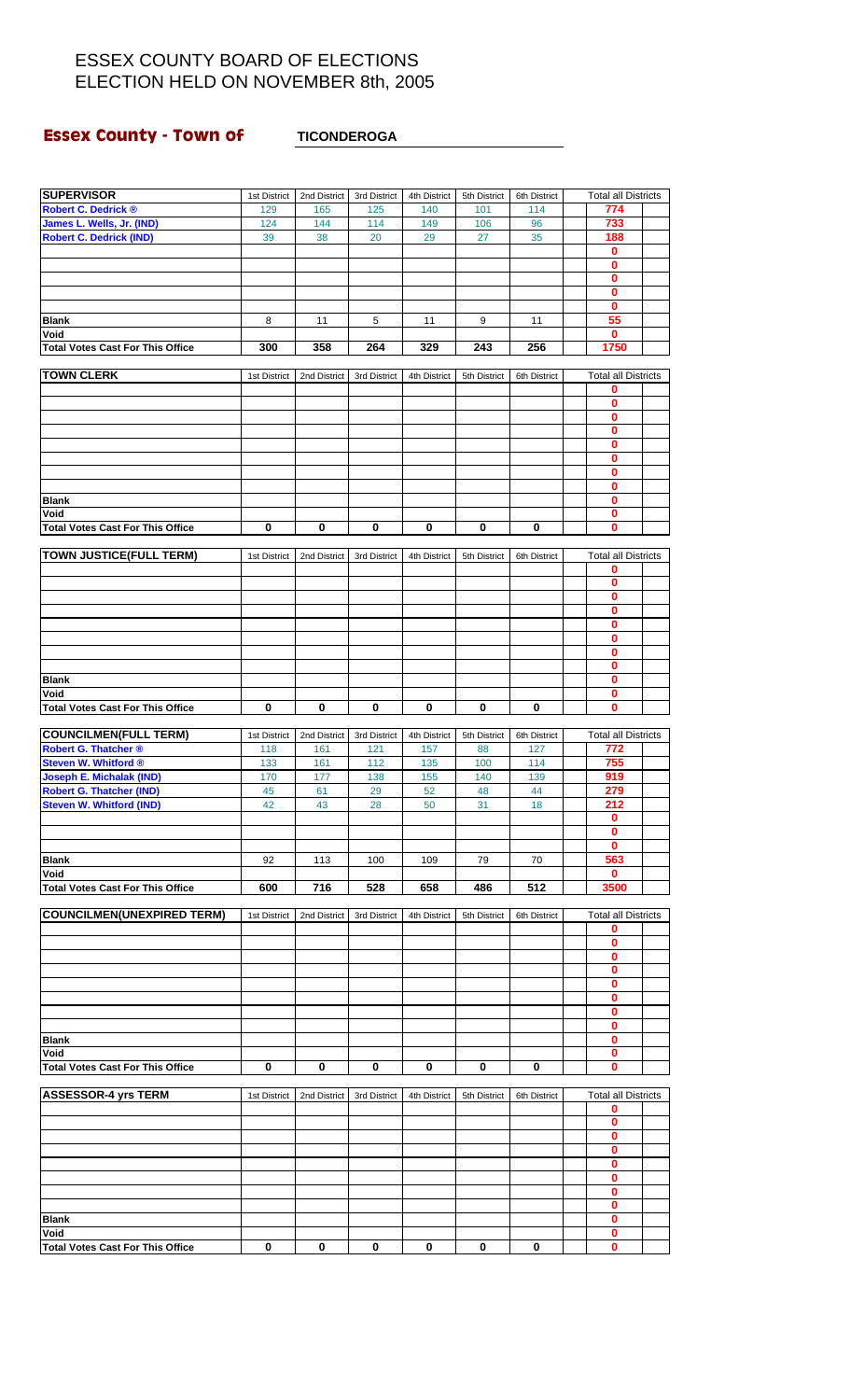# **Essex County - Town of TICONDEROGA**

| <b>SUPERVISOR</b>                       | 1st District | 2nd District | 3rd District | 4th District | 5th District | 6th District | <b>Total all Districts</b> |  |
|-----------------------------------------|--------------|--------------|--------------|--------------|--------------|--------------|----------------------------|--|
| <b>Robert C. Dedrick ®</b>              | 129          | 165          | 125          | 140          | 101          | 114          | 774                        |  |
| James L. Wells, Jr. (IND)               | 124          | 144          | 114          | 149          | 106          | 96           | 733                        |  |
| <b>Robert C. Dedrick (IND)</b>          | 39           | 38           | 20           | 29           | 27           | 35           | 188                        |  |
|                                         |              |              |              |              |              |              | 0                          |  |
|                                         |              |              |              |              |              |              | 0                          |  |
|                                         |              |              |              |              |              |              | 0                          |  |
|                                         |              |              |              |              |              |              | 0                          |  |
|                                         |              |              |              |              |              |              | $\bf{0}$                   |  |
| <b>Blank</b>                            | 8            | 11           | 5            | 11           | 9            | 11           | 55                         |  |
| Void                                    |              |              |              |              |              |              | 0                          |  |
| <b>Total Votes Cast For This Office</b> | 300          | 358          | 264          | 329          | 243          | 256          | 1750                       |  |
|                                         |              |              |              |              |              |              |                            |  |
| <b>TOWN CLERK</b>                       | 1st District | 2nd District | 3rd District | 4th District | 5th District | 6th District | <b>Total all Districts</b> |  |
|                                         |              |              |              |              |              |              | 0                          |  |
|                                         |              |              |              |              |              |              | 0                          |  |
|                                         |              |              |              |              |              |              | 0                          |  |
|                                         |              |              |              |              |              |              | 0                          |  |
|                                         |              |              |              |              |              |              | 0                          |  |
|                                         |              |              |              |              |              |              | 0                          |  |
|                                         |              |              |              |              |              |              | 0                          |  |
|                                         |              |              |              |              |              |              | 0                          |  |
| <b>Blank</b>                            |              |              |              |              |              |              | 0                          |  |
| Void                                    |              |              |              |              |              |              | 0                          |  |
| <b>Total Votes Cast For This Office</b> | $\bf{0}$     | 0            | 0            | $\bf{0}$     | 0            | 0            | 0                          |  |
|                                         |              |              |              |              |              |              |                            |  |
| <b>TOWN JUSTICE(FULL TERM)</b>          | 1st District | 2nd District | 3rd District | 4th District | 5th District | 6th District | <b>Total all Districts</b> |  |
|                                         |              |              |              |              |              |              | 0                          |  |
|                                         |              |              |              |              |              |              | 0                          |  |
|                                         |              |              |              |              |              |              | 0                          |  |
|                                         |              |              |              |              |              |              | 0                          |  |
|                                         |              |              |              |              |              |              | 0                          |  |
|                                         |              |              |              |              |              |              | 0                          |  |
|                                         |              |              |              |              |              |              | 0                          |  |
|                                         |              |              |              |              |              |              | $\mathbf 0$                |  |
| <b>Blank</b>                            |              |              |              |              |              |              | 0                          |  |
| Void                                    |              |              |              |              |              |              | 0                          |  |
| <b>Total Votes Cast For This Office</b> | 0            | 0            | 0            | 0            | 0            | 0            | 0                          |  |
|                                         |              |              |              |              |              |              |                            |  |
| <b>COUNCILMEN(FULL TERM)</b>            | 1st District | 2nd District | 3rd District | 4th District | 5th District | 6th District | <b>Total all Districts</b> |  |
| Robert G. Thatcher ®                    | 118          | 161          | 121          | 157          | 88           | 127          | 772                        |  |
| <b>Steven W. Whitford ®</b>             | 133          | 161          | 112          | 135          | 100          | 114          | 755                        |  |
| <b>Joseph E. Michalak (IND)</b>         | 170          | 177          | 138          | 155          | 140          | 139          | 919                        |  |
| <b>Robert G. Thatcher (IND)</b>         | 45           | 61           | 29           | 52           | 48           | 44           | 279                        |  |
| <b>Steven W. Whitford (IND)</b>         | 42           | 43           | 28           | 50           | 31           | 18           | 212                        |  |
|                                         |              |              |              |              |              |              | 0                          |  |
|                                         |              |              |              |              |              |              | 0                          |  |
|                                         |              |              |              |              |              |              | 0                          |  |
| <b>Blank</b>                            | 92           | 113          | 100          | 109          | 79           | 70           | 563                        |  |
| Void                                    |              |              |              |              |              |              | $\mathbf 0$                |  |
| <b>Total Votes Cast For This Office</b> | 600          | 716          | 528          | 658          | 486          | 512          | 3500                       |  |
|                                         |              |              |              |              |              |              |                            |  |
| <b>COUNCILMEN(UNEXPIRED TERM)</b>       | 1st District | 2nd District | 3rd District | 4th District | 5th District | 6th District | <b>Total all Districts</b> |  |
|                                         |              |              |              |              |              |              | 0                          |  |
|                                         |              |              |              |              |              |              | 0                          |  |
|                                         |              |              |              |              |              |              | 0                          |  |
|                                         |              |              |              |              |              |              | 0                          |  |
|                                         |              |              |              |              |              |              | 0                          |  |
|                                         |              |              |              |              |              |              | 0                          |  |
|                                         |              |              |              |              |              |              | 0                          |  |
|                                         |              |              |              |              |              |              | 0                          |  |
| <b>Blank</b>                            |              |              |              |              |              |              | 0                          |  |
| Void                                    |              |              |              |              |              |              | 0                          |  |
| <b>Total Votes Cast For This Office</b> | 0            | 0            | 0            | 0            | 0            | 0            | 0                          |  |
|                                         |              |              |              |              |              |              |                            |  |
| <b>ASSESSOR-4 yrs TERM</b>              | 1st District | 2nd District | 3rd District | 4th District | 5th District | 6th District | <b>Total all Districts</b> |  |
|                                         |              |              |              |              |              |              | 0                          |  |
|                                         |              |              |              |              |              |              | 0                          |  |
|                                         |              |              |              |              |              |              | 0                          |  |
|                                         |              |              |              |              |              |              | 0                          |  |
|                                         |              |              |              |              |              |              | 0                          |  |
|                                         |              |              |              |              |              |              |                            |  |
|                                         |              |              |              |              |              |              | 0                          |  |
|                                         |              |              |              |              |              |              | 0                          |  |
|                                         |              |              |              |              |              |              | 0                          |  |
| Blank                                   |              |              |              |              |              |              | 0                          |  |
| Void                                    |              |              |              |              |              |              | 0                          |  |
| <b>Total Votes Cast For This Office</b> | 0            | 0            | 0            | 0            | 0            | 0            | 0                          |  |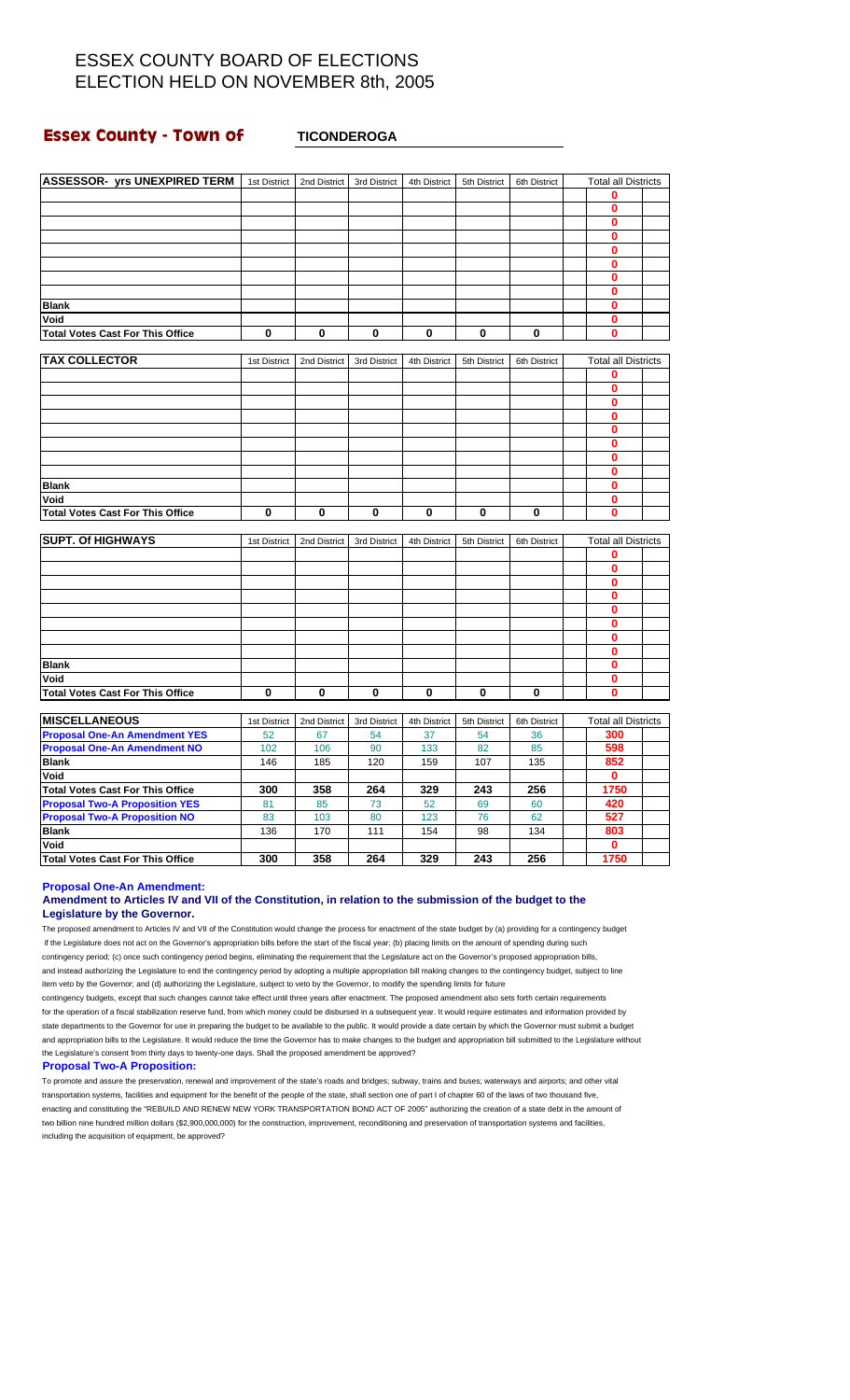### **Essex County - Town of TICONDEROGA**

| <b>ASSESSOR- yrs UNEXPIRED TERM</b>     | 1st District | 2nd District | 3rd District | 4th District | 5th District | 6th District | <b>Total all Districts</b> |  |
|-----------------------------------------|--------------|--------------|--------------|--------------|--------------|--------------|----------------------------|--|
|                                         |              |              |              |              |              |              | $\bf{0}$                   |  |
|                                         |              |              |              |              |              |              | 0                          |  |
|                                         |              |              |              |              |              |              | $\bf{0}$                   |  |
|                                         |              |              |              |              |              |              | $\bf{0}$                   |  |
|                                         |              |              |              |              |              |              | $\bf{0}$                   |  |
|                                         |              |              |              |              |              |              | 0                          |  |
|                                         |              |              |              |              |              |              | $\bf{0}$                   |  |
|                                         |              |              |              |              |              |              | $\bf{0}$                   |  |
| <b>Blank</b>                            |              |              |              |              |              |              | $\bf{0}$                   |  |
| Void                                    |              |              |              |              |              |              | $\bf{0}$                   |  |
| <b>Total Votes Cast For This Office</b> | $\bf{0}$     | 0            | 0            | $\bf{0}$     | $\bf{0}$     | 0            | 0                          |  |
|                                         |              |              |              |              |              |              |                            |  |
| <b>TAX COLLECTOR</b>                    | 1st District | 2nd District | 3rd District | 4th District | 5th District | 6th District | <b>Total all Districts</b> |  |
|                                         |              |              |              |              |              |              | 0                          |  |
|                                         |              |              |              |              |              |              | $\mathbf 0$                |  |
|                                         |              |              |              |              |              |              | 0                          |  |
|                                         |              |              |              |              |              |              | Ō                          |  |
|                                         |              |              |              |              |              |              | $\bf{0}$                   |  |
|                                         |              |              |              |              |              |              | $\bf{0}$                   |  |
|                                         |              |              |              |              |              |              | 0                          |  |
|                                         |              |              |              |              |              |              | $\mathbf 0$                |  |
| <b>Blank</b>                            |              |              |              |              |              |              | $\bf{0}$                   |  |
| Void                                    |              |              |              |              |              |              | $\bf{0}$                   |  |
| <b>Total Votes Cast For This Office</b> | 0            | 0            | 0            | 0            | 0            | 0            | 0                          |  |
|                                         |              |              |              |              |              |              |                            |  |
| <b>SUPT. Of HIGHWAYS</b>                | 1st District | 2nd District | 3rd District | 4th District | 5th District | 6th District | <b>Total all Districts</b> |  |
|                                         |              |              |              |              |              |              | 0                          |  |
|                                         |              |              |              |              |              |              | $\bf{0}$                   |  |
|                                         |              |              |              |              |              |              | $\bf{0}$                   |  |
|                                         |              |              |              |              |              |              | $\bf{0}$                   |  |
|                                         |              |              |              |              |              |              | $\bf{0}$                   |  |
|                                         |              |              |              |              |              |              | 0                          |  |
|                                         |              |              |              |              |              |              | 0                          |  |
|                                         |              |              |              |              |              |              | 0                          |  |
| <b>Blank</b>                            |              |              |              |              |              |              | $\mathbf{0}$               |  |
| Void                                    |              |              |              |              |              |              | $\bf{0}$                   |  |
| <b>Total Votes Cast For This Office</b> | $\mathbf 0$  | 0            | $\mathbf 0$  | 0            | $\mathbf 0$  | 0            | $\bf{0}$                   |  |
|                                         |              |              |              |              |              |              |                            |  |
| <b>IMISCELLANEOUS</b>                   | 1st District | 2nd District | 3rd District | 4th District | 5th District | 6th District | <b>Total all Districts</b> |  |
| <b>Proposal One-An Amendment YES</b>    | 52           | 67           | 54           | 37           | 54           | 36           | 300                        |  |
| <b>Proposal One-An Amendment NO</b>     | 102          | 106          | 90           | 133          | 82           | 85           | 598                        |  |
| <b>Blank</b>                            | 146          | 185          | 120          | 159          | 107          | 135          | 852                        |  |
| Void                                    |              |              |              |              |              |              | $\mathbf{0}$               |  |
| <b>Total Votes Cast For This Office</b> | 300          | 358          | 264          | 329          | 243          | 256          | 1750                       |  |
| <b>Proposal Two-A Proposition YES</b>   | 81           | 85           | 73           | 52           | 69           | 60           | 420                        |  |
| <b>Proposal Two-A Proposition NO</b>    | 83           | 103          | 80           | 123          | 76           | 62           | 527                        |  |
| <b>Blank</b>                            | 136          | 170          | 111          | 154          | 98           | 134          | 803                        |  |
| Void                                    |              |              |              |              |              |              | $\bf{0}$                   |  |
| <b>Total Votes Cast For This Office</b> | 300          | 358          | 264          | 329          | 243          | 256          | 1750                       |  |

### **Proposal One-An Amendment:**

#### **Amendment to Articles IV and VII of the Constitution, in relation to the submission of the budget to the Legislature by the Governor.**

The proposed amendment to Articles IV and VII of the Constitution would change the process for enactment of the state budget by (a) providing for a contingency budget if the Legislature does not act on the Governor's appropriation bills before the start of the fiscal year; (b) placing limits on the amount of spending during such contingency period; (c) once such contingency period begins, eliminating the requirement that the Legislature act on the Governor's proposed appropriation bills, and instead authorizing the Legislature to end the contingency period by adopting a multiple appropriation bill making changes to the contingency budget, subject to line item veto by the Governor; and (d) authorizing the Legislature, subject to veto by the Governor, to modify the spending limits for future

contingency budgets, except that such changes cannot take effect until three years after enactment. The proposed amendment also sets forth certain requirements for the operation of a fiscal stabilization reserve fund, from which money could be disbursed in a subsequent year. It would require estimates and information provided by state departments to the Governor for use in preparing the budget to be available to the public. It would provide a date certain by which the Governor must submit a budget and appropriation bills to the Legislature. It would reduce the time the Governor has to make changes to the budget and appropriation bill submitted to the Legislature without the Legislature's consent from thirty days to twenty-one days. Shall the proposed amendment be approved?

#### **Proposal Two-A Proposition:**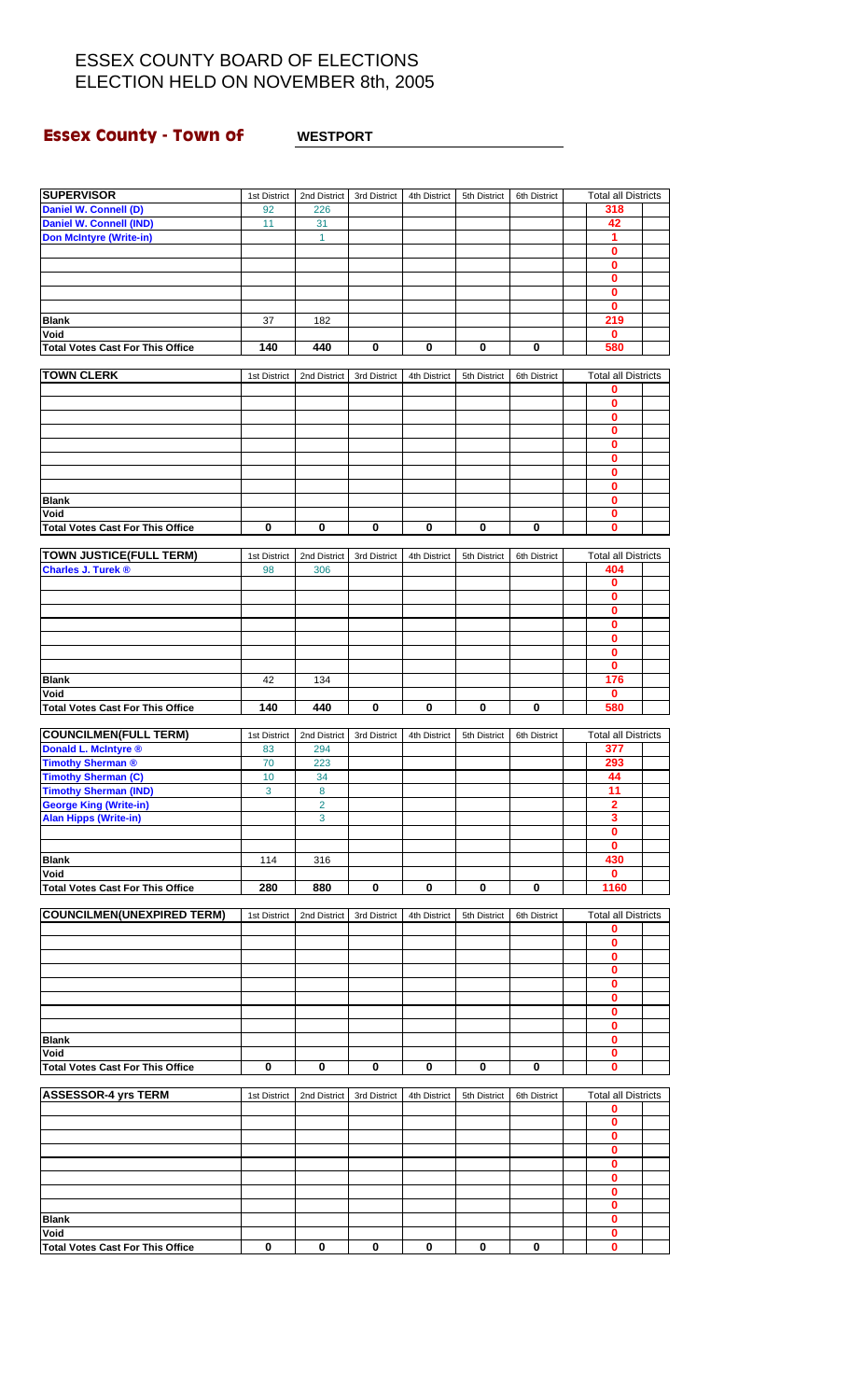### **Essex County - Town of WESTPORT**

#### **SUPERVISOR** 1st District 2nd District 3rd District 4th District 5th District 6th District Total all Districts **Daniel W. Connell (D)** 92 226 **318 Daniel W. Connell (IND)** 11 31 **42 Don McIntyre (Write-in)** 1 **0 0 0 0 0 Blank** 37 182 **219 Void 0 Total Votes Cast For This Office 140 440 0 0 0 0 580 TOWN CLERK** 1st District 2nd District 3rd District 4th District 5th District 6th District Total all Districts **0 0 0 0 0 0 0 0 Blank 0 Void 0 Total Votes Cast For This Office 000000 0 TOWN JUSTICE(FULL TERM)** 1st District 2nd District 3rd District 4th District 5th District 6th District Total all Districts **Charles J. Turek ®** 98 306 **404 0 0 0 0 0 0**  $\frac{0}{176}$ **Blank** 42 134 **176 Void 0 Total Votes Cast For This Office 140 440 0 0 0 0 580 COUNCILMEN(FULL TERM)** 1st District 2nd District 3rd District 4th District 5th District 6th District Total all Districts **Donald L. McIntyre ®** 83 83 894 **1 83 877 Timothy Sherman ®** 70 223 **293 Timothy Sherman (C)** 10 34 **44 Timothy Sherman (IND)** 3 8 8 **11 George King (Write-in)** 2 **2 2 2 2 2 Alan Hipps (Write-in)** 3 **3 0 0 Blank** 114 316 **430 Void 0 Total Votes Cast For This Office 280 880 0 0 0 0 1160 COUNCILMEN(UNEXPIRED TERM)** 1st District 2nd District 3rd District 4th District 5th District 6th District Total all Districts **0 0 0 0 0 0 0 0 Blank 0 Void 0 Total Votes Cast For This Office 000000 0 ASSESSOR-4 yrs TERM** 1st District 2nd District 3rd District 4th District 5th District 6th District Total all Districts **0 0 0 0 0 0 0 0 Blank 0 Void 0 Total Votes Cast For This Office 000000 0**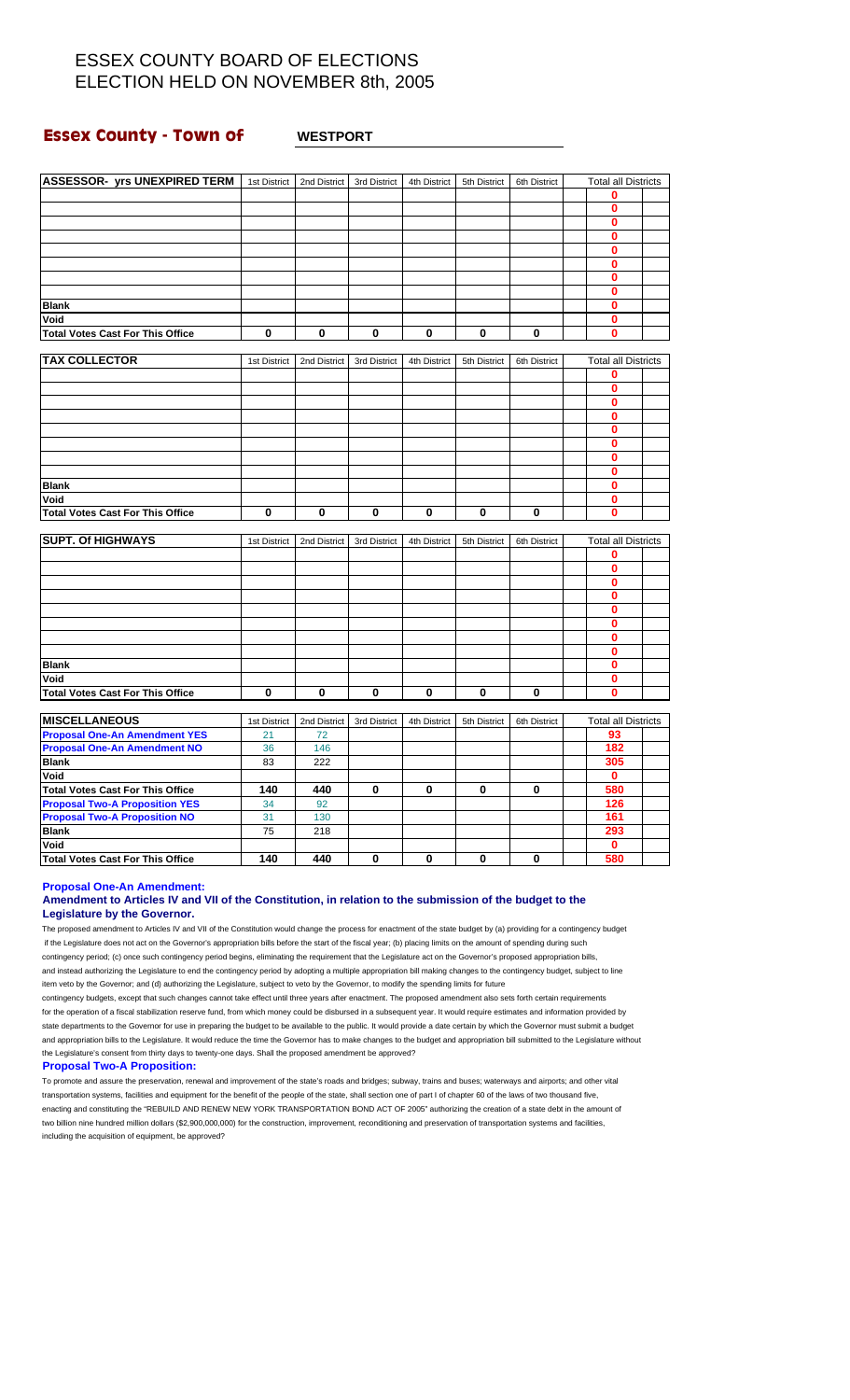### **Essex County - Town of WESTPORT**

| <b>ASSESSOR- yrs UNEXPIRED TERM</b>     | 1st District | 2nd District | 3rd District | 4th District | 5th District | 6th District | <b>Total all Districts</b> |  |
|-----------------------------------------|--------------|--------------|--------------|--------------|--------------|--------------|----------------------------|--|
|                                         |              |              |              |              |              |              | 0                          |  |
|                                         |              |              |              |              |              |              | $\bf{0}$                   |  |
|                                         |              |              |              |              |              |              | $\bf{0}$                   |  |
|                                         |              |              |              |              |              |              | $\mathbf{0}$               |  |
|                                         |              |              |              |              |              |              | 0                          |  |
|                                         |              |              |              |              |              |              | $\bf{0}$                   |  |
|                                         |              |              |              |              |              |              | $\mathbf{0}$               |  |
|                                         |              |              |              |              |              |              | $\mathbf{0}$               |  |
| <b>Blank</b>                            |              |              |              |              |              |              | $\bf{0}$                   |  |
| Void                                    |              |              |              |              |              |              | $\bf{0}$                   |  |
| <b>Total Votes Cast For This Office</b> | $\mathbf 0$  | 0            | $\mathbf 0$  | $\bf{0}$     | 0            | $\mathbf 0$  | $\bf{0}$                   |  |
|                                         |              |              |              |              |              |              |                            |  |
| <b>TAX COLLECTOR</b>                    | 1st District | 2nd District | 3rd District | 4th District | 5th District | 6th District | <b>Total all Districts</b> |  |
|                                         |              |              |              |              |              |              | 0                          |  |
|                                         |              |              |              |              |              |              | $\bf{0}$                   |  |
|                                         |              |              |              |              |              |              | $\bf{0}$                   |  |
|                                         |              |              |              |              |              |              | $\bf{0}$                   |  |
|                                         |              |              |              |              |              |              | $\bf{0}$                   |  |
|                                         |              |              |              |              |              |              | $\bf{0}$                   |  |
|                                         |              |              |              |              |              |              | 0                          |  |
|                                         |              |              |              |              |              |              | $\mathbf{0}$               |  |
| <b>Blank</b>                            |              |              |              |              |              |              | $\bf{0}$                   |  |
| Void                                    |              |              |              |              |              |              | $\mathbf 0$                |  |
| <b>Total Votes Cast For This Office</b> | $\mathbf 0$  | 0            | $\mathbf 0$  | $\bf{0}$     | 0            | $\mathbf 0$  | 0                          |  |
|                                         |              |              |              |              |              |              |                            |  |
| <b>SUPT. Of HIGHWAYS</b>                | 1st District | 2nd District | 3rd District | 4th District | 5th District | 6th District | <b>Total all Districts</b> |  |
|                                         |              |              |              |              |              |              | 0                          |  |
|                                         |              |              |              |              |              |              | $\mathbf 0$                |  |
|                                         |              |              |              |              |              |              | $\bf{0}$                   |  |
|                                         |              |              |              |              |              |              | $\bf{0}$                   |  |
|                                         |              |              |              |              |              |              | $\bf{0}$                   |  |
|                                         |              |              |              |              |              |              | 0                          |  |
|                                         |              |              |              |              |              |              | $\bf{0}$                   |  |
|                                         |              |              |              |              |              |              | $\bf{0}$                   |  |
| <b>Blank</b>                            |              |              |              |              |              |              | $\bf{0}$                   |  |
| Void                                    |              |              |              |              |              |              | $\bf{0}$                   |  |
| <b>Total Votes Cast For This Office</b> | $\mathbf 0$  | 0            | $\mathbf 0$  | 0            | 0            | $\mathbf 0$  | $\bf{0}$                   |  |
| <b>MISCELLANEOUS</b>                    |              |              |              |              |              |              |                            |  |
|                                         | 1st District | 2nd District | 3rd District | 4th District | 5th District | 6th District | <b>Total all Districts</b> |  |
| <b>Proposal One-An Amendment YES</b>    | 21           | 72           |              |              |              |              | 93                         |  |
| <b>Proposal One-An Amendment NO</b>     | 36           | 146          |              |              |              |              | 182                        |  |
| <b>Blank</b>                            | 83           | 222          |              |              |              |              | 305                        |  |
| Void                                    |              |              |              |              |              |              | $\mathbf 0$                |  |
| <b>Total Votes Cast For This Office</b> | 140          | 440          | 0            | 0            | 0            | $\mathbf 0$  | 580                        |  |
| <b>Proposal Two-A Proposition YES</b>   | 34           | 92           |              |              |              |              | 126                        |  |
| <b>Proposal Two-A Proposition NO</b>    | 31           | 130          |              |              |              |              | 161                        |  |
| <b>Blank</b>                            | 75           | 218          |              |              |              |              | 293                        |  |
| Void                                    |              |              |              |              |              |              | $\mathbf 0$                |  |
| <b>Total Votes Cast For This Office</b> | 140          | 440          | 0            | 0            | 0            | 0            | 580                        |  |

**Proposal One-An Amendment:**

### **Amendment to Articles IV and VII of the Constitution, in relation to the submission of the budget to the Legislature by the Governor.**

The proposed amendment to Articles IV and VII of the Constitution would change the process for enactment of the state budget by (a) providing for a contingency budget if the Legislature does not act on the Governor's appropriation bills before the start of the fiscal year; (b) placing limits on the amount of spending during such contingency period; (c) once such contingency period begins, eliminating the requirement that the Legislature act on the Governor's proposed appropriation bills, and instead authorizing the Legislature to end the contingency period by adopting a multiple appropriation bill making changes to the contingency budget, subject to line item veto by the Governor; and (d) authorizing the Legislature, subject to veto by the Governor, to modify the spending limits for future

contingency budgets, except that such changes cannot take effect until three years after enactment. The proposed amendment also sets forth certain requirements for the operation of a fiscal stabilization reserve fund, from which money could be disbursed in a subsequent year. It would require estimates and information provided by state departments to the Governor for use in preparing the budget to be available to the public. It would provide a date certain by which the Governor must submit a budget and appropriation bills to the Legislature. It would reduce the time the Governor has to make changes to the budget and appropriation bill submitted to the Legislature without the Legislature's consent from thirty days to twenty-one days. Shall the proposed amendment be approved?

#### **Proposal Two-A Proposition:**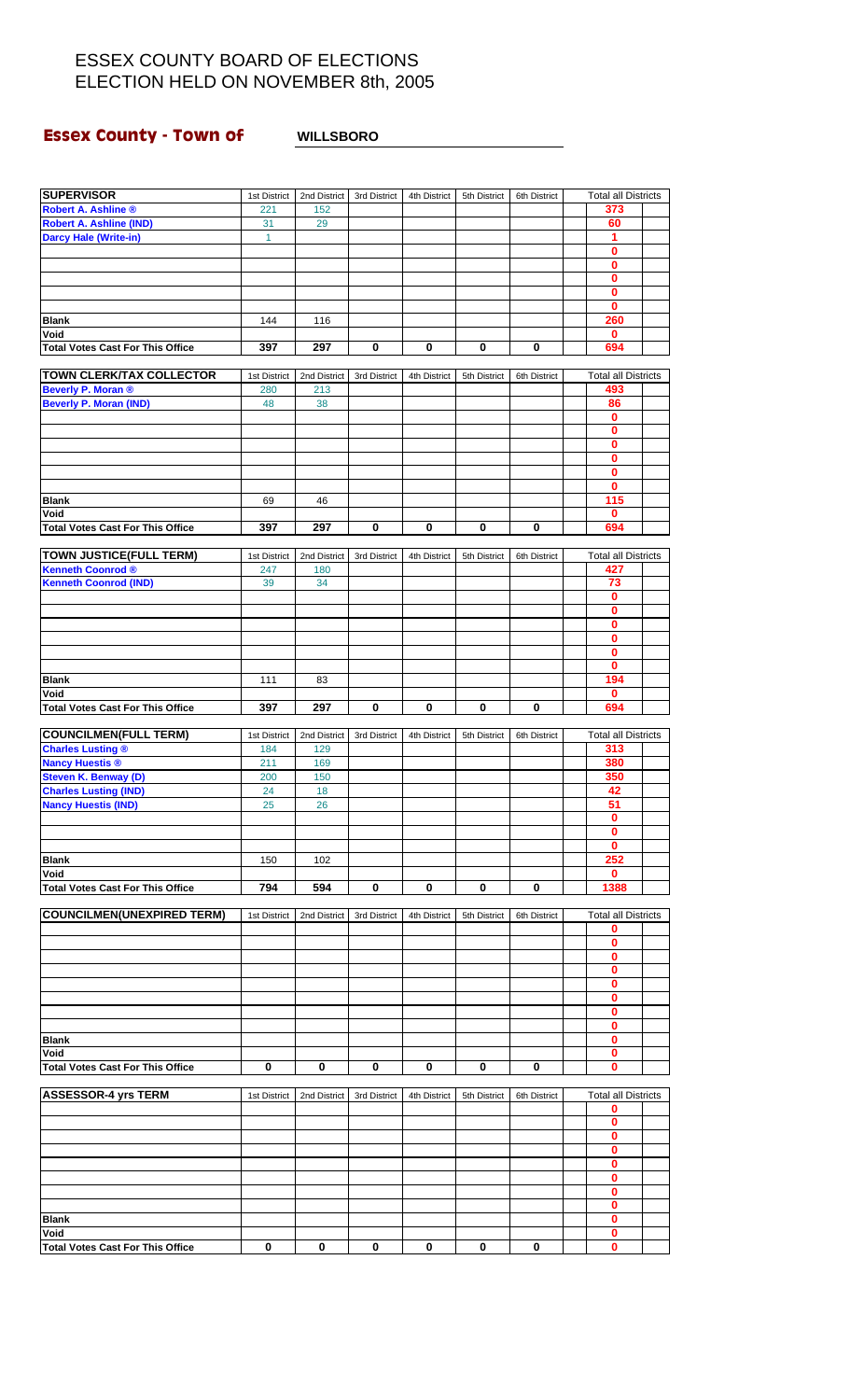# **Essex County - Town of WILLSBORO**

| <b>SUPERVISOR</b>                                  | 1st District | 2nd District | 3rd District | 4th District | 5th District | 6th District | <b>Total all Districts</b> |  |
|----------------------------------------------------|--------------|--------------|--------------|--------------|--------------|--------------|----------------------------|--|
| <b>Robert A. Ashline ®</b>                         | 221          | 152          |              |              |              |              | 373                        |  |
| Robert A. Ashline (IND)                            | 31           | 29           |              |              |              |              | 60                         |  |
| <b>Darcy Hale (Write-in)</b>                       | 1            |              |              |              |              |              | 1                          |  |
|                                                    |              |              |              |              |              |              | 0                          |  |
|                                                    |              |              |              |              |              |              | 0                          |  |
|                                                    |              |              |              |              |              |              | $\mathbf 0$                |  |
|                                                    |              |              |              |              |              |              | 0                          |  |
| <b>Blank</b>                                       | 144          | 116          |              |              |              |              | 0<br>260                   |  |
| Void                                               |              |              |              |              |              |              | $\bf{0}$                   |  |
| <b>Total Votes Cast For This Office</b>            | 397          | 297          | 0            | 0            | 0            | 0            | 694                        |  |
|                                                    |              |              |              |              |              |              |                            |  |
| <b>TOWN CLERK/TAX COLLECTOR</b>                    | 1st District | 2nd District | 3rd District | 4th District | 5th District | 6th District | <b>Total all Districts</b> |  |
| Beverly P. Moran ®                                 | 280          | 213          |              |              |              |              | 493                        |  |
| <b>Beverly P. Moran (IND)</b>                      | 48           | 38           |              |              |              |              | 86                         |  |
|                                                    |              |              |              |              |              |              | $\bf{0}$                   |  |
|                                                    |              |              |              |              |              |              | 0                          |  |
|                                                    |              |              |              |              |              |              | 0<br>$\mathbf 0$           |  |
|                                                    |              |              |              |              |              |              | 0                          |  |
|                                                    |              |              |              |              |              |              | $\mathbf 0$                |  |
| <b>Blank</b>                                       | 69           | 46           |              |              |              |              | 115                        |  |
| Void                                               |              |              |              |              |              |              | 0                          |  |
| <b>Total Votes Cast For This Office</b>            | 397          | 297          | 0            | 0            | 0            | 0            | 694                        |  |
|                                                    |              |              |              |              |              |              |                            |  |
| <b>TOWN JUSTICE(FULL TERM)</b>                     | 1st District | 2nd District | 3rd District | 4th District | 5th District | 6th District | <b>Total all Districts</b> |  |
| <b>Kenneth Coonrod ®</b>                           | 247          | 180          |              |              |              |              | 427                        |  |
| <b>Kenneth Coonrod (IND)</b>                       | 39           | 34           |              |              |              |              | 73                         |  |
|                                                    |              |              |              |              |              |              | 0<br>0                     |  |
|                                                    |              |              |              |              |              |              | $\pmb{0}$                  |  |
|                                                    |              |              |              |              |              |              | 0                          |  |
|                                                    |              |              |              |              |              |              | 0                          |  |
|                                                    |              |              |              |              |              |              | $\mathbf{0}$               |  |
| <b>Blank</b>                                       | 111          | 83           |              |              |              |              | 194                        |  |
| Void                                               |              |              |              |              |              |              | 0                          |  |
| <b>Total Votes Cast For This Office</b>            | 397          | 297          | $\mathbf 0$  | 0            | $\bf{0}$     | $\bf{0}$     | 694                        |  |
|                                                    |              |              |              |              |              |              |                            |  |
| <b>COUNCILMEN(FULL TERM)</b>                       | 1st District | 2nd District | 3rd District | 4th District | 5th District | 6th District | <b>Total all Districts</b> |  |
| <b>Charles Lusting ®</b><br><b>Nancy Huestis ®</b> | 184<br>211   | 129<br>169   |              |              |              |              | 313<br>380                 |  |
| <b>Steven K. Benway (D)</b>                        | 200          | 150          |              |              |              |              | 350                        |  |
| <b>Charles Lusting (IND)</b>                       | 24           | 18           |              |              |              |              | 42                         |  |
| <b>Nancy Huestis (IND)</b>                         | 25           | 26           |              |              |              |              | 51                         |  |
|                                                    |              |              |              |              |              |              | $\bf{0}$                   |  |
|                                                    |              |              |              |              |              |              | 0                          |  |
|                                                    |              |              |              |              |              |              | 0                          |  |
| <b>Blank</b>                                       | 150          | 102          |              |              |              |              | 252                        |  |
| Void                                               |              |              |              |              |              |              | 0                          |  |
| <b>Total Votes Cast For This Office</b>            | 794          | 594          | 0            | 0            | 0            | 0            | 1388                       |  |
| <b>COUNCILMEN(UNEXPIRED TERM)</b>                  |              |              |              |              |              | 6th District | <b>Total all Districts</b> |  |
|                                                    | 1st District | 2nd District | 3rd District | 4th District | 5th District |              | 0                          |  |
|                                                    |              |              |              |              |              |              | 0                          |  |
|                                                    |              |              |              |              |              |              | 0                          |  |
|                                                    |              |              |              |              |              |              | 0                          |  |
|                                                    |              |              |              |              |              |              | 0                          |  |
|                                                    |              |              |              |              |              |              | 0                          |  |
|                                                    |              |              |              |              |              |              | 0                          |  |
|                                                    |              |              |              |              |              |              | 0                          |  |
| <b>Blank</b>                                       |              |              |              |              |              |              | 0                          |  |
| Void<br><b>Total Votes Cast For This Office</b>    | 0            | 0            | 0            | 0            | 0            | 0            | 0<br>0                     |  |
|                                                    |              |              |              |              |              |              |                            |  |
| <b>ASSESSOR-4 yrs TERM</b>                         | 1st District | 2nd District | 3rd District | 4th District | 5th District | 6th District | <b>Total all Districts</b> |  |
|                                                    |              |              |              |              |              |              | 0                          |  |
|                                                    |              |              |              |              |              |              | 0                          |  |
|                                                    |              |              |              |              |              |              | 0                          |  |
|                                                    |              |              |              |              |              |              | 0                          |  |
|                                                    |              |              |              |              |              |              | 0                          |  |
|                                                    |              |              |              |              |              |              | 0                          |  |
|                                                    |              |              |              |              |              |              | 0<br>0                     |  |
| <b>Blank</b>                                       |              |              |              |              |              |              | 0                          |  |
| Void                                               |              |              |              |              |              |              | 0                          |  |
| <b>Total Votes Cast For This Office</b>            | $\mathbf 0$  | 0            | 0            | 0            | 0            | 0            | 0                          |  |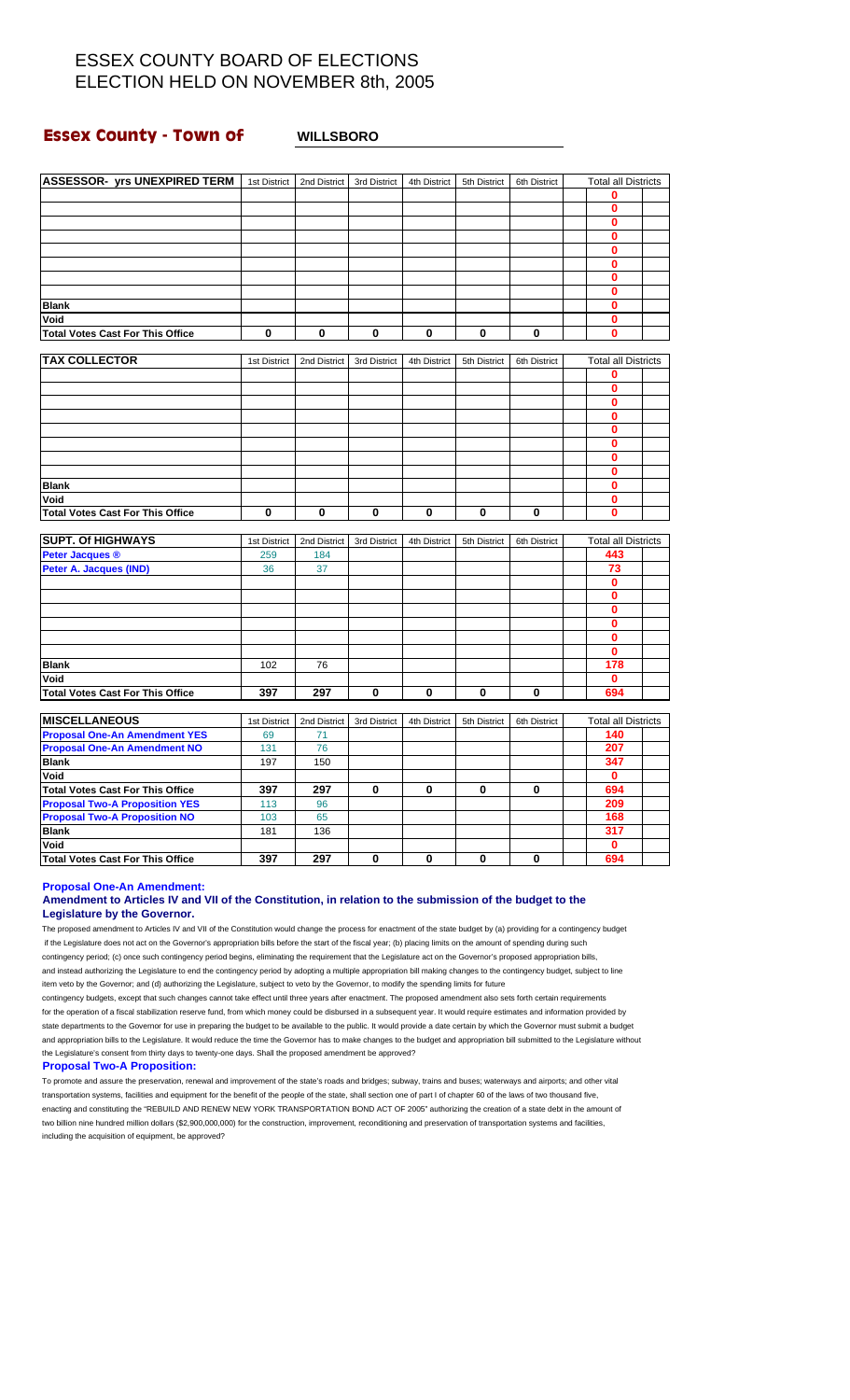### **Essex County - Town of WILLSBORO**

| <b>ASSESSOR- yrs UNEXPIRED TERM</b>     | 1st District | 2nd District | 3rd District | 4th District | 5th District | 6th District | <b>Total all Districts</b> |  |
|-----------------------------------------|--------------|--------------|--------------|--------------|--------------|--------------|----------------------------|--|
|                                         |              |              |              |              |              |              | 0                          |  |
|                                         |              |              |              |              |              |              | $\mathbf 0$                |  |
|                                         |              |              |              |              |              |              | $\mathbf 0$                |  |
|                                         |              |              |              |              |              |              | $\bf{0}$                   |  |
|                                         |              |              |              |              |              |              | 0                          |  |
|                                         |              |              |              |              |              |              | $\bf{0}$                   |  |
|                                         |              |              |              |              |              |              | 0                          |  |
|                                         |              |              |              |              |              |              | $\bf{0}$                   |  |
| <b>Blank</b>                            |              |              |              |              |              |              | 0                          |  |
| Void                                    |              |              |              |              |              |              | $\mathbf{0}$               |  |
| <b>Total Votes Cast For This Office</b> | $\bf{0}$     | $\mathbf 0$  | $\bf{0}$     | $\bf{0}$     | 0            | 0            | $\bf{0}$                   |  |
| <b>TAX COLLECTOR</b>                    |              |              |              |              |              |              |                            |  |
|                                         | 1st District | 2nd District | 3rd District | 4th District | 5th District | 6th District | <b>Total all Districts</b> |  |
|                                         |              |              |              |              |              |              | 0                          |  |
|                                         |              |              |              |              |              |              | $\bf{0}$                   |  |
|                                         |              |              |              |              |              |              | $\bf{0}$                   |  |
|                                         |              |              |              |              |              |              | 0                          |  |
|                                         |              |              |              |              |              |              | $\bf{0}$                   |  |
|                                         |              |              |              |              |              |              | $\mathbf 0$                |  |
|                                         |              |              |              |              |              |              | $\mathbf 0$                |  |
|                                         |              |              |              |              |              |              | $\bf{0}$                   |  |
| <b>Blank</b>                            |              |              |              |              |              |              | $\mathbf 0$                |  |
| Void                                    |              |              |              |              |              |              | $\mathbf 0$                |  |
| <b>Total Votes Cast For This Office</b> | $\bf{0}$     | $\bf{0}$     | $\mathbf 0$  | $\mathbf 0$  | 0            | $\mathbf 0$  | $\bf{0}$                   |  |
| <b>SUPT. Of HIGHWAYS</b>                | 1st District | 2nd District | 3rd District | 4th District | 5th District | 6th District | <b>Total all Districts</b> |  |
| <b>Peter Jacques ®</b>                  | 259          | 184          |              |              |              |              | 443                        |  |
| Peter A. Jacques (IND)                  | 36           | 37           |              |              |              |              | 73                         |  |
|                                         |              |              |              |              |              |              | $\mathbf 0$                |  |
|                                         |              |              |              |              |              |              | 0                          |  |
|                                         |              |              |              |              |              |              | $\bf{0}$                   |  |
|                                         |              |              |              |              |              |              | 0                          |  |
|                                         |              |              |              |              |              |              | $\bf{0}$                   |  |
|                                         |              |              |              |              |              |              | $\mathbf 0$                |  |
| <b>Blank</b>                            | 102          | 76           |              |              |              |              | 178                        |  |
| Void                                    |              |              |              |              |              |              | $\mathbf 0$                |  |
| <b>Total Votes Cast For This Office</b> | 397          | 297          | 0            | $\mathbf 0$  | 0            | $\mathbf{0}$ | 694                        |  |
|                                         |              |              |              |              |              |              |                            |  |
| <b>MISCELLANEOUS</b>                    | 1st District | 2nd District | 3rd District | 4th District | 5th District | 6th District | <b>Total all Districts</b> |  |
| <b>Proposal One-An Amendment YES</b>    | 69           | 71           |              |              |              |              | 140                        |  |
| <b>Proposal One-An Amendment NO</b>     | 131          | 76           |              |              |              |              | 207                        |  |
| <b>Blank</b>                            | 197          | 150          |              |              |              |              | 347                        |  |
| Void                                    |              |              |              |              |              |              | $\mathbf 0$                |  |
| <b>Total Votes Cast For This Office</b> | 397          | 297          | 0            | $\bf{0}$     | 0            | 0            | 694                        |  |
| <b>Proposal Two-A Proposition YES</b>   | 113          | 96           |              |              |              |              | 209                        |  |
| <b>Proposal Two-A Proposition NO</b>    | 103          | 65           |              |              |              |              | 168                        |  |
| <b>Blank</b>                            | 181          | 136          |              |              |              |              | 317                        |  |
| Void                                    |              |              |              |              |              |              | $\bf{0}$                   |  |
| <b>Total Votes Cast For This Office</b> | 397          | 297          | $\bf{0}$     | $\bf{0}$     | 0            | $\mathbf 0$  | 694                        |  |
|                                         |              |              |              |              |              |              |                            |  |

**Proposal One-An Amendment:**

#### **Amendment to Articles IV and VII of the Constitution, in relation to the submission of the budget to the Legislature by the Governor.**

The proposed amendment to Articles IV and VII of the Constitution would change the process for enactment of the state budget by (a) providing for a contingency budget if the Legislature does not act on the Governor's appropriation bills before the start of the fiscal year; (b) placing limits on the amount of spending during such contingency period; (c) once such contingency period begins, eliminating the requirement that the Legislature act on the Governor's proposed appropriation bills, and instead authorizing the Legislature to end the contingency period by adopting a multiple appropriation bill making changes to the contingency budget, subject to line item veto by the Governor; and (d) authorizing the Legislature, subject to veto by the Governor, to modify the spending limits for future

contingency budgets, except that such changes cannot take effect until three years after enactment. The proposed amendment also sets forth certain requirements for the operation of a fiscal stabilization reserve fund, from which money could be disbursed in a subsequent year. It would require estimates and information provided by state departments to the Governor for use in preparing the budget to be available to the public. It would provide a date certain by which the Governor must submit a budget and appropriation bills to the Legislature. It would reduce the time the Governor has to make changes to the budget and appropriation bill submitted to the Legislature without the Legislature's consent from thirty days to twenty-one days. Shall the proposed amendment be approved?

#### **Proposal Two-A Proposition:**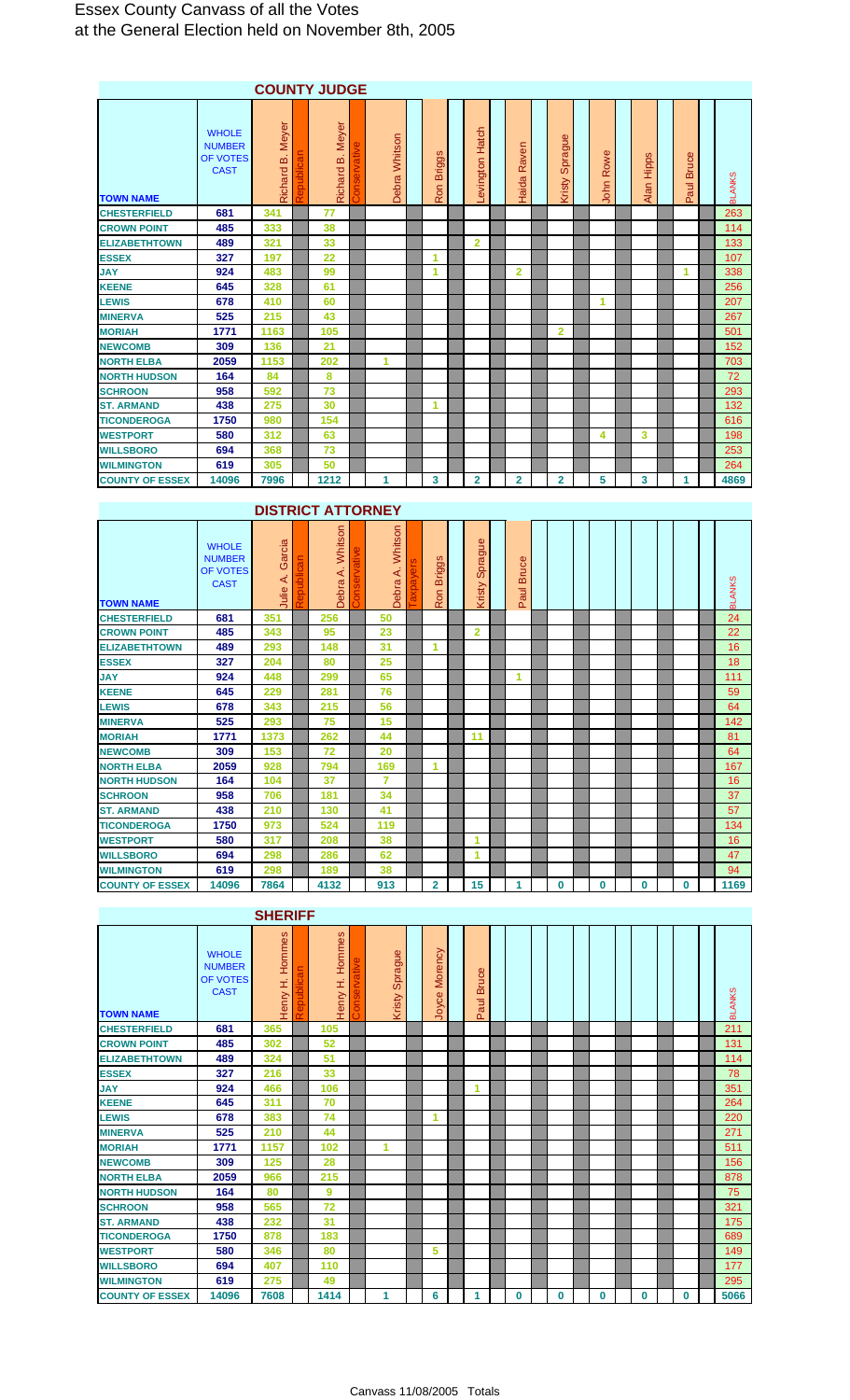### Essex County Canvass of all the Votes at the General Election held on November 8th, 2005

|                        |                                                          |                     |   | <b>COUNTY JUDGE</b>    |               |                           |                           |                |                   |              |                             |                                   |               |
|------------------------|----------------------------------------------------------|---------------------|---|------------------------|---------------|---------------------------|---------------------------|----------------|-------------------|--------------|-----------------------------|-----------------------------------|---------------|
| <b>TOWN NAME</b>       | <b>WHOLE</b><br><b>NUMBER</b><br>OF VOTES<br><b>CAST</b> | Meyer<br>Richard B. | ಹ | Meyer<br>ΔÓ<br>Richard | Debra Whitson | ဖ<br><b>Briggs</b><br>Ron | Hatch<br><b>Levington</b> | Raven<br>Haida | Sprague<br>Kristy | Rowe<br>John | <b>Hipps</b><br><b>Alan</b> | <b>Bruce</b><br>Paul <sup>1</sup> | <b>BLANKS</b> |
| <b>CHESTERFIELD</b>    | 681                                                      | 341                 |   | 77                     |               |                           |                           |                |                   |              |                             |                                   | 263           |
| <b>CROWN POINT</b>     | 485                                                      | 333                 |   | 38                     |               |                           |                           |                |                   |              |                             |                                   | 114           |
| <b>ELIZABETHTOWN</b>   | 489                                                      | 321                 |   | 33                     |               |                           | $\overline{2}$            |                |                   |              |                             |                                   | 133           |
| <b>ESSEX</b>           | 327                                                      | 197                 |   | 22                     |               | 1                         |                           |                |                   |              |                             |                                   | 107           |
| <b>JAY</b>             | 924                                                      | 483                 |   | 99                     |               | 1                         |                           | $\overline{2}$ |                   |              |                             | $\blacktriangleleft$              | 338           |
| <b>KEENE</b>           | 645                                                      | 328                 |   | 61                     |               |                           |                           |                |                   |              |                             |                                   | 256           |
| <b>LEWIS</b>           | 678                                                      | 410                 |   | 60                     |               |                           |                           |                |                   | 1            |                             |                                   | 207           |
| <b>MINERVA</b>         | 525                                                      | 215                 |   | 43                     |               |                           |                           |                |                   |              |                             |                                   | 267           |
| <b>MORIAH</b>          | 1771                                                     | 1163                |   | 105                    |               |                           |                           |                | $\overline{2}$    |              |                             |                                   | 501           |
| <b>NEWCOMB</b>         | 309                                                      | 136                 |   | 21                     |               |                           |                           |                |                   |              |                             |                                   | 152           |
| <b>NORTH ELBA</b>      | 2059                                                     | 1153                |   | 202                    | 1             |                           |                           |                |                   |              |                             |                                   | 703           |
| <b>NORTH HUDSON</b>    | 164                                                      | 84                  |   | 8                      |               |                           |                           |                |                   |              |                             |                                   | 72            |
| <b>SCHROON</b>         | 958                                                      | 592                 |   | 73                     |               |                           |                           |                |                   |              |                             |                                   | 293           |
| <b>ST. ARMAND</b>      | 438                                                      | 275                 |   | 30                     |               | 1                         |                           |                |                   |              |                             |                                   | 132           |
| <b>TICONDEROGA</b>     | 1750                                                     | 980                 |   | 154                    |               |                           |                           |                |                   |              |                             |                                   | 616           |
| <b>WESTPORT</b>        | 580                                                      | 312                 |   | 63                     |               |                           |                           |                |                   | 4            | 3                           |                                   | 198           |
| <b>WILLSBORO</b>       | 694                                                      | 368                 |   | 73                     |               |                           |                           |                |                   |              |                             |                                   | 253           |
| <b>WILMINGTON</b>      | 619                                                      | 305                 |   | 50                     |               |                           |                           |                |                   |              |                             |                                   | 264           |
| <b>COUNTY OF ESSEX</b> | 14096                                                    | 7996                |   | 1212                   | 1             | 3                         | $\overline{2}$            | $\overline{2}$ | $\overline{2}$    | 5            | 3                           | 1                                 | 4869          |

## **DISTRICT ATTORNEY**

| <b>TOWN NAME</b>       | <b>WHOLE</b><br><b>NUMBER</b><br>OF VOTES<br><b>CAST</b> | Garcia<br>4<br>Julie | Whitson<br>⋖<br>Debra | Whitson<br>⋖<br>Debra | m<br>ರಾ<br><b>Brig</b><br>S<br>$\alpha$ | Sprague<br>Kristy | Φ<br><b>Bruce</b><br>Б<br>$\omega$<br>൨ |   |   |          |   | <b>BLANKS</b> |
|------------------------|----------------------------------------------------------|----------------------|-----------------------|-----------------------|-----------------------------------------|-------------------|-----------------------------------------|---|---|----------|---|---------------|
| <b>CHESTERFIELD</b>    | 681                                                      | 351                  | 256                   | 50                    |                                         |                   |                                         |   |   |          |   | 24            |
| <b>CROWN POINT</b>     | 485                                                      | 343                  | 95                    | 23                    |                                         | $\overline{2}$    |                                         |   |   |          |   | 22            |
| <b>ELIZABETHTOWN</b>   | 489                                                      | 293                  | 148                   | 31                    | 1                                       |                   |                                         |   |   |          |   | 16            |
| <b>ESSEX</b>           | 327                                                      | 204                  | 80                    | 25                    |                                         |                   |                                         |   |   |          |   | 18            |
| <b>JAY</b>             | 924                                                      | 448                  | 299                   | 65                    |                                         |                   | 1                                       |   |   |          |   | 111           |
| <b>KEENE</b>           | 645                                                      | 229                  | 281                   | 76                    |                                         |                   |                                         |   |   |          |   | 59            |
| <b>LEWIS</b>           | 678                                                      | 343                  | 215                   | 56                    |                                         |                   |                                         |   |   |          |   | 64            |
| <b>MINERVA</b>         | 525                                                      | 293                  | 75                    | 15                    |                                         |                   |                                         |   |   |          |   | 142           |
| <b>MORIAH</b>          | 1771                                                     | 1373                 | 262                   | 44                    |                                         | 11                |                                         |   |   |          |   | 81            |
| <b>NEWCOMB</b>         | 309                                                      | 153                  | 72                    | 20                    |                                         |                   |                                         |   |   |          |   | 64            |
| <b>NORTH ELBA</b>      | 2059                                                     | 928                  | 794                   | 169                   | 1                                       |                   |                                         |   |   |          |   | 167           |
| <b>NORTH HUDSON</b>    | 164                                                      | 104                  | 37                    | $\overline{7}$        |                                         |                   |                                         |   |   |          |   | 16            |
| <b>SCHROON</b>         | 958                                                      | 706                  | 181                   | 34                    |                                         |                   |                                         |   |   |          |   | 37            |
| <b>ST. ARMAND</b>      | 438                                                      | 210                  | 130                   | 41                    |                                         |                   |                                         |   |   |          |   | 57            |
| <b>TICONDEROGA</b>     | 1750                                                     | 973                  | 524                   | 119                   |                                         |                   |                                         |   |   |          |   | 134           |
| <b>WESTPORT</b>        | 580                                                      | 317                  | 208                   | 38                    |                                         | 1                 |                                         |   |   |          |   | 16            |
| <b>WILLSBORO</b>       | 694                                                      | 298                  | 286                   | 62                    |                                         | 1                 |                                         |   |   |          |   | 47            |
| <b>WILMINGTON</b>      | 619                                                      | 298                  | 189                   | 38                    |                                         |                   |                                         |   |   |          |   | 94            |
| <b>COUNTY OF ESSEX</b> | 14096                                                    | 7864                 | 4132                  | 913                   | 2                                       | 15                |                                         | 0 | 0 | $\bf{0}$ | 0 | 1169          |

**SHERIFF**

| <b>TOWN NAME</b>       | <b>WHOLE</b><br><b>NUMBER</b><br>OF VOTES<br><b>CAST</b> | ဖ<br>Homme<br>H Vuoeh | DIICa<br>₹ | Hommes<br>I,<br>Henry | Sprague<br>Kristy | Morency<br>Joyce | <b>Bruce</b><br>Paul |   |          |   |          |   | <b>BLANKS</b> |
|------------------------|----------------------------------------------------------|-----------------------|------------|-----------------------|-------------------|------------------|----------------------|---|----------|---|----------|---|---------------|
| <b>CHESTERFIELD</b>    | 681                                                      | 365                   |            | 105                   |                   |                  |                      |   |          |   |          |   | 211           |
| <b>CROWN POINT</b>     | 485                                                      | 302                   |            | 52                    |                   |                  |                      |   |          |   |          |   | 131           |
| <b>ELIZABETHTOWN</b>   | 489                                                      | 324                   |            | 51                    |                   |                  |                      |   |          |   |          |   | 114           |
| <b>ESSEX</b>           | 327                                                      | 216                   |            | 33                    |                   |                  |                      |   |          |   |          |   | 78            |
| <b>JAY</b>             | 924                                                      | 466                   |            | 106                   |                   |                  | 1                    |   |          |   |          |   | 351           |
| <b>KEENE</b>           | 645                                                      | 311                   |            | 70                    |                   |                  |                      |   |          |   |          |   | 264           |
| <b>LEWIS</b>           | 678                                                      | 383                   |            | 74                    |                   | 1                |                      |   |          |   |          |   | 220           |
| <b>MINERVA</b>         | 525                                                      | 210                   |            | 44                    |                   |                  |                      |   |          |   |          |   | 271           |
| <b>MORIAH</b>          | 1771                                                     | 1157                  |            | 102                   | 1                 |                  |                      |   |          |   |          |   | 511           |
| <b>NEWCOMB</b>         | 309                                                      | 125                   |            | 28                    |                   |                  |                      |   |          |   |          |   | 156           |
| <b>NORTH ELBA</b>      | 2059                                                     | 966                   |            | 215                   |                   |                  |                      |   |          |   |          |   | 878           |
| <b>NORTH HUDSON</b>    | 164                                                      | 80                    |            | 9                     |                   |                  |                      |   |          |   |          |   | 75            |
| <b>SCHROON</b>         | 958                                                      | 565                   |            | 72                    |                   |                  |                      |   |          |   |          |   | 321           |
| <b>ST. ARMAND</b>      | 438                                                      | 232                   |            | 31                    |                   |                  |                      |   |          |   |          |   | 175           |
| <b>TICONDEROGA</b>     | 1750                                                     | 878                   |            | 183                   |                   |                  |                      |   |          |   |          |   | 689           |
| <b>WESTPORT</b>        | 580                                                      | 346                   |            | 80                    |                   | 5                |                      |   |          |   |          |   | 149           |
| <b>WILLSBORO</b>       | 694                                                      | 407                   |            | 110                   |                   |                  |                      |   |          |   |          |   | 177           |
| <b>WILMINGTON</b>      | 619                                                      | 275                   |            | 49                    |                   |                  |                      |   |          |   |          |   | 295           |
| <b>COUNTY OF ESSEX</b> | 14096                                                    | 7608                  |            | 1414                  |                   | 6                | 4                    | 0 | $\bf{0}$ | 0 | $\bf{0}$ | 0 | 5066          |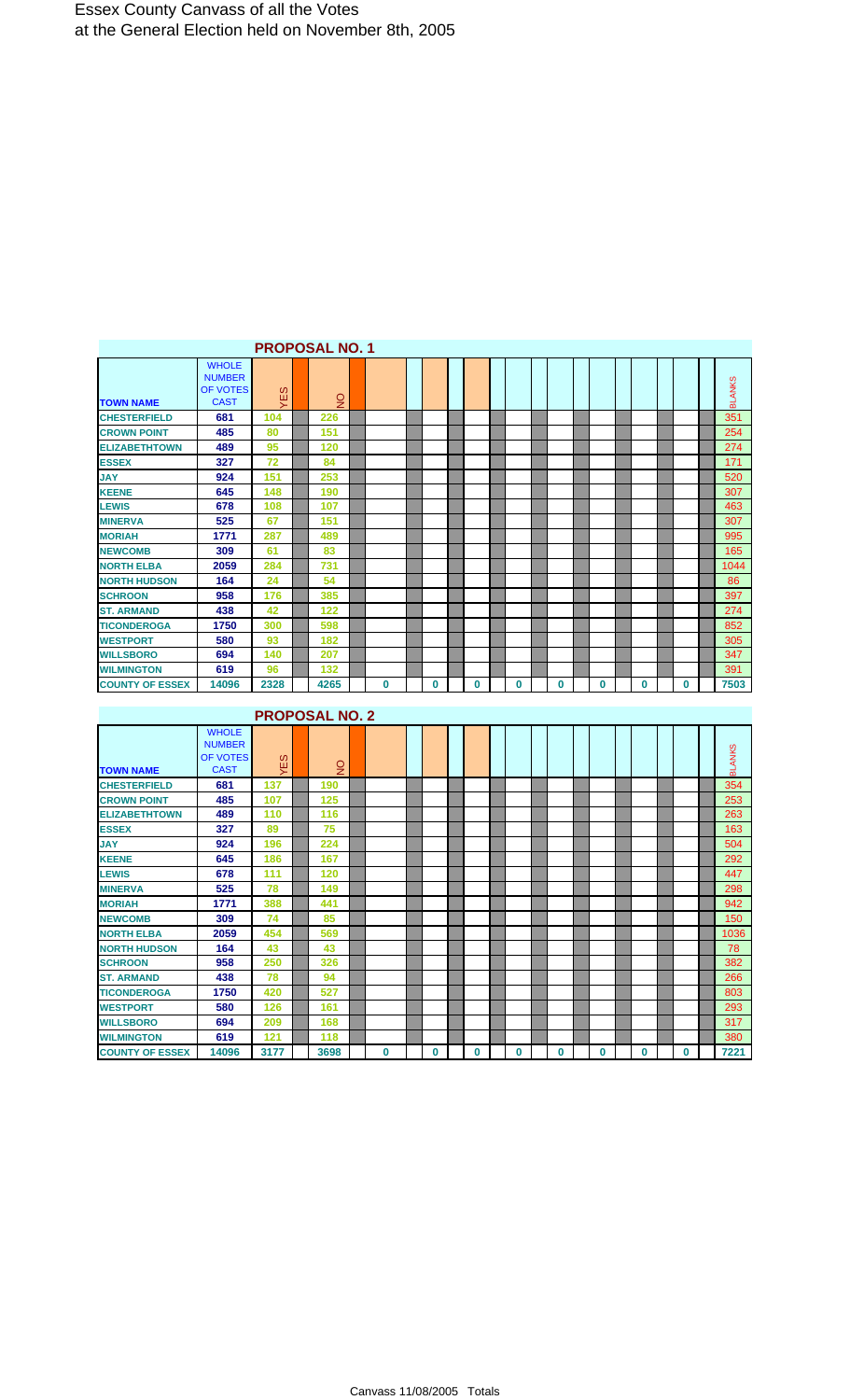|                        |                                                          |                   | <b>PROPOSAL NO. 1</b> |             |          |   |              |   |          |   |          |               |
|------------------------|----------------------------------------------------------|-------------------|-----------------------|-------------|----------|---|--------------|---|----------|---|----------|---------------|
| <b>TOWN NAME</b>       | <b>WHOLE</b><br><b>NUMBER</b><br>OF VOTES<br><b>CAST</b> | <sub>0</sub><br>뀢 | $\overline{5}$        |             |          |   |              |   |          |   |          | <b>BLANKS</b> |
| <b>CHESTERFIELD</b>    | 681                                                      | 104               | 226                   |             |          |   |              |   |          |   |          | 351           |
| <b>CROWN POINT</b>     | 485                                                      | 80                | 151                   |             |          |   |              |   |          |   |          | 254           |
| <b>ELIZABETHTOWN</b>   | 489                                                      | 95                | 120                   |             |          |   |              |   |          |   |          | 274           |
| <b>ESSEX</b>           | 327                                                      | 72                | 84                    |             |          |   |              |   |          |   |          | 171           |
| <b>JAY</b>             | 924                                                      | 151               | 253                   |             |          |   |              |   |          |   |          | 520           |
| <b>KEENE</b>           | 645                                                      | 148               | 190                   |             |          |   |              |   |          |   |          | 307           |
| <b>LEWIS</b>           | 678                                                      | 108               | 107                   |             |          |   |              |   |          |   |          | 463           |
| <b>MINERVA</b>         | 525                                                      | 67                | 151                   |             |          |   |              |   |          |   |          | 307           |
| <b>MORIAH</b>          | 1771                                                     | 287               | 489                   |             |          |   |              |   |          |   |          | 995           |
| <b>NEWCOMB</b>         | 309                                                      | 61                | 83                    |             |          |   |              |   |          |   |          | 165           |
| <b>NORTH ELBA</b>      | 2059                                                     | 284               | 731                   |             |          |   |              |   |          |   |          | 1044          |
| <b>NORTH HUDSON</b>    | 164                                                      | 24                | 54                    |             |          |   |              |   |          |   |          | 86            |
| <b>SCHROON</b>         | 958                                                      | 176               | 385                   |             |          |   |              |   |          |   |          | 397           |
| <b>ST. ARMAND</b>      | 438                                                      | 42                | 122                   |             |          |   |              |   |          |   |          | 274           |
| <b>TICONDEROGA</b>     | 1750                                                     | 300               | 598                   |             |          |   |              |   |          |   |          | 852           |
| <b>WESTPORT</b>        | 580                                                      | 93                | 182                   |             |          |   |              |   |          |   |          | 305           |
| <b>WILLSBORO</b>       | 694                                                      | 140               | 207                   |             |          |   |              |   |          |   |          | 347           |
| <b>WILMINGTON</b>      | 619                                                      | 96                | 132                   |             |          |   |              |   |          |   |          | 391           |
| <b>COUNTY OF ESSEX</b> | 14096                                                    | 2328              | 4265                  | $\mathbf 0$ | $\bf{0}$ | 0 | $\mathbf{0}$ | 0 | $\bf{0}$ | 0 | $\bf{0}$ | 7503          |

| <b>PROPOSAL NO. 2</b> |  |
|-----------------------|--|
|-----------------------|--|

| <b>TOWN NAME</b>       | <b>WHOLE</b><br><b>NUMBER</b><br><b>OF VOTES</b><br><b>CAST</b> | <sub>0</sub><br>쁮 | $\frac{1}{2}$ |   |          |   |   |   |          |   |   | <b>BLANKS</b> |
|------------------------|-----------------------------------------------------------------|-------------------|---------------|---|----------|---|---|---|----------|---|---|---------------|
| <b>CHESTERFIELD</b>    | 681                                                             | 137               | 190           |   |          |   |   |   |          |   |   | 354           |
| <b>CROWN POINT</b>     | 485                                                             | 107               | 125           |   |          |   |   |   |          |   |   | 253           |
| <b>ELIZABETHTOWN</b>   | 489                                                             | 110               | 116           |   |          |   |   |   |          |   |   | 263           |
| <b>ESSEX</b>           | 327                                                             | 89                | 75            |   |          |   |   |   |          |   |   | 163           |
| <b>JAY</b>             | 924                                                             | 196               | 224           |   |          |   |   |   |          |   |   | 504           |
| <b>KEENE</b>           | 645                                                             | 186               | 167           |   |          |   |   |   |          |   |   | 292           |
| <b>LEWIS</b>           | 678                                                             | 111               | 120           |   |          |   |   |   |          |   |   | 447           |
| <b>MINERVA</b>         | 525                                                             | 78                | 149           |   |          |   |   |   |          |   |   | 298           |
| <b>MORIAH</b>          | 1771                                                            | 388               | 441           |   |          |   |   |   |          |   |   | 942           |
| <b>NEWCOMB</b>         | 309                                                             | 74                | 85            |   |          |   |   |   |          |   |   | 150           |
| <b>NORTH ELBA</b>      | 2059                                                            | 454               | 569           |   |          |   |   |   |          |   |   | 1036          |
| <b>NORTH HUDSON</b>    | 164                                                             | 43                | 43            |   |          |   |   |   |          |   |   | 78            |
| <b>SCHROON</b>         | 958                                                             | 250               | 326           |   |          |   |   |   |          |   |   | 382           |
| <b>ST. ARMAND</b>      | 438                                                             | 78                | 94            |   |          |   |   |   |          |   |   | 266           |
| <b>TICONDEROGA</b>     | 1750                                                            | 420               | 527           |   |          |   |   |   |          |   |   | 803           |
| <b>WESTPORT</b>        | 580                                                             | 126               | 161           |   |          |   |   |   |          |   |   | 293           |
| <b>WILLSBORO</b>       | 694                                                             | 209               | 168           |   |          |   |   |   |          |   |   | 317           |
| <b>WILMINGTON</b>      | 619                                                             | 121               | 118           |   |          |   |   |   |          |   |   | 380           |
| <b>COUNTY OF ESSEX</b> | 14096                                                           | 3177              | 3698          | 0 | $\bf{0}$ | 0 | 0 | 0 | $\bf{0}$ | 0 | 0 | 7221          |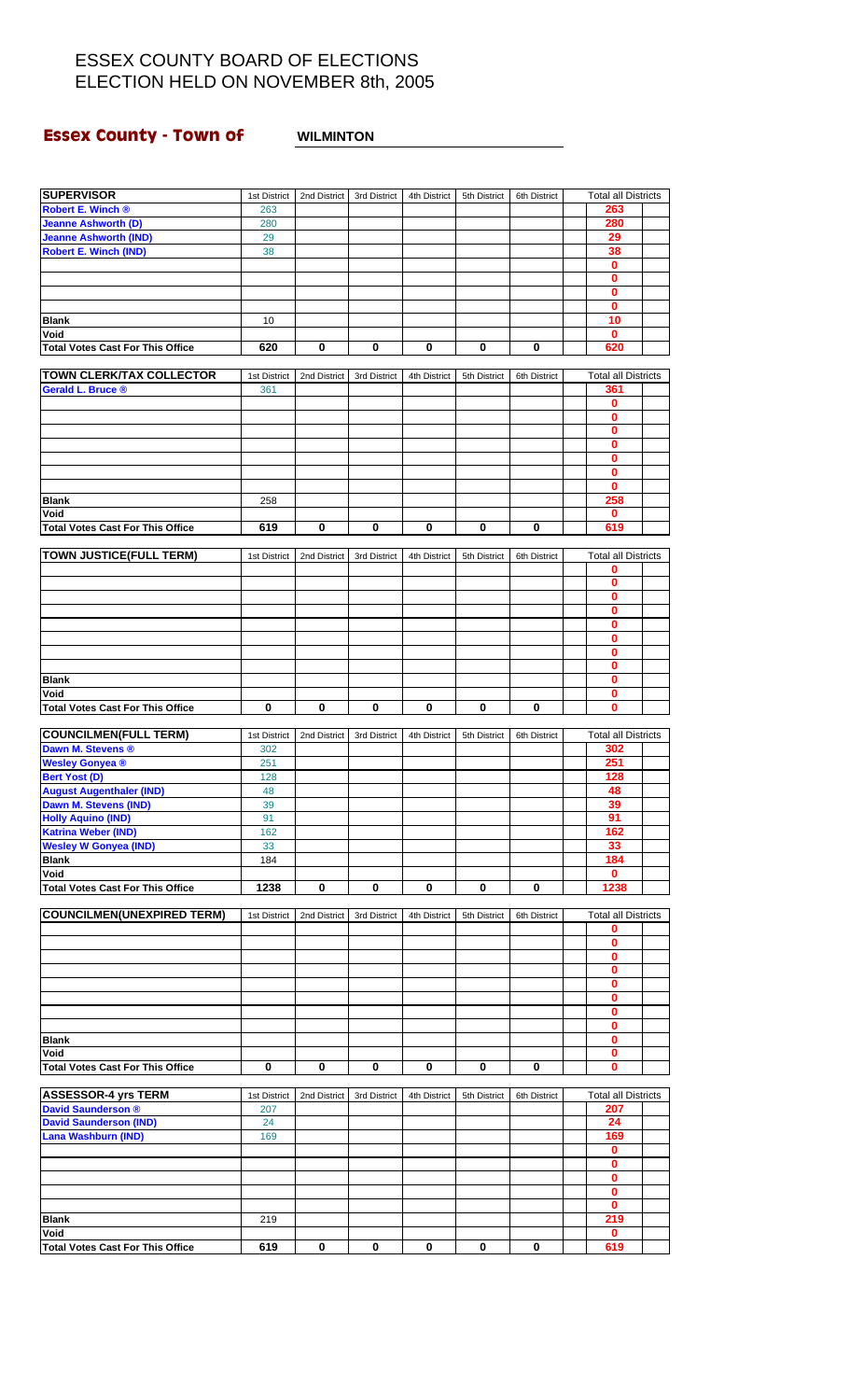## **Essex County - Town of WILMINTON**

| <b>SUPERVISOR</b>                                       | 1st District | 2nd District | 3rd District | 4th District | 5th District | 6th District | <b>Total all Districts</b> |  |
|---------------------------------------------------------|--------------|--------------|--------------|--------------|--------------|--------------|----------------------------|--|
| Robert E. Winch ®                                       | 263          |              |              |              |              |              | 263                        |  |
| <b>Jeanne Ashworth (D)</b>                              | 280          |              |              |              |              |              | 280                        |  |
| <b>Jeanne Ashworth (IND)</b>                            | 29           |              |              |              |              |              | 29                         |  |
| <b>Robert E. Winch (IND)</b>                            | 38           |              |              |              |              |              | 38                         |  |
|                                                         |              |              |              |              |              |              | 0                          |  |
|                                                         |              |              |              |              |              |              | 0                          |  |
|                                                         |              |              |              |              |              |              | 0                          |  |
| <b>Blank</b>                                            | 10           |              |              |              |              |              | 0<br>10                    |  |
| Void                                                    |              |              |              |              |              |              | $\mathbf 0$                |  |
| <b>Total Votes Cast For This Office</b>                 | 620          | 0            | $\pmb{0}$    | 0            | 0            | 0            | 620                        |  |
|                                                         |              |              |              |              |              |              |                            |  |
| <b>TOWN CLERK/TAX COLLECTOR</b>                         | 1st District | 2nd District | 3rd District | 4th District | 5th District | 6th District | <b>Total all Districts</b> |  |
| <b>Gerald L. Bruce ®</b>                                | 361          |              |              |              |              |              | 361                        |  |
|                                                         |              |              |              |              |              |              | 0                          |  |
|                                                         |              |              |              |              |              |              | 0                          |  |
|                                                         |              |              |              |              |              |              | 0                          |  |
|                                                         |              |              |              |              |              |              | 0                          |  |
|                                                         |              |              |              |              |              |              | 0                          |  |
|                                                         |              |              |              |              |              |              | 0<br>$\bf{0}$              |  |
| <b>Blank</b>                                            | 258          |              |              |              |              |              | 258                        |  |
| Void                                                    |              |              |              |              |              |              | 0                          |  |
| <b>Total Votes Cast For This Office</b>                 | 619          | 0            | 0            | 0            | 0            | 0            | 619                        |  |
|                                                         |              |              |              |              |              |              |                            |  |
| <b>TOWN JUSTICE(FULL TERM)</b>                          | 1st District | 2nd District | 3rd District | 4th District | 5th District | 6th District | <b>Total all Districts</b> |  |
|                                                         |              |              |              |              |              |              | 0                          |  |
|                                                         |              |              |              |              |              |              | 0                          |  |
|                                                         |              |              |              |              |              |              | 0                          |  |
|                                                         |              |              |              |              |              |              | 0                          |  |
|                                                         |              |              |              |              |              |              | 0<br>$\mathbf 0$           |  |
|                                                         |              |              |              |              |              |              | 0                          |  |
|                                                         |              |              |              |              |              |              | 0                          |  |
| Blank                                                   |              |              |              |              |              |              | 0                          |  |
| Void                                                    |              |              |              |              |              |              | 0                          |  |
| <b>Total Votes Cast For This Office</b>                 | 0            | 0            | 0            | 0            | 0            | 0            | 0                          |  |
|                                                         |              |              |              |              |              |              |                            |  |
| <b>COUNCILMEN(FULL TERM)</b>                            | 1st District | 2nd District | 3rd District | 4th District | 5th District | 6th District | <b>Total all Districts</b> |  |
| Dawn M. Stevens ®                                       | 302          |              |              |              |              |              | 302                        |  |
| <b>Wesley Gonyea®</b>                                   | 251          |              |              |              |              |              | 251                        |  |
| <b>Bert Yost (D)</b><br><b>August Augenthaler (IND)</b> | 128<br>48    |              |              |              |              |              | 128<br>48                  |  |
| Dawn M. Stevens (IND)                                   | 39           |              |              |              |              |              | 39                         |  |
| <b>Holly Aquino (IND)</b>                               | 91           |              |              |              |              |              | 91                         |  |
| <b>Katrina Weber (IND)</b>                              | 162          |              |              |              |              |              | 162                        |  |
| <b>Wesley W Gonyea (IND)</b>                            | 33           |              |              |              |              |              | 33                         |  |
| <b>Blank</b>                                            | 184          |              |              |              |              |              | 184                        |  |
| Void                                                    |              |              |              |              |              |              | 0                          |  |
| <b>Total Votes Cast For This Office</b>                 | 1238         | 0            | $\pmb{0}$    | 0            | 0            | 0            | 1238                       |  |
|                                                         |              |              |              |              |              |              |                            |  |
| <b>COUNCILMEN(UNEXPIRED TERM)</b>                       | 1st District | 2nd District | 3rd District | 4th District | 5th District | 6th District | <b>Total all Districts</b> |  |
|                                                         |              |              |              |              |              |              | 0<br>$\bf{0}$              |  |
|                                                         |              |              |              |              |              |              | 0                          |  |
|                                                         |              |              |              |              |              |              | 0                          |  |
|                                                         |              |              |              |              |              |              | 0                          |  |
|                                                         |              |              |              |              |              |              | 0                          |  |
|                                                         |              |              |              |              |              |              | 0                          |  |
|                                                         |              |              |              |              |              |              | 0                          |  |
| <b>Blank</b>                                            |              |              |              |              |              |              | 0                          |  |
| Void                                                    |              |              |              |              |              |              | 0                          |  |
| <b>Total Votes Cast For This Office</b>                 | 0            | 0            | 0            | 0            | 0            | 0            | 0                          |  |
| <b>ASSESSOR-4 yrs TERM</b>                              | 1st District | 2nd District | 3rd District | 4th District | 5th District | 6th District | <b>Total all Districts</b> |  |
| <b>David Saunderson ®</b>                               | 207          |              |              |              |              |              | 207                        |  |
| <b>David Saunderson (IND)</b>                           | 24           |              |              |              |              |              | 24                         |  |
| <b>Lana Washburn (IND)</b>                              | 169          |              |              |              |              |              | 169                        |  |
|                                                         |              |              |              |              |              |              | 0                          |  |
|                                                         |              |              |              |              |              |              | 0                          |  |
|                                                         |              |              |              |              |              |              | 0                          |  |
|                                                         |              |              |              |              |              |              | 0                          |  |
|                                                         |              |              |              |              |              |              | 0                          |  |
| <b>Blank</b>                                            | 219          |              |              |              |              |              | 219                        |  |
| Void<br><b>Total Votes Cast For This Office</b>         | 619          | 0            | $\mathbf 0$  | 0            | 0            | 0            | 0<br>619                   |  |
|                                                         |              |              |              |              |              |              |                            |  |